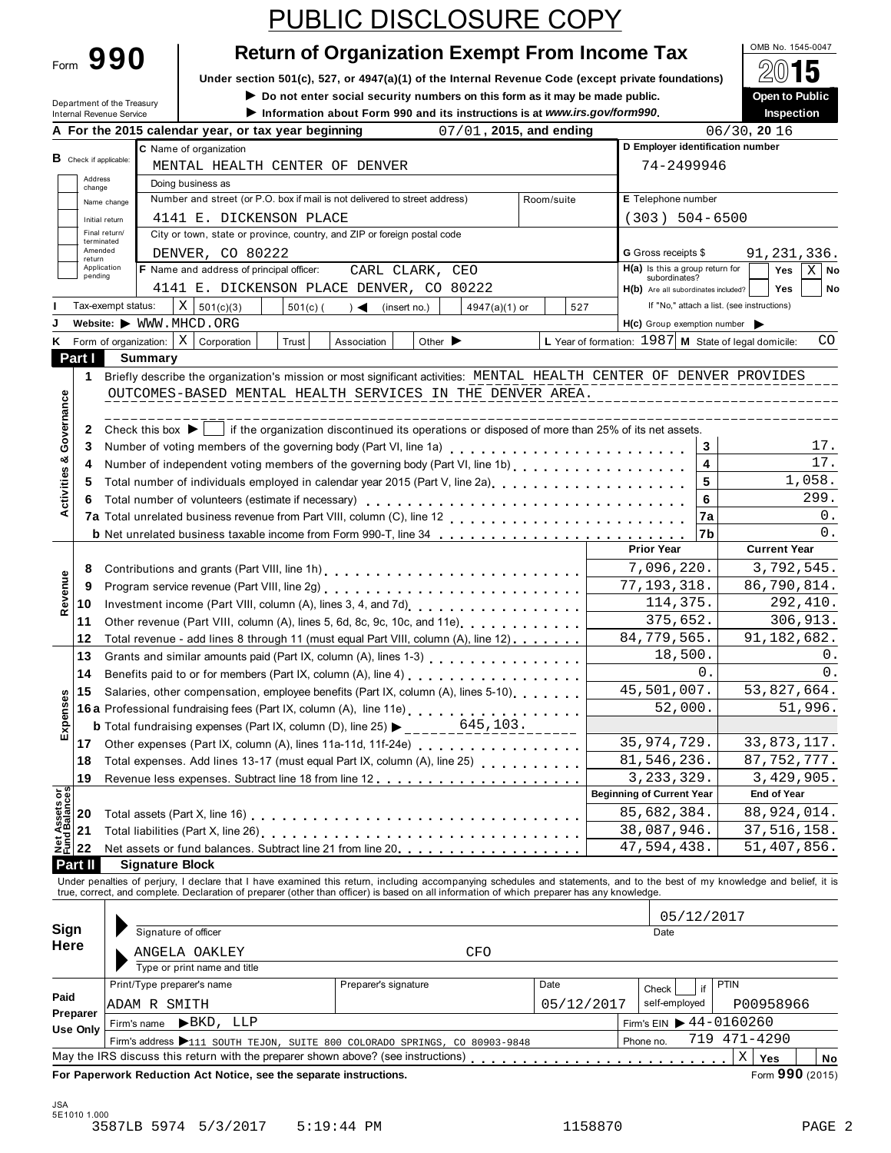| Form | 990 |  |
|------|-----|--|
|      |     |  |

# Return of Organization Exempt From Income Tax  $\begin{array}{|l|l|}\n\hline\n\text{Q(1545-0047)}\n\hline\n\text{Q(2)}\n\end{array}$

**Under section 501(c), 527, or 4947(a)(1) of the Internal Revenue Code (except private foundations)**  $\Box$  **△∪** ■ **4**<br> **Do not enter social security numbers on this form as it may be made public. ● ● ● ● ● ● ● ● ● ● ● ●** 

**I Department of the Treasury inter the Open to Public inter social security numbers on this form as it may be made public. <br>
■ <b>Do not enter social security numbers on this form as it may be made public. △ △ △ △ △ △ △** 

|  |  | <b>Providence Social Security Humbers on this form as it may be made pr</b> |  |
|--|--|-----------------------------------------------------------------------------|--|
|  |  | b. Information about Form 000 and its instructions is at unusuivo goulform  |  |

| Department of the Treasury<br>Internal Revenue Service                                                                                                                                                                                                                                                                                                                                                                                                                                                                                                                                                                                                                                                                                                                                                                                                                                                                                                                                                                                                                                                                                                                                                                                                                                                                                                                                                                                                                                                                                                                                                                                                                                                                                                                                                                                                                                                                                                                                                                                                                                                                                                                                                                                                                                                                                                                                                                                                                                                                                                                                                                                                                                                                                                                                                                                                                                                                                                                                                                                                                                                                                                                                                                                                                                                                                                                                                                                                                                                                                                                                                                                                                                                                                                                                                                                                                                                                                                                                                                                                                                                                 |                |  |                                                                            | $\blacktriangleright$ Do not enter social security numbers on this form as it may be made public.<br>Information about Form 990 and its instructions is at www.irs.gov/form990. |  |                            |            |  |                                  |                 | <b>Open to Public</b><br>Inspection |             |
|------------------------------------------------------------------------------------------------------------------------------------------------------------------------------------------------------------------------------------------------------------------------------------------------------------------------------------------------------------------------------------------------------------------------------------------------------------------------------------------------------------------------------------------------------------------------------------------------------------------------------------------------------------------------------------------------------------------------------------------------------------------------------------------------------------------------------------------------------------------------------------------------------------------------------------------------------------------------------------------------------------------------------------------------------------------------------------------------------------------------------------------------------------------------------------------------------------------------------------------------------------------------------------------------------------------------------------------------------------------------------------------------------------------------------------------------------------------------------------------------------------------------------------------------------------------------------------------------------------------------------------------------------------------------------------------------------------------------------------------------------------------------------------------------------------------------------------------------------------------------------------------------------------------------------------------------------------------------------------------------------------------------------------------------------------------------------------------------------------------------------------------------------------------------------------------------------------------------------------------------------------------------------------------------------------------------------------------------------------------------------------------------------------------------------------------------------------------------------------------------------------------------------------------------------------------------------------------------------------------------------------------------------------------------------------------------------------------------------------------------------------------------------------------------------------------------------------------------------------------------------------------------------------------------------------------------------------------------------------------------------------------------------------------------------------------------------------------------------------------------------------------------------------------------------------------------------------------------------------------------------------------------------------------------------------------------------------------------------------------------------------------------------------------------------------------------------------------------------------------------------------------------------------------------------------------------------------------------------------------------------------------------------------------------------------------------------------------------------------------------------------------------------------------------------------------------------------------------------------------------------------------------------------------------------------------------------------------------------------------------------------------------------------------------------------------------------------------------------------------------|----------------|--|----------------------------------------------------------------------------|---------------------------------------------------------------------------------------------------------------------------------------------------------------------------------|--|----------------------------|------------|--|----------------------------------|-----------------|-------------------------------------|-------------|
|                                                                                                                                                                                                                                                                                                                                                                                                                                                                                                                                                                                                                                                                                                                                                                                                                                                                                                                                                                                                                                                                                                                                                                                                                                                                                                                                                                                                                                                                                                                                                                                                                                                                                                                                                                                                                                                                                                                                                                                                                                                                                                                                                                                                                                                                                                                                                                                                                                                                                                                                                                                                                                                                                                                                                                                                                                                                                                                                                                                                                                                                                                                                                                                                                                                                                                                                                                                                                                                                                                                                                                                                                                                                                                                                                                                                                                                                                                                                                                                                                                                                                                                        |                |  | A For the 2015 calendar year, or tax year beginning                        |                                                                                                                                                                                 |  | $07/01$ , 2015, and ending |            |  |                                  | $06/30$ , 20 16 |                                     |             |
|                                                                                                                                                                                                                                                                                                                                                                                                                                                                                                                                                                                                                                                                                                                                                                                                                                                                                                                                                                                                                                                                                                                                                                                                                                                                                                                                                                                                                                                                                                                                                                                                                                                                                                                                                                                                                                                                                                                                                                                                                                                                                                                                                                                                                                                                                                                                                                                                                                                                                                                                                                                                                                                                                                                                                                                                                                                                                                                                                                                                                                                                                                                                                                                                                                                                                                                                                                                                                                                                                                                                                                                                                                                                                                                                                                                                                                                                                                                                                                                                                                                                                                                        |                |  | C Name of organization                                                     |                                                                                                                                                                                 |  |                            |            |  | D Employer identification number |                 |                                     |             |
| B Check if applicable:                                                                                                                                                                                                                                                                                                                                                                                                                                                                                                                                                                                                                                                                                                                                                                                                                                                                                                                                                                                                                                                                                                                                                                                                                                                                                                                                                                                                                                                                                                                                                                                                                                                                                                                                                                                                                                                                                                                                                                                                                                                                                                                                                                                                                                                                                                                                                                                                                                                                                                                                                                                                                                                                                                                                                                                                                                                                                                                                                                                                                                                                                                                                                                                                                                                                                                                                                                                                                                                                                                                                                                                                                                                                                                                                                                                                                                                                                                                                                                                                                                                                                                 |                |  | MENTAL HEALTH CENTER OF DENVER                                             |                                                                                                                                                                                 |  |                            |            |  | 74-2499946                       |                 |                                     |             |
| Address<br>change                                                                                                                                                                                                                                                                                                                                                                                                                                                                                                                                                                                                                                                                                                                                                                                                                                                                                                                                                                                                                                                                                                                                                                                                                                                                                                                                                                                                                                                                                                                                                                                                                                                                                                                                                                                                                                                                                                                                                                                                                                                                                                                                                                                                                                                                                                                                                                                                                                                                                                                                                                                                                                                                                                                                                                                                                                                                                                                                                                                                                                                                                                                                                                                                                                                                                                                                                                                                                                                                                                                                                                                                                                                                                                                                                                                                                                                                                                                                                                                                                                                                                                      |                |  | Doing business as                                                          |                                                                                                                                                                                 |  |                            |            |  |                                  |                 |                                     |             |
|                                                                                                                                                                                                                                                                                                                                                                                                                                                                                                                                                                                                                                                                                                                                                                                                                                                                                                                                                                                                                                                                                                                                                                                                                                                                                                                                                                                                                                                                                                                                                                                                                                                                                                                                                                                                                                                                                                                                                                                                                                                                                                                                                                                                                                                                                                                                                                                                                                                                                                                                                                                                                                                                                                                                                                                                                                                                                                                                                                                                                                                                                                                                                                                                                                                                                                                                                                                                                                                                                                                                                                                                                                                                                                                                                                                                                                                                                                                                                                                                                                                                                                                        | Name change    |  | Number and street (or P.O. box if mail is not delivered to street address) |                                                                                                                                                                                 |  |                            | Room/suite |  | E Telephone number               |                 |                                     |             |
|                                                                                                                                                                                                                                                                                                                                                                                                                                                                                                                                                                                                                                                                                                                                                                                                                                                                                                                                                                                                                                                                                                                                                                                                                                                                                                                                                                                                                                                                                                                                                                                                                                                                                                                                                                                                                                                                                                                                                                                                                                                                                                                                                                                                                                                                                                                                                                                                                                                                                                                                                                                                                                                                                                                                                                                                                                                                                                                                                                                                                                                                                                                                                                                                                                                                                                                                                                                                                                                                                                                                                                                                                                                                                                                                                                                                                                                                                                                                                                                                                                                                                                                        | Initial return |  | 4141 E. DICKENSON PLACE                                                    |                                                                                                                                                                                 |  |                            |            |  | $(303) 504 - 6500$               |                 |                                     |             |
|                                                                                                                                                                                                                                                                                                                                                                                                                                                                                                                                                                                                                                                                                                                                                                                                                                                                                                                                                                                                                                                                                                                                                                                                                                                                                                                                                                                                                                                                                                                                                                                                                                                                                                                                                                                                                                                                                                                                                                                                                                                                                                                                                                                                                                                                                                                                                                                                                                                                                                                                                                                                                                                                                                                                                                                                                                                                                                                                                                                                                                                                                                                                                                                                                                                                                                                                                                                                                                                                                                                                                                                                                                                                                                                                                                                                                                                                                                                                                                                                                                                                                                                        |                |  |                                                                            |                                                                                                                                                                                 |  |                            |            |  |                                  |                 |                                     |             |
|                                                                                                                                                                                                                                                                                                                                                                                                                                                                                                                                                                                                                                                                                                                                                                                                                                                                                                                                                                                                                                                                                                                                                                                                                                                                                                                                                                                                                                                                                                                                                                                                                                                                                                                                                                                                                                                                                                                                                                                                                                                                                                                                                                                                                                                                                                                                                                                                                                                                                                                                                                                                                                                                                                                                                                                                                                                                                                                                                                                                                                                                                                                                                                                                                                                                                                                                                                                                                                                                                                                                                                                                                                                                                                                                                                                                                                                                                                                                                                                                                                                                                                                        |                |  |                                                                            |                                                                                                                                                                                 |  |                            |            |  |                                  |                 |                                     |             |
|                                                                                                                                                                                                                                                                                                                                                                                                                                                                                                                                                                                                                                                                                                                                                                                                                                                                                                                                                                                                                                                                                                                                                                                                                                                                                                                                                                                                                                                                                                                                                                                                                                                                                                                                                                                                                                                                                                                                                                                                                                                                                                                                                                                                                                                                                                                                                                                                                                                                                                                                                                                                                                                                                                                                                                                                                                                                                                                                                                                                                                                                                                                                                                                                                                                                                                                                                                                                                                                                                                                                                                                                                                                                                                                                                                                                                                                                                                                                                                                                                                                                                                                        |                |  |                                                                            |                                                                                                                                                                                 |  |                            |            |  |                                  |                 |                                     | $X \mid$ No |
|                                                                                                                                                                                                                                                                                                                                                                                                                                                                                                                                                                                                                                                                                                                                                                                                                                                                                                                                                                                                                                                                                                                                                                                                                                                                                                                                                                                                                                                                                                                                                                                                                                                                                                                                                                                                                                                                                                                                                                                                                                                                                                                                                                                                                                                                                                                                                                                                                                                                                                                                                                                                                                                                                                                                                                                                                                                                                                                                                                                                                                                                                                                                                                                                                                                                                                                                                                                                                                                                                                                                                                                                                                                                                                                                                                                                                                                                                                                                                                                                                                                                                                                        |                |  |                                                                            |                                                                                                                                                                                 |  |                            |            |  |                                  |                 |                                     | No          |
|                                                                                                                                                                                                                                                                                                                                                                                                                                                                                                                                                                                                                                                                                                                                                                                                                                                                                                                                                                                                                                                                                                                                                                                                                                                                                                                                                                                                                                                                                                                                                                                                                                                                                                                                                                                                                                                                                                                                                                                                                                                                                                                                                                                                                                                                                                                                                                                                                                                                                                                                                                                                                                                                                                                                                                                                                                                                                                                                                                                                                                                                                                                                                                                                                                                                                                                                                                                                                                                                                                                                                                                                                                                                                                                                                                                                                                                                                                                                                                                                                                                                                                                        |                |  |                                                                            |                                                                                                                                                                                 |  |                            |            |  |                                  |                 |                                     |             |
|                                                                                                                                                                                                                                                                                                                                                                                                                                                                                                                                                                                                                                                                                                                                                                                                                                                                                                                                                                                                                                                                                                                                                                                                                                                                                                                                                                                                                                                                                                                                                                                                                                                                                                                                                                                                                                                                                                                                                                                                                                                                                                                                                                                                                                                                                                                                                                                                                                                                                                                                                                                                                                                                                                                                                                                                                                                                                                                                                                                                                                                                                                                                                                                                                                                                                                                                                                                                                                                                                                                                                                                                                                                                                                                                                                                                                                                                                                                                                                                                                                                                                                                        |                |  |                                                                            |                                                                                                                                                                                 |  |                            |            |  |                                  |                 |                                     |             |
|                                                                                                                                                                                                                                                                                                                                                                                                                                                                                                                                                                                                                                                                                                                                                                                                                                                                                                                                                                                                                                                                                                                                                                                                                                                                                                                                                                                                                                                                                                                                                                                                                                                                                                                                                                                                                                                                                                                                                                                                                                                                                                                                                                                                                                                                                                                                                                                                                                                                                                                                                                                                                                                                                                                                                                                                                                                                                                                                                                                                                                                                                                                                                                                                                                                                                                                                                                                                                                                                                                                                                                                                                                                                                                                                                                                                                                                                                                                                                                                                                                                                                                                        |                |  |                                                                            |                                                                                                                                                                                 |  |                            |            |  |                                  |                 |                                     | CO          |
|                                                                                                                                                                                                                                                                                                                                                                                                                                                                                                                                                                                                                                                                                                                                                                                                                                                                                                                                                                                                                                                                                                                                                                                                                                                                                                                                                                                                                                                                                                                                                                                                                                                                                                                                                                                                                                                                                                                                                                                                                                                                                                                                                                                                                                                                                                                                                                                                                                                                                                                                                                                                                                                                                                                                                                                                                                                                                                                                                                                                                                                                                                                                                                                                                                                                                                                                                                                                                                                                                                                                                                                                                                                                                                                                                                                                                                                                                                                                                                                                                                                                                                                        |                |  |                                                                            |                                                                                                                                                                                 |  |                            |            |  |                                  |                 |                                     |             |
|                                                                                                                                                                                                                                                                                                                                                                                                                                                                                                                                                                                                                                                                                                                                                                                                                                                                                                                                                                                                                                                                                                                                                                                                                                                                                                                                                                                                                                                                                                                                                                                                                                                                                                                                                                                                                                                                                                                                                                                                                                                                                                                                                                                                                                                                                                                                                                                                                                                                                                                                                                                                                                                                                                                                                                                                                                                                                                                                                                                                                                                                                                                                                                                                                                                                                                                                                                                                                                                                                                                                                                                                                                                                                                                                                                                                                                                                                                                                                                                                                                                                                                                        |                |  |                                                                            |                                                                                                                                                                                 |  |                            |            |  |                                  |                 |                                     |             |
|                                                                                                                                                                                                                                                                                                                                                                                                                                                                                                                                                                                                                                                                                                                                                                                                                                                                                                                                                                                                                                                                                                                                                                                                                                                                                                                                                                                                                                                                                                                                                                                                                                                                                                                                                                                                                                                                                                                                                                                                                                                                                                                                                                                                                                                                                                                                                                                                                                                                                                                                                                                                                                                                                                                                                                                                                                                                                                                                                                                                                                                                                                                                                                                                                                                                                                                                                                                                                                                                                                                                                                                                                                                                                                                                                                                                                                                                                                                                                                                                                                                                                                                        |                |  |                                                                            |                                                                                                                                                                                 |  |                            |            |  |                                  |                 |                                     |             |
|                                                                                                                                                                                                                                                                                                                                                                                                                                                                                                                                                                                                                                                                                                                                                                                                                                                                                                                                                                                                                                                                                                                                                                                                                                                                                                                                                                                                                                                                                                                                                                                                                                                                                                                                                                                                                                                                                                                                                                                                                                                                                                                                                                                                                                                                                                                                                                                                                                                                                                                                                                                                                                                                                                                                                                                                                                                                                                                                                                                                                                                                                                                                                                                                                                                                                                                                                                                                                                                                                                                                                                                                                                                                                                                                                                                                                                                                                                                                                                                                                                                                                                                        |                |  |                                                                            |                                                                                                                                                                                 |  |                            |            |  |                                  |                 |                                     |             |
|                                                                                                                                                                                                                                                                                                                                                                                                                                                                                                                                                                                                                                                                                                                                                                                                                                                                                                                                                                                                                                                                                                                                                                                                                                                                                                                                                                                                                                                                                                                                                                                                                                                                                                                                                                                                                                                                                                                                                                                                                                                                                                                                                                                                                                                                                                                                                                                                                                                                                                                                                                                                                                                                                                                                                                                                                                                                                                                                                                                                                                                                                                                                                                                                                                                                                                                                                                                                                                                                                                                                                                                                                                                                                                                                                                                                                                                                                                                                                                                                                                                                                                                        |                |  |                                                                            |                                                                                                                                                                                 |  |                            |            |  |                                  |                 |                                     |             |
|                                                                                                                                                                                                                                                                                                                                                                                                                                                                                                                                                                                                                                                                                                                                                                                                                                                                                                                                                                                                                                                                                                                                                                                                                                                                                                                                                                                                                                                                                                                                                                                                                                                                                                                                                                                                                                                                                                                                                                                                                                                                                                                                                                                                                                                                                                                                                                                                                                                                                                                                                                                                                                                                                                                                                                                                                                                                                                                                                                                                                                                                                                                                                                                                                                                                                                                                                                                                                                                                                                                                                                                                                                                                                                                                                                                                                                                                                                                                                                                                                                                                                                                        |                |  |                                                                            |                                                                                                                                                                                 |  |                            |            |  |                                  |                 |                                     |             |
|                                                                                                                                                                                                                                                                                                                                                                                                                                                                                                                                                                                                                                                                                                                                                                                                                                                                                                                                                                                                                                                                                                                                                                                                                                                                                                                                                                                                                                                                                                                                                                                                                                                                                                                                                                                                                                                                                                                                                                                                                                                                                                                                                                                                                                                                                                                                                                                                                                                                                                                                                                                                                                                                                                                                                                                                                                                                                                                                                                                                                                                                                                                                                                                                                                                                                                                                                                                                                                                                                                                                                                                                                                                                                                                                                                                                                                                                                                                                                                                                                                                                                                                        |                |  |                                                                            |                                                                                                                                                                                 |  |                            |            |  |                                  |                 |                                     | 17.         |
|                                                                                                                                                                                                                                                                                                                                                                                                                                                                                                                                                                                                                                                                                                                                                                                                                                                                                                                                                                                                                                                                                                                                                                                                                                                                                                                                                                                                                                                                                                                                                                                                                                                                                                                                                                                                                                                                                                                                                                                                                                                                                                                                                                                                                                                                                                                                                                                                                                                                                                                                                                                                                                                                                                                                                                                                                                                                                                                                                                                                                                                                                                                                                                                                                                                                                                                                                                                                                                                                                                                                                                                                                                                                                                                                                                                                                                                                                                                                                                                                                                                                                                                        |                |  |                                                                            |                                                                                                                                                                                 |  |                            |            |  |                                  |                 |                                     | 17.         |
|                                                                                                                                                                                                                                                                                                                                                                                                                                                                                                                                                                                                                                                                                                                                                                                                                                                                                                                                                                                                                                                                                                                                                                                                                                                                                                                                                                                                                                                                                                                                                                                                                                                                                                                                                                                                                                                                                                                                                                                                                                                                                                                                                                                                                                                                                                                                                                                                                                                                                                                                                                                                                                                                                                                                                                                                                                                                                                                                                                                                                                                                                                                                                                                                                                                                                                                                                                                                                                                                                                                                                                                                                                                                                                                                                                                                                                                                                                                                                                                                                                                                                                                        |                |  |                                                                            |                                                                                                                                                                                 |  |                            |            |  |                                  |                 |                                     |             |
|                                                                                                                                                                                                                                                                                                                                                                                                                                                                                                                                                                                                                                                                                                                                                                                                                                                                                                                                                                                                                                                                                                                                                                                                                                                                                                                                                                                                                                                                                                                                                                                                                                                                                                                                                                                                                                                                                                                                                                                                                                                                                                                                                                                                                                                                                                                                                                                                                                                                                                                                                                                                                                                                                                                                                                                                                                                                                                                                                                                                                                                                                                                                                                                                                                                                                                                                                                                                                                                                                                                                                                                                                                                                                                                                                                                                                                                                                                                                                                                                                                                                                                                        |                |  |                                                                            |                                                                                                                                                                                 |  |                            |            |  |                                  |                 |                                     | 299.        |
|                                                                                                                                                                                                                                                                                                                                                                                                                                                                                                                                                                                                                                                                                                                                                                                                                                                                                                                                                                                                                                                                                                                                                                                                                                                                                                                                                                                                                                                                                                                                                                                                                                                                                                                                                                                                                                                                                                                                                                                                                                                                                                                                                                                                                                                                                                                                                                                                                                                                                                                                                                                                                                                                                                                                                                                                                                                                                                                                                                                                                                                                                                                                                                                                                                                                                                                                                                                                                                                                                                                                                                                                                                                                                                                                                                                                                                                                                                                                                                                                                                                                                                                        |                |  |                                                                            |                                                                                                                                                                                 |  |                            |            |  |                                  |                 |                                     | 0.          |
|                                                                                                                                                                                                                                                                                                                                                                                                                                                                                                                                                                                                                                                                                                                                                                                                                                                                                                                                                                                                                                                                                                                                                                                                                                                                                                                                                                                                                                                                                                                                                                                                                                                                                                                                                                                                                                                                                                                                                                                                                                                                                                                                                                                                                                                                                                                                                                                                                                                                                                                                                                                                                                                                                                                                                                                                                                                                                                                                                                                                                                                                                                                                                                                                                                                                                                                                                                                                                                                                                                                                                                                                                                                                                                                                                                                                                                                                                                                                                                                                                                                                                                                        |                |  |                                                                            |                                                                                                                                                                                 |  |                            |            |  |                                  |                 |                                     | 0.          |
|                                                                                                                                                                                                                                                                                                                                                                                                                                                                                                                                                                                                                                                                                                                                                                                                                                                                                                                                                                                                                                                                                                                                                                                                                                                                                                                                                                                                                                                                                                                                                                                                                                                                                                                                                                                                                                                                                                                                                                                                                                                                                                                                                                                                                                                                                                                                                                                                                                                                                                                                                                                                                                                                                                                                                                                                                                                                                                                                                                                                                                                                                                                                                                                                                                                                                                                                                                                                                                                                                                                                                                                                                                                                                                                                                                                                                                                                                                                                                                                                                                                                                                                        |                |  |                                                                            |                                                                                                                                                                                 |  |                            |            |  |                                  |                 |                                     |             |
| 8<br>Revenue<br>9<br>10<br>11<br>12                                                                                                                                                                                                                                                                                                                                                                                                                                                                                                                                                                                                                                                                                                                                                                                                                                                                                                                                                                                                                                                                                                                                                                                                                                                                                                                                                                                                                                                                                                                                                                                                                                                                                                                                                                                                                                                                                                                                                                                                                                                                                                                                                                                                                                                                                                                                                                                                                                                                                                                                                                                                                                                                                                                                                                                                                                                                                                                                                                                                                                                                                                                                                                                                                                                                                                                                                                                                                                                                                                                                                                                                                                                                                                                                                                                                                                                                                                                                                                                                                                                                                    |                |  |                                                                            |                                                                                                                                                                                 |  |                            |            |  |                                  |                 |                                     |             |
|                                                                                                                                                                                                                                                                                                                                                                                                                                                                                                                                                                                                                                                                                                                                                                                                                                                                                                                                                                                                                                                                                                                                                                                                                                                                                                                                                                                                                                                                                                                                                                                                                                                                                                                                                                                                                                                                                                                                                                                                                                                                                                                                                                                                                                                                                                                                                                                                                                                                                                                                                                                                                                                                                                                                                                                                                                                                                                                                                                                                                                                                                                                                                                                                                                                                                                                                                                                                                                                                                                                                                                                                                                                                                                                                                                                                                                                                                                                                                                                                                                                                                                                        |                |  |                                                                            |                                                                                                                                                                                 |  |                            |            |  |                                  |                 |                                     |             |
|                                                                                                                                                                                                                                                                                                                                                                                                                                                                                                                                                                                                                                                                                                                                                                                                                                                                                                                                                                                                                                                                                                                                                                                                                                                                                                                                                                                                                                                                                                                                                                                                                                                                                                                                                                                                                                                                                                                                                                                                                                                                                                                                                                                                                                                                                                                                                                                                                                                                                                                                                                                                                                                                                                                                                                                                                                                                                                                                                                                                                                                                                                                                                                                                                                                                                                                                                                                                                                                                                                                                                                                                                                                                                                                                                                                                                                                                                                                                                                                                                                                                                                                        |                |  |                                                                            |                                                                                                                                                                                 |  |                            |            |  |                                  |                 |                                     |             |
|                                                                                                                                                                                                                                                                                                                                                                                                                                                                                                                                                                                                                                                                                                                                                                                                                                                                                                                                                                                                                                                                                                                                                                                                                                                                                                                                                                                                                                                                                                                                                                                                                                                                                                                                                                                                                                                                                                                                                                                                                                                                                                                                                                                                                                                                                                                                                                                                                                                                                                                                                                                                                                                                                                                                                                                                                                                                                                                                                                                                                                                                                                                                                                                                                                                                                                                                                                                                                                                                                                                                                                                                                                                                                                                                                                                                                                                                                                                                                                                                                                                                                                                        |                |  |                                                                            |                                                                                                                                                                                 |  |                            |            |  |                                  |                 |                                     |             |
|                                                                                                                                                                                                                                                                                                                                                                                                                                                                                                                                                                                                                                                                                                                                                                                                                                                                                                                                                                                                                                                                                                                                                                                                                                                                                                                                                                                                                                                                                                                                                                                                                                                                                                                                                                                                                                                                                                                                                                                                                                                                                                                                                                                                                                                                                                                                                                                                                                                                                                                                                                                                                                                                                                                                                                                                                                                                                                                                                                                                                                                                                                                                                                                                                                                                                                                                                                                                                                                                                                                                                                                                                                                                                                                                                                                                                                                                                                                                                                                                                                                                                                                        |                |  |                                                                            |                                                                                                                                                                                 |  |                            |            |  |                                  |                 |                                     |             |
| 13                                                                                                                                                                                                                                                                                                                                                                                                                                                                                                                                                                                                                                                                                                                                                                                                                                                                                                                                                                                                                                                                                                                                                                                                                                                                                                                                                                                                                                                                                                                                                                                                                                                                                                                                                                                                                                                                                                                                                                                                                                                                                                                                                                                                                                                                                                                                                                                                                                                                                                                                                                                                                                                                                                                                                                                                                                                                                                                                                                                                                                                                                                                                                                                                                                                                                                                                                                                                                                                                                                                                                                                                                                                                                                                                                                                                                                                                                                                                                                                                                                                                                                                     |                |  |                                                                            |                                                                                                                                                                                 |  |                            |            |  |                                  |                 |                                     | 0.          |
| 14                                                                                                                                                                                                                                                                                                                                                                                                                                                                                                                                                                                                                                                                                                                                                                                                                                                                                                                                                                                                                                                                                                                                                                                                                                                                                                                                                                                                                                                                                                                                                                                                                                                                                                                                                                                                                                                                                                                                                                                                                                                                                                                                                                                                                                                                                                                                                                                                                                                                                                                                                                                                                                                                                                                                                                                                                                                                                                                                                                                                                                                                                                                                                                                                                                                                                                                                                                                                                                                                                                                                                                                                                                                                                                                                                                                                                                                                                                                                                                                                                                                                                                                     |                |  |                                                                            |                                                                                                                                                                                 |  |                            |            |  | 0.                               |                 |                                     | 0.          |
| 15                                                                                                                                                                                                                                                                                                                                                                                                                                                                                                                                                                                                                                                                                                                                                                                                                                                                                                                                                                                                                                                                                                                                                                                                                                                                                                                                                                                                                                                                                                                                                                                                                                                                                                                                                                                                                                                                                                                                                                                                                                                                                                                                                                                                                                                                                                                                                                                                                                                                                                                                                                                                                                                                                                                                                                                                                                                                                                                                                                                                                                                                                                                                                                                                                                                                                                                                                                                                                                                                                                                                                                                                                                                                                                                                                                                                                                                                                                                                                                                                                                                                                                                     |                |  |                                                                            |                                                                                                                                                                                 |  |                            |            |  |                                  |                 |                                     |             |
|                                                                                                                                                                                                                                                                                                                                                                                                                                                                                                                                                                                                                                                                                                                                                                                                                                                                                                                                                                                                                                                                                                                                                                                                                                                                                                                                                                                                                                                                                                                                                                                                                                                                                                                                                                                                                                                                                                                                                                                                                                                                                                                                                                                                                                                                                                                                                                                                                                                                                                                                                                                                                                                                                                                                                                                                                                                                                                                                                                                                                                                                                                                                                                                                                                                                                                                                                                                                                                                                                                                                                                                                                                                                                                                                                                                                                                                                                                                                                                                                                                                                                                                        |                |  |                                                                            |                                                                                                                                                                                 |  |                            |            |  |                                  |                 |                                     |             |
|                                                                                                                                                                                                                                                                                                                                                                                                                                                                                                                                                                                                                                                                                                                                                                                                                                                                                                                                                                                                                                                                                                                                                                                                                                                                                                                                                                                                                                                                                                                                                                                                                                                                                                                                                                                                                                                                                                                                                                                                                                                                                                                                                                                                                                                                                                                                                                                                                                                                                                                                                                                                                                                                                                                                                                                                                                                                                                                                                                                                                                                                                                                                                                                                                                                                                                                                                                                                                                                                                                                                                                                                                                                                                                                                                                                                                                                                                                                                                                                                                                                                                                                        |                |  |                                                                            |                                                                                                                                                                                 |  |                            |            |  |                                  |                 |                                     |             |
| 17 <sup>1</sup>                                                                                                                                                                                                                                                                                                                                                                                                                                                                                                                                                                                                                                                                                                                                                                                                                                                                                                                                                                                                                                                                                                                                                                                                                                                                                                                                                                                                                                                                                                                                                                                                                                                                                                                                                                                                                                                                                                                                                                                                                                                                                                                                                                                                                                                                                                                                                                                                                                                                                                                                                                                                                                                                                                                                                                                                                                                                                                                                                                                                                                                                                                                                                                                                                                                                                                                                                                                                                                                                                                                                                                                                                                                                                                                                                                                                                                                                                                                                                                                                                                                                                                        |                |  |                                                                            |                                                                                                                                                                                 |  |                            |            |  |                                  |                 |                                     |             |
| 18                                                                                                                                                                                                                                                                                                                                                                                                                                                                                                                                                                                                                                                                                                                                                                                                                                                                                                                                                                                                                                                                                                                                                                                                                                                                                                                                                                                                                                                                                                                                                                                                                                                                                                                                                                                                                                                                                                                                                                                                                                                                                                                                                                                                                                                                                                                                                                                                                                                                                                                                                                                                                                                                                                                                                                                                                                                                                                                                                                                                                                                                                                                                                                                                                                                                                                                                                                                                                                                                                                                                                                                                                                                                                                                                                                                                                                                                                                                                                                                                                                                                                                                     |                |  |                                                                            |                                                                                                                                                                                 |  |                            |            |  |                                  |                 |                                     |             |
| 19                                                                                                                                                                                                                                                                                                                                                                                                                                                                                                                                                                                                                                                                                                                                                                                                                                                                                                                                                                                                                                                                                                                                                                                                                                                                                                                                                                                                                                                                                                                                                                                                                                                                                                                                                                                                                                                                                                                                                                                                                                                                                                                                                                                                                                                                                                                                                                                                                                                                                                                                                                                                                                                                                                                                                                                                                                                                                                                                                                                                                                                                                                                                                                                                                                                                                                                                                                                                                                                                                                                                                                                                                                                                                                                                                                                                                                                                                                                                                                                                                                                                                                                     |                |  |                                                                            |                                                                                                                                                                                 |  |                            |            |  |                                  |                 |                                     |             |
|                                                                                                                                                                                                                                                                                                                                                                                                                                                                                                                                                                                                                                                                                                                                                                                                                                                                                                                                                                                                                                                                                                                                                                                                                                                                                                                                                                                                                                                                                                                                                                                                                                                                                                                                                                                                                                                                                                                                                                                                                                                                                                                                                                                                                                                                                                                                                                                                                                                                                                                                                                                                                                                                                                                                                                                                                                                                                                                                                                                                                                                                                                                                                                                                                                                                                                                                                                                                                                                                                                                                                                                                                                                                                                                                                                                                                                                                                                                                                                                                                                                                                                                        |                |  |                                                                            |                                                                                                                                                                                 |  |                            |            |  |                                  |                 |                                     |             |
| 20                                                                                                                                                                                                                                                                                                                                                                                                                                                                                                                                                                                                                                                                                                                                                                                                                                                                                                                                                                                                                                                                                                                                                                                                                                                                                                                                                                                                                                                                                                                                                                                                                                                                                                                                                                                                                                                                                                                                                                                                                                                                                                                                                                                                                                                                                                                                                                                                                                                                                                                                                                                                                                                                                                                                                                                                                                                                                                                                                                                                                                                                                                                                                                                                                                                                                                                                                                                                                                                                                                                                                                                                                                                                                                                                                                                                                                                                                                                                                                                                                                                                                                                     |                |  |                                                                            |                                                                                                                                                                                 |  |                            |            |  |                                  |                 |                                     |             |
| 21                                                                                                                                                                                                                                                                                                                                                                                                                                                                                                                                                                                                                                                                                                                                                                                                                                                                                                                                                                                                                                                                                                                                                                                                                                                                                                                                                                                                                                                                                                                                                                                                                                                                                                                                                                                                                                                                                                                                                                                                                                                                                                                                                                                                                                                                                                                                                                                                                                                                                                                                                                                                                                                                                                                                                                                                                                                                                                                                                                                                                                                                                                                                                                                                                                                                                                                                                                                                                                                                                                                                                                                                                                                                                                                                                                                                                                                                                                                                                                                                                                                                                                                     |                |  |                                                                            |                                                                                                                                                                                 |  |                            |            |  |                                  |                 |                                     |             |
| 22                                                                                                                                                                                                                                                                                                                                                                                                                                                                                                                                                                                                                                                                                                                                                                                                                                                                                                                                                                                                                                                                                                                                                                                                                                                                                                                                                                                                                                                                                                                                                                                                                                                                                                                                                                                                                                                                                                                                                                                                                                                                                                                                                                                                                                                                                                                                                                                                                                                                                                                                                                                                                                                                                                                                                                                                                                                                                                                                                                                                                                                                                                                                                                                                                                                                                                                                                                                                                                                                                                                                                                                                                                                                                                                                                                                                                                                                                                                                                                                                                                                                                                                     |                |  |                                                                            |                                                                                                                                                                                 |  |                            |            |  |                                  |                 |                                     |             |
| Final return/<br>City or town, state or province, country, and ZIP or foreign postal code<br>terminated<br>Amended<br>DENVER, CO 80222<br>91,231,336.<br>G Gross receipts \$<br>return<br>Application<br>F Name and address of principal officer:<br>$H(a)$ is this a group return for<br>CARL CLARK, CEO<br>Yes<br>pending<br>subordinates?<br>4141 E. DICKENSON PLACE DENVER, CO 80222<br><b>Yes</b><br>H(b) Are all subordinates included?<br>Χ<br>If "No," attach a list. (see instructions)<br>Tax-exempt status:<br>501(c)(3)<br>527<br>$501(c)$ (<br>$\rightarrow$<br>(insert no.)<br>4947(a)(1) or<br>Website: WWW.MHCD.ORG<br>$H(c)$ Group exemption number $\triangleright$<br>L Year of formation: $1987$ M State of legal domicile:<br>Form of organization:<br>ΧI<br>Corporation<br>Trust<br>Association<br>Other $\blacktriangleright$<br>Κ<br>Part I<br><b>Summary</b><br>Briefly describe the organization's mission or most significant activities: MENTAL HEALTH CENTER OF DENVER PROVIDES<br>1<br>OUTCOMES-BASED MENTAL HEALTH SERVICES IN THE DENVER AREA.<br><b>Activities &amp; Governance</b><br>__________________________<br>Check this box $\blacktriangleright$   if the organization discontinued its operations or disposed of more than 25% of its net assets.<br>2<br>3<br>3<br>4<br>4<br>5<br>1,058.<br>Total number of individuals employed in calendar year 2015 (Part V, line 2a)<br>The 2a)<br>5<br>6<br>Total number of volunteers (estimate if necessary)<br>6<br>7a<br>7b<br><b>b</b> Net unrelated business taxable income from Form 990-T, line 34<br><b>Current Year</b><br><b>Prior Year</b><br>7,096,220.<br>3,792,545.<br>Contributions and grants (Part VIII, line 1h)<br>77, 193, 318.<br>86,790,814.<br>114,375.<br>292,410.<br>Investment income (Part VIII, column (A), lines 3, 4, and 7d)<br>[10] The Letter Letter Letter Letter Letter Letter Letter Letter Letter Letter Letter Letter Letter Letter Le<br>375,652.<br>306,913.<br>Other revenue (Part VIII, column (A), lines 5, 6d, 8c, 9c, 10c, and 11e)<br>84,779,565.<br>91,182,682.<br>Total revenue - add lines 8 through 11 (must equal Part VIII, column (A), line 12)<br>18,500.<br>Benefits paid to or for members (Part IX, column (A), line 4) [100] (100]<br>45,501,007.<br>53,827,664.<br>Salaries, other compensation, employee benefits (Part IX, column (A), lines 5-10)<br>Expenses<br>52,000.<br>51,996.<br>16 a Professional fundraising fees (Part IX, column (A), line 11e)<br>16 a Professional fundraising fees (Part IX, column (A), line 11e)<br>645,103.<br><b>b</b> Total fundraising expenses (Part IX, column (D), line 25) $\blacktriangleright$ _____<br>35, 974, 729.<br>33,873,117.<br>Other expenses (Part IX, column (A), lines 11a-11d, 11f-24e)<br>81,546,236.<br>87, 752, 777.<br>Total expenses. Add lines 13-17 (must equal Part IX, column (A), line 25)<br>3, 233, 329.<br>3,429,905.<br>Net Assets or<br>Fund Balances<br><b>Beginning of Current Year</b><br><b>End of Year</b><br>88,924,014.<br>85,682,384.<br>38,087,946.<br>37, 516, 158.<br>47,594,438.<br>51,407,856.<br>Net assets or fund balances. Subtract line 21 from line 20.<br><b>Part II</b><br><b>Signature Block</b><br>Under penalties of perjury, I declare that I have examined this return, including accompanying schedules and statements, and to the best of my knowledge and belief, it is true, correct, and complete. Declaration of prepare<br>05/12/2017<br>Sign<br>Signature of officer<br>Date<br><b>Here</b><br>CFO<br>ANGELA OAKLEY<br>Type or print name and title<br>Print/Type preparer's name<br>Preparer's signature<br>Date<br><b>PTIN</b><br>if<br>Check<br>Paid<br>self-employed<br>P00958966<br>ADAM R SMITH<br>05/12/2017<br>Preparer<br>Firm's EIN $\triangleright$ 44-0160260<br>$\blacktriangleright$ BKD, LLP<br>Firm's name<br>Use Only<br>719 471-4290<br>Firm's address 111 SOUTH TEJON, SUITE 800 COLORADO SPRINGS, CO 80903-9848<br>Phone no.<br>$\mathbf X$<br>Yes<br>Form 990 (2015)<br>For Paperwork Reduction Act Notice, see the separate instructions. |                |  |                                                                            |                                                                                                                                                                                 |  |                            |            |  |                                  |                 |                                     |             |
|                                                                                                                                                                                                                                                                                                                                                                                                                                                                                                                                                                                                                                                                                                                                                                                                                                                                                                                                                                                                                                                                                                                                                                                                                                                                                                                                                                                                                                                                                                                                                                                                                                                                                                                                                                                                                                                                                                                                                                                                                                                                                                                                                                                                                                                                                                                                                                                                                                                                                                                                                                                                                                                                                                                                                                                                                                                                                                                                                                                                                                                                                                                                                                                                                                                                                                                                                                                                                                                                                                                                                                                                                                                                                                                                                                                                                                                                                                                                                                                                                                                                                                                        |                |  |                                                                            |                                                                                                                                                                                 |  |                            |            |  |                                  |                 |                                     |             |
|                                                                                                                                                                                                                                                                                                                                                                                                                                                                                                                                                                                                                                                                                                                                                                                                                                                                                                                                                                                                                                                                                                                                                                                                                                                                                                                                                                                                                                                                                                                                                                                                                                                                                                                                                                                                                                                                                                                                                                                                                                                                                                                                                                                                                                                                                                                                                                                                                                                                                                                                                                                                                                                                                                                                                                                                                                                                                                                                                                                                                                                                                                                                                                                                                                                                                                                                                                                                                                                                                                                                                                                                                                                                                                                                                                                                                                                                                                                                                                                                                                                                                                                        |                |  |                                                                            |                                                                                                                                                                                 |  |                            |            |  |                                  |                 |                                     |             |
|                                                                                                                                                                                                                                                                                                                                                                                                                                                                                                                                                                                                                                                                                                                                                                                                                                                                                                                                                                                                                                                                                                                                                                                                                                                                                                                                                                                                                                                                                                                                                                                                                                                                                                                                                                                                                                                                                                                                                                                                                                                                                                                                                                                                                                                                                                                                                                                                                                                                                                                                                                                                                                                                                                                                                                                                                                                                                                                                                                                                                                                                                                                                                                                                                                                                                                                                                                                                                                                                                                                                                                                                                                                                                                                                                                                                                                                                                                                                                                                                                                                                                                                        |                |  |                                                                            |                                                                                                                                                                                 |  |                            |            |  |                                  |                 |                                     |             |
|                                                                                                                                                                                                                                                                                                                                                                                                                                                                                                                                                                                                                                                                                                                                                                                                                                                                                                                                                                                                                                                                                                                                                                                                                                                                                                                                                                                                                                                                                                                                                                                                                                                                                                                                                                                                                                                                                                                                                                                                                                                                                                                                                                                                                                                                                                                                                                                                                                                                                                                                                                                                                                                                                                                                                                                                                                                                                                                                                                                                                                                                                                                                                                                                                                                                                                                                                                                                                                                                                                                                                                                                                                                                                                                                                                                                                                                                                                                                                                                                                                                                                                                        |                |  |                                                                            |                                                                                                                                                                                 |  |                            |            |  |                                  |                 |                                     |             |
|                                                                                                                                                                                                                                                                                                                                                                                                                                                                                                                                                                                                                                                                                                                                                                                                                                                                                                                                                                                                                                                                                                                                                                                                                                                                                                                                                                                                                                                                                                                                                                                                                                                                                                                                                                                                                                                                                                                                                                                                                                                                                                                                                                                                                                                                                                                                                                                                                                                                                                                                                                                                                                                                                                                                                                                                                                                                                                                                                                                                                                                                                                                                                                                                                                                                                                                                                                                                                                                                                                                                                                                                                                                                                                                                                                                                                                                                                                                                                                                                                                                                                                                        |                |  |                                                                            |                                                                                                                                                                                 |  |                            |            |  |                                  |                 |                                     |             |
|                                                                                                                                                                                                                                                                                                                                                                                                                                                                                                                                                                                                                                                                                                                                                                                                                                                                                                                                                                                                                                                                                                                                                                                                                                                                                                                                                                                                                                                                                                                                                                                                                                                                                                                                                                                                                                                                                                                                                                                                                                                                                                                                                                                                                                                                                                                                                                                                                                                                                                                                                                                                                                                                                                                                                                                                                                                                                                                                                                                                                                                                                                                                                                                                                                                                                                                                                                                                                                                                                                                                                                                                                                                                                                                                                                                                                                                                                                                                                                                                                                                                                                                        |                |  |                                                                            |                                                                                                                                                                                 |  |                            |            |  |                                  |                 |                                     |             |
|                                                                                                                                                                                                                                                                                                                                                                                                                                                                                                                                                                                                                                                                                                                                                                                                                                                                                                                                                                                                                                                                                                                                                                                                                                                                                                                                                                                                                                                                                                                                                                                                                                                                                                                                                                                                                                                                                                                                                                                                                                                                                                                                                                                                                                                                                                                                                                                                                                                                                                                                                                                                                                                                                                                                                                                                                                                                                                                                                                                                                                                                                                                                                                                                                                                                                                                                                                                                                                                                                                                                                                                                                                                                                                                                                                                                                                                                                                                                                                                                                                                                                                                        |                |  |                                                                            |                                                                                                                                                                                 |  |                            |            |  |                                  |                 |                                     |             |
|                                                                                                                                                                                                                                                                                                                                                                                                                                                                                                                                                                                                                                                                                                                                                                                                                                                                                                                                                                                                                                                                                                                                                                                                                                                                                                                                                                                                                                                                                                                                                                                                                                                                                                                                                                                                                                                                                                                                                                                                                                                                                                                                                                                                                                                                                                                                                                                                                                                                                                                                                                                                                                                                                                                                                                                                                                                                                                                                                                                                                                                                                                                                                                                                                                                                                                                                                                                                                                                                                                                                                                                                                                                                                                                                                                                                                                                                                                                                                                                                                                                                                                                        |                |  |                                                                            |                                                                                                                                                                                 |  |                            |            |  |                                  |                 |                                     |             |
|                                                                                                                                                                                                                                                                                                                                                                                                                                                                                                                                                                                                                                                                                                                                                                                                                                                                                                                                                                                                                                                                                                                                                                                                                                                                                                                                                                                                                                                                                                                                                                                                                                                                                                                                                                                                                                                                                                                                                                                                                                                                                                                                                                                                                                                                                                                                                                                                                                                                                                                                                                                                                                                                                                                                                                                                                                                                                                                                                                                                                                                                                                                                                                                                                                                                                                                                                                                                                                                                                                                                                                                                                                                                                                                                                                                                                                                                                                                                                                                                                                                                                                                        |                |  |                                                                            |                                                                                                                                                                                 |  |                            |            |  |                                  |                 |                                     |             |
|                                                                                                                                                                                                                                                                                                                                                                                                                                                                                                                                                                                                                                                                                                                                                                                                                                                                                                                                                                                                                                                                                                                                                                                                                                                                                                                                                                                                                                                                                                                                                                                                                                                                                                                                                                                                                                                                                                                                                                                                                                                                                                                                                                                                                                                                                                                                                                                                                                                                                                                                                                                                                                                                                                                                                                                                                                                                                                                                                                                                                                                                                                                                                                                                                                                                                                                                                                                                                                                                                                                                                                                                                                                                                                                                                                                                                                                                                                                                                                                                                                                                                                                        |                |  |                                                                            |                                                                                                                                                                                 |  |                            |            |  |                                  |                 |                                     |             |
|                                                                                                                                                                                                                                                                                                                                                                                                                                                                                                                                                                                                                                                                                                                                                                                                                                                                                                                                                                                                                                                                                                                                                                                                                                                                                                                                                                                                                                                                                                                                                                                                                                                                                                                                                                                                                                                                                                                                                                                                                                                                                                                                                                                                                                                                                                                                                                                                                                                                                                                                                                                                                                                                                                                                                                                                                                                                                                                                                                                                                                                                                                                                                                                                                                                                                                                                                                                                                                                                                                                                                                                                                                                                                                                                                                                                                                                                                                                                                                                                                                                                                                                        |                |  |                                                                            |                                                                                                                                                                                 |  |                            |            |  |                                  |                 |                                     | No          |
|                                                                                                                                                                                                                                                                                                                                                                                                                                                                                                                                                                                                                                                                                                                                                                                                                                                                                                                                                                                                                                                                                                                                                                                                                                                                                                                                                                                                                                                                                                                                                                                                                                                                                                                                                                                                                                                                                                                                                                                                                                                                                                                                                                                                                                                                                                                                                                                                                                                                                                                                                                                                                                                                                                                                                                                                                                                                                                                                                                                                                                                                                                                                                                                                                                                                                                                                                                                                                                                                                                                                                                                                                                                                                                                                                                                                                                                                                                                                                                                                                                                                                                                        |                |  |                                                                            |                                                                                                                                                                                 |  |                            |            |  |                                  |                 |                                     |             |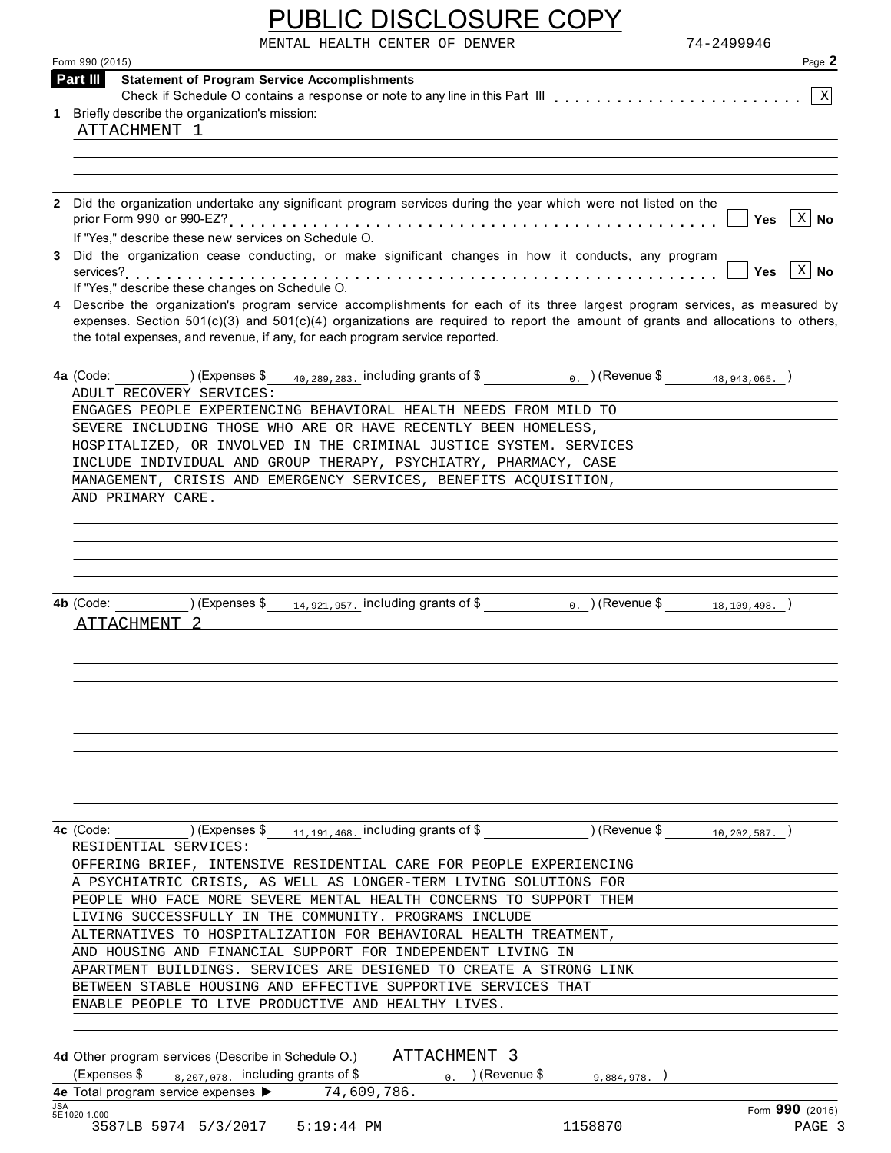| <b>PUBLIC DISCLOSURE COPY</b>  |            |
|--------------------------------|------------|
| MENTAL HEALTH CENTER OF DENVER | 74–2499946 |

| 74-2499946<br>MENTAL HEALTH CENTER OF DENVER<br>Page 2<br>Form 990 (2015)<br><b>Statement of Program Service Accomplishments</b><br>Part III<br>$\mathbf X$<br>1 Briefly describe the organization's mission:<br>ATTACHMENT 1<br>2 Did the organization undertake any significant program services during the year which were not listed on the<br>$X$ No<br><b>Yes</b><br>If "Yes," describe these new services on Schedule O.<br>3 Did the organization cease conducting, or make significant changes in how it conducts, any program<br>$X \mid N$ o<br><b>Yes</b><br>If "Yes," describe these changes on Schedule O.<br>4 Describe the organization's program service accomplishments for each of its three largest program services, as measured by<br>expenses. Section $501(c)(3)$ and $501(c)(4)$ organizations are required to report the amount of grants and allocations to others,<br>the total expenses, and revenue, if any, for each program service reported.<br>$_{40, 289, 283}$ including grants of \$ 0. (Revenue \$ $_{48, 943, 065}$ .)<br>4a (Code: ) (Expenses \$<br>ADULT RECOVERY SERVICES:<br>ENGAGES PEOPLE EXPERIENCING BEHAVIORAL HEALTH NEEDS FROM MILD TO<br>SEVERE INCLUDING THOSE WHO ARE OR HAVE RECENTLY BEEN HOMELESS,<br>HOSPITALIZED, OR INVOLVED IN THE CRIMINAL JUSTICE SYSTEM. SERVICES<br>INCLUDE INDIVIDUAL AND GROUP THERAPY, PSYCHIATRY, PHARMACY, CASE<br>MANAGEMENT, CRISIS AND EMERGENCY SERVICES, BENEFITS ACQUISITION,<br>AND PRIMARY CARE.<br>) (Expenses \$<br>$_{14,921,957}$ including grants of \$<br>$_0$ . ) (Revenue \$<br>4b (Code:<br>18, 109, 498.<br>ATTACHMENT<br>4c (Code:<br>) (Expenses \$<br>$11, 191, 468$ . including grants of \$<br>) (Revenue \$<br>10, 202, 587.<br>RESIDENTIAL SERVICES:<br>OFFERING BRIEF, INTENSIVE RESIDENTIAL CARE FOR PEOPLE EXPERIENCING<br>A PSYCHIATRIC CRISIS, AS WELL AS LONGER-TERM LIVING SOLUTIONS FOR<br>PEOPLE WHO FACE MORE SEVERE MENTAL HEALTH CONCERNS TO SUPPORT THEM<br>LIVING SUCCESSFULLY IN THE COMMUNITY. PROGRAMS INCLUDE<br>ALTERNATIVES TO HOSPITALIZATION FOR BEHAVIORAL HEALTH TREATMENT,<br>AND HOUSING AND FINANCIAL SUPPORT FOR INDEPENDENT LIVING IN<br>APARTMENT BUILDINGS. SERVICES ARE DESIGNED TO CREATE A STRONG LINK<br>BETWEEN STABLE HOUSING AND EFFECTIVE SUPPORTIVE SERVICES THAT<br>ENABLE PEOPLE TO LIVE PRODUCTIVE AND HEALTHY LIVES.<br>ATTACHMENT 3<br>4d Other program services (Describe in Schedule O.)<br>(Expenses \$<br>$_0$ . ) (Revenue \$<br>$_{8,207,078}$ . including grants of \$<br>9,884,978.<br>4e Total program service expenses ><br>74,609,786. |            | <b>PUBLIC DISCLOSURE COPY</b> |
|---------------------------------------------------------------------------------------------------------------------------------------------------------------------------------------------------------------------------------------------------------------------------------------------------------------------------------------------------------------------------------------------------------------------------------------------------------------------------------------------------------------------------------------------------------------------------------------------------------------------------------------------------------------------------------------------------------------------------------------------------------------------------------------------------------------------------------------------------------------------------------------------------------------------------------------------------------------------------------------------------------------------------------------------------------------------------------------------------------------------------------------------------------------------------------------------------------------------------------------------------------------------------------------------------------------------------------------------------------------------------------------------------------------------------------------------------------------------------------------------------------------------------------------------------------------------------------------------------------------------------------------------------------------------------------------------------------------------------------------------------------------------------------------------------------------------------------------------------------------------------------------------------------------------------------------------------------------------------------------------------------------------------------------------------------------------------------------------------------------------------------------------------------------------------------------------------------------------------------------------------------------------------------------------------------------------------------------------------------------------------------------------------------------------------------------------------------------------------------------------------------------------------------------------------------------------------------------------------------------|------------|-------------------------------|
|                                                                                                                                                                                                                                                                                                                                                                                                                                                                                                                                                                                                                                                                                                                                                                                                                                                                                                                                                                                                                                                                                                                                                                                                                                                                                                                                                                                                                                                                                                                                                                                                                                                                                                                                                                                                                                                                                                                                                                                                                                                                                                                                                                                                                                                                                                                                                                                                                                                                                                                                                                                                               |            |                               |
|                                                                                                                                                                                                                                                                                                                                                                                                                                                                                                                                                                                                                                                                                                                                                                                                                                                                                                                                                                                                                                                                                                                                                                                                                                                                                                                                                                                                                                                                                                                                                                                                                                                                                                                                                                                                                                                                                                                                                                                                                                                                                                                                                                                                                                                                                                                                                                                                                                                                                                                                                                                                               |            |                               |
|                                                                                                                                                                                                                                                                                                                                                                                                                                                                                                                                                                                                                                                                                                                                                                                                                                                                                                                                                                                                                                                                                                                                                                                                                                                                                                                                                                                                                                                                                                                                                                                                                                                                                                                                                                                                                                                                                                                                                                                                                                                                                                                                                                                                                                                                                                                                                                                                                                                                                                                                                                                                               |            |                               |
|                                                                                                                                                                                                                                                                                                                                                                                                                                                                                                                                                                                                                                                                                                                                                                                                                                                                                                                                                                                                                                                                                                                                                                                                                                                                                                                                                                                                                                                                                                                                                                                                                                                                                                                                                                                                                                                                                                                                                                                                                                                                                                                                                                                                                                                                                                                                                                                                                                                                                                                                                                                                               |            |                               |
|                                                                                                                                                                                                                                                                                                                                                                                                                                                                                                                                                                                                                                                                                                                                                                                                                                                                                                                                                                                                                                                                                                                                                                                                                                                                                                                                                                                                                                                                                                                                                                                                                                                                                                                                                                                                                                                                                                                                                                                                                                                                                                                                                                                                                                                                                                                                                                                                                                                                                                                                                                                                               |            |                               |
|                                                                                                                                                                                                                                                                                                                                                                                                                                                                                                                                                                                                                                                                                                                                                                                                                                                                                                                                                                                                                                                                                                                                                                                                                                                                                                                                                                                                                                                                                                                                                                                                                                                                                                                                                                                                                                                                                                                                                                                                                                                                                                                                                                                                                                                                                                                                                                                                                                                                                                                                                                                                               |            |                               |
|                                                                                                                                                                                                                                                                                                                                                                                                                                                                                                                                                                                                                                                                                                                                                                                                                                                                                                                                                                                                                                                                                                                                                                                                                                                                                                                                                                                                                                                                                                                                                                                                                                                                                                                                                                                                                                                                                                                                                                                                                                                                                                                                                                                                                                                                                                                                                                                                                                                                                                                                                                                                               |            |                               |
|                                                                                                                                                                                                                                                                                                                                                                                                                                                                                                                                                                                                                                                                                                                                                                                                                                                                                                                                                                                                                                                                                                                                                                                                                                                                                                                                                                                                                                                                                                                                                                                                                                                                                                                                                                                                                                                                                                                                                                                                                                                                                                                                                                                                                                                                                                                                                                                                                                                                                                                                                                                                               |            |                               |
|                                                                                                                                                                                                                                                                                                                                                                                                                                                                                                                                                                                                                                                                                                                                                                                                                                                                                                                                                                                                                                                                                                                                                                                                                                                                                                                                                                                                                                                                                                                                                                                                                                                                                                                                                                                                                                                                                                                                                                                                                                                                                                                                                                                                                                                                                                                                                                                                                                                                                                                                                                                                               |            |                               |
|                                                                                                                                                                                                                                                                                                                                                                                                                                                                                                                                                                                                                                                                                                                                                                                                                                                                                                                                                                                                                                                                                                                                                                                                                                                                                                                                                                                                                                                                                                                                                                                                                                                                                                                                                                                                                                                                                                                                                                                                                                                                                                                                                                                                                                                                                                                                                                                                                                                                                                                                                                                                               |            |                               |
|                                                                                                                                                                                                                                                                                                                                                                                                                                                                                                                                                                                                                                                                                                                                                                                                                                                                                                                                                                                                                                                                                                                                                                                                                                                                                                                                                                                                                                                                                                                                                                                                                                                                                                                                                                                                                                                                                                                                                                                                                                                                                                                                                                                                                                                                                                                                                                                                                                                                                                                                                                                                               |            |                               |
|                                                                                                                                                                                                                                                                                                                                                                                                                                                                                                                                                                                                                                                                                                                                                                                                                                                                                                                                                                                                                                                                                                                                                                                                                                                                                                                                                                                                                                                                                                                                                                                                                                                                                                                                                                                                                                                                                                                                                                                                                                                                                                                                                                                                                                                                                                                                                                                                                                                                                                                                                                                                               |            |                               |
|                                                                                                                                                                                                                                                                                                                                                                                                                                                                                                                                                                                                                                                                                                                                                                                                                                                                                                                                                                                                                                                                                                                                                                                                                                                                                                                                                                                                                                                                                                                                                                                                                                                                                                                                                                                                                                                                                                                                                                                                                                                                                                                                                                                                                                                                                                                                                                                                                                                                                                                                                                                                               |            |                               |
|                                                                                                                                                                                                                                                                                                                                                                                                                                                                                                                                                                                                                                                                                                                                                                                                                                                                                                                                                                                                                                                                                                                                                                                                                                                                                                                                                                                                                                                                                                                                                                                                                                                                                                                                                                                                                                                                                                                                                                                                                                                                                                                                                                                                                                                                                                                                                                                                                                                                                                                                                                                                               |            |                               |
|                                                                                                                                                                                                                                                                                                                                                                                                                                                                                                                                                                                                                                                                                                                                                                                                                                                                                                                                                                                                                                                                                                                                                                                                                                                                                                                                                                                                                                                                                                                                                                                                                                                                                                                                                                                                                                                                                                                                                                                                                                                                                                                                                                                                                                                                                                                                                                                                                                                                                                                                                                                                               |            |                               |
|                                                                                                                                                                                                                                                                                                                                                                                                                                                                                                                                                                                                                                                                                                                                                                                                                                                                                                                                                                                                                                                                                                                                                                                                                                                                                                                                                                                                                                                                                                                                                                                                                                                                                                                                                                                                                                                                                                                                                                                                                                                                                                                                                                                                                                                                                                                                                                                                                                                                                                                                                                                                               |            |                               |
|                                                                                                                                                                                                                                                                                                                                                                                                                                                                                                                                                                                                                                                                                                                                                                                                                                                                                                                                                                                                                                                                                                                                                                                                                                                                                                                                                                                                                                                                                                                                                                                                                                                                                                                                                                                                                                                                                                                                                                                                                                                                                                                                                                                                                                                                                                                                                                                                                                                                                                                                                                                                               |            |                               |
|                                                                                                                                                                                                                                                                                                                                                                                                                                                                                                                                                                                                                                                                                                                                                                                                                                                                                                                                                                                                                                                                                                                                                                                                                                                                                                                                                                                                                                                                                                                                                                                                                                                                                                                                                                                                                                                                                                                                                                                                                                                                                                                                                                                                                                                                                                                                                                                                                                                                                                                                                                                                               |            |                               |
|                                                                                                                                                                                                                                                                                                                                                                                                                                                                                                                                                                                                                                                                                                                                                                                                                                                                                                                                                                                                                                                                                                                                                                                                                                                                                                                                                                                                                                                                                                                                                                                                                                                                                                                                                                                                                                                                                                                                                                                                                                                                                                                                                                                                                                                                                                                                                                                                                                                                                                                                                                                                               |            |                               |
|                                                                                                                                                                                                                                                                                                                                                                                                                                                                                                                                                                                                                                                                                                                                                                                                                                                                                                                                                                                                                                                                                                                                                                                                                                                                                                                                                                                                                                                                                                                                                                                                                                                                                                                                                                                                                                                                                                                                                                                                                                                                                                                                                                                                                                                                                                                                                                                                                                                                                                                                                                                                               |            |                               |
|                                                                                                                                                                                                                                                                                                                                                                                                                                                                                                                                                                                                                                                                                                                                                                                                                                                                                                                                                                                                                                                                                                                                                                                                                                                                                                                                                                                                                                                                                                                                                                                                                                                                                                                                                                                                                                                                                                                                                                                                                                                                                                                                                                                                                                                                                                                                                                                                                                                                                                                                                                                                               |            |                               |
|                                                                                                                                                                                                                                                                                                                                                                                                                                                                                                                                                                                                                                                                                                                                                                                                                                                                                                                                                                                                                                                                                                                                                                                                                                                                                                                                                                                                                                                                                                                                                                                                                                                                                                                                                                                                                                                                                                                                                                                                                                                                                                                                                                                                                                                                                                                                                                                                                                                                                                                                                                                                               |            |                               |
|                                                                                                                                                                                                                                                                                                                                                                                                                                                                                                                                                                                                                                                                                                                                                                                                                                                                                                                                                                                                                                                                                                                                                                                                                                                                                                                                                                                                                                                                                                                                                                                                                                                                                                                                                                                                                                                                                                                                                                                                                                                                                                                                                                                                                                                                                                                                                                                                                                                                                                                                                                                                               |            |                               |
|                                                                                                                                                                                                                                                                                                                                                                                                                                                                                                                                                                                                                                                                                                                                                                                                                                                                                                                                                                                                                                                                                                                                                                                                                                                                                                                                                                                                                                                                                                                                                                                                                                                                                                                                                                                                                                                                                                                                                                                                                                                                                                                                                                                                                                                                                                                                                                                                                                                                                                                                                                                                               |            |                               |
|                                                                                                                                                                                                                                                                                                                                                                                                                                                                                                                                                                                                                                                                                                                                                                                                                                                                                                                                                                                                                                                                                                                                                                                                                                                                                                                                                                                                                                                                                                                                                                                                                                                                                                                                                                                                                                                                                                                                                                                                                                                                                                                                                                                                                                                                                                                                                                                                                                                                                                                                                                                                               |            |                               |
|                                                                                                                                                                                                                                                                                                                                                                                                                                                                                                                                                                                                                                                                                                                                                                                                                                                                                                                                                                                                                                                                                                                                                                                                                                                                                                                                                                                                                                                                                                                                                                                                                                                                                                                                                                                                                                                                                                                                                                                                                                                                                                                                                                                                                                                                                                                                                                                                                                                                                                                                                                                                               |            |                               |
|                                                                                                                                                                                                                                                                                                                                                                                                                                                                                                                                                                                                                                                                                                                                                                                                                                                                                                                                                                                                                                                                                                                                                                                                                                                                                                                                                                                                                                                                                                                                                                                                                                                                                                                                                                                                                                                                                                                                                                                                                                                                                                                                                                                                                                                                                                                                                                                                                                                                                                                                                                                                               |            |                               |
|                                                                                                                                                                                                                                                                                                                                                                                                                                                                                                                                                                                                                                                                                                                                                                                                                                                                                                                                                                                                                                                                                                                                                                                                                                                                                                                                                                                                                                                                                                                                                                                                                                                                                                                                                                                                                                                                                                                                                                                                                                                                                                                                                                                                                                                                                                                                                                                                                                                                                                                                                                                                               |            |                               |
|                                                                                                                                                                                                                                                                                                                                                                                                                                                                                                                                                                                                                                                                                                                                                                                                                                                                                                                                                                                                                                                                                                                                                                                                                                                                                                                                                                                                                                                                                                                                                                                                                                                                                                                                                                                                                                                                                                                                                                                                                                                                                                                                                                                                                                                                                                                                                                                                                                                                                                                                                                                                               |            |                               |
|                                                                                                                                                                                                                                                                                                                                                                                                                                                                                                                                                                                                                                                                                                                                                                                                                                                                                                                                                                                                                                                                                                                                                                                                                                                                                                                                                                                                                                                                                                                                                                                                                                                                                                                                                                                                                                                                                                                                                                                                                                                                                                                                                                                                                                                                                                                                                                                                                                                                                                                                                                                                               |            |                               |
|                                                                                                                                                                                                                                                                                                                                                                                                                                                                                                                                                                                                                                                                                                                                                                                                                                                                                                                                                                                                                                                                                                                                                                                                                                                                                                                                                                                                                                                                                                                                                                                                                                                                                                                                                                                                                                                                                                                                                                                                                                                                                                                                                                                                                                                                                                                                                                                                                                                                                                                                                                                                               |            |                               |
|                                                                                                                                                                                                                                                                                                                                                                                                                                                                                                                                                                                                                                                                                                                                                                                                                                                                                                                                                                                                                                                                                                                                                                                                                                                                                                                                                                                                                                                                                                                                                                                                                                                                                                                                                                                                                                                                                                                                                                                                                                                                                                                                                                                                                                                                                                                                                                                                                                                                                                                                                                                                               |            |                               |
|                                                                                                                                                                                                                                                                                                                                                                                                                                                                                                                                                                                                                                                                                                                                                                                                                                                                                                                                                                                                                                                                                                                                                                                                                                                                                                                                                                                                                                                                                                                                                                                                                                                                                                                                                                                                                                                                                                                                                                                                                                                                                                                                                                                                                                                                                                                                                                                                                                                                                                                                                                                                               |            |                               |
|                                                                                                                                                                                                                                                                                                                                                                                                                                                                                                                                                                                                                                                                                                                                                                                                                                                                                                                                                                                                                                                                                                                                                                                                                                                                                                                                                                                                                                                                                                                                                                                                                                                                                                                                                                                                                                                                                                                                                                                                                                                                                                                                                                                                                                                                                                                                                                                                                                                                                                                                                                                                               |            |                               |
|                                                                                                                                                                                                                                                                                                                                                                                                                                                                                                                                                                                                                                                                                                                                                                                                                                                                                                                                                                                                                                                                                                                                                                                                                                                                                                                                                                                                                                                                                                                                                                                                                                                                                                                                                                                                                                                                                                                                                                                                                                                                                                                                                                                                                                                                                                                                                                                                                                                                                                                                                                                                               |            |                               |
|                                                                                                                                                                                                                                                                                                                                                                                                                                                                                                                                                                                                                                                                                                                                                                                                                                                                                                                                                                                                                                                                                                                                                                                                                                                                                                                                                                                                                                                                                                                                                                                                                                                                                                                                                                                                                                                                                                                                                                                                                                                                                                                                                                                                                                                                                                                                                                                                                                                                                                                                                                                                               |            |                               |
|                                                                                                                                                                                                                                                                                                                                                                                                                                                                                                                                                                                                                                                                                                                                                                                                                                                                                                                                                                                                                                                                                                                                                                                                                                                                                                                                                                                                                                                                                                                                                                                                                                                                                                                                                                                                                                                                                                                                                                                                                                                                                                                                                                                                                                                                                                                                                                                                                                                                                                                                                                                                               |            |                               |
|                                                                                                                                                                                                                                                                                                                                                                                                                                                                                                                                                                                                                                                                                                                                                                                                                                                                                                                                                                                                                                                                                                                                                                                                                                                                                                                                                                                                                                                                                                                                                                                                                                                                                                                                                                                                                                                                                                                                                                                                                                                                                                                                                                                                                                                                                                                                                                                                                                                                                                                                                                                                               |            |                               |
|                                                                                                                                                                                                                                                                                                                                                                                                                                                                                                                                                                                                                                                                                                                                                                                                                                                                                                                                                                                                                                                                                                                                                                                                                                                                                                                                                                                                                                                                                                                                                                                                                                                                                                                                                                                                                                                                                                                                                                                                                                                                                                                                                                                                                                                                                                                                                                                                                                                                                                                                                                                                               |            |                               |
|                                                                                                                                                                                                                                                                                                                                                                                                                                                                                                                                                                                                                                                                                                                                                                                                                                                                                                                                                                                                                                                                                                                                                                                                                                                                                                                                                                                                                                                                                                                                                                                                                                                                                                                                                                                                                                                                                                                                                                                                                                                                                                                                                                                                                                                                                                                                                                                                                                                                                                                                                                                                               |            |                               |
|                                                                                                                                                                                                                                                                                                                                                                                                                                                                                                                                                                                                                                                                                                                                                                                                                                                                                                                                                                                                                                                                                                                                                                                                                                                                                                                                                                                                                                                                                                                                                                                                                                                                                                                                                                                                                                                                                                                                                                                                                                                                                                                                                                                                                                                                                                                                                                                                                                                                                                                                                                                                               |            |                               |
|                                                                                                                                                                                                                                                                                                                                                                                                                                                                                                                                                                                                                                                                                                                                                                                                                                                                                                                                                                                                                                                                                                                                                                                                                                                                                                                                                                                                                                                                                                                                                                                                                                                                                                                                                                                                                                                                                                                                                                                                                                                                                                                                                                                                                                                                                                                                                                                                                                                                                                                                                                                                               |            |                               |
|                                                                                                                                                                                                                                                                                                                                                                                                                                                                                                                                                                                                                                                                                                                                                                                                                                                                                                                                                                                                                                                                                                                                                                                                                                                                                                                                                                                                                                                                                                                                                                                                                                                                                                                                                                                                                                                                                                                                                                                                                                                                                                                                                                                                                                                                                                                                                                                                                                                                                                                                                                                                               |            |                               |
|                                                                                                                                                                                                                                                                                                                                                                                                                                                                                                                                                                                                                                                                                                                                                                                                                                                                                                                                                                                                                                                                                                                                                                                                                                                                                                                                                                                                                                                                                                                                                                                                                                                                                                                                                                                                                                                                                                                                                                                                                                                                                                                                                                                                                                                                                                                                                                                                                                                                                                                                                                                                               |            |                               |
|                                                                                                                                                                                                                                                                                                                                                                                                                                                                                                                                                                                                                                                                                                                                                                                                                                                                                                                                                                                                                                                                                                                                                                                                                                                                                                                                                                                                                                                                                                                                                                                                                                                                                                                                                                                                                                                                                                                                                                                                                                                                                                                                                                                                                                                                                                                                                                                                                                                                                                                                                                                                               |            |                               |
|                                                                                                                                                                                                                                                                                                                                                                                                                                                                                                                                                                                                                                                                                                                                                                                                                                                                                                                                                                                                                                                                                                                                                                                                                                                                                                                                                                                                                                                                                                                                                                                                                                                                                                                                                                                                                                                                                                                                                                                                                                                                                                                                                                                                                                                                                                                                                                                                                                                                                                                                                                                                               |            |                               |
|                                                                                                                                                                                                                                                                                                                                                                                                                                                                                                                                                                                                                                                                                                                                                                                                                                                                                                                                                                                                                                                                                                                                                                                                                                                                                                                                                                                                                                                                                                                                                                                                                                                                                                                                                                                                                                                                                                                                                                                                                                                                                                                                                                                                                                                                                                                                                                                                                                                                                                                                                                                                               |            |                               |
|                                                                                                                                                                                                                                                                                                                                                                                                                                                                                                                                                                                                                                                                                                                                                                                                                                                                                                                                                                                                                                                                                                                                                                                                                                                                                                                                                                                                                                                                                                                                                                                                                                                                                                                                                                                                                                                                                                                                                                                                                                                                                                                                                                                                                                                                                                                                                                                                                                                                                                                                                                                                               |            |                               |
| Form 990 (2015)<br>5E1020 1.000                                                                                                                                                                                                                                                                                                                                                                                                                                                                                                                                                                                                                                                                                                                                                                                                                                                                                                                                                                                                                                                                                                                                                                                                                                                                                                                                                                                                                                                                                                                                                                                                                                                                                                                                                                                                                                                                                                                                                                                                                                                                                                                                                                                                                                                                                                                                                                                                                                                                                                                                                                               | <b>JSA</b> |                               |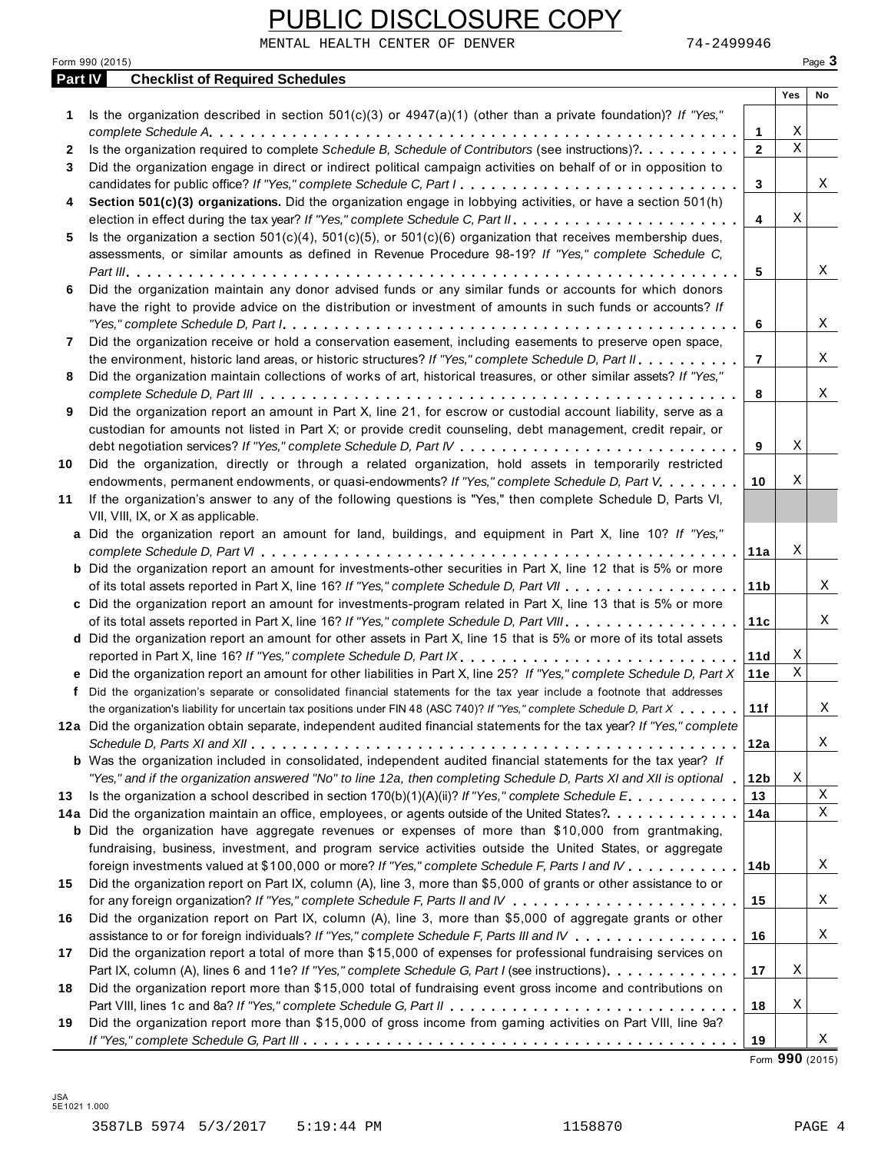|                | MENTAL HEALTH CENTER OF DENVER<br>74-2499946<br>Form 990 (2015)                                                                                                                                                                                                                                                                                                                               |                |             | Page 3 |
|----------------|-----------------------------------------------------------------------------------------------------------------------------------------------------------------------------------------------------------------------------------------------------------------------------------------------------------------------------------------------------------------------------------------------|----------------|-------------|--------|
| <b>Part IV</b> | <b>Checklist of Required Schedules</b>                                                                                                                                                                                                                                                                                                                                                        |                |             |        |
|                |                                                                                                                                                                                                                                                                                                                                                                                               |                | Yes         | No     |
| 1.             | Is the organization described in section $501(c)(3)$ or $4947(a)(1)$ (other than a private foundation)? If "Yes,"                                                                                                                                                                                                                                                                             |                |             |        |
|                |                                                                                                                                                                                                                                                                                                                                                                                               | 1              | Χ           |        |
| 2              | Is the organization required to complete Schedule B, Schedule of Contributors (see instructions)?.                                                                                                                                                                                                                                                                                            | $\overline{2}$ | $\mathbf X$ |        |
| 3              | Did the organization engage in direct or indirect political campaign activities on behalf of or in opposition to                                                                                                                                                                                                                                                                              |                |             |        |
|                | candidates for public office? If "Yes," complete Schedule C, Part I.                                                                                                                                                                                                                                                                                                                          | 3              |             | X      |
| 4              | Section 501(c)(3) organizations. Did the organization engage in lobbying activities, or have a section 501(h)                                                                                                                                                                                                                                                                                 |                |             |        |
|                |                                                                                                                                                                                                                                                                                                                                                                                               | 4              | Χ           |        |
| 5              | Is the organization a section $501(c)(4)$ , $501(c)(5)$ , or $501(c)(6)$ organization that receives membership dues,                                                                                                                                                                                                                                                                          |                |             |        |
|                | assessments, or similar amounts as defined in Revenue Procedure 98-19? If "Yes," complete Schedule C,                                                                                                                                                                                                                                                                                         |                |             |        |
|                |                                                                                                                                                                                                                                                                                                                                                                                               | 5              |             | Χ      |
| 6              | Did the organization maintain any donor advised funds or any similar funds or accounts for which donors                                                                                                                                                                                                                                                                                       |                |             |        |
|                | have the right to provide advice on the distribution or investment of amounts in such funds or accounts? If                                                                                                                                                                                                                                                                                   |                |             |        |
|                | "Yes," complete Schedule D, Part $l_1, \ldots, l_k, \ldots, l_k, \ldots, l_k, \ldots, l_k, \ldots, l_k, \ldots, l_k, \ldots, l_k, \ldots, l_k, \ldots, l_k, \ldots, l_k, \ldots, l_k, \ldots, l_k, \ldots, l_k, \ldots, l_k, \ldots, l_k, \ldots, l_k, \ldots, l_k, \ldots, l_k, \ldots, l_k, \ldots, l_k, \ldots, l_k, \ldots, l_k, \ldots, l_k, \ldots, l_k, \ldots, l_k, \ldots, l_k, \ld$ | 6              |             | Χ      |
| 7              | Did the organization receive or hold a conservation easement, including easements to preserve open space,                                                                                                                                                                                                                                                                                     |                |             |        |
|                | the environment, historic land areas, or historic structures? If "Yes," complete Schedule D, Part II.                                                                                                                                                                                                                                                                                         | $\overline{7}$ |             | Χ      |
| 8              | Did the organization maintain collections of works of art, historical treasures, or other similar assets? If "Yes,"                                                                                                                                                                                                                                                                           |                |             |        |
|                |                                                                                                                                                                                                                                                                                                                                                                                               | 8              |             | X      |
| 9              | Did the organization report an amount in Part X, line 21, for escrow or custodial account liability, serve as a                                                                                                                                                                                                                                                                               |                |             |        |
|                | custodian for amounts not listed in Part X; or provide credit counseling, debt management, credit repair, or                                                                                                                                                                                                                                                                                  |                |             |        |
|                |                                                                                                                                                                                                                                                                                                                                                                                               | 9              | Χ           |        |
| 10             | Did the organization, directly or through a related organization, hold assets in temporarily restricted                                                                                                                                                                                                                                                                                       |                |             |        |
|                |                                                                                                                                                                                                                                                                                                                                                                                               |                | Χ           |        |
|                | endowments, permanent endowments, or quasi-endowments? If "Yes," complete Schedule D, Part V.                                                                                                                                                                                                                                                                                                 | 10             |             |        |
| 11             | If the organization's answer to any of the following questions is "Yes," then complete Schedule D, Parts VI,                                                                                                                                                                                                                                                                                  |                |             |        |
|                | VII, VIII, IX, or X as applicable.                                                                                                                                                                                                                                                                                                                                                            |                |             |        |
|                | a Did the organization report an amount for land, buildings, and equipment in Part X, line 10? If "Yes,"                                                                                                                                                                                                                                                                                      |                |             |        |
|                |                                                                                                                                                                                                                                                                                                                                                                                               | 11a            | Χ           |        |
|                | <b>b</b> Did the organization report an amount for investments-other securities in Part X, line 12 that is 5% or more                                                                                                                                                                                                                                                                         |                |             |        |
|                |                                                                                                                                                                                                                                                                                                                                                                                               | 11 b           |             | X      |
|                | c Did the organization report an amount for investments-program related in Part X, line 13 that is 5% or more                                                                                                                                                                                                                                                                                 |                |             |        |
|                |                                                                                                                                                                                                                                                                                                                                                                                               | 11c            |             | Χ      |
|                | d Did the organization report an amount for other assets in Part X, line 15 that is 5% or more of its total assets                                                                                                                                                                                                                                                                            |                |             |        |
|                |                                                                                                                                                                                                                                                                                                                                                                                               | 11d            | Χ           |        |
|                | e Did the organization report an amount for other liabilities in Part X, line 25? If "Yes," complete Schedule D, Part X                                                                                                                                                                                                                                                                       | 11e            | $\mathbf X$ |        |
|                | f Did the organization's separate or consolidated financial statements for the tax year include a footnote that addresses                                                                                                                                                                                                                                                                     |                |             |        |
|                | the organization's liability for uncertain tax positions under FIN 48 (ASC 740)? If "Yes," complete Schedule D, Part X                                                                                                                                                                                                                                                                        | 11f            |             | X      |
|                | 12a Did the organization obtain separate, independent audited financial statements for the tax year? If "Yes," complete                                                                                                                                                                                                                                                                       |                |             |        |
|                |                                                                                                                                                                                                                                                                                                                                                                                               | 12a            |             | X      |
|                | <b>b</b> Was the organization included in consolidated, independent audited financial statements for the tax year? If                                                                                                                                                                                                                                                                         |                |             |        |
|                | "Yes," and if the organization answered "No" to line 12a, then completing Schedule D, Parts XI and XII is optional                                                                                                                                                                                                                                                                            | 12b            | Χ           |        |
| 13             | Is the organization a school described in section $170(b)(1)(A)(ii)?$ If "Yes," complete Schedule E.                                                                                                                                                                                                                                                                                          | 13             |             | X      |
|                | 14a Did the organization maintain an office, employees, or agents outside of the United States?                                                                                                                                                                                                                                                                                               | 14a            |             | X      |
|                | <b>b</b> Did the organization have aggregate revenues or expenses of more than \$10,000 from grantmaking,                                                                                                                                                                                                                                                                                     |                |             |        |
|                | fundraising, business, investment, and program service activities outside the United States, or aggregate                                                                                                                                                                                                                                                                                     |                |             |        |
|                | foreign investments valued at \$100,000 or more? If "Yes," complete Schedule F, Parts I and IV                                                                                                                                                                                                                                                                                                | 14b            |             | Χ      |
| 15             | Did the organization report on Part IX, column (A), line 3, more than \$5,000 of grants or other assistance to or                                                                                                                                                                                                                                                                             |                |             |        |
|                |                                                                                                                                                                                                                                                                                                                                                                                               | 15             |             | X      |
| 16             | Did the organization report on Part IX, column (A), line 3, more than \$5,000 of aggregate grants or other                                                                                                                                                                                                                                                                                    |                |             |        |
|                | assistance to or for foreign individuals? If "Yes," complete Schedule F, Parts III and IV                                                                                                                                                                                                                                                                                                     | 16             |             | Χ      |
| 17             | Did the organization report a total of more than \$15,000 of expenses for professional fundraising services on                                                                                                                                                                                                                                                                                |                |             |        |
|                | Part IX, column (A), lines 6 and 11e? If "Yes," complete Schedule G, Part I (see instructions)                                                                                                                                                                                                                                                                                                | 17             | Χ           |        |
| 18             | Did the organization report more than \$15,000 total of fundraising event gross income and contributions on                                                                                                                                                                                                                                                                                   |                |             |        |
|                |                                                                                                                                                                                                                                                                                                                                                                                               | 18             | Χ           |        |
|                | Did the organization report more than \$15,000 of gross income from gaming activities on Part VIII, line 9a?                                                                                                                                                                                                                                                                                  |                |             |        |
| 19             |                                                                                                                                                                                                                                                                                                                                                                                               |                |             |        |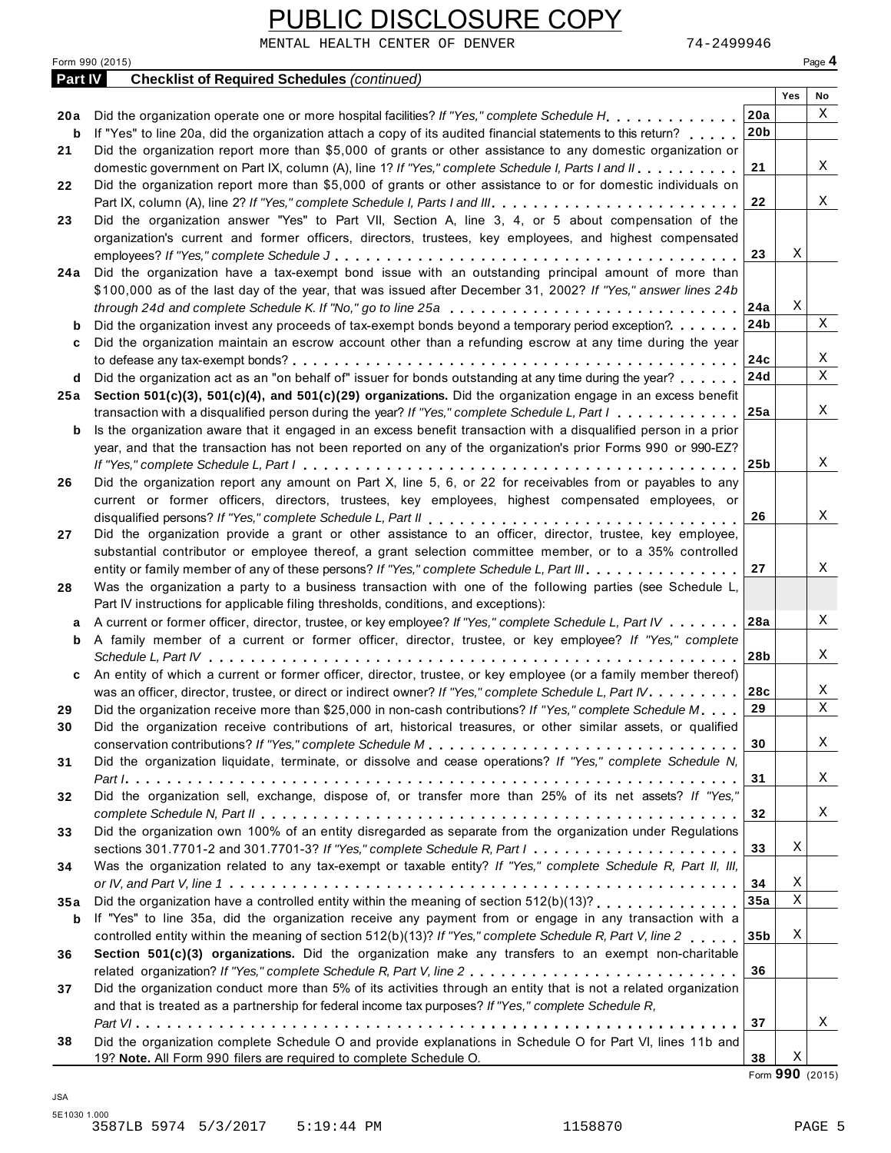|                 | UBLIC DISCLOSURE COPY                                                                                                                                                                          |                 |     |              |
|-----------------|------------------------------------------------------------------------------------------------------------------------------------------------------------------------------------------------|-----------------|-----|--------------|
| Form 990 (2015) | 74-2499946<br>MENTAL HEALTH CENTER OF DENVER                                                                                                                                                   |                 |     | Page 4       |
| Part IV         | <b>Checklist of Required Schedules (continued)</b>                                                                                                                                             |                 |     |              |
|                 |                                                                                                                                                                                                |                 | Yes | No           |
| 20 a            |                                                                                                                                                                                                | 20a             |     | Χ            |
| b               | If "Yes" to line 20a, did the organization attach a copy of its audited financial statements to this return?                                                                                   | 20 <sub>b</sub> |     |              |
| 21              | Did the organization report more than \$5,000 of grants or other assistance to any domestic organization or                                                                                    |                 |     |              |
|                 | domestic government on Part IX, column (A), line 1? If "Yes," complete Schedule I, Parts I and II.                                                                                             | 21              |     | X            |
| 22              | Did the organization report more than \$5,000 of grants or other assistance to or for domestic individuals on                                                                                  |                 |     |              |
|                 |                                                                                                                                                                                                | 22              |     | Χ            |
| 23              | Did the organization answer "Yes" to Part VII, Section A, line 3, 4, or 5 about compensation of the                                                                                            |                 |     |              |
|                 | organization's current and former officers, directors, trustees, key employees, and highest compensated                                                                                        |                 |     |              |
|                 |                                                                                                                                                                                                | 23              | X   |              |
| 24 a            | Did the organization have a tax-exempt bond issue with an outstanding principal amount of more than                                                                                            |                 |     |              |
|                 | \$100,000 as of the last day of the year, that was issued after December 31, 2002? If "Yes," answer lines 24b                                                                                  |                 |     |              |
|                 | through 24d and complete Schedule K. If "No," go to line 25a $\dots \dots \dots \dots \dots \dots \dots \dots \dots \dots \dots \dots$                                                         | 24a             | Χ   |              |
| b               | Did the organization invest any proceeds of tax-exempt bonds beyond a temporary period exception?                                                                                              | 24 <sub>b</sub> |     | X            |
| c               | Did the organization maintain an escrow account other than a refunding escrow at any time during the year                                                                                      |                 |     |              |
|                 |                                                                                                                                                                                                | 24c             |     | Χ            |
| d               | Did the organization act as an "on behalf of" issuer for bonds outstanding at any time during the year?                                                                                        | 24d             |     | $\mathbf{x}$ |
| 25 a            | Section 501(c)(3), 501(c)(4), and 501(c)(29) organizations. Did the organization engage in an excess benefit                                                                                   |                 |     |              |
|                 | transaction with a disqualified person during the year? If "Yes," complete Schedule L, Part I                                                                                                  | 25a             |     | X            |
| b               | Is the organization aware that it engaged in an excess benefit transaction with a disqualified person in a prior                                                                               |                 |     |              |
|                 | year, and that the transaction has not been reported on any of the organization's prior Forms 990 or 990-EZ?                                                                                   |                 |     |              |
|                 |                                                                                                                                                                                                | 25 <sub>b</sub> |     | X            |
| 26              | Did the organization report any amount on Part X, line 5, 6, or 22 for receivables from or payables to any                                                                                     |                 |     |              |
|                 | current or former officers, directors, trustees, key employees, highest compensated employees, or                                                                                              |                 |     | X            |
|                 |                                                                                                                                                                                                | 26              |     |              |
| 27              | Did the organization provide a grant or other assistance to an officer, director, trustee, key employee,                                                                                       |                 |     |              |
|                 | substantial contributor or employee thereof, a grant selection committee member, or to a 35% controlled                                                                                        | 27              |     | Χ            |
|                 | entity or family member of any of these persons? If "Yes," complete Schedule L, Part III.                                                                                                      |                 |     |              |
| 28              | Was the organization a party to a business transaction with one of the following parties (see Schedule L,                                                                                      |                 |     |              |
|                 | Part IV instructions for applicable filing thresholds, conditions, and exceptions):<br>A current or former officer, director, trustee, or key employee? If "Yes," complete Schedule L, Part IV | 28a             |     | Χ            |
| a               | A family member of a current or former officer, director, trustee, or key employee? If "Yes," complete                                                                                         |                 |     |              |
| b               |                                                                                                                                                                                                | 28b             |     | Χ            |
|                 | An entity of which a current or former officer, director, trustee, or key employee (or a family member thereof)                                                                                |                 |     |              |
| c               | was an officer, director, trustee, or direct or indirect owner? If "Yes," complete Schedule L, Part IV.                                                                                        | 28c             |     | Χ            |
| 29              | Did the organization receive more than \$25,000 in non-cash contributions? If "Yes," complete Schedule M                                                                                       | 29              |     | X            |
| 30              | Did the organization receive contributions of art, historical treasures, or other similar assets, or qualified                                                                                 |                 |     |              |
|                 |                                                                                                                                                                                                | 30              |     | Χ            |
| 31              | Did the organization liquidate, terminate, or dissolve and cease operations? If "Yes," complete Schedule N,                                                                                    |                 |     |              |
|                 |                                                                                                                                                                                                | 31              |     | Χ            |
| 32              | Did the organization sell, exchange, dispose of, or transfer more than 25% of its net assets? If "Yes,"                                                                                        |                 |     |              |
|                 |                                                                                                                                                                                                | 32              |     | Χ            |
| 33              | Did the organization own 100% of an entity disregarded as separate from the organization under Regulations                                                                                     |                 |     |              |
|                 | sections 301.7701-2 and 301.7701-3? If "Yes," complete Schedule R, Part $l_1, \ldots, l_l, \ldots, l_l, \ldots, l_l, \ldots, l_l$                                                              | 33              | Χ   |              |
| 34              | Was the organization related to any tax-exempt or taxable entity? If "Yes," complete Schedule R, Part II, III,                                                                                 |                 |     |              |
|                 |                                                                                                                                                                                                | 34              | Χ   |              |
| 35a             | Did the organization have a controlled entity within the meaning of section 512(b)(13)?                                                                                                        | 35a             | X   |              |
| b               | If "Yes" to line 35a, did the organization receive any payment from or engage in any transaction with a                                                                                        |                 |     |              |
|                 | controlled entity within the meaning of section 512(b)(13)? If "Yes," complete Schedule R, Part V, line 2                                                                                      | 35b             | X   |              |
| 36              | Section 501(c)(3) organizations. Did the organization make any transfers to an exempt non-charitable                                                                                           |                 |     |              |
|                 |                                                                                                                                                                                                | 36              |     |              |
| 37              | Did the organization conduct more than 5% of its activities through an entity that is not a related organization                                                                               |                 |     |              |
|                 | and that is treated as a partnership for federal income tax purposes? If "Yes," complete Schedule R,                                                                                           |                 |     |              |
|                 |                                                                                                                                                                                                | 37              |     | Χ            |
| 38              | Did the organization complete Schedule O and provide explanations in Schedule O for Part VI, lines 11b and                                                                                     |                 |     |              |
|                 | 19? Note. All Form 990 filers are required to complete Schedule O.                                                                                                                             | 38              | Χ   |              |

Form **990** (2015)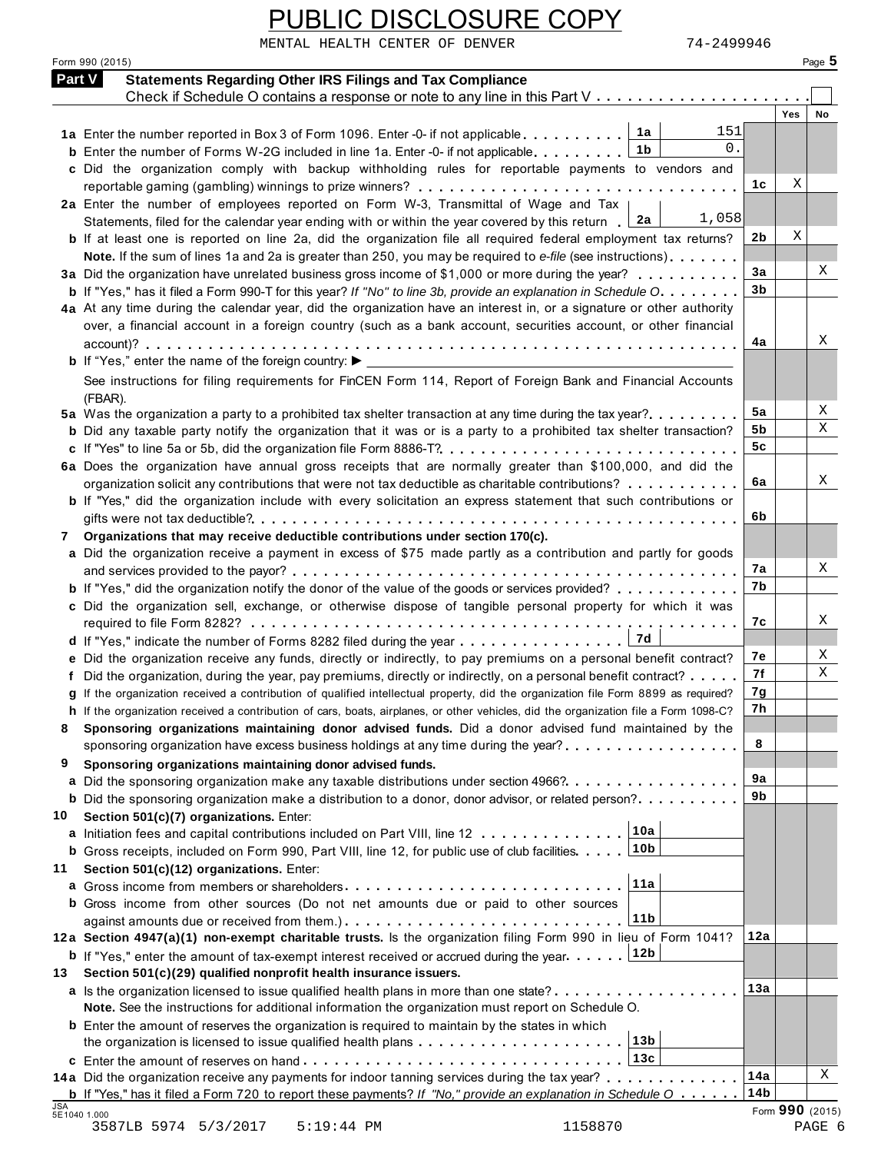|               | PUBLIC DISCLOSURE COPY                                                                                                                                                                                                      |                 |                  |
|---------------|-----------------------------------------------------------------------------------------------------------------------------------------------------------------------------------------------------------------------------|-----------------|------------------|
|               | MENTAL HEALTH CENTER OF DENVER<br>74–2499946                                                                                                                                                                                |                 |                  |
|               | Form 990 (2015)                                                                                                                                                                                                             |                 | Page 5           |
| <b>Part V</b> | <b>Statements Regarding Other IRS Filings and Tax Compliance</b><br>Check if Schedule O contains a response or note to any line in this Part $V_1, \ldots, \ldots, \ldots, \ldots, \ldots$                                  |                 |                  |
|               |                                                                                                                                                                                                                             |                 | Yes<br><b>No</b> |
|               | 151<br>1a Enter the number reported in Box 3 of Form 1096. Enter -0- if not applicable $\ldots \ldots \ldots \ln 1$                                                                                                         |                 |                  |
|               | 0.<br>1b<br><b>b</b> Enter the number of Forms W-2G included in line 1a. Enter -0- if not applicable                                                                                                                        |                 |                  |
|               | c Did the organization comply with backup withholding rules for reportable payments to vendors and                                                                                                                          |                 |                  |
|               |                                                                                                                                                                                                                             | 1c              | Χ                |
|               | 2a Enter the number of employees reported on Form W-3, Transmittal of Wage and Tax  <br>1,058<br>Statements, filed for the calendar year ending with or within the year covered by this return [2a]                         |                 |                  |
|               | b If at least one is reported on line 2a, did the organization file all required federal employment tax returns?                                                                                                            | 2b              | Χ                |
|               | Note. If the sum of lines 1a and 2a is greater than 250, you may be required to e-file (see instructions)                                                                                                                   |                 |                  |
|               | 3a Did the organization have unrelated business gross income of \$1,000 or more during the year?                                                                                                                            | 3a              | Χ                |
|               | <b>b</b> If "Yes," has it filed a Form 990-T for this year? If "No" to line 3b, provide an explanation in Schedule O.                                                                                                       | 3b              |                  |
|               | 4a At any time during the calendar year, did the organization have an interest in, or a signature or other authority                                                                                                        |                 |                  |
|               | over, a financial account in a foreign country (such as a bank account, securities account, or other financial                                                                                                              | 4a              | Χ                |
|               | <b>b</b> If "Yes," enter the name of the foreign country: $\blacktriangleright$                                                                                                                                             |                 |                  |
|               | See instructions for filing requirements for FinCEN Form 114, Report of Foreign Bank and Financial Accounts                                                                                                                 |                 |                  |
|               | (FBAR).                                                                                                                                                                                                                     |                 |                  |
|               | 5a Was the organization a party to a prohibited tax shelter transaction at any time during the tax year?                                                                                                                    | 5a              | Χ                |
|               | <b>b</b> Did any taxable party notify the organization that it was or is a party to a prohibited tax shelter transaction?                                                                                                   | 5b              | Χ                |
|               |                                                                                                                                                                                                                             | 5c              |                  |
|               | 6a Does the organization have annual gross receipts that are normally greater than \$100,000, and did the                                                                                                                   | 6a              | Χ                |
|               | organization solicit any contributions that were not tax deductible as charitable contributions?<br><b>b</b> If "Yes," did the organization include with every solicitation an express statement that such contributions or |                 |                  |
|               |                                                                                                                                                                                                                             | 6b              |                  |
|               | Organizations that may receive deductible contributions under section 170(c).                                                                                                                                               |                 |                  |
|               | a Did the organization receive a payment in excess of \$75 made partly as a contribution and partly for goods                                                                                                               |                 |                  |
|               |                                                                                                                                                                                                                             | 7a              | Χ                |
|               | <b>b</b> If "Yes," did the organization notify the donor of the value of the goods or services provided?                                                                                                                    | 7b              |                  |
|               | c Did the organization sell, exchange, or otherwise dispose of tangible personal property for which it was                                                                                                                  | 7с              | Χ                |
|               | 7d<br>d If "Yes," indicate the number of Forms 8282 filed during the year                                                                                                                                                   |                 |                  |
|               | e Did the organization receive any funds, directly or indirectly, to pay premiums on a personal benefit contract?                                                                                                           | 7e              | Χ                |
|               | f Did the organization, during the year, pay premiums, directly or indirectly, on a personal benefit contract?                                                                                                              | 7f              | Χ                |
|               | g If the organization received a contribution of qualified intellectual property, did the organization file Form 8899 as required?                                                                                          | 7g              |                  |
|               | h If the organization received a contribution of cars, boats, airplanes, or other vehicles, did the organization file a Form 1098-C?                                                                                        | 7h              |                  |
| 8             | Sponsoring organizations maintaining donor advised funds. Did a donor advised fund maintained by the                                                                                                                        | 8               |                  |
| 9             | sponsoring organization have excess business holdings at any time during the year?<br>Sponsoring organizations maintaining donor advised funds.                                                                             |                 |                  |
|               | a Did the sponsoring organization make any taxable distributions under section 4966?                                                                                                                                        | 9а              |                  |
|               | <b>b</b> Did the sponsoring organization make a distribution to a donor, donor advisor, or related person?                                                                                                                  | 9b              |                  |
| 10            | Section 501(c)(7) organizations. Enter:                                                                                                                                                                                     |                 |                  |
|               | 10a<br>a Initiation fees and capital contributions included on Part VIII, line 12                                                                                                                                           |                 |                  |
|               |                                                                                                                                                                                                                             |                 |                  |
| 11            | Section 501(c)(12) organizations. Enter:<br>11a                                                                                                                                                                             |                 |                  |
|               | b Gross income from other sources (Do not net amounts due or paid to other sources                                                                                                                                          |                 |                  |
|               | 11b                                                                                                                                                                                                                         |                 |                  |
|               | 12a Section 4947(a)(1) non-exempt charitable trusts. Is the organization filing Form 990 in lieu of Form 1041?                                                                                                              | 12a             |                  |
|               | <b>b</b> If "Yes," enter the amount of tax-exempt interest received or accrued during the year $\boxed{12b}$                                                                                                                |                 |                  |
| 13            | Section 501(c)(29) qualified nonprofit health insurance issuers.                                                                                                                                                            |                 |                  |
|               | a Is the organization licensed to issue qualified health plans in more than one state?<br>Note. See the instructions for additional information the organization must report on Schedule O.                                 | 13a             |                  |
|               | <b>b</b> Enter the amount of reserves the organization is required to maintain by the states in which                                                                                                                       |                 |                  |
|               | 13 <sub>b</sub>                                                                                                                                                                                                             |                 |                  |
|               |                                                                                                                                                                                                                             |                 |                  |
|               | 14a Did the organization receive any payments for indoor tanning services during the tax year?                                                                                                                              | 14a             | Χ                |
| <b>JSA</b>    | <b>b</b> If "Yes," has it filed a Form 720 to report these payments? If "No," provide an explanation in Schedule O                                                                                                          | 14 <sub>b</sub> | Form 990 (2015)  |
|               | 5E1040 1.000<br>3587LB 5974 5/3/2017<br>$5:19:44$ PM<br>1158870                                                                                                                                                             |                 | PAGE 6           |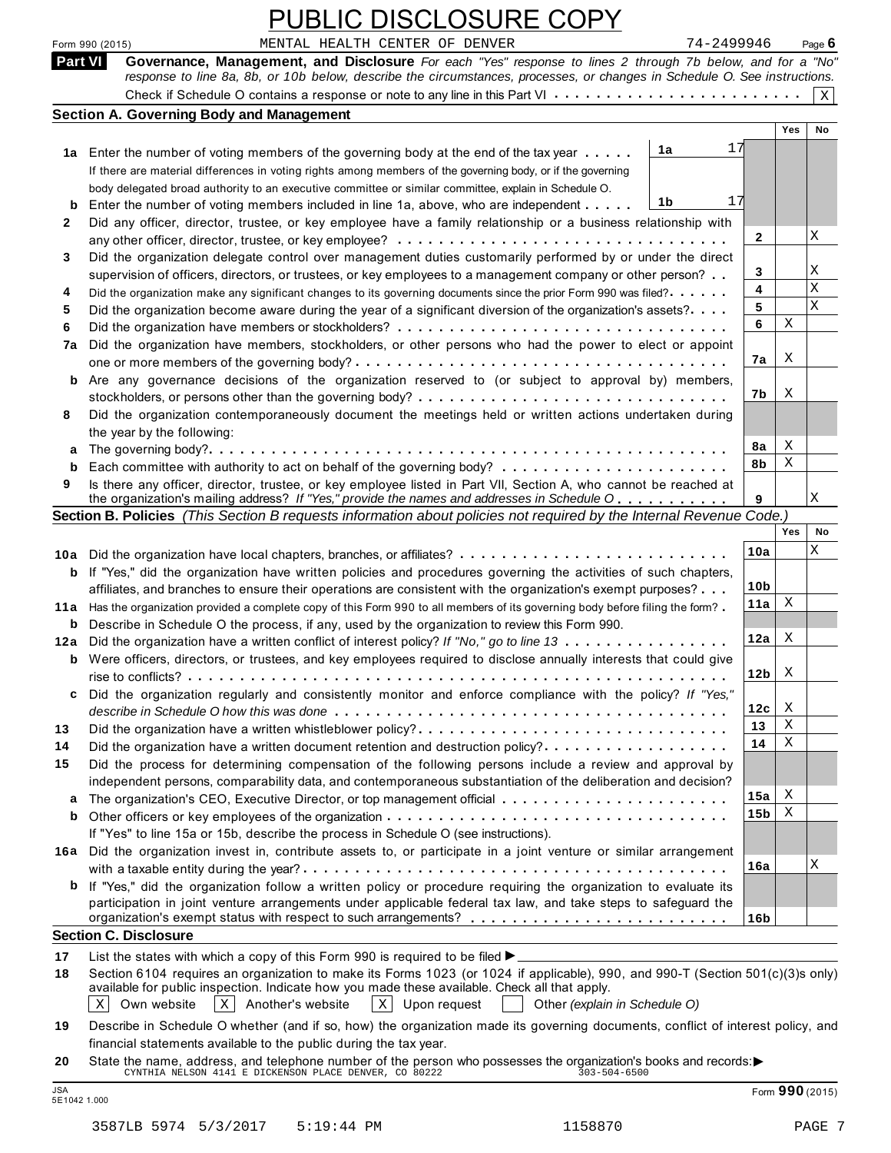| MENTAL HEALTH CENTER OF DENVER<br>74-2499946<br>Form 990 (2015)<br>Governance, Management, and Disclosure For each "Yes" response to lines 2 through 7b below, and for a "No"<br><b>Part VI</b><br>response to line 8a, 8b, or 10b below, describe the circumstances, processes, or changes in Schedule O. See instructions.<br><b>Section A. Governing Body and Management</b><br><b>Yes</b><br>17<br>1a<br>1a Enter the number of voting members of the governing body at the end of the tax year<br>If there are material differences in voting rights among members of the governing body, or if the governing<br>body delegated broad authority to an executive committee or similar committee, explain in Schedule O.<br>17<br>1b<br>Enter the number of voting members included in line 1a, above, who are independent<br>b<br>Did any officer, director, trustee, or key employee have a family relationship or a business relationship with<br>2<br>2<br>Did the organization delegate control over management duties customarily performed by or under the direct<br>3<br>3<br>supervision of officers, directors, or trustees, or key employees to a management company or other person?<br>4<br>Did the organization make any significant changes to its governing documents since the prior Form 990 was filed?<br>4<br>5<br>5<br>Did the organization become aware during the year of a significant diversion of the organization's assets?<br>Χ<br>6<br>6<br>Did the organization have members, stockholders, or other persons who had the power to elect or appoint<br>7a<br>Χ<br>7a<br>Are any governance decisions of the organization reserved to (or subject to approval by) members,<br>b<br>X<br>7b<br>Did the organization contemporaneously document the meetings held or written actions undertaken during<br>8<br>the year by the following:<br>X<br>8a<br>a<br>Χ<br>8b<br>b<br>Is there any officer, director, trustee, or key employee listed in Part VII, Section A, who cannot be reached at<br>9<br>the organization's mailing address? If "Yes," provide the names and addresses in Schedule O<br>9<br>Section B. Policies (This Section B requests information about policies not required by the Internal Revenue Code.)<br>Yes<br>10a<br>If "Yes," did the organization have written policies and procedures governing the activities of such chapters,<br>b<br>10 <sub>b</sub><br>affiliates, and branches to ensure their operations are consistent with the organization's exempt purposes?<br>X<br>11a<br>11a Has the organization provided a complete copy of this Form 990 to all members of its governing body before filing the form?<br><b>b</b> Describe in Schedule O the process, if any, used by the organization to review this Form 990.<br>12a<br>X<br>12a Did the organization have a written conflict of interest policy? If "No," go to line 13<br><b>b</b> Were officers, directors, or trustees, and key employees required to disclose annually interests that could give<br>12 <sub>b</sub><br>X<br>Did the organization regularly and consistently monitor and enforce compliance with the policy? If "Yes,"<br>c<br>X<br>12c | Page $6$<br>$\mathbf X$<br>No<br>Χ<br>Χ<br>X<br>X |
|------------------------------------------------------------------------------------------------------------------------------------------------------------------------------------------------------------------------------------------------------------------------------------------------------------------------------------------------------------------------------------------------------------------------------------------------------------------------------------------------------------------------------------------------------------------------------------------------------------------------------------------------------------------------------------------------------------------------------------------------------------------------------------------------------------------------------------------------------------------------------------------------------------------------------------------------------------------------------------------------------------------------------------------------------------------------------------------------------------------------------------------------------------------------------------------------------------------------------------------------------------------------------------------------------------------------------------------------------------------------------------------------------------------------------------------------------------------------------------------------------------------------------------------------------------------------------------------------------------------------------------------------------------------------------------------------------------------------------------------------------------------------------------------------------------------------------------------------------------------------------------------------------------------------------------------------------------------------------------------------------------------------------------------------------------------------------------------------------------------------------------------------------------------------------------------------------------------------------------------------------------------------------------------------------------------------------------------------------------------------------------------------------------------------------------------------------------------------------------------------------------------------------------------------------------------------------------------------------------------------------------------------------------------------------------------------------------------------------------------------------------------------------------------------------------------------------------------------------------------------------------------------------------------------------------------------------------------------------------------------------------------------------------------------------------------------------------------------------------------------------------------------------------------------------------------|---------------------------------------------------|
|                                                                                                                                                                                                                                                                                                                                                                                                                                                                                                                                                                                                                                                                                                                                                                                                                                                                                                                                                                                                                                                                                                                                                                                                                                                                                                                                                                                                                                                                                                                                                                                                                                                                                                                                                                                                                                                                                                                                                                                                                                                                                                                                                                                                                                                                                                                                                                                                                                                                                                                                                                                                                                                                                                                                                                                                                                                                                                                                                                                                                                                                                                                                                                                          |                                                   |
|                                                                                                                                                                                                                                                                                                                                                                                                                                                                                                                                                                                                                                                                                                                                                                                                                                                                                                                                                                                                                                                                                                                                                                                                                                                                                                                                                                                                                                                                                                                                                                                                                                                                                                                                                                                                                                                                                                                                                                                                                                                                                                                                                                                                                                                                                                                                                                                                                                                                                                                                                                                                                                                                                                                                                                                                                                                                                                                                                                                                                                                                                                                                                                                          |                                                   |
|                                                                                                                                                                                                                                                                                                                                                                                                                                                                                                                                                                                                                                                                                                                                                                                                                                                                                                                                                                                                                                                                                                                                                                                                                                                                                                                                                                                                                                                                                                                                                                                                                                                                                                                                                                                                                                                                                                                                                                                                                                                                                                                                                                                                                                                                                                                                                                                                                                                                                                                                                                                                                                                                                                                                                                                                                                                                                                                                                                                                                                                                                                                                                                                          |                                                   |
|                                                                                                                                                                                                                                                                                                                                                                                                                                                                                                                                                                                                                                                                                                                                                                                                                                                                                                                                                                                                                                                                                                                                                                                                                                                                                                                                                                                                                                                                                                                                                                                                                                                                                                                                                                                                                                                                                                                                                                                                                                                                                                                                                                                                                                                                                                                                                                                                                                                                                                                                                                                                                                                                                                                                                                                                                                                                                                                                                                                                                                                                                                                                                                                          |                                                   |
|                                                                                                                                                                                                                                                                                                                                                                                                                                                                                                                                                                                                                                                                                                                                                                                                                                                                                                                                                                                                                                                                                                                                                                                                                                                                                                                                                                                                                                                                                                                                                                                                                                                                                                                                                                                                                                                                                                                                                                                                                                                                                                                                                                                                                                                                                                                                                                                                                                                                                                                                                                                                                                                                                                                                                                                                                                                                                                                                                                                                                                                                                                                                                                                          |                                                   |
|                                                                                                                                                                                                                                                                                                                                                                                                                                                                                                                                                                                                                                                                                                                                                                                                                                                                                                                                                                                                                                                                                                                                                                                                                                                                                                                                                                                                                                                                                                                                                                                                                                                                                                                                                                                                                                                                                                                                                                                                                                                                                                                                                                                                                                                                                                                                                                                                                                                                                                                                                                                                                                                                                                                                                                                                                                                                                                                                                                                                                                                                                                                                                                                          |                                                   |
|                                                                                                                                                                                                                                                                                                                                                                                                                                                                                                                                                                                                                                                                                                                                                                                                                                                                                                                                                                                                                                                                                                                                                                                                                                                                                                                                                                                                                                                                                                                                                                                                                                                                                                                                                                                                                                                                                                                                                                                                                                                                                                                                                                                                                                                                                                                                                                                                                                                                                                                                                                                                                                                                                                                                                                                                                                                                                                                                                                                                                                                                                                                                                                                          |                                                   |
|                                                                                                                                                                                                                                                                                                                                                                                                                                                                                                                                                                                                                                                                                                                                                                                                                                                                                                                                                                                                                                                                                                                                                                                                                                                                                                                                                                                                                                                                                                                                                                                                                                                                                                                                                                                                                                                                                                                                                                                                                                                                                                                                                                                                                                                                                                                                                                                                                                                                                                                                                                                                                                                                                                                                                                                                                                                                                                                                                                                                                                                                                                                                                                                          |                                                   |
|                                                                                                                                                                                                                                                                                                                                                                                                                                                                                                                                                                                                                                                                                                                                                                                                                                                                                                                                                                                                                                                                                                                                                                                                                                                                                                                                                                                                                                                                                                                                                                                                                                                                                                                                                                                                                                                                                                                                                                                                                                                                                                                                                                                                                                                                                                                                                                                                                                                                                                                                                                                                                                                                                                                                                                                                                                                                                                                                                                                                                                                                                                                                                                                          |                                                   |
|                                                                                                                                                                                                                                                                                                                                                                                                                                                                                                                                                                                                                                                                                                                                                                                                                                                                                                                                                                                                                                                                                                                                                                                                                                                                                                                                                                                                                                                                                                                                                                                                                                                                                                                                                                                                                                                                                                                                                                                                                                                                                                                                                                                                                                                                                                                                                                                                                                                                                                                                                                                                                                                                                                                                                                                                                                                                                                                                                                                                                                                                                                                                                                                          |                                                   |
|                                                                                                                                                                                                                                                                                                                                                                                                                                                                                                                                                                                                                                                                                                                                                                                                                                                                                                                                                                                                                                                                                                                                                                                                                                                                                                                                                                                                                                                                                                                                                                                                                                                                                                                                                                                                                                                                                                                                                                                                                                                                                                                                                                                                                                                                                                                                                                                                                                                                                                                                                                                                                                                                                                                                                                                                                                                                                                                                                                                                                                                                                                                                                                                          |                                                   |
|                                                                                                                                                                                                                                                                                                                                                                                                                                                                                                                                                                                                                                                                                                                                                                                                                                                                                                                                                                                                                                                                                                                                                                                                                                                                                                                                                                                                                                                                                                                                                                                                                                                                                                                                                                                                                                                                                                                                                                                                                                                                                                                                                                                                                                                                                                                                                                                                                                                                                                                                                                                                                                                                                                                                                                                                                                                                                                                                                                                                                                                                                                                                                                                          |                                                   |
|                                                                                                                                                                                                                                                                                                                                                                                                                                                                                                                                                                                                                                                                                                                                                                                                                                                                                                                                                                                                                                                                                                                                                                                                                                                                                                                                                                                                                                                                                                                                                                                                                                                                                                                                                                                                                                                                                                                                                                                                                                                                                                                                                                                                                                                                                                                                                                                                                                                                                                                                                                                                                                                                                                                                                                                                                                                                                                                                                                                                                                                                                                                                                                                          |                                                   |
|                                                                                                                                                                                                                                                                                                                                                                                                                                                                                                                                                                                                                                                                                                                                                                                                                                                                                                                                                                                                                                                                                                                                                                                                                                                                                                                                                                                                                                                                                                                                                                                                                                                                                                                                                                                                                                                                                                                                                                                                                                                                                                                                                                                                                                                                                                                                                                                                                                                                                                                                                                                                                                                                                                                                                                                                                                                                                                                                                                                                                                                                                                                                                                                          |                                                   |
|                                                                                                                                                                                                                                                                                                                                                                                                                                                                                                                                                                                                                                                                                                                                                                                                                                                                                                                                                                                                                                                                                                                                                                                                                                                                                                                                                                                                                                                                                                                                                                                                                                                                                                                                                                                                                                                                                                                                                                                                                                                                                                                                                                                                                                                                                                                                                                                                                                                                                                                                                                                                                                                                                                                                                                                                                                                                                                                                                                                                                                                                                                                                                                                          |                                                   |
|                                                                                                                                                                                                                                                                                                                                                                                                                                                                                                                                                                                                                                                                                                                                                                                                                                                                                                                                                                                                                                                                                                                                                                                                                                                                                                                                                                                                                                                                                                                                                                                                                                                                                                                                                                                                                                                                                                                                                                                                                                                                                                                                                                                                                                                                                                                                                                                                                                                                                                                                                                                                                                                                                                                                                                                                                                                                                                                                                                                                                                                                                                                                                                                          |                                                   |
|                                                                                                                                                                                                                                                                                                                                                                                                                                                                                                                                                                                                                                                                                                                                                                                                                                                                                                                                                                                                                                                                                                                                                                                                                                                                                                                                                                                                                                                                                                                                                                                                                                                                                                                                                                                                                                                                                                                                                                                                                                                                                                                                                                                                                                                                                                                                                                                                                                                                                                                                                                                                                                                                                                                                                                                                                                                                                                                                                                                                                                                                                                                                                                                          |                                                   |
|                                                                                                                                                                                                                                                                                                                                                                                                                                                                                                                                                                                                                                                                                                                                                                                                                                                                                                                                                                                                                                                                                                                                                                                                                                                                                                                                                                                                                                                                                                                                                                                                                                                                                                                                                                                                                                                                                                                                                                                                                                                                                                                                                                                                                                                                                                                                                                                                                                                                                                                                                                                                                                                                                                                                                                                                                                                                                                                                                                                                                                                                                                                                                                                          |                                                   |
|                                                                                                                                                                                                                                                                                                                                                                                                                                                                                                                                                                                                                                                                                                                                                                                                                                                                                                                                                                                                                                                                                                                                                                                                                                                                                                                                                                                                                                                                                                                                                                                                                                                                                                                                                                                                                                                                                                                                                                                                                                                                                                                                                                                                                                                                                                                                                                                                                                                                                                                                                                                                                                                                                                                                                                                                                                                                                                                                                                                                                                                                                                                                                                                          |                                                   |
|                                                                                                                                                                                                                                                                                                                                                                                                                                                                                                                                                                                                                                                                                                                                                                                                                                                                                                                                                                                                                                                                                                                                                                                                                                                                                                                                                                                                                                                                                                                                                                                                                                                                                                                                                                                                                                                                                                                                                                                                                                                                                                                                                                                                                                                                                                                                                                                                                                                                                                                                                                                                                                                                                                                                                                                                                                                                                                                                                                                                                                                                                                                                                                                          |                                                   |
|                                                                                                                                                                                                                                                                                                                                                                                                                                                                                                                                                                                                                                                                                                                                                                                                                                                                                                                                                                                                                                                                                                                                                                                                                                                                                                                                                                                                                                                                                                                                                                                                                                                                                                                                                                                                                                                                                                                                                                                                                                                                                                                                                                                                                                                                                                                                                                                                                                                                                                                                                                                                                                                                                                                                                                                                                                                                                                                                                                                                                                                                                                                                                                                          |                                                   |
|                                                                                                                                                                                                                                                                                                                                                                                                                                                                                                                                                                                                                                                                                                                                                                                                                                                                                                                                                                                                                                                                                                                                                                                                                                                                                                                                                                                                                                                                                                                                                                                                                                                                                                                                                                                                                                                                                                                                                                                                                                                                                                                                                                                                                                                                                                                                                                                                                                                                                                                                                                                                                                                                                                                                                                                                                                                                                                                                                                                                                                                                                                                                                                                          |                                                   |
|                                                                                                                                                                                                                                                                                                                                                                                                                                                                                                                                                                                                                                                                                                                                                                                                                                                                                                                                                                                                                                                                                                                                                                                                                                                                                                                                                                                                                                                                                                                                                                                                                                                                                                                                                                                                                                                                                                                                                                                                                                                                                                                                                                                                                                                                                                                                                                                                                                                                                                                                                                                                                                                                                                                                                                                                                                                                                                                                                                                                                                                                                                                                                                                          |                                                   |
|                                                                                                                                                                                                                                                                                                                                                                                                                                                                                                                                                                                                                                                                                                                                                                                                                                                                                                                                                                                                                                                                                                                                                                                                                                                                                                                                                                                                                                                                                                                                                                                                                                                                                                                                                                                                                                                                                                                                                                                                                                                                                                                                                                                                                                                                                                                                                                                                                                                                                                                                                                                                                                                                                                                                                                                                                                                                                                                                                                                                                                                                                                                                                                                          |                                                   |
|                                                                                                                                                                                                                                                                                                                                                                                                                                                                                                                                                                                                                                                                                                                                                                                                                                                                                                                                                                                                                                                                                                                                                                                                                                                                                                                                                                                                                                                                                                                                                                                                                                                                                                                                                                                                                                                                                                                                                                                                                                                                                                                                                                                                                                                                                                                                                                                                                                                                                                                                                                                                                                                                                                                                                                                                                                                                                                                                                                                                                                                                                                                                                                                          | X                                                 |
|                                                                                                                                                                                                                                                                                                                                                                                                                                                                                                                                                                                                                                                                                                                                                                                                                                                                                                                                                                                                                                                                                                                                                                                                                                                                                                                                                                                                                                                                                                                                                                                                                                                                                                                                                                                                                                                                                                                                                                                                                                                                                                                                                                                                                                                                                                                                                                                                                                                                                                                                                                                                                                                                                                                                                                                                                                                                                                                                                                                                                                                                                                                                                                                          |                                                   |
|                                                                                                                                                                                                                                                                                                                                                                                                                                                                                                                                                                                                                                                                                                                                                                                                                                                                                                                                                                                                                                                                                                                                                                                                                                                                                                                                                                                                                                                                                                                                                                                                                                                                                                                                                                                                                                                                                                                                                                                                                                                                                                                                                                                                                                                                                                                                                                                                                                                                                                                                                                                                                                                                                                                                                                                                                                                                                                                                                                                                                                                                                                                                                                                          | No                                                |
|                                                                                                                                                                                                                                                                                                                                                                                                                                                                                                                                                                                                                                                                                                                                                                                                                                                                                                                                                                                                                                                                                                                                                                                                                                                                                                                                                                                                                                                                                                                                                                                                                                                                                                                                                                                                                                                                                                                                                                                                                                                                                                                                                                                                                                                                                                                                                                                                                                                                                                                                                                                                                                                                                                                                                                                                                                                                                                                                                                                                                                                                                                                                                                                          | Χ                                                 |
|                                                                                                                                                                                                                                                                                                                                                                                                                                                                                                                                                                                                                                                                                                                                                                                                                                                                                                                                                                                                                                                                                                                                                                                                                                                                                                                                                                                                                                                                                                                                                                                                                                                                                                                                                                                                                                                                                                                                                                                                                                                                                                                                                                                                                                                                                                                                                                                                                                                                                                                                                                                                                                                                                                                                                                                                                                                                                                                                                                                                                                                                                                                                                                                          |                                                   |
|                                                                                                                                                                                                                                                                                                                                                                                                                                                                                                                                                                                                                                                                                                                                                                                                                                                                                                                                                                                                                                                                                                                                                                                                                                                                                                                                                                                                                                                                                                                                                                                                                                                                                                                                                                                                                                                                                                                                                                                                                                                                                                                                                                                                                                                                                                                                                                                                                                                                                                                                                                                                                                                                                                                                                                                                                                                                                                                                                                                                                                                                                                                                                                                          |                                                   |
|                                                                                                                                                                                                                                                                                                                                                                                                                                                                                                                                                                                                                                                                                                                                                                                                                                                                                                                                                                                                                                                                                                                                                                                                                                                                                                                                                                                                                                                                                                                                                                                                                                                                                                                                                                                                                                                                                                                                                                                                                                                                                                                                                                                                                                                                                                                                                                                                                                                                                                                                                                                                                                                                                                                                                                                                                                                                                                                                                                                                                                                                                                                                                                                          |                                                   |
|                                                                                                                                                                                                                                                                                                                                                                                                                                                                                                                                                                                                                                                                                                                                                                                                                                                                                                                                                                                                                                                                                                                                                                                                                                                                                                                                                                                                                                                                                                                                                                                                                                                                                                                                                                                                                                                                                                                                                                                                                                                                                                                                                                                                                                                                                                                                                                                                                                                                                                                                                                                                                                                                                                                                                                                                                                                                                                                                                                                                                                                                                                                                                                                          |                                                   |
|                                                                                                                                                                                                                                                                                                                                                                                                                                                                                                                                                                                                                                                                                                                                                                                                                                                                                                                                                                                                                                                                                                                                                                                                                                                                                                                                                                                                                                                                                                                                                                                                                                                                                                                                                                                                                                                                                                                                                                                                                                                                                                                                                                                                                                                                                                                                                                                                                                                                                                                                                                                                                                                                                                                                                                                                                                                                                                                                                                                                                                                                                                                                                                                          |                                                   |
|                                                                                                                                                                                                                                                                                                                                                                                                                                                                                                                                                                                                                                                                                                                                                                                                                                                                                                                                                                                                                                                                                                                                                                                                                                                                                                                                                                                                                                                                                                                                                                                                                                                                                                                                                                                                                                                                                                                                                                                                                                                                                                                                                                                                                                                                                                                                                                                                                                                                                                                                                                                                                                                                                                                                                                                                                                                                                                                                                                                                                                                                                                                                                                                          |                                                   |
|                                                                                                                                                                                                                                                                                                                                                                                                                                                                                                                                                                                                                                                                                                                                                                                                                                                                                                                                                                                                                                                                                                                                                                                                                                                                                                                                                                                                                                                                                                                                                                                                                                                                                                                                                                                                                                                                                                                                                                                                                                                                                                                                                                                                                                                                                                                                                                                                                                                                                                                                                                                                                                                                                                                                                                                                                                                                                                                                                                                                                                                                                                                                                                                          |                                                   |
|                                                                                                                                                                                                                                                                                                                                                                                                                                                                                                                                                                                                                                                                                                                                                                                                                                                                                                                                                                                                                                                                                                                                                                                                                                                                                                                                                                                                                                                                                                                                                                                                                                                                                                                                                                                                                                                                                                                                                                                                                                                                                                                                                                                                                                                                                                                                                                                                                                                                                                                                                                                                                                                                                                                                                                                                                                                                                                                                                                                                                                                                                                                                                                                          |                                                   |
|                                                                                                                                                                                                                                                                                                                                                                                                                                                                                                                                                                                                                                                                                                                                                                                                                                                                                                                                                                                                                                                                                                                                                                                                                                                                                                                                                                                                                                                                                                                                                                                                                                                                                                                                                                                                                                                                                                                                                                                                                                                                                                                                                                                                                                                                                                                                                                                                                                                                                                                                                                                                                                                                                                                                                                                                                                                                                                                                                                                                                                                                                                                                                                                          |                                                   |
| 13<br>X<br>Did the organization have a written whistleblower policy?<br>13                                                                                                                                                                                                                                                                                                                                                                                                                                                                                                                                                                                                                                                                                                                                                                                                                                                                                                                                                                                                                                                                                                                                                                                                                                                                                                                                                                                                                                                                                                                                                                                                                                                                                                                                                                                                                                                                                                                                                                                                                                                                                                                                                                                                                                                                                                                                                                                                                                                                                                                                                                                                                                                                                                                                                                                                                                                                                                                                                                                                                                                                                                               |                                                   |
| Χ<br>14<br>Did the organization have a written document retention and destruction policy?<br>14                                                                                                                                                                                                                                                                                                                                                                                                                                                                                                                                                                                                                                                                                                                                                                                                                                                                                                                                                                                                                                                                                                                                                                                                                                                                                                                                                                                                                                                                                                                                                                                                                                                                                                                                                                                                                                                                                                                                                                                                                                                                                                                                                                                                                                                                                                                                                                                                                                                                                                                                                                                                                                                                                                                                                                                                                                                                                                                                                                                                                                                                                          |                                                   |
| Did the process for determining compensation of the following persons include a review and approval by<br>15                                                                                                                                                                                                                                                                                                                                                                                                                                                                                                                                                                                                                                                                                                                                                                                                                                                                                                                                                                                                                                                                                                                                                                                                                                                                                                                                                                                                                                                                                                                                                                                                                                                                                                                                                                                                                                                                                                                                                                                                                                                                                                                                                                                                                                                                                                                                                                                                                                                                                                                                                                                                                                                                                                                                                                                                                                                                                                                                                                                                                                                                             |                                                   |
| independent persons, comparability data, and contemporaneous substantiation of the deliberation and decision?<br>15a<br>X                                                                                                                                                                                                                                                                                                                                                                                                                                                                                                                                                                                                                                                                                                                                                                                                                                                                                                                                                                                                                                                                                                                                                                                                                                                                                                                                                                                                                                                                                                                                                                                                                                                                                                                                                                                                                                                                                                                                                                                                                                                                                                                                                                                                                                                                                                                                                                                                                                                                                                                                                                                                                                                                                                                                                                                                                                                                                                                                                                                                                                                                |                                                   |
| a<br>15 <sub>b</sub><br>Χ                                                                                                                                                                                                                                                                                                                                                                                                                                                                                                                                                                                                                                                                                                                                                                                                                                                                                                                                                                                                                                                                                                                                                                                                                                                                                                                                                                                                                                                                                                                                                                                                                                                                                                                                                                                                                                                                                                                                                                                                                                                                                                                                                                                                                                                                                                                                                                                                                                                                                                                                                                                                                                                                                                                                                                                                                                                                                                                                                                                                                                                                                                                                                                |                                                   |
| b                                                                                                                                                                                                                                                                                                                                                                                                                                                                                                                                                                                                                                                                                                                                                                                                                                                                                                                                                                                                                                                                                                                                                                                                                                                                                                                                                                                                                                                                                                                                                                                                                                                                                                                                                                                                                                                                                                                                                                                                                                                                                                                                                                                                                                                                                                                                                                                                                                                                                                                                                                                                                                                                                                                                                                                                                                                                                                                                                                                                                                                                                                                                                                                        |                                                   |
| If "Yes" to line 15a or 15b, describe the process in Schedule O (see instructions).                                                                                                                                                                                                                                                                                                                                                                                                                                                                                                                                                                                                                                                                                                                                                                                                                                                                                                                                                                                                                                                                                                                                                                                                                                                                                                                                                                                                                                                                                                                                                                                                                                                                                                                                                                                                                                                                                                                                                                                                                                                                                                                                                                                                                                                                                                                                                                                                                                                                                                                                                                                                                                                                                                                                                                                                                                                                                                                                                                                                                                                                                                      |                                                   |
| 16a Did the organization invest in, contribute assets to, or participate in a joint venture or similar arrangement<br>16a                                                                                                                                                                                                                                                                                                                                                                                                                                                                                                                                                                                                                                                                                                                                                                                                                                                                                                                                                                                                                                                                                                                                                                                                                                                                                                                                                                                                                                                                                                                                                                                                                                                                                                                                                                                                                                                                                                                                                                                                                                                                                                                                                                                                                                                                                                                                                                                                                                                                                                                                                                                                                                                                                                                                                                                                                                                                                                                                                                                                                                                                | Χ                                                 |
| If "Yes," did the organization follow a written policy or procedure requiring the organization to evaluate its<br>b                                                                                                                                                                                                                                                                                                                                                                                                                                                                                                                                                                                                                                                                                                                                                                                                                                                                                                                                                                                                                                                                                                                                                                                                                                                                                                                                                                                                                                                                                                                                                                                                                                                                                                                                                                                                                                                                                                                                                                                                                                                                                                                                                                                                                                                                                                                                                                                                                                                                                                                                                                                                                                                                                                                                                                                                                                                                                                                                                                                                                                                                      |                                                   |
| participation in joint venture arrangements under applicable federal tax law, and take steps to safeguard the<br>16b                                                                                                                                                                                                                                                                                                                                                                                                                                                                                                                                                                                                                                                                                                                                                                                                                                                                                                                                                                                                                                                                                                                                                                                                                                                                                                                                                                                                                                                                                                                                                                                                                                                                                                                                                                                                                                                                                                                                                                                                                                                                                                                                                                                                                                                                                                                                                                                                                                                                                                                                                                                                                                                                                                                                                                                                                                                                                                                                                                                                                                                                     |                                                   |
| <b>Section C. Disclosure</b>                                                                                                                                                                                                                                                                                                                                                                                                                                                                                                                                                                                                                                                                                                                                                                                                                                                                                                                                                                                                                                                                                                                                                                                                                                                                                                                                                                                                                                                                                                                                                                                                                                                                                                                                                                                                                                                                                                                                                                                                                                                                                                                                                                                                                                                                                                                                                                                                                                                                                                                                                                                                                                                                                                                                                                                                                                                                                                                                                                                                                                                                                                                                                             |                                                   |
| List the states with which a copy of this Form 990 is required to be filed ▶<br>17                                                                                                                                                                                                                                                                                                                                                                                                                                                                                                                                                                                                                                                                                                                                                                                                                                                                                                                                                                                                                                                                                                                                                                                                                                                                                                                                                                                                                                                                                                                                                                                                                                                                                                                                                                                                                                                                                                                                                                                                                                                                                                                                                                                                                                                                                                                                                                                                                                                                                                                                                                                                                                                                                                                                                                                                                                                                                                                                                                                                                                                                                                       |                                                   |
| Section 6104 requires an organization to make its Forms 1023 (or 1024 if applicable), 990, and 990-T (Section 501(c)(3)s only)<br>18<br>available for public inspection. Indicate how you made these available. Check all that apply.<br>Own website<br>  X   Another's website<br>$\vert x \vert$ Upon request<br>Other (explain in Schedule O)<br>X                                                                                                                                                                                                                                                                                                                                                                                                                                                                                                                                                                                                                                                                                                                                                                                                                                                                                                                                                                                                                                                                                                                                                                                                                                                                                                                                                                                                                                                                                                                                                                                                                                                                                                                                                                                                                                                                                                                                                                                                                                                                                                                                                                                                                                                                                                                                                                                                                                                                                                                                                                                                                                                                                                                                                                                                                                    |                                                   |
| Describe in Schedule O whether (and if so, how) the organization made its governing documents, conflict of interest policy, and<br>19                                                                                                                                                                                                                                                                                                                                                                                                                                                                                                                                                                                                                                                                                                                                                                                                                                                                                                                                                                                                                                                                                                                                                                                                                                                                                                                                                                                                                                                                                                                                                                                                                                                                                                                                                                                                                                                                                                                                                                                                                                                                                                                                                                                                                                                                                                                                                                                                                                                                                                                                                                                                                                                                                                                                                                                                                                                                                                                                                                                                                                                    |                                                   |
| financial statements available to the public during the tax year.                                                                                                                                                                                                                                                                                                                                                                                                                                                                                                                                                                                                                                                                                                                                                                                                                                                                                                                                                                                                                                                                                                                                                                                                                                                                                                                                                                                                                                                                                                                                                                                                                                                                                                                                                                                                                                                                                                                                                                                                                                                                                                                                                                                                                                                                                                                                                                                                                                                                                                                                                                                                                                                                                                                                                                                                                                                                                                                                                                                                                                                                                                                        |                                                   |
| State the name, address, and telephone number of the person who possesses the organization's books and records: $\blacktriangleright$ CYNTHIA NELSON 4141 E DICKENSON PLACE DENVER, CO 80222<br>20                                                                                                                                                                                                                                                                                                                                                                                                                                                                                                                                                                                                                                                                                                                                                                                                                                                                                                                                                                                                                                                                                                                                                                                                                                                                                                                                                                                                                                                                                                                                                                                                                                                                                                                                                                                                                                                                                                                                                                                                                                                                                                                                                                                                                                                                                                                                                                                                                                                                                                                                                                                                                                                                                                                                                                                                                                                                                                                                                                                       |                                                   |
| Form 990 (2015)<br>JSA<br>5E1042 1.000                                                                                                                                                                                                                                                                                                                                                                                                                                                                                                                                                                                                                                                                                                                                                                                                                                                                                                                                                                                                                                                                                                                                                                                                                                                                                                                                                                                                                                                                                                                                                                                                                                                                                                                                                                                                                                                                                                                                                                                                                                                                                                                                                                                                                                                                                                                                                                                                                                                                                                                                                                                                                                                                                                                                                                                                                                                                                                                                                                                                                                                                                                                                                   |                                                   |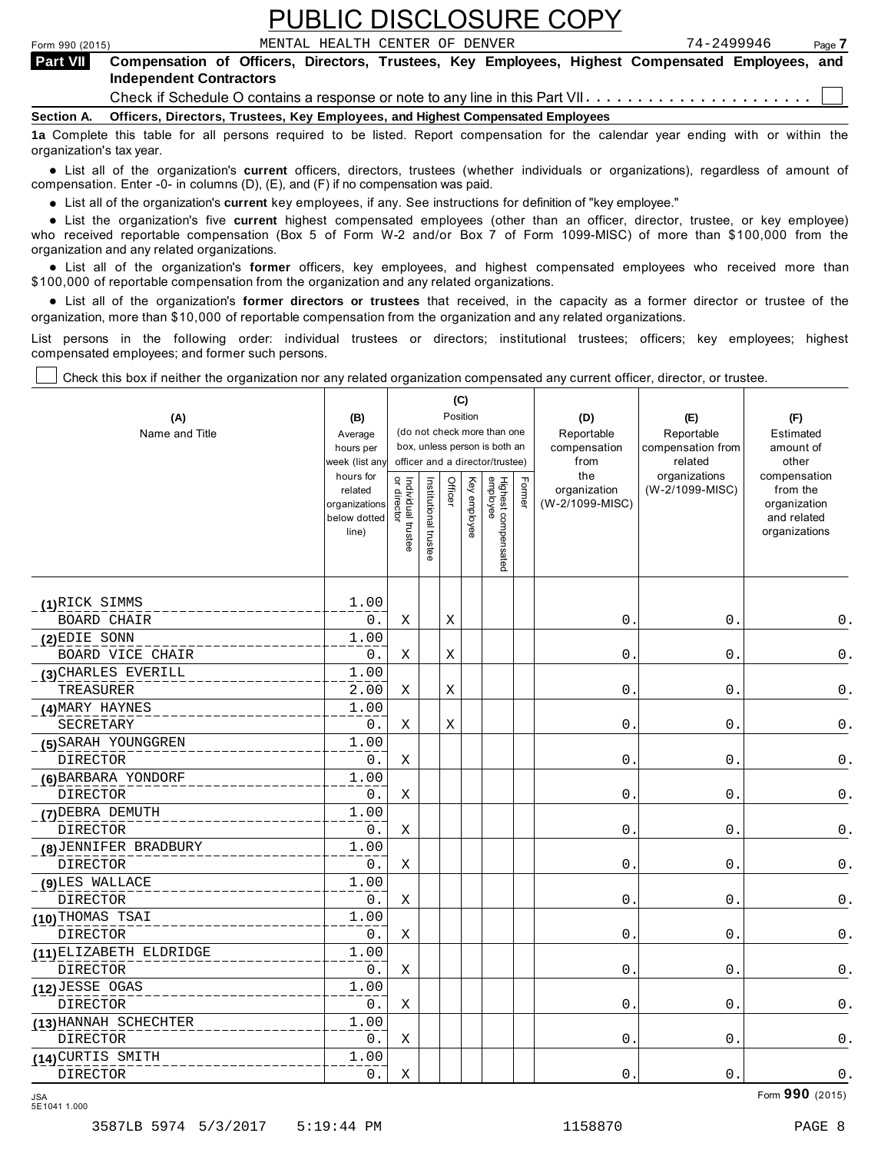|                   | <b>PUBLIC DISCLOSURE COPY</b>                                                                                                                                                                                                                                                |            |  |  |  |  |  |  |  |
|-------------------|------------------------------------------------------------------------------------------------------------------------------------------------------------------------------------------------------------------------------------------------------------------------------|------------|--|--|--|--|--|--|--|
| Form 990 (2015)   | MENTAL HEALTH CENTER OF DENVER                                                                                                                                                                                                                                               | 74-2499946 |  |  |  |  |  |  |  |
| <b>Part VII</b>   | Page 7<br>Compensation of Officers, Directors, Trustees, Key Employees, Highest Compensated Employees, and<br><b>Independent Contractors</b><br>Check if Schedule O contains a response or note to any line in this Part VII $\dots\dots\dots\dots\dots\dots\dots\dots\dots$ |            |  |  |  |  |  |  |  |
|                   |                                                                                                                                                                                                                                                                              |            |  |  |  |  |  |  |  |
| <b>Section A.</b> | Officers, Directors, Trustees, Key Employees, and Highest Compensated Employees                                                                                                                                                                                              |            |  |  |  |  |  |  |  |
|                   | 12 Complete this table for all nersons required to be listed. Report compensation for the calendar year ending with or within the                                                                                                                                            |            |  |  |  |  |  |  |  |

**1a** Complete this table for all persons required to be listed. Report compensation for the calendar year ending with or within the organization's tax year.

anization's lax year.<br>● List all of the organization's **current** officers, directors, trustees (whether individuals or organizations), regardless of amount of<br>nnensation Enter -0- in columns (D) (E) and (E) if no compensa compensation. Enter -0- in columns (D), (E), and (F) if no compensation was paid.

• List all of the organization's **current** key employees, if any. See instructions for definition of "key employee."<br>● List the experimetiscle five event highert expressed explored (other than an efficer director t

**Example in the organization's current** key employees, if any, see instructions for definition of key employee.<br>• List the organization's five **current** highest compensated employees (other than an officer, director, trust who received reportable compensation (Box 5 of Form W-2 and/or Box 7 of Form 1099-MISC) of more than \$100,000 from the organization and any related organizations.

organization and any related organizations.<br>• List all of the organization's **former** officers, key employees, and highest compensated employees who received more than<br>\$1.00.000 of reportable componention from the erganiza \$100,000 of reportable compensation from the organization and any related organizations.

% List all of the organization's **former directors or trustees** that received, in the capacity as a former director or trustee of the organization, more than \$10,000 of reportable compensation from the organization and any related organizations.

List persons in the following order: individual trustees or directors; institutional trustees; officers; key employees; highest compensated employees; and former such persons.

Check this box if neither the organization nor any related organization compensated any current officer, director, or trustee.

|                         |                             |                                   |                       | (C)         |              |                                                                  |        |                      |                              |                              |
|-------------------------|-----------------------------|-----------------------------------|-----------------------|-------------|--------------|------------------------------------------------------------------|--------|----------------------|------------------------------|------------------------------|
| (A)                     | (B)                         |                                   |                       |             | Position     |                                                                  |        | (D)                  | (E)                          | (F)                          |
| Name and Title          | Average                     |                                   |                       |             |              | (do not check more than one                                      |        | Reportable           | Reportable                   | Estimated                    |
|                         | hours per<br>week (list any |                                   |                       |             |              | box, unless person is both an<br>officer and a director/trustee) |        | compensation<br>from | compensation from<br>related | amount of<br>other           |
|                         | hours for                   |                                   |                       |             |              |                                                                  |        | the                  | organizations                | compensation                 |
|                         | related                     | Individual trustee<br>or director | Institutional trustee | Officer     | Key employee |                                                                  | Former | organization         | (W-2/1099-MISC)              | from the                     |
|                         | organizations               |                                   |                       |             |              |                                                                  |        | (W-2/1099-MISC)      |                              | organization                 |
|                         | below dotted<br>line)       |                                   |                       |             |              |                                                                  |        |                      |                              | and related<br>organizations |
|                         |                             |                                   |                       |             |              |                                                                  |        |                      |                              |                              |
|                         |                             |                                   |                       |             |              | Highest compensated<br>employee                                  |        |                      |                              |                              |
|                         |                             |                                   |                       |             |              |                                                                  |        |                      |                              |                              |
| (1)RICK SIMMS           | 1.00                        |                                   |                       |             |              |                                                                  |        |                      |                              |                              |
| <b>BOARD CHAIR</b>      | 0.                          | Χ                                 |                       | Χ           |              |                                                                  |        | $0$ .                | 0.                           | 0.                           |
| $(2)$ EDIE SONN         | 1.00                        |                                   |                       |             |              |                                                                  |        |                      |                              |                              |
| BOARD VICE CHAIR        | 0.                          | Χ                                 |                       | $\mathbf X$ |              |                                                                  |        | $0$ .                | $0$ .                        | $\mathsf 0$ .                |
| (3) CHARLES EVERILL     | 1.00                        |                                   |                       |             |              |                                                                  |        |                      |                              |                              |
| TREASURER               | 2.00                        | Χ                                 |                       | Χ           |              |                                                                  |        | $\mathsf{O}$ .       | $0$ .                        | $\mathsf 0$ .                |
| (4) MARY HAYNES         | 1.00                        |                                   |                       |             |              |                                                                  |        |                      |                              |                              |
| SECRETARY               | 0.                          | Χ                                 |                       | Χ           |              |                                                                  |        | $0$ .                | $0$ .                        | $\mathsf 0$ .                |
| (5) SARAH YOUNGGREN     | 1.00                        |                                   |                       |             |              |                                                                  |        |                      |                              |                              |
| <b>DIRECTOR</b>         | 0.                          | Χ                                 |                       |             |              |                                                                  |        | 0.                   | 0.                           | 0.                           |
| (6) BARBARA YONDORF     | 1.00                        |                                   |                       |             |              |                                                                  |        |                      |                              |                              |
| <b>DIRECTOR</b>         | 0.                          | Χ                                 |                       |             |              |                                                                  |        | 0.                   | 0.                           | $\mathsf 0$ .                |
| (7) DEBRA DEMUTH        | 1.00                        |                                   |                       |             |              |                                                                  |        |                      |                              |                              |
| <b>DIRECTOR</b>         | 0.                          | X                                 |                       |             |              |                                                                  |        | $\mathsf{O}$ .       | $0$ .                        | $\mathsf 0$ .                |
| (8) JENNIFER BRADBURY   | 1.00                        |                                   |                       |             |              |                                                                  |        |                      |                              |                              |
| DIRECTOR                | $0$ .                       | Χ                                 |                       |             |              |                                                                  |        | $\mathsf{O}$ .       | 0.                           | $\mathsf 0$ .                |
| (9) LES WALLACE         | 1.00                        |                                   |                       |             |              |                                                                  |        |                      |                              |                              |
| <b>DIRECTOR</b>         | 0.                          | Χ                                 |                       |             |              |                                                                  |        | 0.                   | 0.                           | $0$ .                        |
| (10) THOMAS TSAI        | 1.00                        |                                   |                       |             |              |                                                                  |        |                      |                              |                              |
| <b>DIRECTOR</b>         | 0.                          | Χ                                 |                       |             |              |                                                                  |        | 0.                   | 0.                           | $0$ .                        |
| (11) ELIZABETH ELDRIDGE | 1.00                        |                                   |                       |             |              |                                                                  |        |                      |                              |                              |
| <b>DIRECTOR</b>         | 0.                          | Χ                                 |                       |             |              |                                                                  |        | 0.                   | $0$ .                        | 0.                           |
| (12) JESSE OGAS         | 1.00                        |                                   |                       |             |              |                                                                  |        |                      |                              |                              |
| DIRECTOR                | 0.                          | Χ                                 |                       |             |              |                                                                  |        | 0.                   | 0.                           | 0.                           |
| (13) HANNAH SCHECHTER   | 1.00                        |                                   |                       |             |              |                                                                  |        |                      |                              |                              |
| DIRECTOR                | $0$ .                       | Χ                                 |                       |             |              |                                                                  |        | $0$ .                | $0$ .                        | $\mathsf 0$ .                |
| (14) CURTIS SMITH       | 1.00                        |                                   |                       |             |              |                                                                  |        |                      |                              |                              |
| <b>DIRECTOR</b>         | 0.                          | Χ                                 |                       |             |              |                                                                  |        | 0.                   | $0$ .                        | 0.                           |

Form **990** (2015) JSA 5E1041 1.000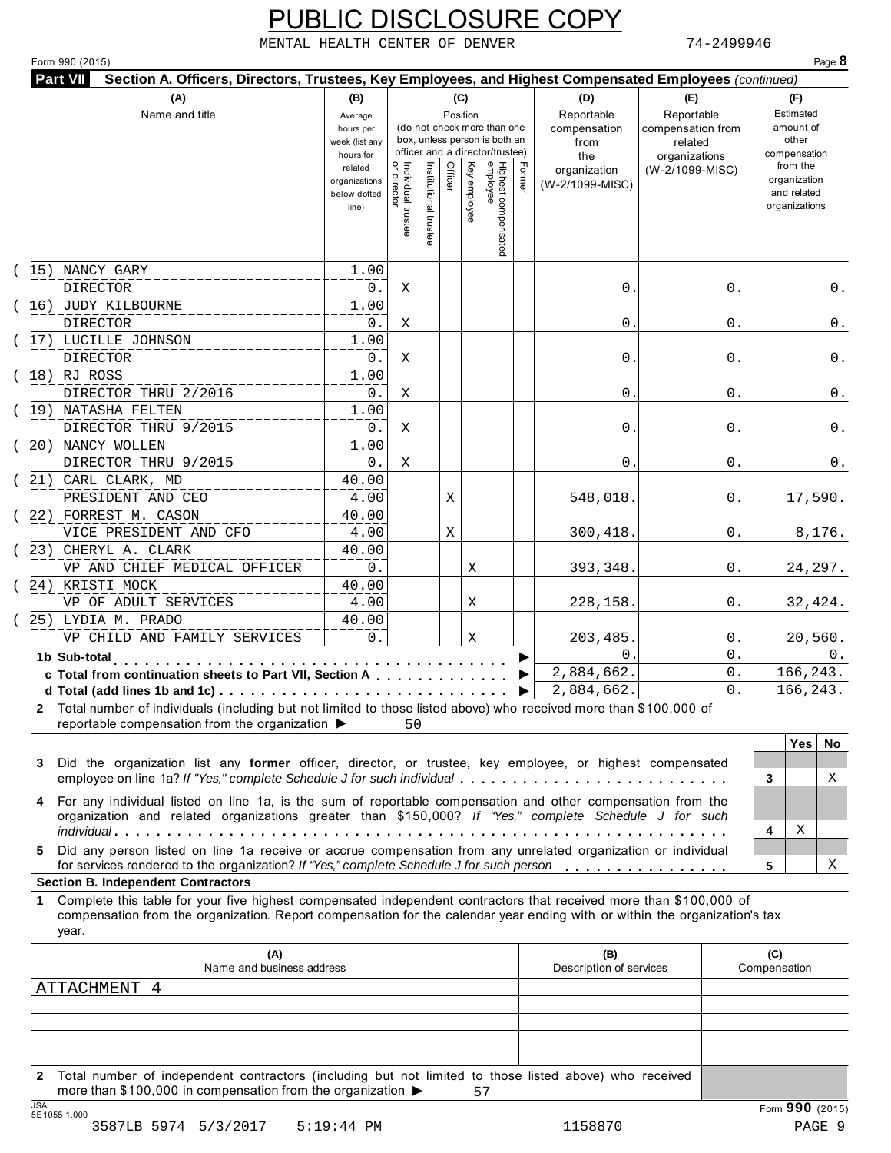MENTAL HEALTH CENTER OF DENVER 74-2499946

| Form 990 (2015)<br><b>Part VII</b> | Section A. Officers, Directors, Trustees, Key Employees, and Highest Compensated Employees (continued)                                                                                                                                           |                      |                                   |                       |         |              |                                                                  |        |                                 |                                  |                     |                          | Page 8 |
|------------------------------------|--------------------------------------------------------------------------------------------------------------------------------------------------------------------------------------------------------------------------------------------------|----------------------|-----------------------------------|-----------------------|---------|--------------|------------------------------------------------------------------|--------|---------------------------------|----------------------------------|---------------------|--------------------------|--------|
|                                    | (A)                                                                                                                                                                                                                                              | (B)                  |                                   |                       |         | (C)          |                                                                  |        | (D)                             | (E)                              |                     | (F)                      |        |
|                                    | Name and title                                                                                                                                                                                                                                   | Average              |                                   |                       |         | Position     |                                                                  |        | Reportable                      | Reportable                       |                     | Estimated                |        |
|                                    |                                                                                                                                                                                                                                                  | hours per            |                                   |                       |         |              | (do not check more than one                                      |        | compensation                    | compensation from                |                     | amount of                |        |
|                                    |                                                                                                                                                                                                                                                  | week (list any       |                                   |                       |         |              | box, unless person is both an<br>officer and a director/trustee) |        | from                            | related                          |                     | other                    |        |
|                                    |                                                                                                                                                                                                                                                  | hours for<br>related |                                   |                       |         |              |                                                                  |        | the                             | organizations<br>(W-2/1099-MISC) |                     | compensation<br>from the |        |
|                                    |                                                                                                                                                                                                                                                  | organizations        |                                   |                       | Officer |              |                                                                  | Former | organization<br>(W-2/1099-MISC) |                                  |                     | organization             |        |
|                                    |                                                                                                                                                                                                                                                  | below dotted         |                                   |                       |         |              |                                                                  |        |                                 |                                  |                     | and related              |        |
|                                    |                                                                                                                                                                                                                                                  | line)                |                                   |                       |         | Key employee |                                                                  |        |                                 |                                  |                     | organizations            |        |
|                                    |                                                                                                                                                                                                                                                  |                      | Individual trustee<br>or director | Institutional trustee |         |              |                                                                  |        |                                 |                                  |                     |                          |        |
|                                    |                                                                                                                                                                                                                                                  |                      |                                   |                       |         |              | Highest compensated<br>employee                                  |        |                                 |                                  |                     |                          |        |
| (15) NANCY GARY                    |                                                                                                                                                                                                                                                  | 1.00                 |                                   |                       |         |              |                                                                  |        |                                 |                                  |                     |                          |        |
| <b>DIRECTOR</b>                    |                                                                                                                                                                                                                                                  | 0.                   | Х                                 |                       |         |              |                                                                  |        | $\mathsf{0}$ .                  | 0                                |                     |                          | 0.     |
|                                    | (16) JUDY KILBOURNE                                                                                                                                                                                                                              | 1.00                 |                                   |                       |         |              |                                                                  |        |                                 |                                  |                     |                          |        |
| <b>DIRECTOR</b>                    |                                                                                                                                                                                                                                                  | 0.                   | Χ                                 |                       |         |              |                                                                  |        | 0.                              | 0                                |                     |                          | 0.     |
|                                    | (17) LUCILLE JOHNSON                                                                                                                                                                                                                             | 1.00                 |                                   |                       |         |              |                                                                  |        |                                 |                                  |                     |                          |        |
| <b>DIRECTOR</b>                    |                                                                                                                                                                                                                                                  | 0.                   | Χ                                 |                       |         |              |                                                                  |        | 0.                              | 0                                |                     |                          | 0.     |
| $(18)$ RJ ROSS                     |                                                                                                                                                                                                                                                  | 1.00                 |                                   |                       |         |              |                                                                  |        |                                 |                                  |                     |                          |        |
|                                    | DIRECTOR THRU 2/2016                                                                                                                                                                                                                             | 0.                   | Χ                                 |                       |         |              |                                                                  |        | $\mathsf{0}$ .                  | 0                                |                     |                          | 0.     |
|                                    | (19) NATASHA FELTEN                                                                                                                                                                                                                              | 1.00                 |                                   |                       |         |              |                                                                  |        |                                 |                                  |                     |                          |        |
|                                    | DIRECTOR THRU 9/2015                                                                                                                                                                                                                             | 0.                   | Х                                 |                       |         |              |                                                                  |        | $\mathsf{0}$ .                  | 0                                |                     |                          | 0.     |
|                                    | (20) NANCY WOLLEN                                                                                                                                                                                                                                | 1.00                 |                                   |                       |         |              |                                                                  |        |                                 |                                  |                     |                          |        |
|                                    | DIRECTOR THRU 9/2015                                                                                                                                                                                                                             | 0.                   | Χ                                 |                       |         |              |                                                                  |        | 0.                              | 0                                |                     |                          | 0.     |
|                                    | (21) CARL CLARK, MD                                                                                                                                                                                                                              | 40.00<br>4.00        |                                   |                       |         |              |                                                                  |        |                                 |                                  |                     |                          |        |
|                                    | PRESIDENT AND CEO<br>(22) FORREST M. CASON                                                                                                                                                                                                       | 40.00                |                                   |                       | Χ       |              |                                                                  |        | 548,018.                        | 0                                |                     | 17,590.                  |        |
|                                    | VICE PRESIDENT AND CFO                                                                                                                                                                                                                           | 4.00                 |                                   |                       | Χ       |              |                                                                  |        | 300,418.                        | $\mathbf 0$ .                    |                     | 8,176.                   |        |
|                                    | (23) CHERYL A. CLARK                                                                                                                                                                                                                             | 40.00                |                                   |                       |         |              |                                                                  |        |                                 |                                  |                     |                          |        |
|                                    | VP AND CHIEF MEDICAL OFFICER                                                                                                                                                                                                                     | 0.                   |                                   |                       |         | Χ            |                                                                  |        | 393,348.                        | $\mathbf 0$ .                    |                     | 24,297.                  |        |
|                                    | (24) KRISTI MOCK                                                                                                                                                                                                                                 | 40.00                |                                   |                       |         |              |                                                                  |        |                                 |                                  |                     |                          |        |
|                                    | VP OF ADULT SERVICES                                                                                                                                                                                                                             | 4.00                 |                                   |                       |         | Χ            |                                                                  |        | 228,158.                        | $\mathbf 0$ .                    |                     | 32,424.                  |        |
|                                    | (25) LYDIA M. PRADO                                                                                                                                                                                                                              | 40.00                |                                   |                       |         |              |                                                                  |        |                                 |                                  |                     |                          |        |
|                                    | VP CHILD AND FAMILY SERVICES                                                                                                                                                                                                                     | 0.                   |                                   |                       |         | Χ            |                                                                  |        | 203,485.                        | $\mathbf 0$ .                    |                     | 20,560.                  |        |
| 1b Sub-total                       |                                                                                                                                                                                                                                                  |                      |                                   |                       |         |              |                                                                  |        | 0.                              | $\Omega$ .                       |                     |                          | 0.     |
|                                    | c Total from continuation sheets to Part VII, Section A                                                                                                                                                                                          |                      |                                   |                       |         |              |                                                                  |        | 2,884,662.                      | 0.                               |                     | 166,243.                 |        |
|                                    | d Total (add lines 1b and 1c) $\cdots$ $\cdots$ $\cdots$ $\cdots$ $\cdots$ $\cdots$ $\cdots$                                                                                                                                                     |                      |                                   |                       |         |              |                                                                  |        | 2,884,662.                      | $\Omega$ .                       |                     | 166,243.                 |        |
| 2                                  | Total number of individuals (including but not limited to those listed above) who received more than \$100,000 of<br>reportable compensation from the organization ▶                                                                             |                      | 50                                |                       |         |              |                                                                  |        |                                 |                                  |                     | Yes                      | No     |
| 3                                  | Did the organization list any former officer, director, or trustee, key employee, or highest compensated<br>employee on line 1a? If "Yes," complete Schedule J for such individual                                                               |                      |                                   |                       |         |              |                                                                  |        |                                 |                                  |                     |                          | Χ      |
|                                    |                                                                                                                                                                                                                                                  |                      |                                   |                       |         |              |                                                                  |        |                                 |                                  | 3                   |                          |        |
|                                    | For any individual listed on line 1a, is the sum of reportable compensation and other compensation from the<br>organization and related organizations greater than \$150,000? If "Yes," complete Schedule J for such                             |                      |                                   |                       |         |              |                                                                  |        |                                 |                                  |                     |                          |        |
|                                    |                                                                                                                                                                                                                                                  |                      |                                   |                       |         |              |                                                                  |        |                                 |                                  | 4                   | Χ                        |        |
| 5                                  | Did any person listed on line 1a receive or accrue compensation from any unrelated organization or individual<br>for services rendered to the organization? If "Yes," complete Schedule J for such person                                        |                      |                                   |                       |         |              |                                                                  |        |                                 |                                  | 5                   |                          | X      |
|                                    | <b>Section B. Independent Contractors</b>                                                                                                                                                                                                        |                      |                                   |                       |         |              |                                                                  |        |                                 |                                  |                     |                          |        |
| 1.<br>year.                        | Complete this table for your five highest compensated independent contractors that received more than \$100,000 of<br>compensation from the organization. Report compensation for the calendar year ending with or within the organization's tax |                      |                                   |                       |         |              |                                                                  |        |                                 |                                  |                     |                          |        |
|                                    | (A)<br>Name and business address                                                                                                                                                                                                                 |                      |                                   |                       |         |              |                                                                  |        | (B)<br>Description of services  |                                  | (C)<br>Compensation |                          |        |
|                                    | ATTACHMENT 4                                                                                                                                                                                                                                     |                      |                                   |                       |         |              |                                                                  |        |                                 |                                  |                     |                          |        |
|                                    |                                                                                                                                                                                                                                                  |                      |                                   |                       |         |              |                                                                  |        |                                 |                                  |                     |                          |        |
|                                    |                                                                                                                                                                                                                                                  |                      |                                   |                       |         |              |                                                                  |        |                                 |                                  |                     |                          |        |
|                                    |                                                                                                                                                                                                                                                  |                      |                                   |                       |         |              |                                                                  |        |                                 |                                  |                     |                          |        |
|                                    |                                                                                                                                                                                                                                                  |                      |                                   |                       |         |              |                                                                  |        |                                 |                                  |                     |                          |        |

**2** Total number of independent contractors (including but not limited to those listed above) who received more than \$100,000 in compensation from the organization  $\triangleright$ <br>5E1055 1.000 57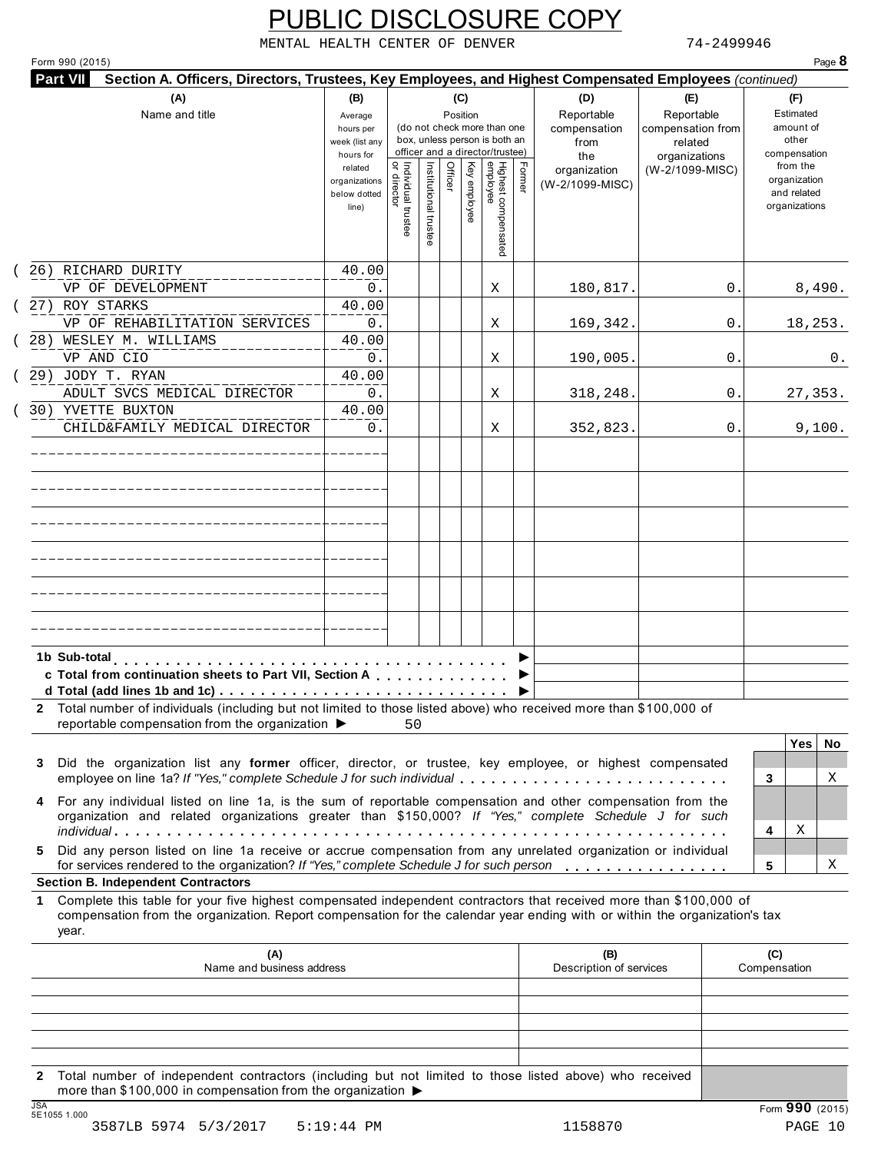MENTAL HEALTH CENTER OF DENVER 74-2499946

|                                                                                                                                                                                                                                                           | (B)<br>(C)<br>Position<br>Average<br>(do not check more than one<br>hours per<br>box, unless person is both an<br>week (list any<br>officer and a director/trustee)<br>hours for |                                     |                       |         |              |                                 |        | (D)<br>Reportable<br>compensation<br>from<br>the | (E)<br>Reportable<br>compensation from<br>related<br>organizations | (F)<br>Estimated<br>amount of<br>other<br>compensation   |
|-----------------------------------------------------------------------------------------------------------------------------------------------------------------------------------------------------------------------------------------------------------|----------------------------------------------------------------------------------------------------------------------------------------------------------------------------------|-------------------------------------|-----------------------|---------|--------------|---------------------------------|--------|--------------------------------------------------|--------------------------------------------------------------------|----------------------------------------------------------|
|                                                                                                                                                                                                                                                           | related<br>organizations<br>below dotted<br>line)                                                                                                                                | Individual trustee<br>  or director | Institutional trustee | Officer | Key employee | Highest compensated<br>employee | Former | organization<br>(W-2/1099-MISC)                  | (W-2/1099-MISC)                                                    | from the<br>organization<br>and related<br>organizations |
| 26) RICHARD DURITY<br>VP OF DEVELOPMENT                                                                                                                                                                                                                   | 40.00<br>0.                                                                                                                                                                      |                                     |                       |         |              | Χ                               |        | 180,817.                                         | 0                                                                  | 8,490.                                                   |
| (27) ROY STARKS<br>VP OF REHABILITATION SERVICES                                                                                                                                                                                                          | 40.00<br>0.                                                                                                                                                                      |                                     |                       |         |              | Χ                               |        | 169,342.                                         | 0                                                                  | 18,253.                                                  |
| 28) WESLEY M. WILLIAMS<br>VP AND CIO                                                                                                                                                                                                                      | 40.00<br>0.                                                                                                                                                                      |                                     |                       |         |              | Χ                               |        | 190,005.                                         | 0                                                                  | 0.                                                       |
| (29) JODY T. RYAN<br>ADULT SVCS MEDICAL DIRECTOR                                                                                                                                                                                                          | 40.00<br>0.                                                                                                                                                                      |                                     |                       |         |              | Χ                               |        | 318,248.                                         | 0                                                                  | 27,353.                                                  |
| 30) YVETTE BUXTON<br>CHILD&FAMILY MEDICAL DIRECTOR                                                                                                                                                                                                        | 40.00<br>0.                                                                                                                                                                      |                                     |                       |         |              | Χ                               |        | 352,823.                                         | 0.                                                                 | 9,100.                                                   |
|                                                                                                                                                                                                                                                           |                                                                                                                                                                                  |                                     |                       |         |              |                                 |        |                                                  |                                                                    |                                                          |
|                                                                                                                                                                                                                                                           |                                                                                                                                                                                  |                                     |                       |         |              |                                 |        |                                                  |                                                                    |                                                          |
|                                                                                                                                                                                                                                                           |                                                                                                                                                                                  |                                     |                       |         |              |                                 |        |                                                  |                                                                    |                                                          |
|                                                                                                                                                                                                                                                           |                                                                                                                                                                                  |                                     |                       |         |              |                                 |        |                                                  |                                                                    |                                                          |
| 1b Sub-total<br>c Total from continuation sheets to Part VII, Section A                                                                                                                                                                                   | .                                                                                                                                                                                |                                     |                       |         |              |                                 |        |                                                  |                                                                    |                                                          |
| 2 Total number of individuals (including but not limited to those listed above) who received more than \$100,000 of<br>reportable compensation from the organization ▶                                                                                    |                                                                                                                                                                                  | 50                                  |                       |         |              |                                 |        |                                                  |                                                                    |                                                          |
| Did the organization list any former officer, director, or trustee, key employee, or highest compensated<br>3<br>employee on line 1a? If "Yes," complete Schedule J for such individual                                                                   |                                                                                                                                                                                  |                                     |                       |         |              |                                 |        |                                                  |                                                                    | <b>Yes</b><br>No.<br>Χ<br>3                              |
|                                                                                                                                                                                                                                                           |                                                                                                                                                                                  |                                     |                       |         |              |                                 |        |                                                  |                                                                    | Χ<br>4                                                   |
| For any individual listed on line 1a, is the sum of reportable compensation and other compensation from the<br>4<br>organization and related organizations greater than \$150,000? If "Yes," complete Schedule J for such                                 |                                                                                                                                                                                  |                                     |                       |         |              |                                 |        |                                                  |                                                                    |                                                          |
| Did any person listed on line 1a receive or accrue compensation from any unrelated organization or individual<br>5.<br>for services rendered to the organization? If "Yes," complete Schedule J for such person                                           |                                                                                                                                                                                  |                                     |                       |         |              |                                 |        |                                                  |                                                                    | 5                                                        |
| Complete this table for your five highest compensated independent contractors that received more than \$100,000 of<br>compensation from the organization. Report compensation for the calendar year ending with or within the organization's tax<br>year. |                                                                                                                                                                                  |                                     |                       |         |              |                                 |        |                                                  |                                                                    |                                                          |
| (A)<br>Name and business address                                                                                                                                                                                                                          |                                                                                                                                                                                  |                                     |                       |         |              |                                 |        | (B)<br>Description of services                   |                                                                    | Χ<br>(C)<br>Compensation                                 |
| <b>Section B. Independent Contractors</b><br>1.                                                                                                                                                                                                           |                                                                                                                                                                                  |                                     |                       |         |              |                                 |        |                                                  |                                                                    |                                                          |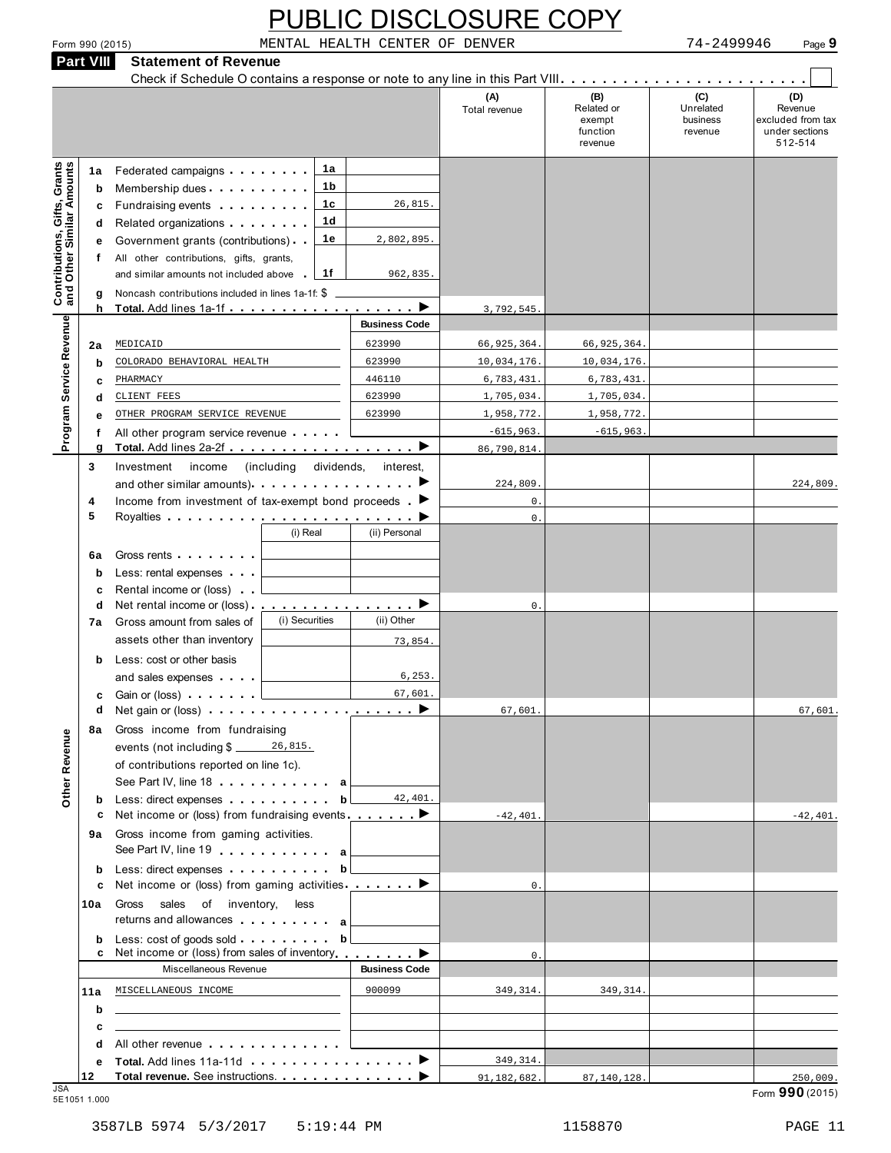#### Check if Schedule O contains a response or note to any line in this Part VIII m m m m m m m m m m m m m m m m m m m m m m m m **(C)** Unrelated business revenue **(B)** Related or exempt function revenue **(D)** Revenue excluded from tax under sections 512-514 **(A)** Total revenue **1a 1b 1c 1d 1e** All other contributions, gifts, grants,<br>and similar amounts not included above 1f **1a** Federated campaigns **b** Membership dues **c** Fundraising events<br>**d** Related organizations c Fundraising events . . . . . . . . Check if Schedule O contains a response or note to any line in this Part VIII. . . . . . . . . . . . . . m m m m m m m m m m m m m m m m m m m m m m m m m m m **f** All other contributions, gifts, grants, **e** Federated campaigns<br> **b** Membership dues<br> **c** Fundraising events<br> **d** Related organizations<br> **e** Government grants (contributions)<br> **f** All other contributions, gifts, grants, **g** Noncash contributions included in lines 1a-1f: \$ 2a **MEDICAID b** COLORADO BEHAVIORAL HEALTH 623990 10,034,176. 10,034,176. **c** PHARMACY<br>**d** CLIENT FEES **Contributions, Gifts, Grants and Other Similar Amounts h Total.** Add lines 1a-1f m m m m m m m m m m m m m m m m m m <sup>I</sup> **Business Code f** All other program service revenue . . . . . . **e 6a** Gross rents **b** Less: rental expenses **c** Rental income or (loss) **b** Less: cost or other basis **c** Gain or (loss) MEDICAID<br>
COLORADO BEHAVIORAL HEALTH<br>
PHARMACY<br>
CLIENT FEES<br>
OTHER PROGRAM SERVICE REVENUE<br>
All other program service revenue<br>
Total Add lines 2a-2f<br>
. **Program Service Revenue <sup>g</sup> Total.** Add lines 2a-2f m m m m m m m m m m m m m m m m m m <sup>I</sup> **3** Investment income (including dividends, interest, and other similar amounts) I  $\frac{1}{\epsilon}$  $\begin{array}{|c|c|c|}\n\hline\n\end{array}$  $\blacksquare$  $\begin{array}{c} \n\hline\n\end{array}$  $\begin{array}{c} \n\hline\n\end{array}$  $\blacksquare$  $\frac{1}{\sqrt{1-\frac{1}{2}}}$ THARMACY<br>
d <u>CLIENT FEES</u><br>
e OTHER PROGRAM SERVICE REVENUE<br>
f All other program service revenue<br>
g Total. Add lines 2a-2f<br>
3 Investment income (including dividends, interes<br>
and other similar amounts).<br>
4 Income from inves **5** Income from investment of tax-exempt bond proceeds  $\blacktriangleright$ Royalties mm m m m m m m m m m m m m m m m m m m m m m m m (i) Real (ii) Personal m m m m m m m m  $(m \cdot m)$ <br>ant of<br> $\cdot \cdot \cdot$ <br> $\cdot \cdot \cdot$ m m **<sup>d</sup>** Net rental income or (loss) m m m m m m m m m m m m m m m m **7a** Gross amount from sales of (i) Securities (ii) Other assets other than inventory and sales expenses m m m m m m m m m m m **<sup>d</sup>** Net gain or (loss) m m m m m m m m m m m m m m m m m m m m **8a** Gross income from fundraising **b** Less: direct expenses 9a Gross income from gaming activities. **b** Less: direct expenses **10a** Gross sales of inventory, less **b ab 11a b c** \_\_\_\_\_\_\_\_\_\_\_\_\_\_\_\_\_\_<br>**d** All other revenue **.** . **e Total.** Add lines 11a-11d events (not including \$ \_\_\_\_\_\_ 26,815. of contributions reported on line 1c). See Part IV, line 18 . . . . . . . . . . . a **ab ab**  $\n \n fundamentaling\n $\oint \frac{26,815}{\sqrt{100}} \cdot \frac{26,815}{\sqrt{100}} \cdot \frac{26,815}{\sqrt{100}} \cdot \frac{26,815}{\sqrt{100}} \cdot \frac{26,815}{\sqrt{100}} \cdot \frac{26}{\sqrt{100}} \cdot \frac{26}{\sqrt{100}} \cdot \frac{26}{\sqrt{100}} \cdot \frac{26}{\sqrt{100}} \cdot \frac{26}{\sqrt{100}} \cdot \frac{26}{\sqrt{100}} \cdot \frac{26}{\sqrt{100}} \cdot \frac{2$$ m m m m m m m m m m **<sup>c</sup>** Net income or (loss) from fundraising events m m m m m m m Gross income from gaming activities. See Part IV, line 19 m m m m m m m m m m m Less: direct expenses m m m m m m m m m m **<sup>c</sup>** Net income or (loss) from gaming activities m m m m m m m Gross sales of inventory, less **E** Net income or (ioss) from fundraising events.<br> **a** Gross income from gaming activities.<br> **b** Less: direct expenses <br> **c** Net income or (loss) from gaming activities .<br> **h** Gross sales of inventory, less returns and al m m m m m m m m m m m m m **EURE OF INVENTORY, ........**<br> **EURE SOME MUNICIPAL MERIDIARY COMPOSED MANUSCRIPS <sup>12</sup> Total revenue.** See instructions. m m m m m m m m m m m m m <sup>I</sup> **Other Revenue** JSA Form **990** (2015) 5E1051 1.000 26,815. 2,802,895. 962,835. 3,792,545. MEDICAID 66,925,364. 66,925,364. PHARMACY 446110 6,783,431. 6,783,431. CLIENT FEES 623990 1,705,034. 1,705,034. OTHER PROGRAM SERVICE REVENUE 623990 1,958,772. 1,958,772  $-615,963.$   $-615,963$ 86,790,814. 224,809. 224,809. 0. 0.  $\Omega$ 73,854. 6,253. 67,601. 67,601. 67,601. 42,401.  $-42,401.$   $-42,401.$  $\Omega$ 0. MISCELLANEOUS INCOME 900099 349,314. 349,314 349,314. 91,182,682. 87,140,128. 250,009.

**Part VIII Statement of Revenue**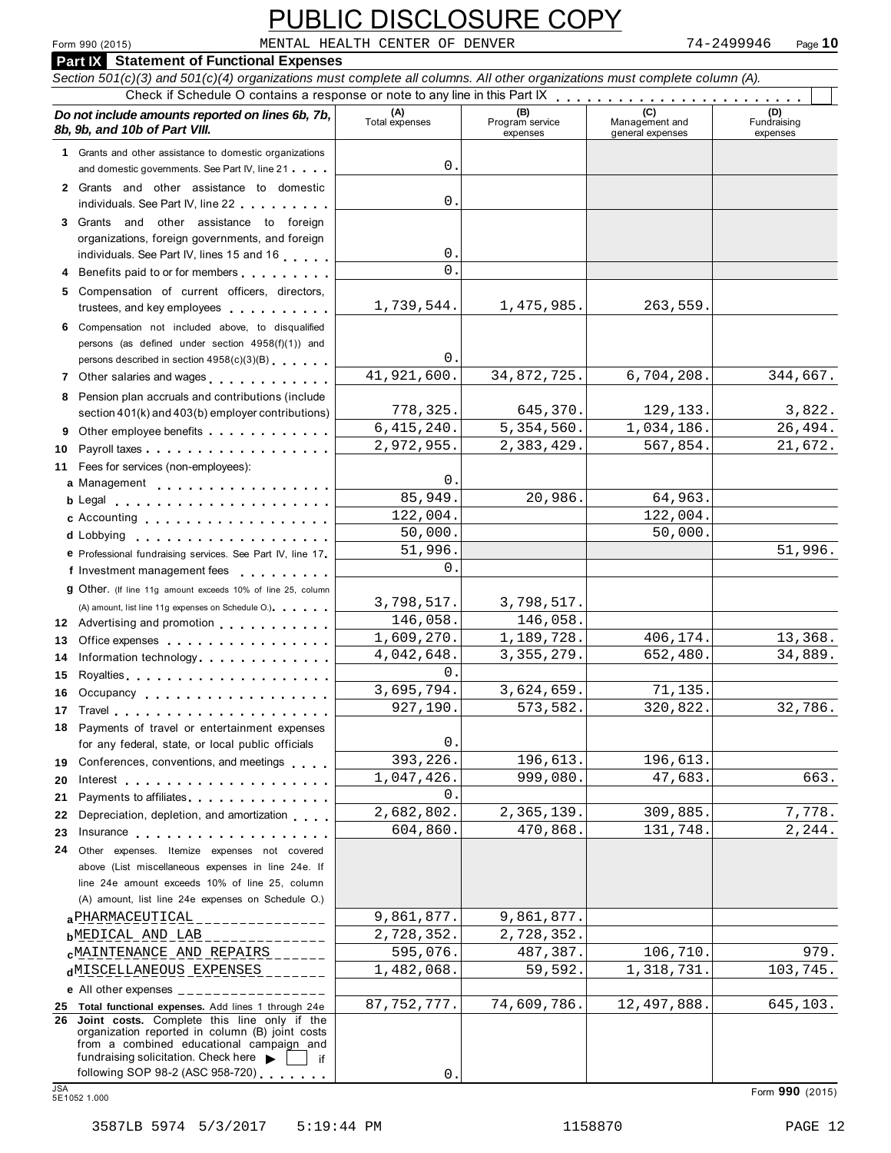# Form 990 (2015) Page **10** MENTAL HEALTH CENTER OF DENVER 74-2499946

|                                                                                                                                                                                                                                      |                                | <b>PUBLIC DISCLOSURE COPY</b>      |                                           |                                |
|--------------------------------------------------------------------------------------------------------------------------------------------------------------------------------------------------------------------------------------|--------------------------------|------------------------------------|-------------------------------------------|--------------------------------|
| Form 990 (2015)                                                                                                                                                                                                                      | MENTAL HEALTH CENTER OF DENVER |                                    |                                           | 74-2499946<br>Page 10          |
| <b>Part IX</b> Statement of Functional Expenses                                                                                                                                                                                      |                                |                                    |                                           |                                |
| Section 501(c)(3) and 501(c)(4) organizations must complete all columns. All other organizations must complete column (A).                                                                                                           |                                |                                    |                                           |                                |
|                                                                                                                                                                                                                                      |                                |                                    |                                           |                                |
| Do not include amounts reported on lines 6b, 7b,<br>8b, 9b, and 10b of Part VIII.                                                                                                                                                    | (A)<br>Total expenses          | (B)<br>Program service<br>expenses | (C)<br>Management and<br>general expenses | (D)<br>Fundraising<br>expenses |
| 1 Grants and other assistance to domestic organizations                                                                                                                                                                              |                                |                                    |                                           |                                |
| and domestic governments. See Part IV, line 21                                                                                                                                                                                       | 0.                             |                                    |                                           |                                |
| 2 Grants and other assistance to domestic                                                                                                                                                                                            |                                |                                    |                                           |                                |
| individuals. See Part IV, line 22                                                                                                                                                                                                    | 0.                             |                                    |                                           |                                |
| 3 Grants and other assistance to foreign                                                                                                                                                                                             |                                |                                    |                                           |                                |
| organizations, foreign governments, and foreign                                                                                                                                                                                      | 0.                             |                                    |                                           |                                |
| individuals. See Part IV, lines 15 and 16<br>4 Benefits paid to or for members                                                                                                                                                       | $\Omega$                       |                                    |                                           |                                |
| 5 Compensation of current officers, directors,                                                                                                                                                                                       |                                |                                    |                                           |                                |
| trustees, and key employees                                                                                                                                                                                                          | 1,739,544.                     | 1,475,985.                         | 263,559.                                  |                                |
| 6 Compensation not included above, to disqualified                                                                                                                                                                                   |                                |                                    |                                           |                                |
| persons (as defined under section 4958(f)(1)) and                                                                                                                                                                                    |                                |                                    |                                           |                                |
| persons described in section 4958(c)(3)(B)                                                                                                                                                                                           | 0.                             |                                    |                                           |                                |
| 7 Other salaries and wages                                                                                                                                                                                                           | 41,921,600.                    | 34,872,725.                        | 6,704,208.                                | 344,667.                       |
| 8 Pension plan accruals and contributions (include                                                                                                                                                                                   |                                |                                    |                                           |                                |
| section 401(k) and 403(b) employer contributions)                                                                                                                                                                                    | 778,325.                       | 645,370.                           | 129,133.                                  | 3,822.                         |
| 9 Other employee benefits                                                                                                                                                                                                            | 6,415,240.                     | 5,354,560.                         | 1,034,186.                                | 26,494.                        |
| Payroll taxes<br>10                                                                                                                                                                                                                  | 2,972,955.                     | 2,383,429.                         | 567,854.                                  | 21,672.                        |
| 11 Fees for services (non-employees):                                                                                                                                                                                                | $\mathsf{0}$ .                 |                                    |                                           |                                |
| a Management experience and management                                                                                                                                                                                               | 85,949.                        | 20,986.                            | 64,963.                                   |                                |
| b Legal entering the service of the service of the service of the service of the service of the service of the<br>c Accounting                                                                                                       | 122,004.                       |                                    | 122,004.                                  |                                |
|                                                                                                                                                                                                                                      | 50,000.                        |                                    | 50,000.                                   |                                |
| e Professional fundraising services. See Part IV, line 17                                                                                                                                                                            | 51,996.                        |                                    |                                           | 51,996.                        |
| f Investment management fees<br>.                                                                                                                                                                                                    | $\Omega$ .                     |                                    |                                           |                                |
| <b>g</b> Other. (If line 11g amount exceeds 10% of line 25, column                                                                                                                                                                   |                                |                                    |                                           |                                |
| (A) amount, list line 11g expenses on Schedule O.)                                                                                                                                                                                   | 3,798,517.                     | 3,798,517.                         |                                           |                                |
| 12 Advertising and promotion <b>contains a state of the state of the state of the state of the state of the state of the state of the state of the state of the state of the state of the state of the state of the state of the</b> | 146,058.                       | 146,058.                           |                                           |                                |
| 13 Office expenses                                                                                                                                                                                                                   | 1,609,270.                     | 1,189,728.                         | 406,174.                                  | 13,368.                        |
| 14 Information technology                                                                                                                                                                                                            | 4,042,648.                     | 3, 355, 279.                       | 652,480.                                  | 34,889.                        |
| 15                                                                                                                                                                                                                                   | $\Omega$ .<br>3,695,794.       |                                    |                                           |                                |
| Occupancy<br>16.                                                                                                                                                                                                                     | 927,190                        | 3,624,659.<br>573,582.             | 71,135.<br>320,822.                       | 32,786.                        |
| 17<br>Travel                                                                                                                                                                                                                         |                                |                                    |                                           |                                |
| Payments of travel or entertainment expenses<br>18<br>for any federal, state, or local public officials                                                                                                                              | $\mathbf 0$                    |                                    |                                           |                                |
| Conferences, conventions, and meetings<br>19                                                                                                                                                                                         | 393,226.                       | 196,613.                           | 196,613.                                  |                                |
| 20<br>Interest $\ldots$ , $\ldots$ , $\ldots$ , $\ldots$ , $\ldots$ , $\ldots$ , $\ldots$                                                                                                                                            | 1,047,426                      | 999,080.                           | 47,683.                                   | 663.                           |
| Payments to affiliates <b>All Accords</b> Payments to affiliates<br>21                                                                                                                                                               | $0$ .                          |                                    |                                           |                                |
| Depreciation, depletion, and amortization<br>22                                                                                                                                                                                      | 2,682,802.                     | 2,365,139.                         | 309,885.                                  | 7,778.                         |
| 23<br>Insurance                                                                                                                                                                                                                      | 604,860.                       | 470,868.                           | 131,748.                                  | 2,244.                         |
| Other expenses. Itemize expenses not covered<br>24.                                                                                                                                                                                  |                                |                                    |                                           |                                |
| above (List miscellaneous expenses in line 24e. If                                                                                                                                                                                   |                                |                                    |                                           |                                |
| line 24e amount exceeds 10% of line 25, column                                                                                                                                                                                       |                                |                                    |                                           |                                |
| (A) amount, list line 24e expenses on Schedule O.)<br>a PHARMACEUTICAL                                                                                                                                                               | 9,861,877.                     | 9,861,877.                         |                                           |                                |
| ____________<br><b>b</b> MEDICAL AND LAB                                                                                                                                                                                             | 2,728,352.                     | 2,728,352.                         |                                           |                                |
| <b>CMAINTENANCE AND REPAIRS</b>                                                                                                                                                                                                      | 595,076.                       | 487,387.                           | 106,710.                                  | 979.                           |
| dMISCELLANEOUS EXPENSES                                                                                                                                                                                                              | 1,482,068.                     | 59,592.                            | 1,318,731                                 | 103,745.                       |
| e All other expenses $\frac{1}{1}$                                                                                                                                                                                                   |                                |                                    |                                           |                                |
| 25 Total functional expenses. Add lines 1 through 24e                                                                                                                                                                                | 87, 752, 777.                  | 74,609,786.                        | 12,497,888.                               | 645,103.                       |
| 26 Joint costs. Complete this line only if the                                                                                                                                                                                       |                                |                                    |                                           |                                |
| organization reported in column (B) joint costs<br>from a combined educational campaign and                                                                                                                                          |                                |                                    |                                           |                                |
| fundraising solicitation. Check here $\blacktriangleright$                                                                                                                                                                           |                                |                                    |                                           |                                |
| following SOP 98-2 (ASC 958-720)<br><b>JSA</b>                                                                                                                                                                                       | 0.                             |                                    |                                           |                                |
| 5E1052 1.000                                                                                                                                                                                                                         |                                |                                    |                                           | Form 990 (2015)                |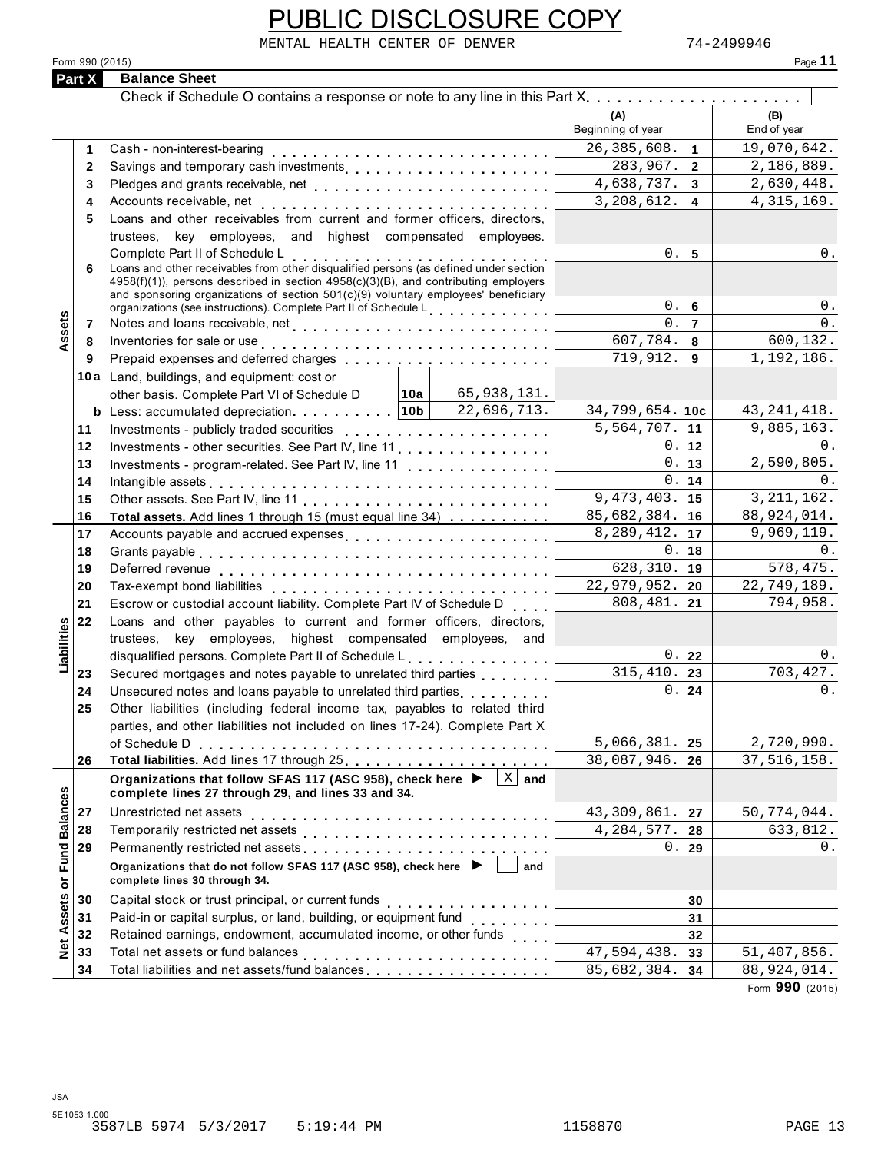|                      | PUBLIC DISCLOSURE COPY                                                                                                                                                                                                                                                                                                                                                                                                                                           |                              |                     |                                |
|----------------------|------------------------------------------------------------------------------------------------------------------------------------------------------------------------------------------------------------------------------------------------------------------------------------------------------------------------------------------------------------------------------------------------------------------------------------------------------------------|------------------------------|---------------------|--------------------------------|
|                      | MENTAL HEALTH CENTER OF DENVER                                                                                                                                                                                                                                                                                                                                                                                                                                   |                              |                     | 74-2499946                     |
|                      | Form 990 (2015)                                                                                                                                                                                                                                                                                                                                                                                                                                                  |                              |                     | Page 11                        |
| Part X               | <b>Balance Sheet</b>                                                                                                                                                                                                                                                                                                                                                                                                                                             |                              |                     |                                |
|                      |                                                                                                                                                                                                                                                                                                                                                                                                                                                                  |                              |                     |                                |
|                      |                                                                                                                                                                                                                                                                                                                                                                                                                                                                  | (A)<br>Beginning of year     |                     | (B)<br>End of year             |
| 1.                   | Cash - non-interest-bearing                                                                                                                                                                                                                                                                                                                                                                                                                                      | 26, 385, 608.                | $\mathbf{1}$        | 19,070,642.                    |
| $\mathbf{2}$         | Savings and temporary cash investments                                                                                                                                                                                                                                                                                                                                                                                                                           | 283,967.                     | $\overline{2}$      | 2,186,889.                     |
| 3                    |                                                                                                                                                                                                                                                                                                                                                                                                                                                                  | 4,638,737.                   | 3 <sup>1</sup>      | 2,630,448.                     |
| 4                    |                                                                                                                                                                                                                                                                                                                                                                                                                                                                  | 3,208,612.                   | $\overline{4}$      | 4, 315, 169.                   |
| 5                    | Loans and other receivables from current and former officers, directors,                                                                                                                                                                                                                                                                                                                                                                                         |                              |                     |                                |
|                      | trustees, key employees, and highest compensated employees.                                                                                                                                                                                                                                                                                                                                                                                                      |                              |                     |                                |
|                      | Complete Part II of Schedule L<br>Loans and other receivables from other disqualified persons (as defined under section                                                                                                                                                                                                                                                                                                                                          | 0.                           | 5                   | $0$ .                          |
| 6                    | $4958(f)(1)$ , persons described in section $4958(c)(3)(B)$ , and contributing employers                                                                                                                                                                                                                                                                                                                                                                         |                              |                     |                                |
|                      | and sponsoring organizations of section 501(c)(9) voluntary employees' beneficiary                                                                                                                                                                                                                                                                                                                                                                               |                              |                     |                                |
|                      | organizations (see instructions). Complete Part II of Schedule L <sub>111111111111</sub>                                                                                                                                                                                                                                                                                                                                                                         | 0.<br>$\Omega$               | 6                   | 0.                             |
| Assets<br>7          |                                                                                                                                                                                                                                                                                                                                                                                                                                                                  | 607,784.                     | $\overline{7}$<br>8 | 0.<br>600,132.                 |
| 8<br>9               | Inventories for sale or use enterprise to contact the contract of the contract of the contract of the contract of the contract of the contract of the contract of the contract of the contract of the contract of the contract<br>Prepaid expenses and deferred charges experiences and the set of the set of the set of the set of the set of the set of the set of the set of the set of the set of the set of the set of the set of the set of the set of the | 719,912.                     | 9                   | 1,192,186.                     |
|                      |                                                                                                                                                                                                                                                                                                                                                                                                                                                                  |                              |                     |                                |
|                      | 10a Land, buildings, and equipment: cost or<br>other basis. Complete Part VI of Schedule D 10a 65, 938, 131.                                                                                                                                                                                                                                                                                                                                                     |                              |                     |                                |
|                      |                                                                                                                                                                                                                                                                                                                                                                                                                                                                  | $34,799,654.$ 10c            |                     | 43, 241, 418.                  |
| 11                   |                                                                                                                                                                                                                                                                                                                                                                                                                                                                  | $\overline{5}$ , 564, 707.   | 11                  | 9,885,163.                     |
| 12                   | Investments - other securities. See Part IV, line 11                                                                                                                                                                                                                                                                                                                                                                                                             | 0.                           | 12                  | 0.                             |
| 13                   | Investments - program-related. See Part IV, line 11                                                                                                                                                                                                                                                                                                                                                                                                              | 0.                           | 13                  | 2,590,805.                     |
| 14                   | Intangible assets experience in the contract of the contract of the contract of the contract of the contract of the contract of the contract of the contract of the contract of the contract of the contract of the contract o                                                                                                                                                                                                                                   | 0.                           | 14                  | 0.                             |
| 15                   |                                                                                                                                                                                                                                                                                                                                                                                                                                                                  | 9,473,403.                   | 15                  | 3, 211, 162.                   |
| 16                   | Total assets. Add lines 1 through 15 (must equal line 34)                                                                                                                                                                                                                                                                                                                                                                                                        | 85,682,384.                  | 16                  | 88,924,014.                    |
| 17                   | Accounts payable and accrued expenses                                                                                                                                                                                                                                                                                                                                                                                                                            | 8,289,412.                   | 17                  | 9,969,119.                     |
| 18                   |                                                                                                                                                                                                                                                                                                                                                                                                                                                                  | 0.                           | 18                  | 0.                             |
| 19                   |                                                                                                                                                                                                                                                                                                                                                                                                                                                                  | 628,310.                     | 19                  | 578,475.                       |
| 20                   |                                                                                                                                                                                                                                                                                                                                                                                                                                                                  | 22,979,952.                  | 20                  | 22,749,189.                    |
| 21                   | Escrow or custodial account liability. Complete Part IV of Schedule D                                                                                                                                                                                                                                                                                                                                                                                            | 808,481.                     | 21                  | 794,958.                       |
| 22<br>lities         | Loans and other payables to current and former officers, directors,                                                                                                                                                                                                                                                                                                                                                                                              |                              |                     |                                |
|                      | trustees, key employees, highest compensated employees, and                                                                                                                                                                                                                                                                                                                                                                                                      |                              |                     |                                |
| Liabil               | disqualified persons. Complete Part II of Schedule L.                                                                                                                                                                                                                                                                                                                                                                                                            | $\mathsf{0}$ .<br>315, 410.  | 22                  | $0$ .<br>703, 427.             |
| 23                   | Secured mortgages and notes payable to unrelated third parties                                                                                                                                                                                                                                                                                                                                                                                                   | 0.                           | 23<br>24            | 0.                             |
| 24<br>25             | Unsecured notes and loans payable to unrelated third parties <b>contained</b><br>Other liabilities (including federal income tax, payables to related third                                                                                                                                                                                                                                                                                                      |                              |                     |                                |
|                      | parties, and other liabilities not included on lines 17-24). Complete Part X                                                                                                                                                                                                                                                                                                                                                                                     |                              |                     |                                |
|                      |                                                                                                                                                                                                                                                                                                                                                                                                                                                                  | 5,066,381.                   | 25                  | 2,720,990.                     |
| 26                   |                                                                                                                                                                                                                                                                                                                                                                                                                                                                  | 38,087,946.                  | 26                  | 37, 516, 158.                  |
|                      | Organizations that follow SFAS 117 (ASC 958), check here ▶<br>$X \mid$ and                                                                                                                                                                                                                                                                                                                                                                                       |                              |                     |                                |
| <b>Fund Balances</b> | complete lines 27 through 29, and lines 33 and 34.                                                                                                                                                                                                                                                                                                                                                                                                               |                              |                     |                                |
| 27                   | Unrestricted net assets                                                                                                                                                                                                                                                                                                                                                                                                                                          | 43, 309, 861.                | 27                  | 50,774,044.                    |
| 28<br>29             |                                                                                                                                                                                                                                                                                                                                                                                                                                                                  | 4, 284, 577.<br>$\mathsf{O}$ | 28                  | 633,812.<br>$0$ .              |
|                      |                                                                                                                                                                                                                                                                                                                                                                                                                                                                  |                              | 29                  |                                |
|                      | Organizations that do not follow SFAS 117 (ASC 958), check here ▶<br>and<br>complete lines 30 through 34.                                                                                                                                                                                                                                                                                                                                                        |                              |                     |                                |
| 30                   | Capital stock or trust principal, or current funds                                                                                                                                                                                                                                                                                                                                                                                                               |                              | 30                  |                                |
| 31                   | Paid-in or capital surplus, or land, building, or equipment fund<br>                                                                                                                                                                                                                                                                                                                                                                                             |                              | 31                  |                                |
| Net Assets or<br>32  | Retained earnings, endowment, accumulated income, or other funds                                                                                                                                                                                                                                                                                                                                                                                                 |                              | 32                  |                                |
| 33                   | Total net assets or fund balances                                                                                                                                                                                                                                                                                                                                                                                                                                | 47,594,438.                  | 33                  | 51,407,856.                    |
| 34                   |                                                                                                                                                                                                                                                                                                                                                                                                                                                                  | 85,682,384.                  | 34                  | 88,924,014.<br>Form 990 (2015) |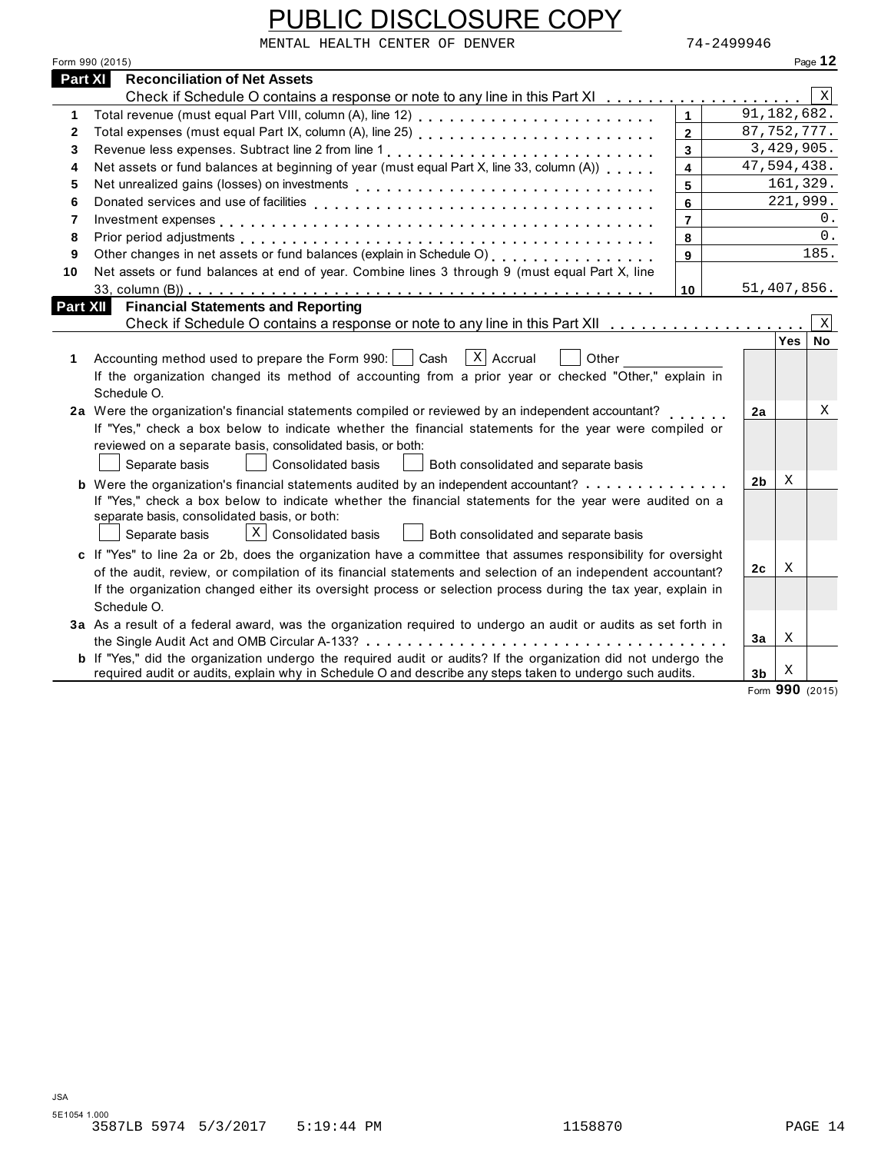|                | PUBLIC DISCLOSURE COPY                                                                                                                                                                                                                                                                                                                                     |                         |                |                 |         |
|----------------|------------------------------------------------------------------------------------------------------------------------------------------------------------------------------------------------------------------------------------------------------------------------------------------------------------------------------------------------------------|-------------------------|----------------|-----------------|---------|
|                | MENTAL HEALTH CENTER OF DENVER<br>Form 990 (2015)                                                                                                                                                                                                                                                                                                          | 74-2499946              |                |                 | Page 12 |
| <b>Part XI</b> | <b>Reconciliation of Net Assets</b>                                                                                                                                                                                                                                                                                                                        |                         |                |                 |         |
|                | Check if Schedule O contains a response or note to any line in this Part XI                                                                                                                                                                                                                                                                                |                         |                |                 | Χ       |
| 1              | Total revenue (must equal Part VIII, column (A), line 12)                                                                                                                                                                                                                                                                                                  | $\mathbf{1}$            | 91, 182, 682.  |                 |         |
| 2              | Total expenses (must equal Part IX, column (A), line 25)                                                                                                                                                                                                                                                                                                   | $\overline{\mathbf{2}}$ | 87, 752, 777.  |                 |         |
| 3              | Revenue less expenses. Subtract line 2 from line 1                                                                                                                                                                                                                                                                                                         | 3                       |                | 3,429,905.      |         |
| 4              | Net assets or fund balances at beginning of year (must equal Part X, line 33, column (A))                                                                                                                                                                                                                                                                  | 4                       | 47,594,438.    |                 |         |
| 5              |                                                                                                                                                                                                                                                                                                                                                            | 5                       |                | 161,329.        |         |
| 6              |                                                                                                                                                                                                                                                                                                                                                            | 6                       |                | 221,999.        |         |
| $\overline{7}$ |                                                                                                                                                                                                                                                                                                                                                            | $\overline{7}$          |                |                 | $0$ .   |
| 8              |                                                                                                                                                                                                                                                                                                                                                            | 8                       |                |                 | $0$ .   |
| 9              |                                                                                                                                                                                                                                                                                                                                                            | 9                       |                |                 | 185.    |
| 10             | Net assets or fund balances at end of year. Combine lines 3 through 9 (must equal Part X, line                                                                                                                                                                                                                                                             |                         |                |                 |         |
|                |                                                                                                                                                                                                                                                                                                                                                            | 10                      | 51,407,856.    |                 |         |
|                | Check if Schedule O contains a response or note to any line in this Part XII                                                                                                                                                                                                                                                                               |                         |                | Yes             | Χ<br>No |
| 1              | $ X $ Accrual<br>Accounting method used to prepare the Form 990:     Cash<br>Other<br>If the organization changed its method of accounting from a prior year or checked "Other," explain in<br>Schedule O.                                                                                                                                                 |                         |                |                 |         |
|                | 2a Were the organization's financial statements compiled or reviewed by an independent accountant?<br>If "Yes," check a box below to indicate whether the financial statements for the year were compiled or<br>reviewed on a separate basis, consolidated basis, or both:<br>Consolidated basis<br>Separate basis<br>Both consolidated and separate basis |                         | 2a             |                 | Χ       |
|                | <b>b</b> Were the organization's financial statements audited by an independent accountant?<br>If "Yes," check a box below to indicate whether the financial statements for the year were audited on a<br>separate basis, consolidated basis, or both:<br>$X \mid$ Consolidated basis<br>Separate basis<br>Both consolidated and separate basis            |                         | 2 <sub>b</sub> | Χ               |         |
|                | c If "Yes" to line 2a or 2b, does the organization have a committee that assumes responsibility for oversight                                                                                                                                                                                                                                              |                         |                |                 |         |
|                | of the audit, review, or compilation of its financial statements and selection of an independent accountant?                                                                                                                                                                                                                                               |                         | 2c             | Χ               |         |
|                | If the organization changed either its oversight process or selection process during the tax year, explain in<br>Schedule O.                                                                                                                                                                                                                               |                         |                |                 |         |
|                | 3a As a result of a federal award, was the organization required to undergo an audit or audits as set forth in                                                                                                                                                                                                                                             |                         |                |                 |         |
|                | the Single Audit Act and OMB Circular A-133?                                                                                                                                                                                                                                                                                                               |                         | 3a             | X               |         |
|                | b If "Yes," did the organization undergo the required audit or audits? If the organization did not undergo the<br>required audit or audits, explain why in Schedule O and describe any steps taken to undergo such audits.                                                                                                                                 |                         | 3 <sub>b</sub> | Χ               |         |
|                |                                                                                                                                                                                                                                                                                                                                                            |                         |                | Form 990 (2015) |         |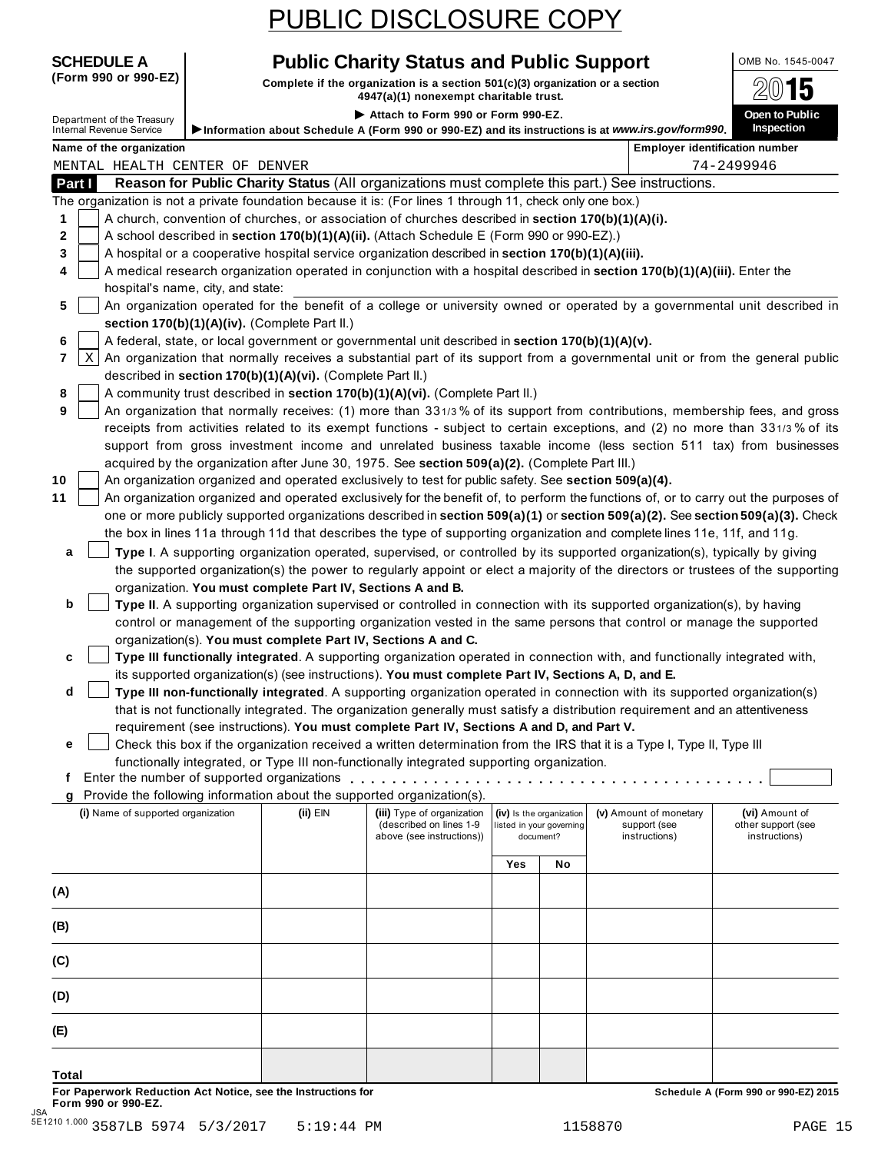**SCHEDULE A Public Charity Status and Public Support** OMB No. 1545-0047

(Form 990 or 990-EZ) **Complete if the organization is a section** 501(c)(3) organization or a section  $\frac{2015}{15}$ 

|                                                                                                                     |                                                            | 4947(a)(1) Honexempt charitable trust.                                                               |     |                          |                                                                                                                                 | — ت                                                                                                                                 |
|---------------------------------------------------------------------------------------------------------------------|------------------------------------------------------------|------------------------------------------------------------------------------------------------------|-----|--------------------------|---------------------------------------------------------------------------------------------------------------------------------|-------------------------------------------------------------------------------------------------------------------------------------|
| Department of the Treasury                                                                                          |                                                            | Attach to Form 990 or Form 990-EZ.                                                                   |     |                          |                                                                                                                                 | Open to Public                                                                                                                      |
| <b>Internal Revenue Service</b>                                                                                     |                                                            |                                                                                                      |     |                          | Information about Schedule A (Form 990 or 990-EZ) and its instructions is at www.irs.gov/form990.                               | <b>Inspection</b>                                                                                                                   |
| Name of the organization                                                                                            |                                                            |                                                                                                      |     |                          |                                                                                                                                 | <b>Employer identification number</b>                                                                                               |
| MENTAL HEALTH CENTER OF DENVER                                                                                      |                                                            |                                                                                                      |     |                          | Reason for Public Charity Status (All organizations must complete this part.) See instructions.                                 | 74-2499946                                                                                                                          |
| Part I<br>The organization is not a private foundation because it is: (For lines 1 through 11, check only one box.) |                                                            |                                                                                                      |     |                          |                                                                                                                                 |                                                                                                                                     |
| 1                                                                                                                   |                                                            | A church, convention of churches, or association of churches described in section 170(b)(1)(A)(i).   |     |                          |                                                                                                                                 |                                                                                                                                     |
| 2                                                                                                                   |                                                            | A school described in section 170(b)(1)(A)(ii). (Attach Schedule E (Form 990 or 990-EZ).)            |     |                          |                                                                                                                                 |                                                                                                                                     |
| 3                                                                                                                   |                                                            | A hospital or a cooperative hospital service organization described in section 170(b)(1)(A)(iii).    |     |                          |                                                                                                                                 |                                                                                                                                     |
| 4                                                                                                                   |                                                            |                                                                                                      |     |                          | A medical research organization operated in conjunction with a hospital described in section 170(b)(1)(A)(iii). Enter the       |                                                                                                                                     |
| hospital's name, city, and state:                                                                                   |                                                            |                                                                                                      |     |                          |                                                                                                                                 |                                                                                                                                     |
| 5                                                                                                                   |                                                            |                                                                                                      |     |                          | An organization operated for the benefit of a college or university owned or operated by a governmental unit described in       |                                                                                                                                     |
|                                                                                                                     | section 170(b)(1)(A)(iv). (Complete Part II.)              |                                                                                                      |     |                          |                                                                                                                                 |                                                                                                                                     |
| 6                                                                                                                   |                                                            | A federal, state, or local government or governmental unit described in section 170(b)(1)(A)(v).     |     |                          |                                                                                                                                 |                                                                                                                                     |
| X<br>7                                                                                                              |                                                            |                                                                                                      |     |                          | An organization that normally receives a substantial part of its support from a governmental unit or from the general public    |                                                                                                                                     |
|                                                                                                                     | described in section 170(b)(1)(A)(vi). (Complete Part II.) |                                                                                                      |     |                          |                                                                                                                                 |                                                                                                                                     |
| 8                                                                                                                   |                                                            | A community trust described in section 170(b)(1)(A)(vi). (Complete Part II.)                         |     |                          |                                                                                                                                 |                                                                                                                                     |
| 9                                                                                                                   |                                                            |                                                                                                      |     |                          | An organization that normally receives: (1) more than 331/3% of its support from contributions, membership fees, and gross      |                                                                                                                                     |
|                                                                                                                     |                                                            |                                                                                                      |     |                          | receipts from activities related to its exempt functions - subject to certain exceptions, and (2) no more than 331/3% of its    |                                                                                                                                     |
|                                                                                                                     |                                                            |                                                                                                      |     |                          | support from gross investment income and unrelated business taxable income (less section 511 tax) from businesses               |                                                                                                                                     |
|                                                                                                                     |                                                            | acquired by the organization after June 30, 1975. See section 509(a)(2). (Complete Part III.)        |     |                          |                                                                                                                                 |                                                                                                                                     |
| 10                                                                                                                  |                                                            | An organization organized and operated exclusively to test for public safety. See section 509(a)(4). |     |                          |                                                                                                                                 |                                                                                                                                     |
| 11                                                                                                                  |                                                            |                                                                                                      |     |                          |                                                                                                                                 | An organization organized and operated exclusively for the benefit of, to perform the functions of, or to carry out the purposes of |
|                                                                                                                     |                                                            |                                                                                                      |     |                          | one or more publicly supported organizations described in section 509(a)(1) or section 509(a)(2). See section 509(a)(3). Check  |                                                                                                                                     |
|                                                                                                                     |                                                            |                                                                                                      |     |                          | the box in lines 11a through 11d that describes the type of supporting organization and complete lines 11e, 11f, and 11g.       |                                                                                                                                     |
| a                                                                                                                   |                                                            |                                                                                                      |     |                          | Type I. A supporting organization operated, supervised, or controlled by its supported organization(s), typically by giving     |                                                                                                                                     |
|                                                                                                                     |                                                            |                                                                                                      |     |                          | the supported organization(s) the power to regularly appoint or elect a majority of the directors or trustees of the supporting |                                                                                                                                     |
|                                                                                                                     | organization. You must complete Part IV, Sections A and B. |                                                                                                      |     |                          |                                                                                                                                 |                                                                                                                                     |
| b                                                                                                                   |                                                            |                                                                                                      |     |                          | Type II. A supporting organization supervised or controlled in connection with its supported organization(s), by having         |                                                                                                                                     |
|                                                                                                                     |                                                            |                                                                                                      |     |                          | control or management of the supporting organization vested in the same persons that control or manage the supported            |                                                                                                                                     |
|                                                                                                                     |                                                            | organization(s). You must complete Part IV, Sections A and C.                                        |     |                          |                                                                                                                                 |                                                                                                                                     |
| c                                                                                                                   |                                                            |                                                                                                      |     |                          | Type III functionally integrated. A supporting organization operated in connection with, and functionally integrated with,      |                                                                                                                                     |
|                                                                                                                     |                                                            | its supported organization(s) (see instructions). You must complete Part IV, Sections A, D, and E.   |     |                          |                                                                                                                                 |                                                                                                                                     |
| d                                                                                                                   |                                                            |                                                                                                      |     |                          | Type III non-functionally integrated. A supporting organization operated in connection with its supported organization(s)       |                                                                                                                                     |
|                                                                                                                     |                                                            |                                                                                                      |     |                          | that is not functionally integrated. The organization generally must satisfy a distribution requirement and an attentiveness    |                                                                                                                                     |
|                                                                                                                     |                                                            | requirement (see instructions). You must complete Part IV, Sections A and D, and Part V.             |     |                          | Check this box if the organization received a written determination from the IRS that it is a Type I, Type II, Type III         |                                                                                                                                     |
| е                                                                                                                   |                                                            | functionally integrated, or Type III non-functionally integrated supporting organization.            |     |                          |                                                                                                                                 |                                                                                                                                     |
| t.                                                                                                                  |                                                            |                                                                                                      |     |                          |                                                                                                                                 |                                                                                                                                     |
| g Provide the following information about the supported organization(s).                                            |                                                            |                                                                                                      |     |                          |                                                                                                                                 |                                                                                                                                     |
| (i) Name of supported organization                                                                                  | $(ii)$ EIN                                                 | (iii) Type of organization                                                                           |     | (iv) Is the organization | (v) Amount of monetary                                                                                                          | (vi) Amount of                                                                                                                      |
|                                                                                                                     |                                                            | (described on lines 1-9                                                                              |     | listed in your governing | support (see                                                                                                                    | other support (see                                                                                                                  |
|                                                                                                                     |                                                            | above (see instructions))                                                                            |     | document?                | instructions)                                                                                                                   | instructions)                                                                                                                       |
|                                                                                                                     |                                                            |                                                                                                      | Yes | No                       |                                                                                                                                 |                                                                                                                                     |
|                                                                                                                     |                                                            |                                                                                                      |     |                          |                                                                                                                                 |                                                                                                                                     |
| (A)                                                                                                                 |                                                            |                                                                                                      |     |                          |                                                                                                                                 |                                                                                                                                     |
| (B)                                                                                                                 |                                                            |                                                                                                      |     |                          |                                                                                                                                 |                                                                                                                                     |
|                                                                                                                     |                                                            |                                                                                                      |     |                          |                                                                                                                                 |                                                                                                                                     |
| (C)                                                                                                                 |                                                            |                                                                                                      |     |                          |                                                                                                                                 |                                                                                                                                     |
|                                                                                                                     |                                                            |                                                                                                      |     |                          |                                                                                                                                 |                                                                                                                                     |
| (D)                                                                                                                 |                                                            |                                                                                                      |     |                          |                                                                                                                                 |                                                                                                                                     |
|                                                                                                                     |                                                            |                                                                                                      |     |                          |                                                                                                                                 |                                                                                                                                     |
| (E)                                                                                                                 |                                                            |                                                                                                      |     |                          |                                                                                                                                 |                                                                                                                                     |
|                                                                                                                     |                                                            |                                                                                                      |     |                          |                                                                                                                                 |                                                                                                                                     |
| Total                                                                                                               |                                                            |                                                                                                      |     |                          |                                                                                                                                 |                                                                                                                                     |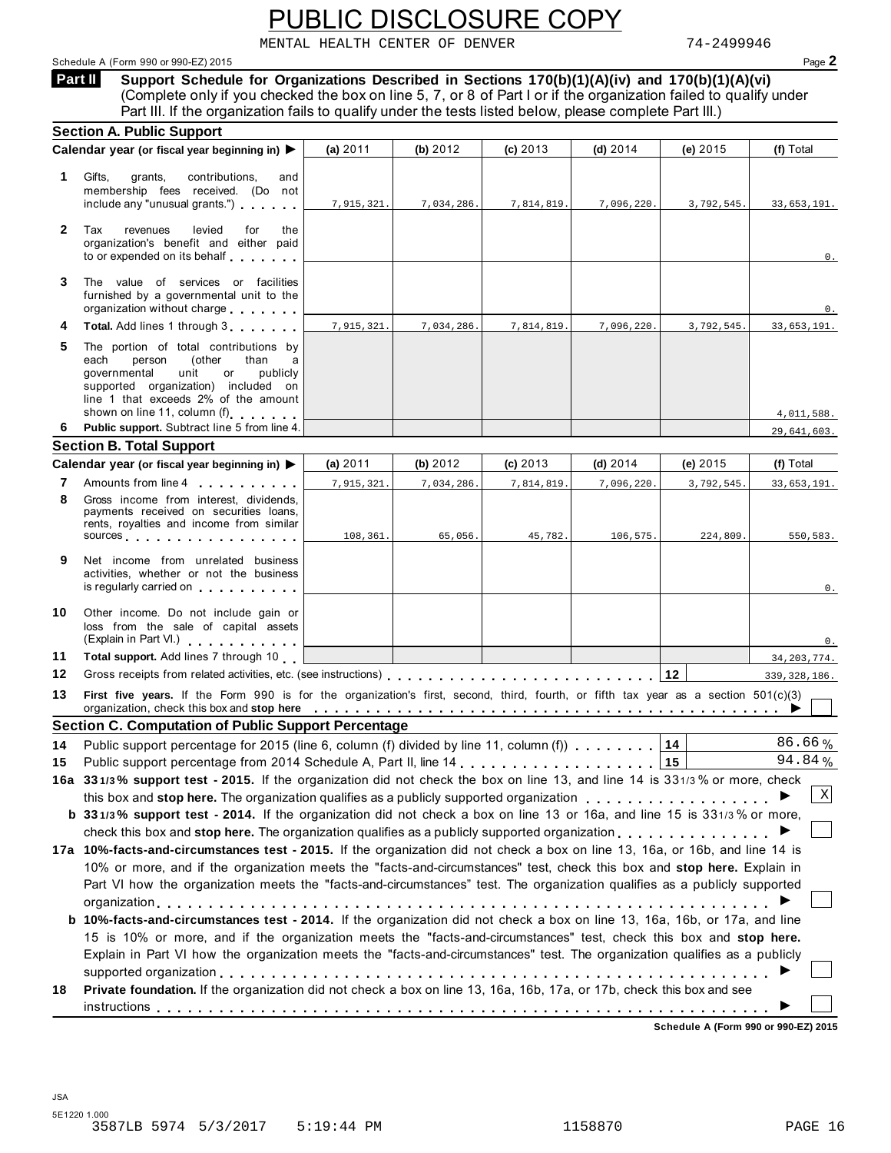MENTAL HEALTH CENTER OF DENVER 74-2499946

#### Schedule A (Form 990 or 990-EZ) 2015 Page **2**

**Support Schedule for Organizations Described in Sections 170(b)(1)(A)(iv) and 170(b)(1)(A)(vi)** (Complete only if you checked the box on line 5, 7, or 8 of Part I or if the organization failed to qualify under Part III. If the organization fails to qualify under the tests listed below, please complete Part III.) **Part II** 

|              | Part III. If the organization fails to qualify under the tests listed below, please complete Part III.)                                                                                                                                              |            |            |            |            |              |                |
|--------------|------------------------------------------------------------------------------------------------------------------------------------------------------------------------------------------------------------------------------------------------------|------------|------------|------------|------------|--------------|----------------|
|              | <b>Section A. Public Support</b>                                                                                                                                                                                                                     |            |            |            |            |              |                |
|              | Calendar year (or fiscal year beginning in) $\blacktriangleright$                                                                                                                                                                                    | (a) 2011   | (b) 2012   | $(c)$ 2013 | (d) $2014$ | (e) 2015     | (f) Total      |
| 1            | Gifts,<br>contributions.<br>grants,<br>and<br>membership fees received. (Do not<br>include any "unusual grants.")                                                                                                                                    | 7,915,321. | 7,034,286. | 7,814,819. | 7,096,220. | 3,792,545.   | 33,653,191.    |
| $\mathbf{2}$ | Tax<br>revenues<br>levied<br>for<br>the<br>organization's benefit and either paid<br>to or expended on its behalf                                                                                                                                    |            |            |            |            |              | 0.             |
| 3            | The value of services or facilities<br>furnished by a governmental unit to the<br>organization without charge                                                                                                                                        |            |            |            |            |              | 0.             |
| 4            | Total. Add lines 1 through 3                                                                                                                                                                                                                         | 7,915,321. | 7,034,286. | 7,814,819. | 7,096,220. | 3,792,545.   | 33,653,191.    |
| 5            | The portion of total contributions by<br>each<br>person<br>(other<br>than<br>a<br>governmental<br>unit<br>or<br>publicly<br>supported organization) included on<br>line 1 that exceeds 2% of the amount<br>shown on line 11, column (f)              |            |            |            |            |              | 4,011,588.     |
| 6.           | Public support. Subtract line 5 from line 4.                                                                                                                                                                                                         |            |            |            |            |              | 29,641,603.    |
|              | <b>Section B. Total Support</b>                                                                                                                                                                                                                      |            |            |            |            |              |                |
|              | Calendar year (or fiscal year beginning in)                                                                                                                                                                                                          | (a) $2011$ | (b) 2012   | $(c)$ 2013 | (d) $2014$ | (e) $2015$   | (f) Total      |
| 7            | Amounts from line 4                                                                                                                                                                                                                                  | 7,915,321. | 7,034,286. | 7,814,819. | 7,096,220. | 3,792,545.   | 33,653,191.    |
| 8            | Gross income from interest, dividends,<br>payments received on securities loans,<br>rents, royalties and income from similar<br>sources and a series are a series of the series of the series of the series of the series of the series of the       | 108,361.   | 65,056.    | 45,782.    | 106,575.   | 224,809.     | 550,583.       |
| 9            | Net income from unrelated business<br>activities, whether or not the business<br>is regularly carried on                                                                                                                                             |            |            |            |            |              | 0.             |
| 10           | Other income. Do not include gain or<br>loss from the sale of capital assets<br>(Explain in Part VI.)                                                                                                                                                |            |            |            |            |              | 0.             |
| 11           | Total support. Add lines 7 through 10                                                                                                                                                                                                                |            |            |            |            |              | 34, 203, 774.  |
| 12           |                                                                                                                                                                                                                                                      |            |            |            |            | $ 12\rangle$ | 339, 328, 186. |
| 13           | First five years. If the Form 990 is for the organization's first, second, third, fourth, or fifth tax year as a section 501(c)(3)<br>organization, check this box and stop here entitled with the state of the content of the state of the state of |            |            |            |            |              |                |
|              | <b>Section C. Computation of Public Support Percentage</b>                                                                                                                                                                                           |            |            |            |            |              |                |
| 14           | Public support percentage for 2015 (line 6, column (f) divided by line 11, column (f)                                                                                                                                                                |            |            |            |            | 14           | 86.66%         |
| 15           |                                                                                                                                                                                                                                                      |            |            |            |            |              | 94.84%         |
|              | 16a 331/3% support test - 2015. If the organization did not check the box on line 13, and line 14 is 331/3% or more, check                                                                                                                           |            |            |            |            |              | $\, {\rm X}$   |
|              | this box and stop here. The organization qualifies as a publicly supported organization                                                                                                                                                              |            |            |            |            |              |                |
|              | <b>b</b> 331/3% support test - 2014. If the organization did not check a box on line 13 or 16a, and line 15 is 331/3% or more,                                                                                                                       |            |            |            |            |              |                |
|              | check this box and stop here. The organization qualifies as a publicly supported organization<br>17a 10%-facts-and-circumstances test - 2015. If the organization did not check a box on line 13, 16a, or 16b, and line 14 is                        |            |            |            |            |              |                |
|              | 10% or more, and if the organization meets the "facts-and-circumstances" test, check this box and stop here. Explain in                                                                                                                              |            |            |            |            |              |                |
|              | Part VI how the organization meets the "facts-and-circumstances" test. The organization qualifies as a publicly supported                                                                                                                            |            |            |            |            |              |                |
|              |                                                                                                                                                                                                                                                      |            |            |            |            |              |                |
|              |                                                                                                                                                                                                                                                      |            |            |            |            |              |                |
|              |                                                                                                                                                                                                                                                      |            |            |            |            |              |                |
|              | b 10%-facts-and-circumstances test - 2014. If the organization did not check a box on line 13, 16a, 16b, or 17a, and line                                                                                                                            |            |            |            |            |              |                |
|              | 15 is 10% or more, and if the organization meets the "facts-and-circumstances" test, check this box and stop here.                                                                                                                                   |            |            |            |            |              |                |
|              | Explain in Part VI how the organization meets the "facts-and-circumstances" test. The organization qualifies as a publicly                                                                                                                           |            |            |            |            |              |                |
| 18           | Private foundation. If the organization did not check a box on line 13, 16a, 16b, 17a, or 17b, check this box and see                                                                                                                                |            |            |            |            |              |                |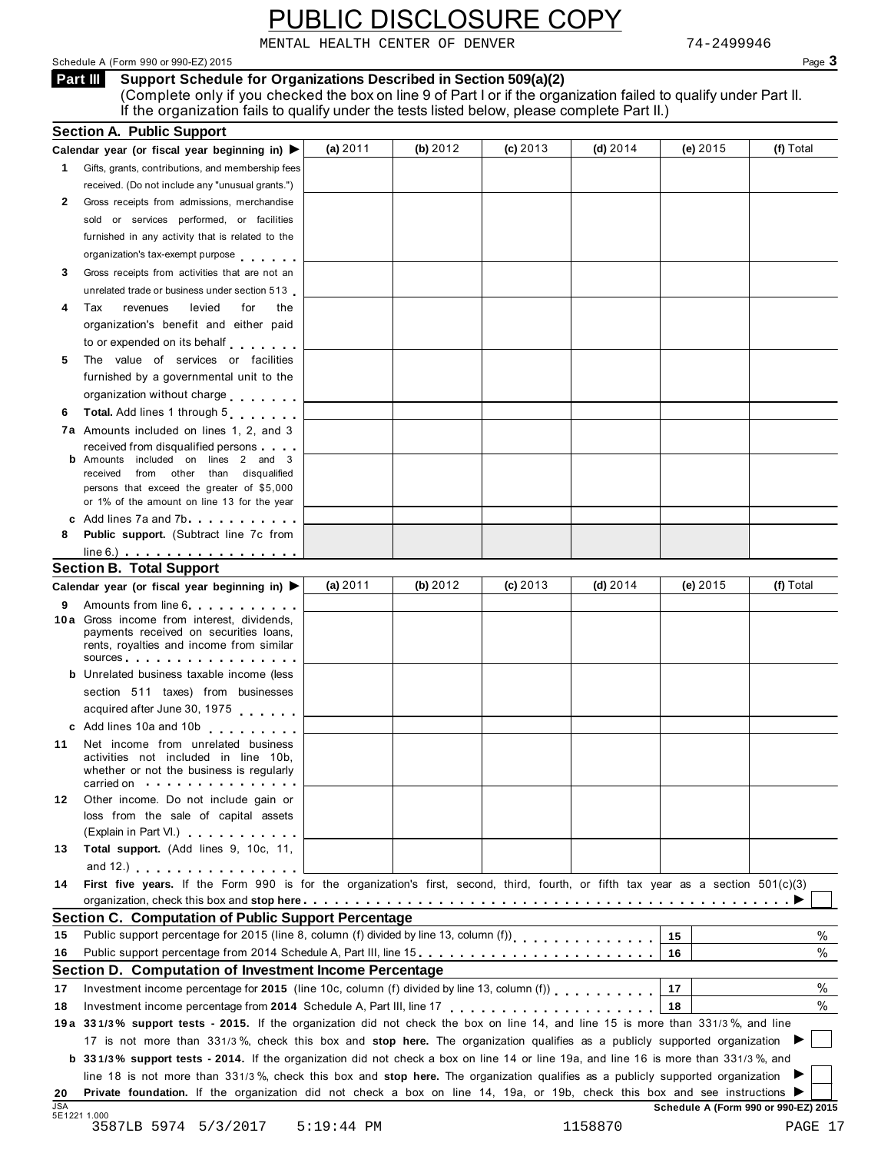MENTAL HEALTH CENTER OF DENVER 74-2499946

Schedule A (Form 990 or 990-EZ) 2015 Page **3**

**Support Schedule for Organizations Described in Section 509(a)(2) Part III**  (Complete only if you checked the box on line 9 of Part I or if the organization failed to qualify under Part II. If the organization fails to qualify under the tests listed below, please complete Part II.)

|                  | <b>Section A. Public Support</b>                                                                                                                                                                                                                             |              |            |          |            |                                      |           |
|------------------|--------------------------------------------------------------------------------------------------------------------------------------------------------------------------------------------------------------------------------------------------------------|--------------|------------|----------|------------|--------------------------------------|-----------|
|                  | Calendar year (or fiscal year beginning in) $\blacktriangleright$                                                                                                                                                                                            | (a) $2011$   | (b) 2012   | (c) 2013 | $(d)$ 2014 | (e) 2015                             | (f) Total |
| $\mathbf{1}$     | Gifts, grants, contributions, and membership fees                                                                                                                                                                                                            |              |            |          |            |                                      |           |
|                  | received. (Do not include any "unusual grants.")                                                                                                                                                                                                             |              |            |          |            |                                      |           |
| 2                | Gross receipts from admissions, merchandise                                                                                                                                                                                                                  |              |            |          |            |                                      |           |
|                  | sold or services performed, or facilities                                                                                                                                                                                                                    |              |            |          |            |                                      |           |
|                  | furnished in any activity that is related to the                                                                                                                                                                                                             |              |            |          |            |                                      |           |
|                  | organization's tax-exempt purpose                                                                                                                                                                                                                            |              |            |          |            |                                      |           |
| 3                | Gross receipts from activities that are not an                                                                                                                                                                                                               |              |            |          |            |                                      |           |
|                  | unrelated trade or business under section 513                                                                                                                                                                                                                |              |            |          |            |                                      |           |
| 4                | levied<br>Tax<br>revenues<br>for<br>the                                                                                                                                                                                                                      |              |            |          |            |                                      |           |
|                  | organization's benefit and either paid                                                                                                                                                                                                                       |              |            |          |            |                                      |           |
|                  | to or expended on its behalf                                                                                                                                                                                                                                 |              |            |          |            |                                      |           |
| 5                | The value of services or facilities                                                                                                                                                                                                                          |              |            |          |            |                                      |           |
|                  | furnished by a governmental unit to the                                                                                                                                                                                                                      |              |            |          |            |                                      |           |
|                  |                                                                                                                                                                                                                                                              |              |            |          |            |                                      |           |
|                  | organization without charge                                                                                                                                                                                                                                  |              |            |          |            |                                      |           |
| 6                | Total. Add lines 1 through 5                                                                                                                                                                                                                                 |              |            |          |            |                                      |           |
|                  | <b>7a</b> Amounts included on lines 1, 2, and 3                                                                                                                                                                                                              |              |            |          |            |                                      |           |
|                  | received from disqualified persons<br><b>b</b> Amounts included on lines 2 and 3                                                                                                                                                                             |              |            |          |            |                                      |           |
|                  | received from other than disqualified                                                                                                                                                                                                                        |              |            |          |            |                                      |           |
|                  | persons that exceed the greater of \$5,000                                                                                                                                                                                                                   |              |            |          |            |                                      |           |
|                  | or 1% of the amount on line 13 for the year                                                                                                                                                                                                                  |              |            |          |            |                                      |           |
|                  | c Add lines 7a and 7b                                                                                                                                                                                                                                        |              |            |          |            |                                      |           |
| 8                | <b>Public support.</b> (Subtract line 7c from                                                                                                                                                                                                                |              |            |          |            |                                      |           |
|                  | $line 6.)$                                                                                                                                                                                                                                                   |              |            |          |            |                                      |           |
|                  | <b>Section B. Total Support</b>                                                                                                                                                                                                                              |              |            |          |            |                                      |           |
|                  | Calendar year (or fiscal year beginning in) $\blacktriangleright$                                                                                                                                                                                            | (a) $2011$   | (b) $2012$ | (c) 2013 | (d) $2014$ | (e) 2015                             | (f) Total |
| 9                | Amounts from line 6                                                                                                                                                                                                                                          |              |            |          |            |                                      |           |
|                  | 10 a Gross income from interest, dividends,                                                                                                                                                                                                                  |              |            |          |            |                                      |           |
|                  | payments received on securities loans,<br>rents, royalties and income from similar                                                                                                                                                                           |              |            |          |            |                                      |           |
|                  | sources and the set of the set of the set of the set of the set of the set of the set of the set of the set of the set of the set of the set of the set of the set of the set of the set of the set of the set of the set of t                               |              |            |          |            |                                      |           |
|                  | <b>b</b> Unrelated business taxable income (less                                                                                                                                                                                                             |              |            |          |            |                                      |           |
|                  | section 511 taxes) from businesses                                                                                                                                                                                                                           |              |            |          |            |                                      |           |
|                  | acquired after June 30, 1975                                                                                                                                                                                                                                 |              |            |          |            |                                      |           |
|                  | c Add lines 10a and 10b                                                                                                                                                                                                                                      |              |            |          |            |                                      |           |
| 11               | Net income from unrelated business                                                                                                                                                                                                                           |              |            |          |            |                                      |           |
|                  | activities not included in line 10b,                                                                                                                                                                                                                         |              |            |          |            |                                      |           |
|                  | whether or not the business is regularly                                                                                                                                                                                                                     |              |            |          |            |                                      |           |
|                  | carried on with the carried on                                                                                                                                                                                                                               |              |            |          |            |                                      |           |
| 12.              | Other income. Do not include gain or                                                                                                                                                                                                                         |              |            |          |            |                                      |           |
|                  | loss from the sale of capital assets                                                                                                                                                                                                                         |              |            |          |            |                                      |           |
|                  | (Explain in Part VI.) <b>All Accords</b>                                                                                                                                                                                                                     |              |            |          |            |                                      |           |
| 13               | Total support. (Add lines 9, 10c, 11,                                                                                                                                                                                                                        |              |            |          |            |                                      |           |
|                  | and $12$ .) $\ldots$ $\ldots$ $\ldots$ $\ldots$ $\ldots$                                                                                                                                                                                                     |              |            |          |            |                                      |           |
| 14               | First five years. If the Form 990 is for the organization's first, second, third, fourth, or fifth tax year as a section 501(c)(3)                                                                                                                           |              |            |          |            |                                      |           |
|                  | organization, check this box and stop here entitled to contact the content of the content of the state of the content of $\blacktriangleright$                                                                                                               |              |            |          |            |                                      |           |
|                  | <b>Section C. Computation of Public Support Percentage</b>                                                                                                                                                                                                   |              |            |          |            |                                      |           |
| 15               | Public support percentage for 2015 (line 8, column (f) divided by line 13, column (f))<br>[11] reading for the 13, column (f) divided by line 13, column (f) $\frac{1}{2}$ , $\frac{1}{2}$ , $\frac{1}{2}$ , $\frac{1}{2}$ , $\frac{1}{2}$ , $\frac{1}{2}$ , |              |            |          |            | 15                                   | %         |
| 16               | Public support percentage from 2014 Schedule A, Part III, line 15.                                                                                                                                                                                           |              |            |          |            | 16                                   | $\%$      |
|                  | Section D. Computation of Investment Income Percentage                                                                                                                                                                                                       |              |            |          |            |                                      |           |
| 17               | Investment income percentage for 2015 (line 10c, column (f) divided by line 13, column (f)                                                                                                                                                                   |              |            |          |            | 17                                   | $\%$      |
| 18               |                                                                                                                                                                                                                                                              |              |            |          |            | 18                                   | %         |
|                  | 19a 331/3% support tests - 2015. If the organization did not check the box on line 14, and line 15 is more than 331/3%, and line                                                                                                                             |              |            |          |            |                                      |           |
|                  | 17 is not more than 331/3%, check this box and stop here. The organization qualifies as a publicly supported organization                                                                                                                                    |              |            |          |            |                                      |           |
|                  | <b>b</b> 331/3% support tests - 2014. If the organization did not check a box on line 14 or line 19a, and line 16 is more than 331/3%, and                                                                                                                   |              |            |          |            |                                      |           |
|                  |                                                                                                                                                                                                                                                              |              |            |          |            |                                      |           |
|                  | line 18 is not more than 331/3%, check this box and stop here. The organization qualifies as a publicly supported organization                                                                                                                               |              |            |          |            |                                      |           |
| 20<br><b>JSA</b> | Private foundation. If the organization did not check a box on line 14, 19a, or 19b, check this box and see instructions                                                                                                                                     |              |            |          |            |                                      |           |
|                  | 5E1221 1.000                                                                                                                                                                                                                                                 |              |            |          |            | Schedule A (Form 990 or 990-EZ) 2015 |           |
|                  | 3587LB 5974 5/3/2017                                                                                                                                                                                                                                         | $5:19:44$ PM |            |          | 1158870    |                                      | PAGE 17   |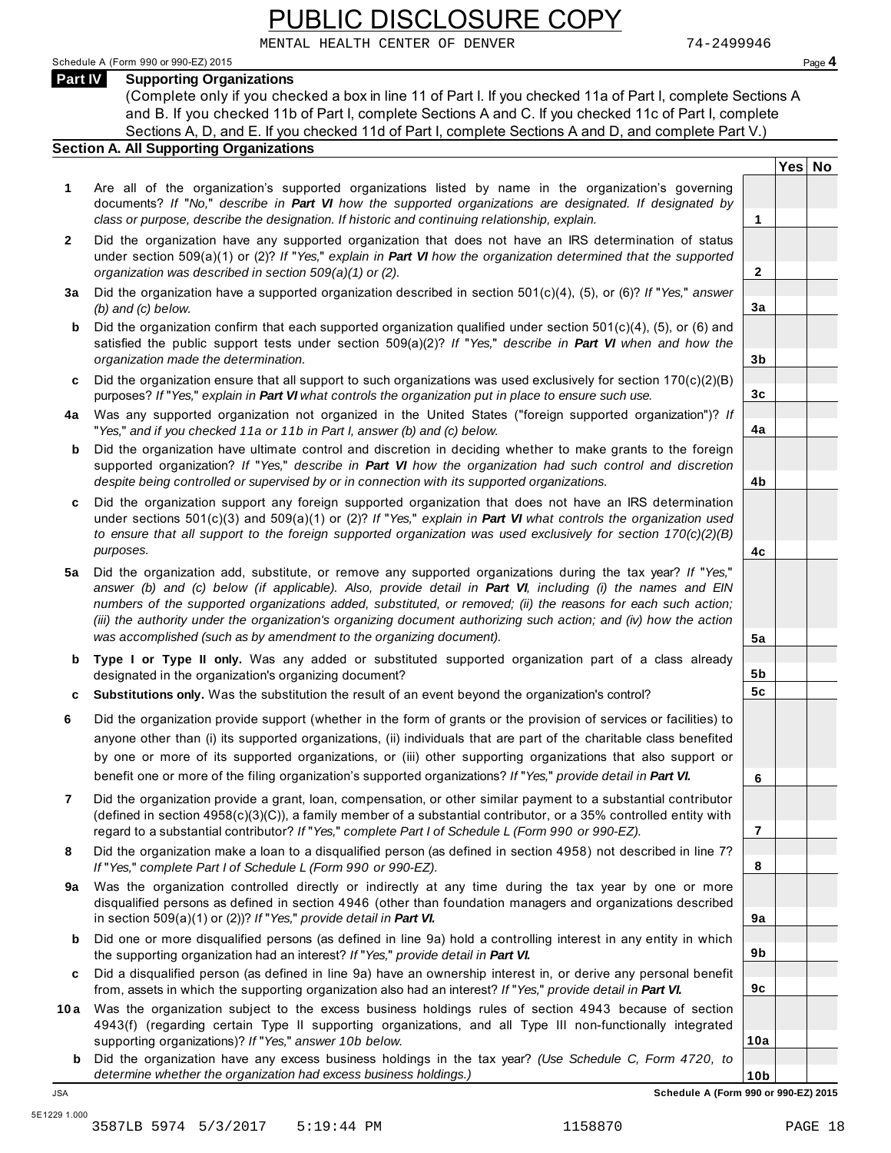MENTAL HEALTH CENTER OF DENVER 74-2499946

#### Schedule A (Form 990 or 990-EZ) 2015 Page **4**

**Part IV Supporting Organizations**

(Complete only if you checked a box in line 11 of Part I. If you checked 11a of Part I, complete Sections A and B. If you checked 11b of Part I, complete Sections A and C. If you checked 11c of Part I, complete Sections A, D, and E. If you checked 11d of Part I, complete Sections A and D, and complete Part V.)

#### **Section A. All Supporting Organizations**

- **1** Are all of the organization's supported organizations listed by name in the organization's governing documents? *If* "*No,*" *describe in Part VI how the supported organizations are designated. If designated by class or purpose, describe the designation. If historic and continuing relationship, explain.* **1**
- **2** Did the organization have any supported organization that does not have an IRS determination of status under section 509(a)(1) or (2)? *If* "*Yes,*" *explain in Part VI how the organization determined that the supported organization was described in section 509(a)(1) or (2).*
- **3 a** Did the organization have a supported organization described in section 501(c)(4), (5), or (6)? *If* "*Yes,*" *answer (b) and (c) below.*
- **b** Did the organization confirm that each supported organization qualified under section 501(c)(4), (5), or (6) and | satisfied the public support tests under section 509(a)(2)? *If* "*Yes,*" *describe in Part VI when and how the organization made the determination.*
- **c** Did the organization ensure that all support to such organizations was used exclusively for section  $170(c)(2)(B)$ purposes? *If* "*Yes,*" *explain in Part VI what controls the organization put in place to ensure such use.*
- **4 a** Was any supported organization not organized in the United States ("foreign supported organization")? *If* "*Yes,*" *and if you checked 11a or 11b in Part I, answer (b) and (c) below.*
- **b** Did the organization have ultimate control and discretion in deciding whether to make grants to the foreign supported organization? *If* "*Yes,*" *describe in Part VI how the organization had such control and discretion despite being controlled or supervised by or in connection with its supported organizations.*
- **c** Did the organization support any foreign supported organization that does not have an IRS determination | under sections 501(c)(3) and 509(a)(1) or (2)? *If* "*Yes,*" *explain in Part VI what controls the organization used to ensure that all support to the foreign supported organization was used exclusively for section 170(c)(2)(B) purposes.*
- **5 a** Did the organization add, substitute, or remove any supported organizations during the tax year? *If* "*Yes,*" *answer (b) and (c) below (if applicable). Also, provide detail in Part VI, including (i) the names and EIN numbers of the supported organizations added, substituted, or removed; (ii) the reasons for each such action; (iii) the authority under the organization's organizing document authorizing such action; and (iv) how the action was accomplished (such as by amendment to the organizing document).*
- **b** Type I or Type II only. Was any added or substituted supported organization part of a class already | designated in the organization's organizing document?
- **c Substitutions only.** Was the substitution the result of an event beyond the organization's control?
- **6** Did the organization provide support (whether in the form of grants or the provision of services or facilities) to anyone other than (i) its supported organizations, (ii) individuals that are part of the charitable class benefited by one or more of its supported organizations, or (iii) other supporting organizations that also support or benefit one or more of the filing organization's supported organizations? *If* "*Yes,*" *provide detail in Part VI.*
- **7** Did the organization provide a grant, loan, compensation, or other similar payment to a substantial contributor (defined in section 4958(c)(3)(C)), a family member of a substantial contributor, or a 35% controlled entity with regard to a substantial contributor? *If* "*Yes,*" *complete Part I of Schedule L (Form 990 or 990-EZ).*
- **8** Did the organization make a loan to a disqualified person (as defined in section 4958) not described in line 7? *If* "*Yes,*" *complete Part I of Schedule L (Form 990 or 990-EZ).*
- **a** Was the organization controlled directly or indirectly at any time during the tax year by one or more | **9** disqualified persons as defined in section 4946 (other than foundation managers and organizations described in section 509(a)(1) or (2))? *If* "*Yes,*" *provide detail in Part VI.*
- **b** Did one or more disqualified persons (as defined in line 9a) hold a controlling interest in any entity in which | the supporting organization had an interest? *If* "*Yes,*" *provide detail in Part VI.*
- **c** Did a disqualified person (as defined in line 9a) have an ownership interest in, or derive any personal benefit from, assets in which the supporting organization also had an interest? *If* "*Yes,*" *provide detail in Part VI.*
- **10a** Was the organization subject to the excess business holdings rules of section 4943 because of section | 4943(f) (regarding certain Type II supporting organizations, and all Type III non-functionally integrated supporting organizations)? *If* "*Yes,*" *answer 10b below.*
	- **b** Did the organization have any excess business holdings in the tax year? *(Use Schedule C, Form 4720, to determine whether the organization had excess business holdings.)*

| JSA            | Schedule A (Form 990 or 990-EZ) 2015                                                                                                                                                                                                                                                                                                                                                                                                                                                                                                  |                      |  |
|----------------|---------------------------------------------------------------------------------------------------------------------------------------------------------------------------------------------------------------------------------------------------------------------------------------------------------------------------------------------------------------------------------------------------------------------------------------------------------------------------------------------------------------------------------------|----------------------|--|
|                | determine whether the organization had excess business holdings.)                                                                                                                                                                                                                                                                                                                                                                                                                                                                     | 10 <sub>b</sub>      |  |
| b              | supporting organizations)? If "Yes," answer 10b below.<br>Did the organization have any excess business holdings in the tax year? (Use Schedule C, Form 4720, to                                                                                                                                                                                                                                                                                                                                                                      | 10a                  |  |
| 10 a           | Was the organization subject to the excess business holdings rules of section 4943 because of section<br>4943(f) (regarding certain Type II supporting organizations, and all Type III non-functionally integrated                                                                                                                                                                                                                                                                                                                    |                      |  |
| c              | Did a disqualified person (as defined in line 9a) have an ownership interest in, or derive any personal benefit<br>from, assets in which the supporting organization also had an interest? If "Yes," provide detail in Part VI.                                                                                                                                                                                                                                                                                                       | 9c                   |  |
| b              | Did one or more disqualified persons (as defined in line 9a) hold a controlling interest in any entity in which<br>the supporting organization had an interest? If "Yes," provide detail in Part VI.                                                                                                                                                                                                                                                                                                                                  | 9b                   |  |
| 9a             | Was the organization controlled directly or indirectly at any time during the tax year by one or more<br>disqualified persons as defined in section 4946 (other than foundation managers and organizations described<br>in section $509(a)(1)$ or (2))? If "Yes," provide detail in Part VI.                                                                                                                                                                                                                                          | 9a                   |  |
| 8              | Did the organization make a loan to a disqualified person (as defined in section 4958) not described in line 7?<br>If "Yes," complete Part I of Schedule L (Form 990 or 990-EZ).                                                                                                                                                                                                                                                                                                                                                      | 8                    |  |
| $\overline{7}$ | Did the organization provide a grant, loan, compensation, or other similar payment to a substantial contributor<br>(defined in section $4958(c)(3)(C)$ ), a family member of a substantial contributor, or a 35% controlled entity with<br>regard to a substantial contributor? If "Yes," complete Part I of Schedule L (Form 990 or 990-EZ).                                                                                                                                                                                         | $\overline{7}$       |  |
|                | anyone other than (i) its supported organizations, (ii) individuals that are part of the charitable class benefited<br>by one or more of its supported organizations, or (iii) other supporting organizations that also support or<br>benefit one or more of the filing organization's supported organizations? If "Yes," provide detail in Part VI.                                                                                                                                                                                  | 6                    |  |
| 6              | Did the organization provide support (whether in the form of grants or the provision of services or facilities) to                                                                                                                                                                                                                                                                                                                                                                                                                    |                      |  |
| c              | designated in the organization's organizing document?<br>Substitutions only. Was the substitution the result of an event beyond the organization's control?                                                                                                                                                                                                                                                                                                                                                                           | 5b<br>5 <sub>c</sub> |  |
| b              | Type I or Type II only. Was any added or substituted supported organization part of a class already                                                                                                                                                                                                                                                                                                                                                                                                                                   |                      |  |
| 5а             | Did the organization add, substitute, or remove any supported organizations during the tax year? If "Yes,"<br>answer (b) and (c) below (if applicable). Also, provide detail in Part VI, including (i) the names and EIN<br>numbers of the supported organizations added, substituted, or removed; (ii) the reasons for each such action;<br>(iii) the authority under the organization's organizing document authorizing such action; and (iv) how the action<br>was accomplished (such as by amendment to the organizing document). | 5a                   |  |
| c              | Did the organization support any foreign supported organization that does not have an IRS determination<br>under sections $501(c)(3)$ and $509(a)(1)$ or (2)? If "Yes," explain in Part VI what controls the organization used<br>to ensure that all support to the foreign supported organization was used exclusively for section $170(c)(2)(B)$<br>purposes.                                                                                                                                                                       | 4c                   |  |
| b              | Did the organization have ultimate control and discretion in deciding whether to make grants to the foreign<br>supported organization? If "Yes," describe in Part VI how the organization had such control and discretion<br>despite being controlled or supervised by or in connection with its supported organizations.                                                                                                                                                                                                             | 4b                   |  |
| 4a             | Was any supported organization not organized in the United States ("foreign supported organization")? If<br>"Yes," and if you checked 11a or 11b in Part I, answer (b) and (c) below.                                                                                                                                                                                                                                                                                                                                                 | 4a                   |  |
|                | purposes? If "Yes," explain in Part VI what controls the organization put in place to ensure such use.                                                                                                                                                                                                                                                                                                                                                                                                                                | 3 <sub>c</sub>       |  |

**Yes No**

**2**

**3a**

**3b**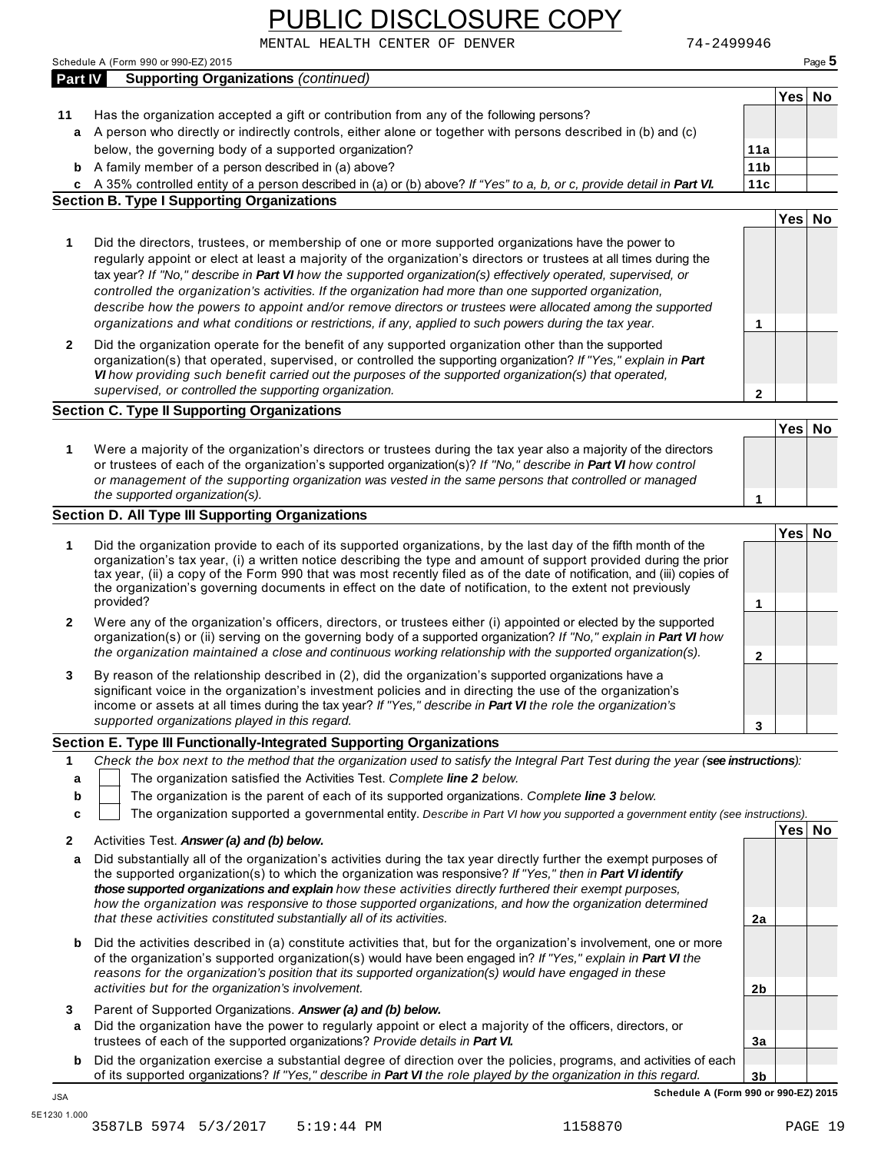MENTAL HEALTH CENTER OF DENVER 74-2499946

|        | <b>Supporting Organizations (continued)</b>                                                                                                                                                                                         |                 | Yes No |  |
|--------|-------------------------------------------------------------------------------------------------------------------------------------------------------------------------------------------------------------------------------------|-----------------|--------|--|
| 11     | Has the organization accepted a gift or contribution from any of the following persons?                                                                                                                                             |                 |        |  |
|        | a A person who directly or indirectly controls, either alone or together with persons described in (b) and (c)                                                                                                                      |                 |        |  |
|        | below, the governing body of a supported organization?                                                                                                                                                                              | 11a             |        |  |
|        | <b>b</b> A family member of a person described in (a) above?                                                                                                                                                                        | 11 <sub>b</sub> |        |  |
|        | c A 35% controlled entity of a person described in (a) or (b) above? If "Yes" to a, b, or c, provide detail in Part VI.                                                                                                             | 11c             |        |  |
|        | <b>Section B. Type I Supporting Organizations</b>                                                                                                                                                                                   |                 |        |  |
|        |                                                                                                                                                                                                                                     |                 | Yes No |  |
| 1      | Did the directors, trustees, or membership of one or more supported organizations have the power to                                                                                                                                 |                 |        |  |
|        | regularly appoint or elect at least a majority of the organization's directors or trustees at all times during the                                                                                                                  |                 |        |  |
|        | tax year? If "No," describe in Part VI how the supported organization(s) effectively operated, supervised, or                                                                                                                       |                 |        |  |
|        | controlled the organization's activities. If the organization had more than one supported organization,                                                                                                                             |                 |        |  |
|        | describe how the powers to appoint and/or remove directors or trustees were allocated among the supported<br>organizations and what conditions or restrictions, if any, applied to such powers during the tax year.                 | 1               |        |  |
|        |                                                                                                                                                                                                                                     |                 |        |  |
| 2      | Did the organization operate for the benefit of any supported organization other than the supported<br>organization(s) that operated, supervised, or controlled the supporting organization? If "Yes," explain in Part              |                 |        |  |
|        | VI how providing such benefit carried out the purposes of the supported organization(s) that operated,                                                                                                                              |                 |        |  |
|        | supervised, or controlled the supporting organization.                                                                                                                                                                              | 2               |        |  |
|        | <b>Section C. Type II Supporting Organizations</b>                                                                                                                                                                                  |                 |        |  |
|        |                                                                                                                                                                                                                                     |                 | Yes No |  |
| 1      | Were a majority of the organization's directors or trustees during the tax year also a majority of the directors                                                                                                                    |                 |        |  |
|        | or trustees of each of the organization's supported organization(s)? If "No," describe in Part VI how control                                                                                                                       |                 |        |  |
|        | or management of the supporting organization was vested in the same persons that controlled or managed                                                                                                                              |                 |        |  |
|        | the supported organization(s).                                                                                                                                                                                                      | 1               |        |  |
|        | <b>Section D. All Type III Supporting Organizations</b>                                                                                                                                                                             |                 |        |  |
| 1      | Did the organization provide to each of its supported organizations, by the last day of the fifth month of the                                                                                                                      |                 | Yes No |  |
|        | organization's tax year, (i) a written notice describing the type and amount of support provided during the prior                                                                                                                   |                 |        |  |
|        | tax year, (ii) a copy of the Form 990 that was most recently filed as of the date of notification, and (iii) copies of                                                                                                              |                 |        |  |
|        | the organization's governing documents in effect on the date of notification, to the extent not previously                                                                                                                          |                 |        |  |
|        | provided?                                                                                                                                                                                                                           | 1               |        |  |
| 2      | Were any of the organization's officers, directors, or trustees either (i) appointed or elected by the supported                                                                                                                    |                 |        |  |
|        | organization(s) or (ii) serving on the governing body of a supported organization? If "No," explain in Part VI how                                                                                                                  |                 |        |  |
|        | the organization maintained a close and continuous working relationship with the supported organization(s).                                                                                                                         | $\mathbf{2}$    |        |  |
| 3      | By reason of the relationship described in (2), did the organization's supported organizations have a                                                                                                                               |                 |        |  |
|        | significant voice in the organization's investment policies and in directing the use of the organization's                                                                                                                          |                 |        |  |
|        | income or assets at all times during the tax year? If "Yes," describe in Part VI the role the organization's<br>supported organizations played in this regard.                                                                      |                 |        |  |
|        |                                                                                                                                                                                                                                     | 3               |        |  |
|        | Section E. Type III Functionally-Integrated Supporting Organizations                                                                                                                                                                |                 |        |  |
| 1      | Check the box next to the method that the organization used to satisfy the Integral Part Test during the year (see instructions):<br>The organization satisfied the Activities Test. Complete line 2 below.                         |                 |        |  |
| a<br>b | The organization is the parent of each of its supported organizations. Complete line 3 below.                                                                                                                                       |                 |        |  |
| c      | The organization supported a governmental entity. Describe in Part VI how you supported a government entity (see instructions).                                                                                                     |                 |        |  |
|        |                                                                                                                                                                                                                                     |                 | Yes No |  |
| 2      | Activities Test. Answer (a) and (b) below.                                                                                                                                                                                          |                 |        |  |
| а      | Did substantially all of the organization's activities during the tax year directly further the exempt purposes of                                                                                                                  |                 |        |  |
|        | the supported organization(s) to which the organization was responsive? If "Yes," then in Part VI identify                                                                                                                          |                 |        |  |
|        | those supported organizations and explain how these activities directly furthered their exempt purposes,<br>how the organization was responsive to those supported organizations, and how the organization determined               |                 |        |  |
|        | that these activities constituted substantially all of its activities.                                                                                                                                                              | 2a              |        |  |
|        |                                                                                                                                                                                                                                     |                 |        |  |
| b      | Did the activities described in (a) constitute activities that, but for the organization's involvement, one or more<br>of the organization's supported organization(s) would have been engaged in? If "Yes," explain in Part VI the |                 |        |  |
|        | reasons for the organization's position that its supported organization(s) would have engaged in these                                                                                                                              |                 |        |  |
|        | activities but for the organization's involvement.                                                                                                                                                                                  | 2 <sub>b</sub>  |        |  |
|        |                                                                                                                                                                                                                                     |                 |        |  |
|        |                                                                                                                                                                                                                                     |                 |        |  |
| 3<br>a | Parent of Supported Organizations. Answer (a) and (b) below.                                                                                                                                                                        |                 |        |  |
|        | Did the organization have the power to regularly appoint or elect a majority of the officers, directors, or<br>trustees of each of the supported organizations? Provide details in Part VI.                                         | 3a              |        |  |
| b      | Did the organization exercise a substantial degree of direction over the policies, programs, and activities of each                                                                                                                 |                 |        |  |

3587LB 5974 5/3/2017 5:19:44 PM 1158870 PAGE 19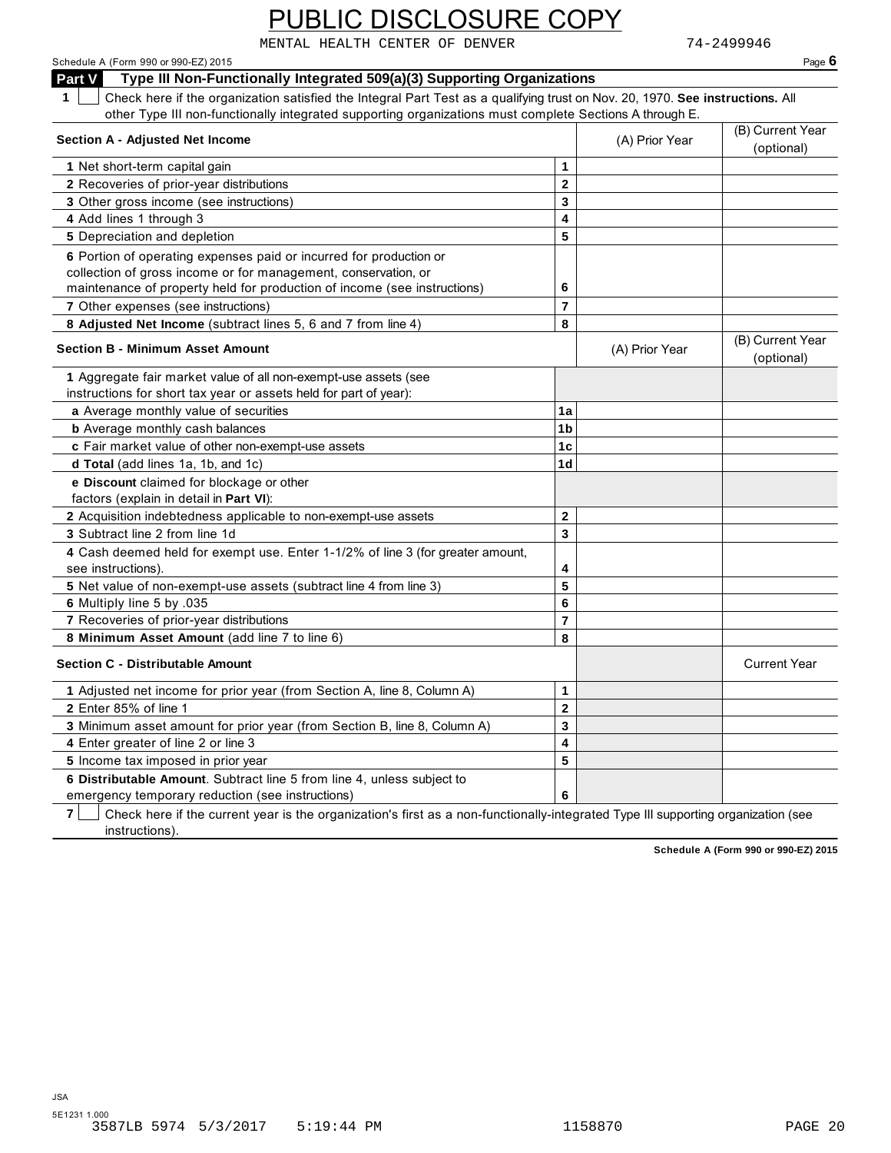MENTAL HEALTH CENTER OF DENVER 74-2499946

Schedule A (Form 990 or 990-EZ) 2015 Page **6 Part V Type III Non-Functionally Integrated 509(a)(3) Supporting Organizations 1** Check here if the organization satisfied the Integral Part Test as a qualifying trust on Nov. 20, 1970. **See instructions.** All other Type III non-functionally integrated supporting organizations must complete Sections A through E. (A) Prior Year **Section A - Adjusted Net Income** (B) Current Year **Section A - Adjusted Net Income** (A) Prior Sear (B) Current Year (B) Current Year (B) Current Year (B) Current Year (B) Current Year (B) Current Year (B) Current Year (B) **1** Net short-term capital gain **2 3 4 5 2** Recoveries of prior-year distributions **3** Other gross income (see instructions) **4** Add lines 1 through 3 **5** Depreciation and depletion **6** Portion of operating expenses paid or incurred for production or collection of gross income or for management, conservation, or maintenance of property held for production of income (see instructions) **6 7** Other expenses (see instructions) **7 8 Adjusted Net Income** (subtract lines 5, 6 and 7 from line 4) **<sup>8</sup>** (A) Prior Year **Section B - Minimum Asset Amount Section B - Minimum Asset Amount Section B - Minimum Asset Amount 1** Aggregate fair market value of all non-exempt-use assets (see instructions for short tax year or assets held for part of year): **a** Average monthly value of securities **1a 1a 1b 1c 1d b** Average monthly cash balances **c** Fair market value of other non-exempt-use assets **d** Average monthly cash balances<br> **c** Fair market value of other non-exe<br> **d Total** (add lines 1a, 1b, and 1c) **e Discount** claimed for blockage or other factors (explain in detail in **Part VI**): **2** Acquisition indebtedness applicable to non-exempt-use assets **2 3 4 5 6 7 8 3** Subtract line 2 from line 1d **4** Cash deemed held for exempt use. Enter 1-1/2% of line 3 (for greater amount, see instructions). **5** Net value of non-exempt-use assets (subtract line 4 from line 3) **6** Multiply line 5 by .035 **7** Recoveries of prior-year distributions **8 Multiply line 5 by .055**<br>7 Recoveries of prior-year distributions<br><mark>8 Minimum Asset Amount</mark> (add line 7 to line 6) **Section C - Distributable Amount** Current Year **Current Year Amount** Current Year Amount Current Year Amount Current Year Amount Current Year Amount Current Year Amount Current Year Amount Current Year Amount Current Year **1** Adjusted net income for prior year (from Section A, line 8, Column A) **1 2 3 4 5 6 2** Enter 85% of line 1 **3** Minimum asset amount for prior year (from Section B, line 8, Column A) **4** Enter greater of line 2 or line 3 **5** Income tax imposed in prior year **6 Distributable Amount**. Subtract line 5 from line 4, unless subject to emergency temporary reduction (see instructions)

**7** Check here if the current year is the organization's first as a non-functionally-integrated Type III supporting organization (see instructions).

**Schedule A (Form 990 or 990-EZ) 2015**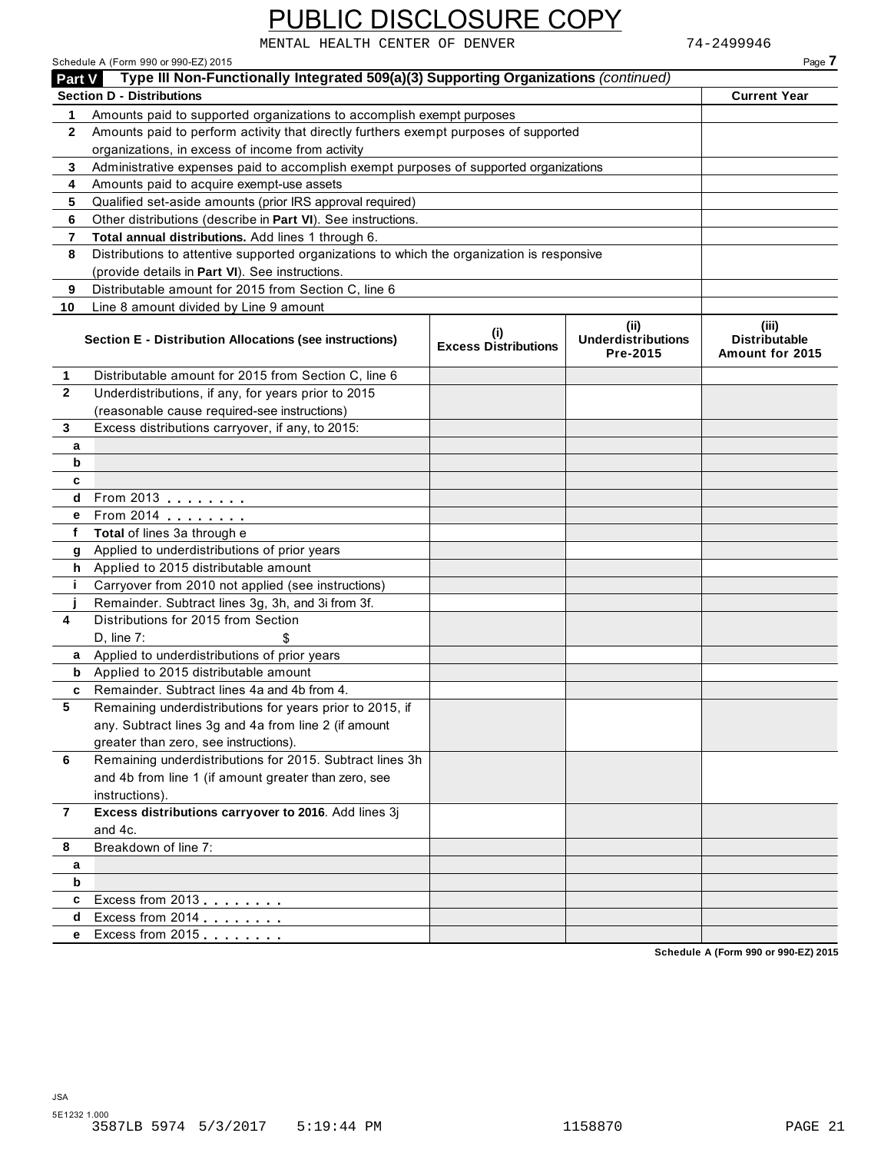Schedule A (Form 990 or 990-EZ) 2015 Page **7**

MENTAL HEALTH CENTER OF DENVER 74-2499946

| <b>Part V</b> | Type III Non-Functionally Integrated 509(a)(3) Supporting Organizations (continued)        |                                    |                                               |                                                  |  |  |
|---------------|--------------------------------------------------------------------------------------------|------------------------------------|-----------------------------------------------|--------------------------------------------------|--|--|
|               | <b>Section D - Distributions</b>                                                           |                                    |                                               | <b>Current Year</b>                              |  |  |
| 1             | Amounts paid to supported organizations to accomplish exempt purposes                      |                                    |                                               |                                                  |  |  |
| $\mathbf{2}$  | Amounts paid to perform activity that directly furthers exempt purposes of supported       |                                    |                                               |                                                  |  |  |
|               | organizations, in excess of income from activity                                           |                                    |                                               |                                                  |  |  |
| 3             | Administrative expenses paid to accomplish exempt purposes of supported organizations      |                                    |                                               |                                                  |  |  |
| 4             | Amounts paid to acquire exempt-use assets                                                  |                                    |                                               |                                                  |  |  |
| 5             | Qualified set-aside amounts (prior IRS approval required)                                  |                                    |                                               |                                                  |  |  |
| 6             | Other distributions (describe in Part VI). See instructions.                               |                                    |                                               |                                                  |  |  |
| 7             | Total annual distributions. Add lines 1 through 6.                                         |                                    |                                               |                                                  |  |  |
| 8             | Distributions to attentive supported organizations to which the organization is responsive |                                    |                                               |                                                  |  |  |
|               | (provide details in Part VI). See instructions.                                            |                                    |                                               |                                                  |  |  |
| 9             | Distributable amount for 2015 from Section C, line 6                                       |                                    |                                               |                                                  |  |  |
| 10            | Line 8 amount divided by Line 9 amount                                                     |                                    |                                               |                                                  |  |  |
|               | Section E - Distribution Allocations (see instructions)                                    | (i)<br><b>Excess Distributions</b> | (ii)<br><b>Underdistributions</b><br>Pre-2015 | (iii)<br><b>Distributable</b><br>Amount for 2015 |  |  |
| 1             | Distributable amount for 2015 from Section C, line 6                                       |                                    |                                               |                                                  |  |  |
| $\mathbf{2}$  | Underdistributions, if any, for years prior to 2015                                        |                                    |                                               |                                                  |  |  |
|               | (reasonable cause required-see instructions)                                               |                                    |                                               |                                                  |  |  |
| 3             | Excess distributions carryover, if any, to 2015:                                           |                                    |                                               |                                                  |  |  |
| a             |                                                                                            |                                    |                                               |                                                  |  |  |
| b             |                                                                                            |                                    |                                               |                                                  |  |  |
| c             |                                                                                            |                                    |                                               |                                                  |  |  |
| d             | From 2013                                                                                  |                                    |                                               |                                                  |  |  |
| е             | From 2014 <b></b>                                                                          |                                    |                                               |                                                  |  |  |
| f             | Total of lines 3a through e                                                                |                                    |                                               |                                                  |  |  |
| g             | Applied to underdistributions of prior years                                               |                                    |                                               |                                                  |  |  |
| h.            | Applied to 2015 distributable amount                                                       |                                    |                                               |                                                  |  |  |
| j.            | Carryover from 2010 not applied (see instructions)                                         |                                    |                                               |                                                  |  |  |
|               | Remainder. Subtract lines 3g, 3h, and 3i from 3f.                                          |                                    |                                               |                                                  |  |  |
| 4             | Distributions for 2015 from Section                                                        |                                    |                                               |                                                  |  |  |
|               | $D$ , line $7$ :                                                                           |                                    |                                               |                                                  |  |  |
| a             | Applied to underdistributions of prior years                                               |                                    |                                               |                                                  |  |  |
| b             | Applied to 2015 distributable amount                                                       |                                    |                                               |                                                  |  |  |
| c             | Remainder. Subtract lines 4a and 4b from 4.                                                |                                    |                                               |                                                  |  |  |
| 5             | Remaining underdistributions for years prior to 2015, if                                   |                                    |                                               |                                                  |  |  |
|               | any. Subtract lines 3g and 4a from line 2 (if amount                                       |                                    |                                               |                                                  |  |  |
|               | greater than zero, see instructions).                                                      |                                    |                                               |                                                  |  |  |
| 6             | Remaining underdistributions for 2015. Subtract lines 3h                                   |                                    |                                               |                                                  |  |  |
|               | and 4b from line 1 (if amount greater than zero, see                                       |                                    |                                               |                                                  |  |  |
|               | instructions).                                                                             |                                    |                                               |                                                  |  |  |
| 7             | Excess distributions carryover to 2016. Add lines 3j                                       |                                    |                                               |                                                  |  |  |
|               | and 4c.                                                                                    |                                    |                                               |                                                  |  |  |
| 8             | Breakdown of line 7:                                                                       |                                    |                                               |                                                  |  |  |
|               |                                                                                            |                                    |                                               |                                                  |  |  |
| a<br>b        |                                                                                            |                                    |                                               |                                                  |  |  |
|               |                                                                                            |                                    |                                               |                                                  |  |  |
| c             | Excess from 2013                                                                           |                                    |                                               |                                                  |  |  |
| d             | Excess from 2014                                                                           |                                    |                                               |                                                  |  |  |
| e             | Excess from 2015                                                                           |                                    |                                               | Schedule A (Form 990 or 990-EZ) 2015             |  |  |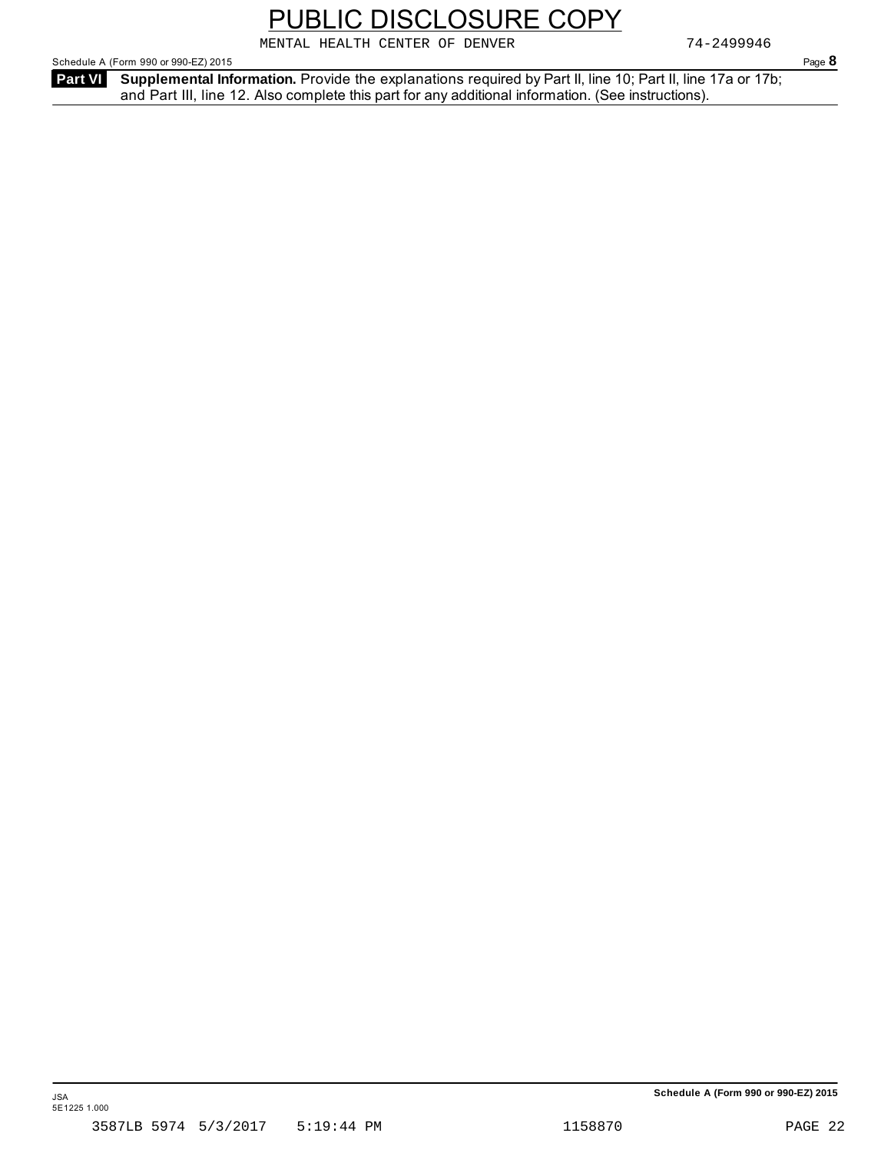#### **Schedule A (Form 990 or 990-EZ) 2015**

Schedule A (Form 990 or 990-EZ) 2015 **Page 8** 

**Supplemental Information.** Provide the explanations required by Part II, line 10; Part II, line 17a or 17b; **Part VI**  and Part III, line 12. Also complete this part for any additional information. (See instructions).

PUBLIC DISCLOSURE COPY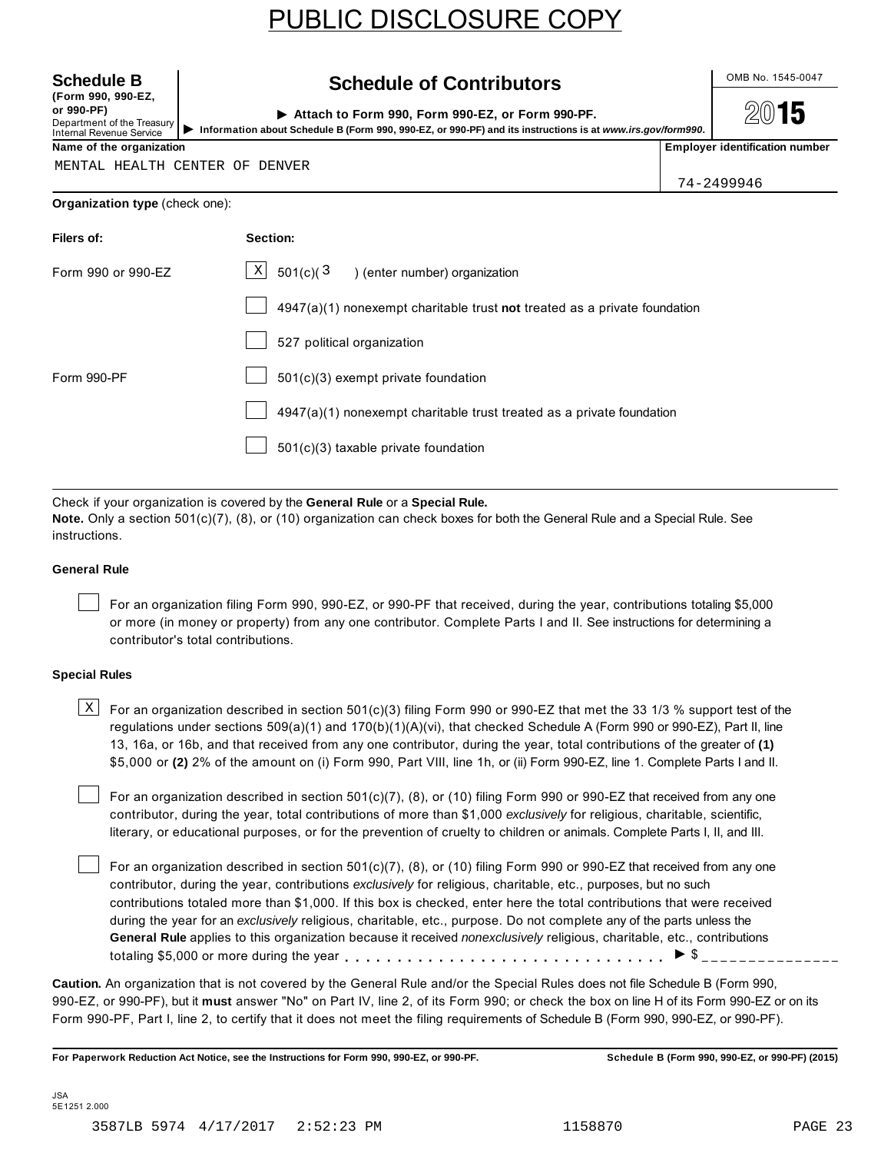**(Form 990, 990-EZ, or 990-PF)** Department of the Treasury

Internal Revenue Service

#### Schedule B Contributors **Contribution**

Attach to Form 990, Form 990-EZ, or Form 990-PF. Internal Revenue Service<br>Internal Revenue Service<br>**Name of the organization**<br>Name of the organization

15

MENTAL HEALTH CENTER OF DENVER

74-2499946

| Section:                                                                    |
|-----------------------------------------------------------------------------|
| $\mathbf{x}$<br>$501(c)(3)$ (enter number) organization                     |
| $4947(a)(1)$ nonexempt charitable trust not treated as a private foundation |
| 527 political organization                                                  |
| 501(c)(3) exempt private foundation                                         |
| $4947(a)(1)$ nonexempt charitable trust treated as a private foundation     |
| 501(c)(3) taxable private foundation                                        |
|                                                                             |

Check if your organization is covered by the **General Rule** or a **Special Rule.**

**Note.** Only a section 501(c)(7), (8), or (10) organization can check boxes for both the General Rule and a Special Rule. See instructions.

#### **General Rule**

For an organization filing Form 990, 990-EZ, or 990-PF that received, during the year, contributions totaling \$5,000 or more (in money or property) from any one contributor. Complete Parts I and II. See instructions for determining a contributor's total contributions.

#### **Special Rules**

 $\text{X}$  For an organization described in section 501(c)(3) filing Form 990 or 990-EZ that met the 33 1/3 % support test of the regulations under sections 509(a)(1) and 170(b)(1)(A)(vi), that checked Schedule A (Form 990 or 990-EZ), Part II, line 13, 16a, or 16b, and that received from any one contributor, during the year, total contributions of the greater of **(1)** \$5,000 or **(2)** 2% of the amount on (i) Form 990, Part VIII, line 1h, or (ii) Form 990-EZ, line 1. Complete Parts I and II.

For an organization described in section 501(c)(7), (8), or (10) filing Form 990 or 990-EZ that received from any one contributor, during the year, total contributions of more than \$1,000 *exclusively* for religious, charitable, scientific, literary, or educational purposes, or for the prevention of cruelty to children or animals. Complete Parts I, II, and III.

For an organization described in section 501(c)(7), (8), or (10) filing Form 990 or 990-EZ that received from any one contributor, during the year, contributions *exclusively* for religious, charitable, etc., purposes, but no such contributions totaled more than \$1,000. If this box is checked, enter here the total contributions that were received during the year for an *exclusively* religious, charitable, etc., purpose. Do not complete any of the parts unless the **General Rule** applies to this organization because it received *nonexclusively* religious, charitable, etc., contributions totaling \$5,000 or more during the year m m m m m m m m m m m m m m m m m m m m m m m m m m m m m m m <sup>I</sup> \$

**Caution.** An organization that is not covered by the General Rule and/or the Special Rules does not file Schedule B (Form 990, 990-EZ, or 990-PF), but it **must** answer "No" on Part IV, line 2, of its Form 990; or check the box on line H of its Form 990-EZ or on its Form 990-PF, Part I, line 2, to certify that it does not meet the filing requirements of Schedule B (Form 990, 990-EZ, or 990-PF).

**For Paperwork Reduction Act Notice, see the Instructions for Form 990, 990-EZ, or 990-PF. Schedule B (Form 990, 990-EZ, or 990-PF) (2015)**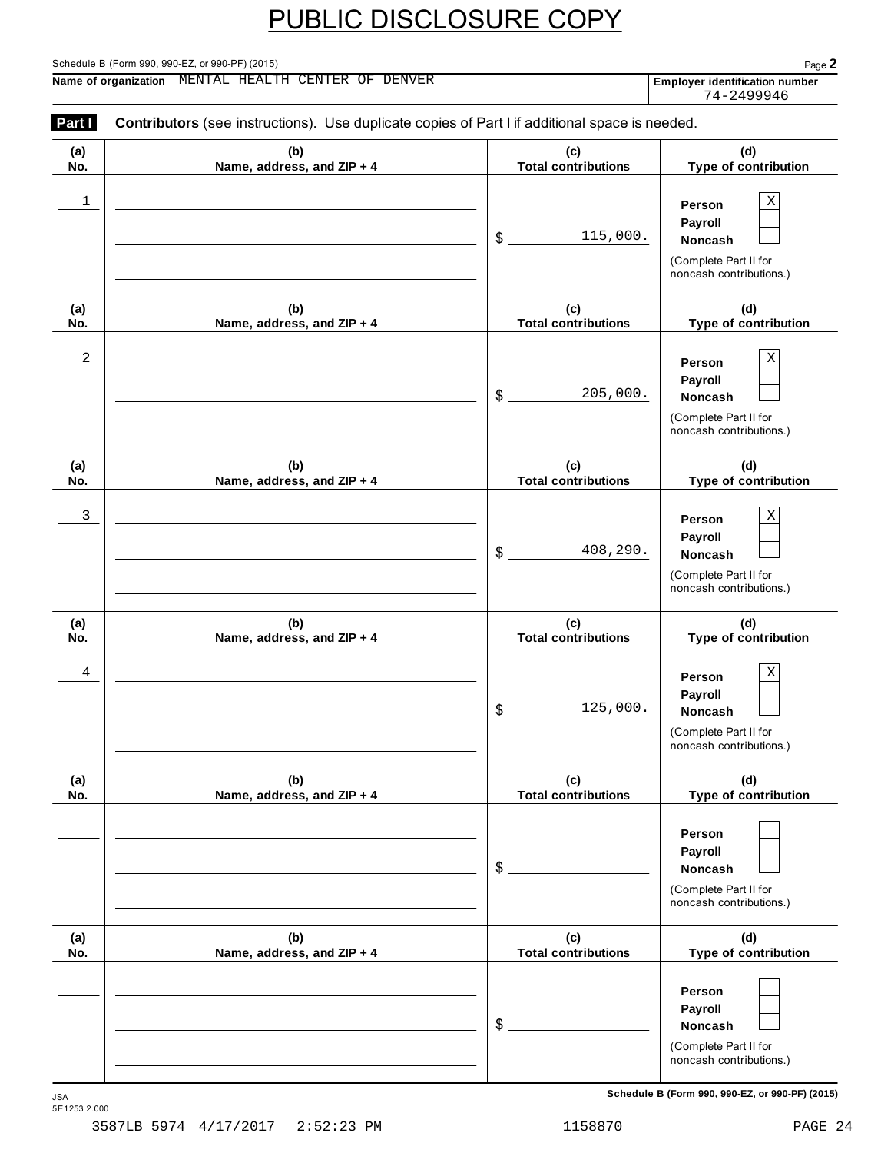#### Schedule B (Form 990, 990-EZ, or 990-PF) (2015) Page **2**

**Name of organization Employer identification number** MENTAL HEALTH CENTER OF DENVER

74-2499946

| Part I     | Contributors (see instructions). Use duplicate copies of Part I if additional space is needed. |                                   |                                                                                         |
|------------|------------------------------------------------------------------------------------------------|-----------------------------------|-----------------------------------------------------------------------------------------|
| (a)<br>No. | (b)<br>Name, address, and ZIP + 4                                                              | (c)<br><b>Total contributions</b> | (d)<br>Type of contribution                                                             |
| 1          |                                                                                                | 115,000.<br>\$                    | Χ<br>Person<br>Payroll<br>Noncash<br>(Complete Part II for<br>noncash contributions.)   |
| (a)<br>No. | (b)<br>Name, address, and ZIP + 4                                                              | (c)<br><b>Total contributions</b> | (d)<br>Type of contribution                                                             |
| 2          |                                                                                                | 205,000.<br>\$                    | Χ<br>Person<br>Payroll<br>Noncash<br>(Complete Part II for<br>noncash contributions.)   |
| (a)<br>No. | (b)<br>Name, address, and ZIP + 4                                                              | (c)<br><b>Total contributions</b> | (d)<br>Type of contribution                                                             |
| 3          |                                                                                                | 408,290.<br>\$                    | Χ<br>Person<br>Payroll<br>Noncash<br>(Complete Part II for<br>noncash contributions.)   |
| (a)<br>No. | (b)<br>Name, address, and ZIP + 4                                                              | (c)<br><b>Total contributions</b> | (d)<br>Type of contribution                                                             |
| 4          |                                                                                                | 125,000.<br>\$                    | Χ<br>Person<br>Payroll<br>Noncash<br>(Complete Part II for<br>noncash contributions.)   |
| (a)<br>No. | (b)<br>Name, address, and ZIP + 4                                                              | (c)<br><b>Total contributions</b> | (d)<br>Type of contribution                                                             |
|            |                                                                                                | \$                                | Person<br>Payroll<br><b>Noncash</b><br>(Complete Part II for<br>noncash contributions.) |
| (a)<br>No. | (b)<br>Name, address, and ZIP + 4                                                              | (c)<br><b>Total contributions</b> | (d)<br>Type of contribution                                                             |
|            |                                                                                                | \$                                | Person<br>Payroll<br>Noncash<br>(Complete Part II for<br>noncash contributions.)        |

Schedule B (Form 990, 990-EZ, or 990-PF) (2015)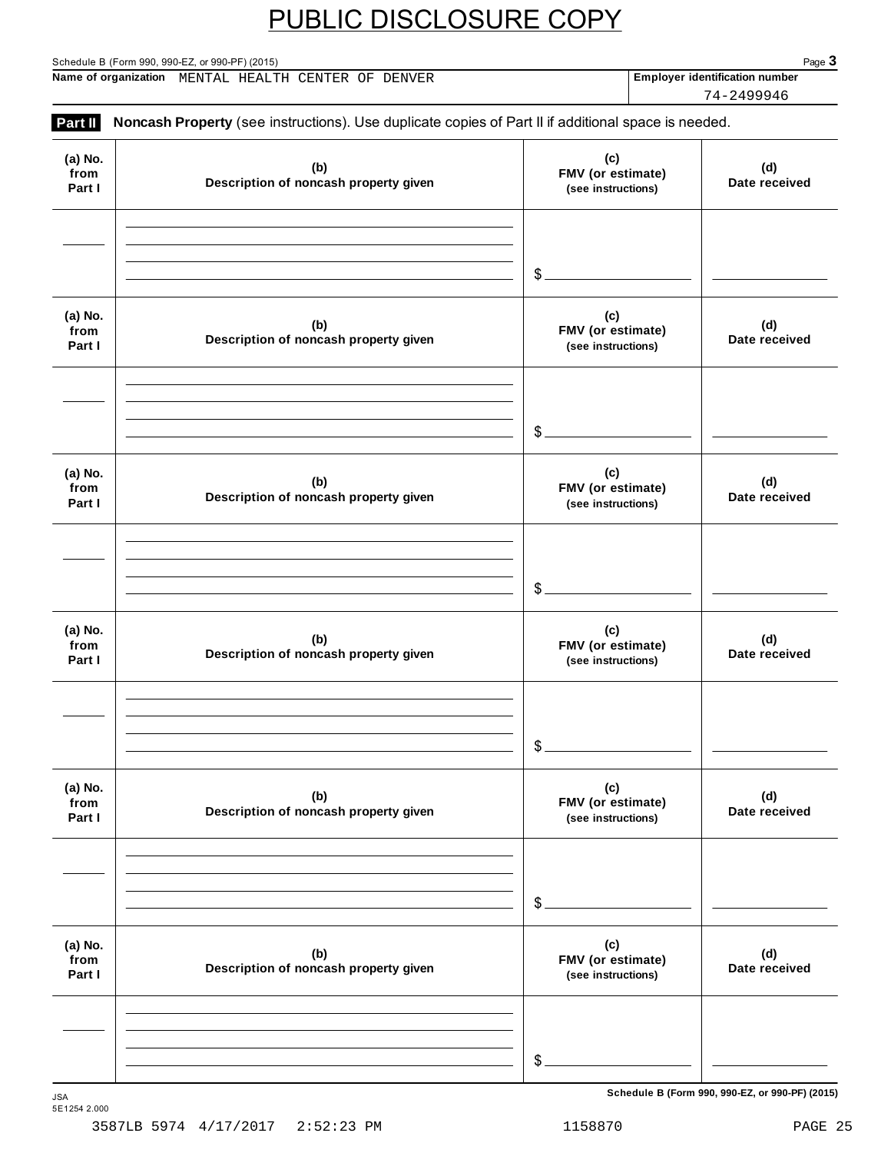Schedule B (Form 990, 990-EZ, or 990-PF) (2015) Page **3 Name of organization** MENTAL HEALTH CENTER OF DENVER Employer identification number

74-2499946

| Part II                   | Noncash Property (see instructions). Use duplicate copies of Part II if additional space is needed. |                                                |                                                           |
|---------------------------|-----------------------------------------------------------------------------------------------------|------------------------------------------------|-----------------------------------------------------------|
| (a) No.<br>from<br>Part I | (b)<br>Description of noncash property given                                                        | (c)<br>FMV (or estimate)<br>(see instructions) | (d)<br>Date received                                      |
|                           |                                                                                                     | $$ -$                                          | <b>Contract Contract Contract</b>                         |
| (a) No.<br>from<br>Part I | (b)<br>Description of noncash property given                                                        | (c)<br>FMV (or estimate)<br>(see instructions) | (d)<br>Date received                                      |
|                           |                                                                                                     | $$ -$                                          | $\mathcal{L}(\mathcal{L})$ and $\mathcal{L}(\mathcal{L})$ |
| (a) No.<br>from<br>Part I | (b)<br>Description of noncash property given                                                        | (c)<br>FMV (or estimate)<br>(see instructions) | (d)<br>Date received                                      |
|                           |                                                                                                     | $\frac{3}{2}$                                  |                                                           |
| (a) No.<br>from<br>Part I | (b)<br>Description of noncash property given                                                        | (c)<br>FMV (or estimate)<br>(see instructions) | (d)<br>Date received                                      |
|                           |                                                                                                     | $\mathcal{L}_{-}$                              |                                                           |
| (a) No.<br>from<br>Part I | (b)<br>Description of noncash property given                                                        | (c)<br>FMV (or estimate)<br>(see instructions) | (d)<br>Date received                                      |
|                           |                                                                                                     | $\mathcal{L}_{-}$                              |                                                           |
| (a) No.<br>from<br>Part I | (b)<br>Description of noncash property given                                                        | (c)<br>FMV (or estimate)<br>(see instructions) | (d)<br>Date received                                      |
|                           |                                                                                                     |                                                |                                                           |
|                           |                                                                                                     | $\mathcal{L}_{-}$                              |                                                           |

Schedule B (Form 990, 990-EZ, or 990-PF) (2015)

5E1254 2.000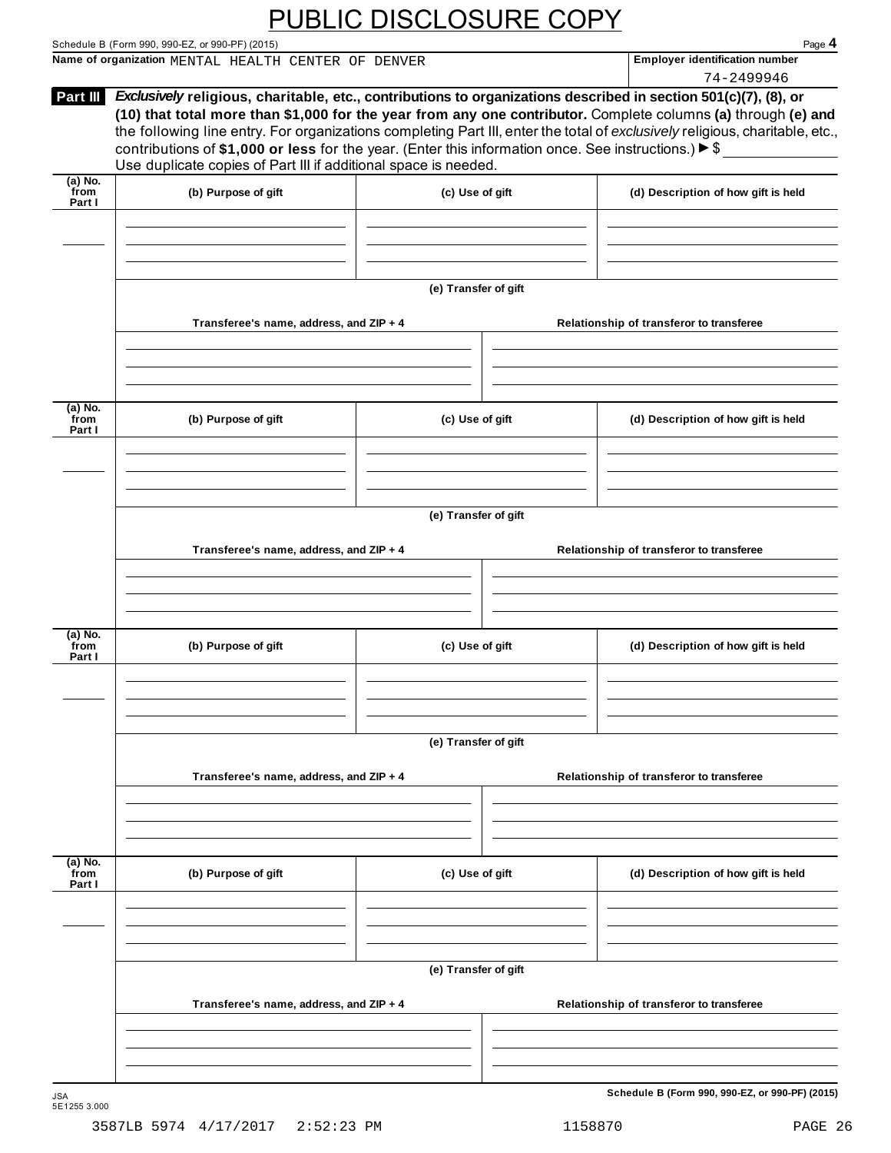Schedule B (Form 990, 990-EZ, or 990-PF) (2015)<br>
Name of organization MENTAL HEALTH CENTER OF DENVER **Name of organization number Page 4 Name of organization Employer identification number** MENTAL HEALTH CENTER OF DENVER

|                             |                                                                                                                                                                                                                                                                                                                                                                                                                                                                                                                                                            |                      |                                          | 74-2499946                                      |  |  |  |
|-----------------------------|------------------------------------------------------------------------------------------------------------------------------------------------------------------------------------------------------------------------------------------------------------------------------------------------------------------------------------------------------------------------------------------------------------------------------------------------------------------------------------------------------------------------------------------------------------|----------------------|------------------------------------------|-------------------------------------------------|--|--|--|
| Part III                    | Exclusively religious, charitable, etc., contributions to organizations described in section 501(c)(7), (8), or<br>(10) that total more than \$1,000 for the year from any one contributor. Complete columns (a) through (e) and<br>the following line entry. For organizations completing Part III, enter the total of exclusively religious, charitable, etc.,<br>contributions of \$1,000 or less for the year. (Enter this information once. See instructions.) $\triangleright$ \$<br>Use duplicate copies of Part III if additional space is needed. |                      |                                          |                                                 |  |  |  |
| $(a)$ No.<br>from<br>Part I | (b) Purpose of gift                                                                                                                                                                                                                                                                                                                                                                                                                                                                                                                                        | (c) Use of gift      |                                          | (d) Description of how gift is held             |  |  |  |
|                             |                                                                                                                                                                                                                                                                                                                                                                                                                                                                                                                                                            |                      |                                          |                                                 |  |  |  |
|                             |                                                                                                                                                                                                                                                                                                                                                                                                                                                                                                                                                            | (e) Transfer of gift |                                          |                                                 |  |  |  |
|                             | Transferee's name, address, and ZIP + 4                                                                                                                                                                                                                                                                                                                                                                                                                                                                                                                    |                      |                                          | Relationship of transferor to transferee        |  |  |  |
| (a) No.<br>from<br>Part I   | (b) Purpose of gift                                                                                                                                                                                                                                                                                                                                                                                                                                                                                                                                        | (c) Use of gift      |                                          | (d) Description of how gift is held             |  |  |  |
|                             |                                                                                                                                                                                                                                                                                                                                                                                                                                                                                                                                                            |                      |                                          |                                                 |  |  |  |
|                             | (e) Transfer of gift                                                                                                                                                                                                                                                                                                                                                                                                                                                                                                                                       |                      |                                          |                                                 |  |  |  |
|                             | Transferee's name, address, and ZIP + 4                                                                                                                                                                                                                                                                                                                                                                                                                                                                                                                    |                      |                                          | Relationship of transferor to transferee        |  |  |  |
| (a) No.                     |                                                                                                                                                                                                                                                                                                                                                                                                                                                                                                                                                            |                      |                                          |                                                 |  |  |  |
| `from<br>Part I             | (b) Purpose of gift                                                                                                                                                                                                                                                                                                                                                                                                                                                                                                                                        | (c) Use of gift      |                                          | (d) Description of how gift is held             |  |  |  |
|                             |                                                                                                                                                                                                                                                                                                                                                                                                                                                                                                                                                            | (e) Transfer of gift |                                          |                                                 |  |  |  |
|                             | Transferee's name, address, and ZIP + 4                                                                                                                                                                                                                                                                                                                                                                                                                                                                                                                    |                      |                                          | Relationship of transferor to transferee        |  |  |  |
| $(a)$ No.                   |                                                                                                                                                                                                                                                                                                                                                                                                                                                                                                                                                            |                      |                                          |                                                 |  |  |  |
| from<br>Part I              | (b) Purpose of gift                                                                                                                                                                                                                                                                                                                                                                                                                                                                                                                                        | (c) Use of gift      |                                          | (d) Description of how gift is held             |  |  |  |
|                             |                                                                                                                                                                                                                                                                                                                                                                                                                                                                                                                                                            | (e) Transfer of gift |                                          |                                                 |  |  |  |
|                             | Transferee's name, address, and ZIP + 4                                                                                                                                                                                                                                                                                                                                                                                                                                                                                                                    |                      | Relationship of transferor to transferee |                                                 |  |  |  |
|                             |                                                                                                                                                                                                                                                                                                                                                                                                                                                                                                                                                            |                      |                                          |                                                 |  |  |  |
| JSA<br>5E1255 3.000         |                                                                                                                                                                                                                                                                                                                                                                                                                                                                                                                                                            |                      |                                          | Schedule B (Form 990, 990-EZ, or 990-PF) (2015) |  |  |  |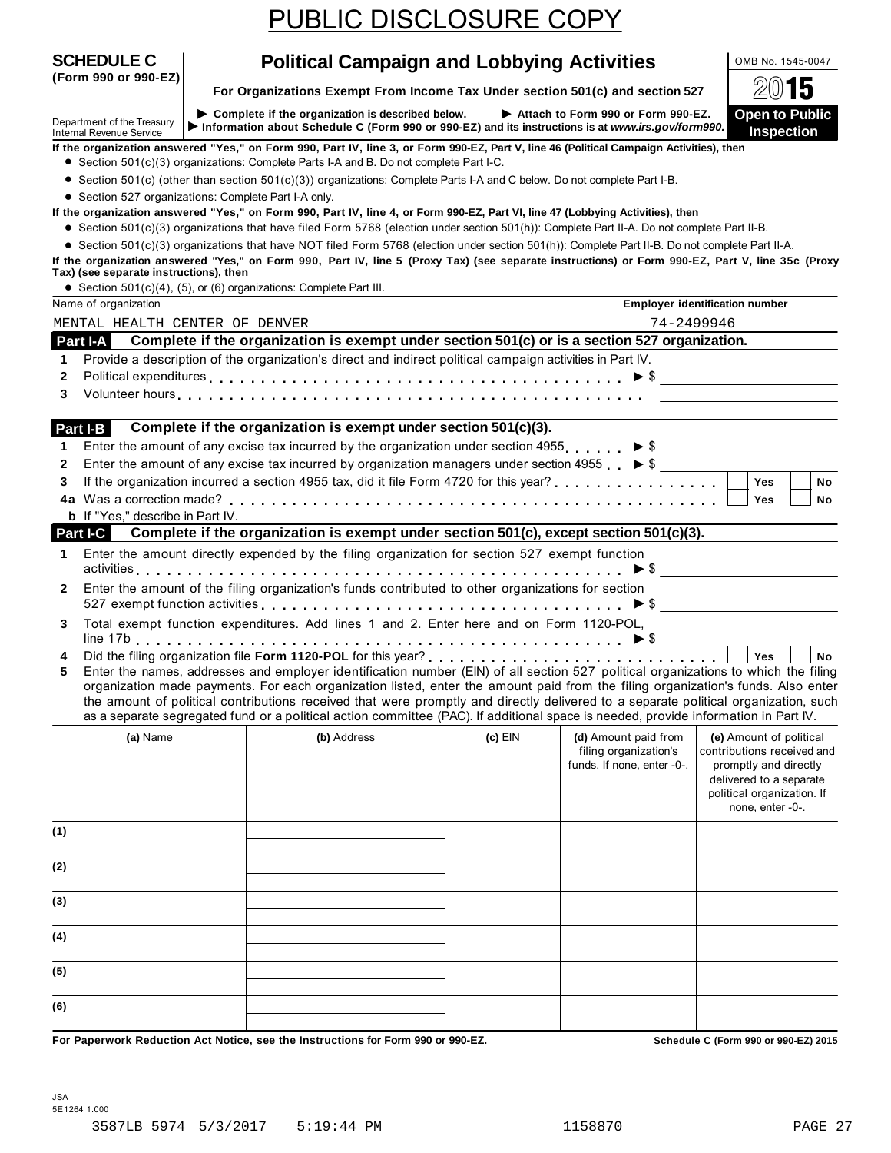For Organizations Exempt From Income Tax Under section 501(c) and section 527  $\Box$ 

Department of the Treasury ▶ Complete if the organization is described below. ▶ Attach to Form 990 or Form 990-EZ. Open to Public<br>Internal Revenue Service ▶ Information about Schedule C (Form 990 or 990-EZ) and its instru

**If the organization answered "Yes," on Form 990, Part IV, line 3, or Form 990-EZ, Part V, line 46 (Political Campaign Activities), then** %

● Section 501(c)(3) organizations: Complete Parts I-A and B. Do not complete Part I-C.

Section 501(c)(3) organizations: Complete Parts I-A and B. Do not complete Part I-C.<br>
Section 501(c) (other than section 501(c)(3)) organizations: Complete Parts I-A and C below. Do not complete Part I-B.

■ Section 501(c) (other than section 501(c)(3)) organizations: Complete Part I-A only.<br>■ Section 527 organizations: Complete Part I-A only.

If the organization answered "Yes," on Form 990, Part IV, line 4, or Form 990-EZ, Part VI, line 47 (Lobbying Activities), then<br>• Section 501(c)(3) organizations that have filed Form 5768 (election under section 501(h)): C

Section 501(c)(3) organizations that have filed Form 5768 (election under section 501(h)). Complete Part II-A. Do not complete Part II-B.<br>• Section 501(c)(3) organizations that have NOT filed Form 5768 (election under sect

**If the organization answered "Yes," on Form 990, Part IV, line 5 (Proxy Tax) (see separate instructions) or Form 990-EZ, Part V, line 35c (Proxy**

|              | rax) (see separate mstructions), then<br>• Section 501(c)(4), (5), or (6) organizations: Complete Part III. |                                                                                                                                                                                                                                                                                                                                                                                                                                                                                                                                                      |           |                                                                             |                                                                                                                                                             |           |
|--------------|-------------------------------------------------------------------------------------------------------------|------------------------------------------------------------------------------------------------------------------------------------------------------------------------------------------------------------------------------------------------------------------------------------------------------------------------------------------------------------------------------------------------------------------------------------------------------------------------------------------------------------------------------------------------------|-----------|-----------------------------------------------------------------------------|-------------------------------------------------------------------------------------------------------------------------------------------------------------|-----------|
|              | Name of organization                                                                                        |                                                                                                                                                                                                                                                                                                                                                                                                                                                                                                                                                      |           |                                                                             | <b>Employer identification number</b>                                                                                                                       |           |
|              | MENTAL HEALTH CENTER OF DENVER                                                                              |                                                                                                                                                                                                                                                                                                                                                                                                                                                                                                                                                      |           | 74-2499946                                                                  |                                                                                                                                                             |           |
|              | Part I-A                                                                                                    | Complete if the organization is exempt under section 501(c) or is a section 527 organization.                                                                                                                                                                                                                                                                                                                                                                                                                                                        |           |                                                                             |                                                                                                                                                             |           |
| 1            |                                                                                                             | Provide a description of the organization's direct and indirect political campaign activities in Part IV.                                                                                                                                                                                                                                                                                                                                                                                                                                            |           |                                                                             |                                                                                                                                                             |           |
| 2            |                                                                                                             | Political expenditures $\ldots \ldots \ldots \ldots \ldots \ldots \ldots \ldots \ldots \ldots \ldots \ldots$                                                                                                                                                                                                                                                                                                                                                                                                                                         |           |                                                                             |                                                                                                                                                             |           |
| 3            |                                                                                                             | Volunteer hours enterprise and the contract of the contract of the contract of the contract of the contract of the contract of the contract of the contract of the contract of the contract of the contract of the contract of                                                                                                                                                                                                                                                                                                                       |           |                                                                             |                                                                                                                                                             |           |
|              |                                                                                                             |                                                                                                                                                                                                                                                                                                                                                                                                                                                                                                                                                      |           |                                                                             |                                                                                                                                                             |           |
|              | Part I-B                                                                                                    | Complete if the organization is exempt under section 501(c)(3).                                                                                                                                                                                                                                                                                                                                                                                                                                                                                      |           |                                                                             |                                                                                                                                                             |           |
| 1            |                                                                                                             | Enter the amount of any excise tax incurred by the organization under section 4955. $\triangleright$ \$                                                                                                                                                                                                                                                                                                                                                                                                                                              |           |                                                                             |                                                                                                                                                             |           |
| $\mathbf{2}$ |                                                                                                             | Enter the amount of any excise tax incurred by organization managers under section 4955 $\triangleright$ \$                                                                                                                                                                                                                                                                                                                                                                                                                                          |           |                                                                             |                                                                                                                                                             |           |
| 3            |                                                                                                             |                                                                                                                                                                                                                                                                                                                                                                                                                                                                                                                                                      |           |                                                                             | Yes                                                                                                                                                         | <b>No</b> |
|              |                                                                                                             |                                                                                                                                                                                                                                                                                                                                                                                                                                                                                                                                                      |           |                                                                             | Yes                                                                                                                                                         | No        |
|              | <b>b</b> If "Yes." describe in Part IV.                                                                     |                                                                                                                                                                                                                                                                                                                                                                                                                                                                                                                                                      |           |                                                                             |                                                                                                                                                             |           |
|              | Part I-C                                                                                                    | Complete if the organization is exempt under section 501(c), except section 501(c)(3).                                                                                                                                                                                                                                                                                                                                                                                                                                                               |           |                                                                             |                                                                                                                                                             |           |
| 1            |                                                                                                             | Enter the amount directly expended by the filing organization for section 527 exempt function                                                                                                                                                                                                                                                                                                                                                                                                                                                        |           |                                                                             | $\triangleright$ \$                                                                                                                                         |           |
| $\mathbf{2}$ |                                                                                                             | Enter the amount of the filing organization's funds contributed to other organizations for section                                                                                                                                                                                                                                                                                                                                                                                                                                                   |           | $\triangleright$ S                                                          |                                                                                                                                                             |           |
| 3            |                                                                                                             | Total exempt function expenditures. Add lines 1 and 2. Enter here and on Form 1120-POL,                                                                                                                                                                                                                                                                                                                                                                                                                                                              |           |                                                                             |                                                                                                                                                             |           |
| 4<br>5       |                                                                                                             | Enter the names, addresses and employer identification number (EIN) of all section 527 political organizations to which the filing<br>organization made payments. For each organization listed, enter the amount paid from the filing organization's funds. Also enter<br>the amount of political contributions received that were promptly and directly delivered to a separate political organization, such<br>as a separate segregated fund or a political action committee (PAC). If additional space is needed, provide information in Part IV. |           |                                                                             | Yes                                                                                                                                                         | <b>No</b> |
|              | (a) Name                                                                                                    | (b) Address                                                                                                                                                                                                                                                                                                                                                                                                                                                                                                                                          | $(c)$ EIN | (d) Amount paid from<br>filing organization's<br>funds. If none, enter -0-. | (e) Amount of political<br>contributions received and<br>promptly and directly<br>delivered to a separate<br>political organization. If<br>none, enter -0-. |           |
| (1)          |                                                                                                             |                                                                                                                                                                                                                                                                                                                                                                                                                                                                                                                                                      |           |                                                                             |                                                                                                                                                             |           |

**(3) (4) (5) (6)**

**For Paperwork Reduction Act Notice, see the Instructions for Form 990 or 990-EZ. Schedule C (Form 990 or 990-EZ) 2015**





#### **SCHEDULE C** | Political Campaign and Lobbying Activities | OMB No. 1545-0047 **(Form 990 or 990-EZ)**

**(2)**

JSA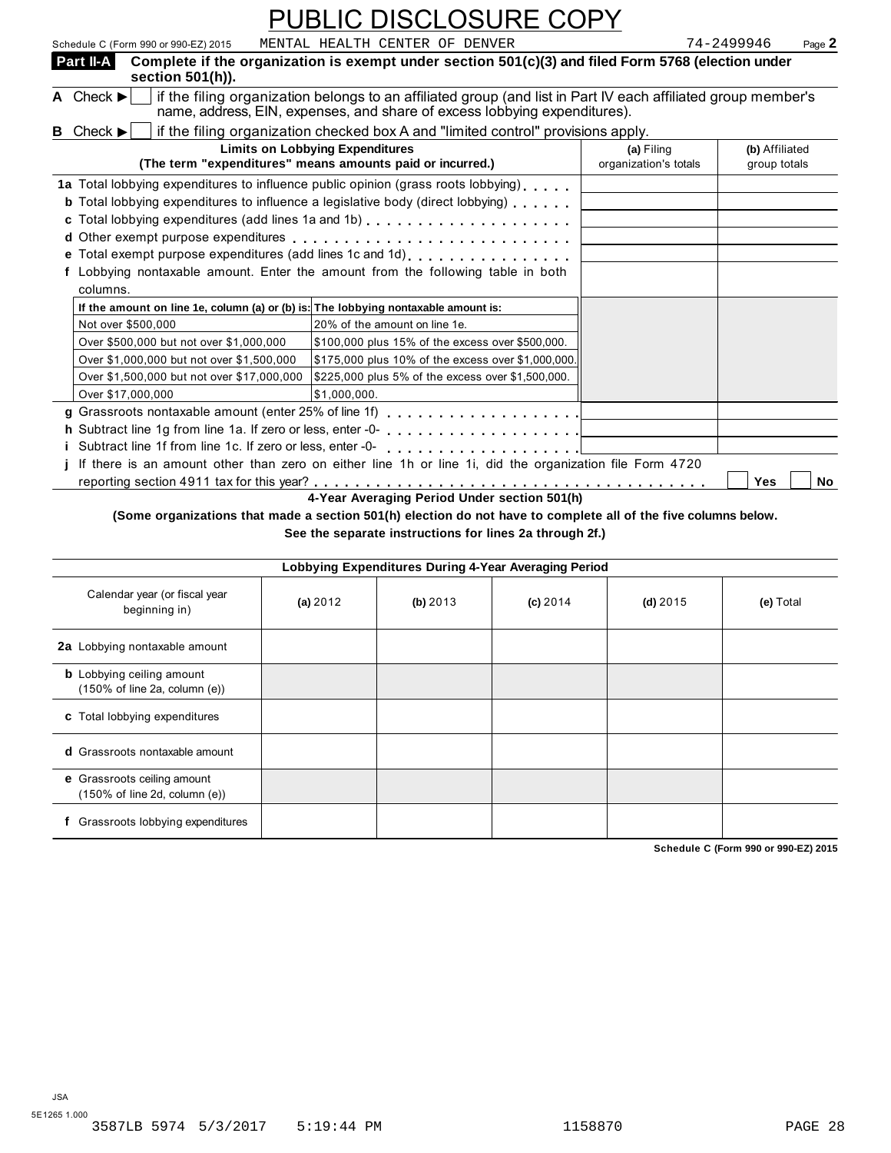| Schedule C (Form 990 or 990-EZ) 2015                                               | MENTAL HEALTH CENTER OF DENVER                                                                                                                                                             |                       | 74-2499946<br>Page 2 |
|------------------------------------------------------------------------------------|--------------------------------------------------------------------------------------------------------------------------------------------------------------------------------------------|-----------------------|----------------------|
| Part II-A<br>section $501(h)$ ).                                                   | Complete if the organization is exempt under section 501(c)(3) and filed Form 5768 (election under                                                                                         |                       |                      |
| A Check $\blacktriangleright$                                                      | if the filing organization belongs to an affiliated group (and list in Part IV each affiliated group member's<br>name, address, EIN, expenses, and share of excess lobbying expenditures). |                       |                      |
| <b>B</b> Check $\blacktriangleright$                                               | if the filing organization checked box A and "limited control" provisions apply.                                                                                                           |                       |                      |
|                                                                                    | <b>Limits on Lobbying Expenditures</b>                                                                                                                                                     | (a) Filing            | (b) Affiliated       |
|                                                                                    | (The term "expenditures" means amounts paid or incurred.)                                                                                                                                  | organization's totals | group totals         |
|                                                                                    | 1a Total lobbying expenditures to influence public opinion (grass roots lobbying).<br><b>b</b> Total lobbying expenditures to influence a legislative body (direct lobbying)               |                       |                      |
|                                                                                    | e Total exempt purpose expenditures (add lines 1c and 1d)                                                                                                                                  |                       |                      |
|                                                                                    | f Lobbying nontaxable amount. Enter the amount from the following table in both                                                                                                            |                       |                      |
| columns.                                                                           |                                                                                                                                                                                            |                       |                      |
| If the amount on line 1e, column (a) or (b) is: The lobbying nontaxable amount is: |                                                                                                                                                                                            |                       |                      |
| Not over \$500,000                                                                 | 20% of the amount on line 1e.                                                                                                                                                              |                       |                      |
| Over \$500,000 but not over \$1,000,000                                            | \$100,000 plus 15% of the excess over \$500,000.                                                                                                                                           |                       |                      |
| Over \$1,000,000 but not over \$1,500,000                                          | \$175,000 plus 10% of the excess over \$1,000,000.                                                                                                                                         |                       |                      |
| Over \$1,500,000 but not over \$17,000,000                                         | \$225,000 plus 5% of the excess over \$1,500,000.                                                                                                                                          |                       |                      |
| Over \$17,000,000                                                                  | \$1,000,000.                                                                                                                                                                               |                       |                      |
|                                                                                    |                                                                                                                                                                                            |                       |                      |
|                                                                                    |                                                                                                                                                                                            |                       |                      |
|                                                                                    |                                                                                                                                                                                            |                       |                      |
|                                                                                    | If there is an amount other than zero on either line 1h or line 1i, did the organization file Form 4720                                                                                    |                       |                      |
|                                                                                    |                                                                                                                                                                                            |                       | Yes<br>No            |
|                                                                                    | 4-Year Averaging Period Under section 501(h)                                                                                                                                               |                       |                      |
|                                                                                    | 10 aproximations that produce a cotton FAI/h) shortlands and home to complete all of the flux solumns holes                                                                                |                       |                      |

**(Some organizations that made a section 501(h) election do not have to complete all of the five columns below.**

**See the separate instructions for lines 2a through 2f.)**

| Lobbying Expenditures During 4-Year Averaging Period                                   |            |          |            |            |           |  |  |  |
|----------------------------------------------------------------------------------------|------------|----------|------------|------------|-----------|--|--|--|
| Calendar year (or fiscal year<br>beginning in)                                         | (a) $2012$ | (b) 2013 | $(c)$ 2014 | (d) $2015$ | (e) Total |  |  |  |
| 2a Lobbying nontaxable amount                                                          |            |          |            |            |           |  |  |  |
| <b>b</b> Lobbying ceiling amount<br>$(150\% \text{ of line } 2a, \text{ column } (e))$ |            |          |            |            |           |  |  |  |
| c Total lobbying expenditures                                                          |            |          |            |            |           |  |  |  |
| <b>d</b> Grassroots nontaxable amount                                                  |            |          |            |            |           |  |  |  |
| e Grassroots ceiling amount<br>$(150\% \text{ of line } 2d, \text{ column } (e))$      |            |          |            |            |           |  |  |  |
| Grassroots lobbying expenditures                                                       |            |          |            |            |           |  |  |  |

**Schedule C (Form 990 or 990-EZ) 2015**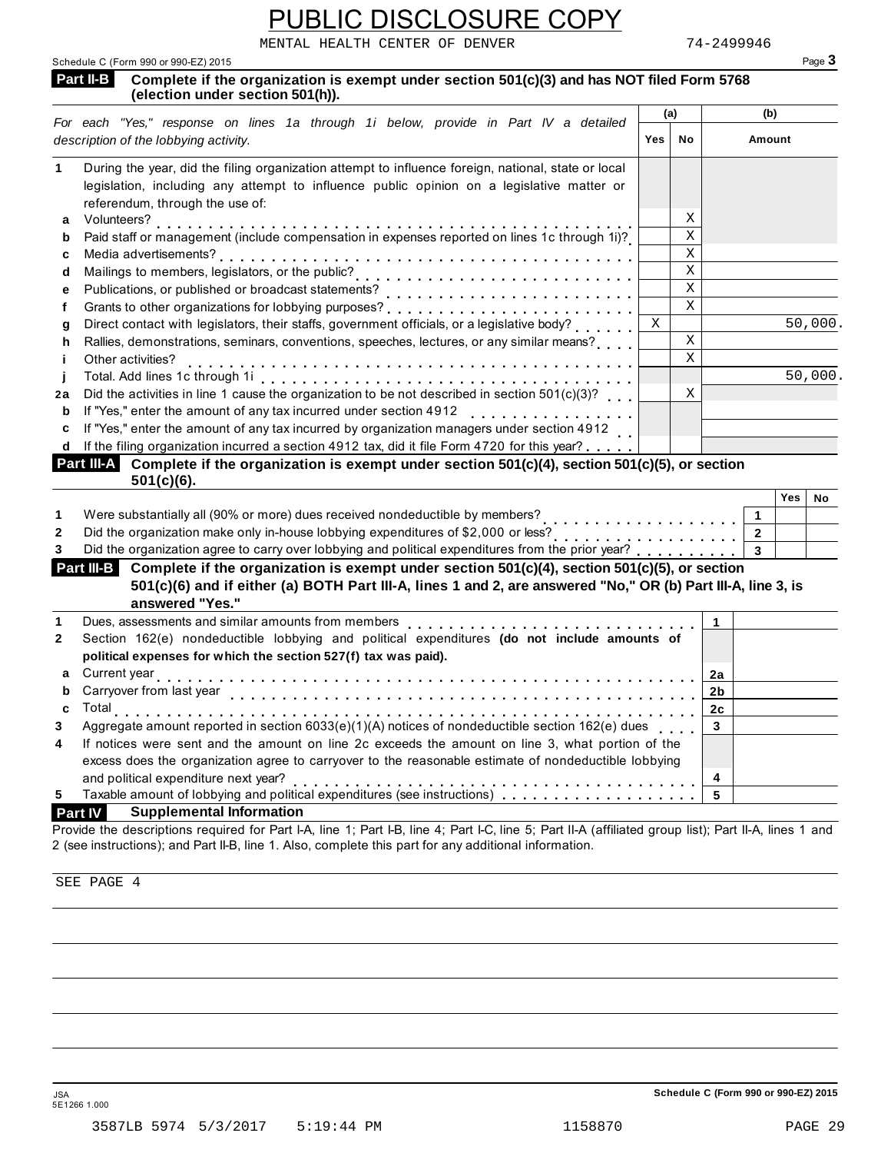MENTAL HEALTH CENTER OF DENVER 74-2499946

| Schedule C (Form 990 or 990-EZ) 2015                                                                                                                  |             |             |                | Page 3    |  |
|-------------------------------------------------------------------------------------------------------------------------------------------------------|-------------|-------------|----------------|-----------|--|
| Part II-B<br>Complete if the organization is exempt under section 501(c)(3) and has NOT filed Form 5768<br>(election under section 501(h)).           |             |             |                |           |  |
| For each "Yes," response on lines 1a through 1i below, provide in Part IV a detailed                                                                  | (a)         |             | (b)            |           |  |
| description of the lobbying activity.                                                                                                                 | Yes         | No          | Amount         |           |  |
| During the year, did the filing organization attempt to influence foreign, national, state or local<br>1                                              |             |             |                |           |  |
| legislation, including any attempt to influence public opinion on a legislative matter or                                                             |             |             |                |           |  |
| referendum, through the use of:                                                                                                                       |             |             |                |           |  |
| Volunteers?<br>а                                                                                                                                      |             | Χ           |                |           |  |
| Paid staff or management (include compensation in expenses reported on lines 1c through 1i)?<br>b                                                     |             | $\mathbf X$ |                |           |  |
| Media advertisements?<br>c                                                                                                                            |             | $\mathbf X$ |                |           |  |
| d                                                                                                                                                     |             | $\mathbf X$ |                |           |  |
| Publications, or published or broadcast statements?<br>е                                                                                              |             | $\mathbf X$ |                |           |  |
| f                                                                                                                                                     |             | $\mathbf X$ |                |           |  |
| Direct contact with legislators, their staffs, government officials, or a legislative body?<br>g                                                      | $\mathbf X$ |             |                | 50,000.   |  |
| Rallies, demonstrations, seminars, conventions, speeches, lectures, or any similar means?<br>h                                                        |             | $\mathbf X$ |                |           |  |
| Other activities?<br>j.                                                                                                                               |             | $\mathbf X$ |                |           |  |
| j                                                                                                                                                     |             |             |                | 50,000.   |  |
| Did the activities in line 1 cause the organization to be not described in section $501(c)(3)$ ?<br>2a                                                |             | $\mathbf X$ |                |           |  |
| If "Yes," enter the amount of any tax incurred under section 4912<br>b                                                                                |             |             |                |           |  |
| If "Yes," enter the amount of any tax incurred by organization managers under section 4912<br>c                                                       |             |             |                |           |  |
| If the filing organization incurred a section 4912 tax, did it file Form 4720 for this year?<br>d                                                     |             |             |                |           |  |
| Part III-A Complete if the organization is exempt under section 501(c)(4), section 501(c)(5), or section<br>$501(c)(6)$ .                             |             |             |                |           |  |
|                                                                                                                                                       |             |             |                | Yes<br>No |  |
| Were substantially all (90% or more) dues received nondeductible by members?<br>1                                                                     |             |             | 1              |           |  |
| Did the organization make only in-house lobbying expenditures of \$2,000 or less?<br>2<br>.                                                           |             |             | $\mathbf{2}$   |           |  |
| 3                                                                                                                                                     |             |             |                |           |  |
| Part III-B Complete if the organization is exempt under section 501(c)(4), section 501(c)(5), or section                                              |             |             |                |           |  |
| 501(c)(6) and if either (a) BOTH Part III-A, lines 1 and 2, are answered "No," OR (b) Part III-A, line 3, is<br>answered "Yes."                       |             |             |                |           |  |
| Dues, assessments and similar amounts from members<br>1                                                                                               |             |             | 1              |           |  |
| Section 162(e) nondeductible lobbying and political expenditures (do not include amounts of<br>2                                                      |             |             |                |           |  |
| political expenses for which the section 527(f) tax was paid).                                                                                        |             |             |                |           |  |
| Current year<br>а                                                                                                                                     |             |             | 2a             |           |  |
| Carryover from last year                                                                                                                              |             |             | 2b             |           |  |
| <b>Total</b>                                                                                                                                          |             |             | 2 <sub>c</sub> |           |  |
| Aggregate amount reported in section $6033(e)(1)(A)$ notices of nondeductible section $162(e)$ dues<br>3                                              |             |             | 3              |           |  |
| If notices were sent and the amount on line 2c exceeds the amount on line 3, what portion of the<br>4                                                 |             |             |                |           |  |
| excess does the organization agree to carryover to the reasonable estimate of nondeductible lobbying                                                  |             |             |                |           |  |
| and political expenditure next year?                                                                                                                  |             |             | 4              |           |  |
| Taxable amount of lobbying and political expenditures (see instructions)<br>5                                                                         |             |             | 5              |           |  |
| <b>Supplemental Information</b><br><b>Part IV</b>                                                                                                     |             |             |                |           |  |
| Provide the descriptions required for Part I-A, line 1; Part I-B, line 4; Part I-C, line 5; Part II-A (affiliated group list); Part II-A, lines 1 and |             |             |                |           |  |

SEE PAGE 4

Schedule C (Form 990 or 990-EZ) 2015

2 (see instructions); and Part II-B, line 1. Also, complete this part for any additional information.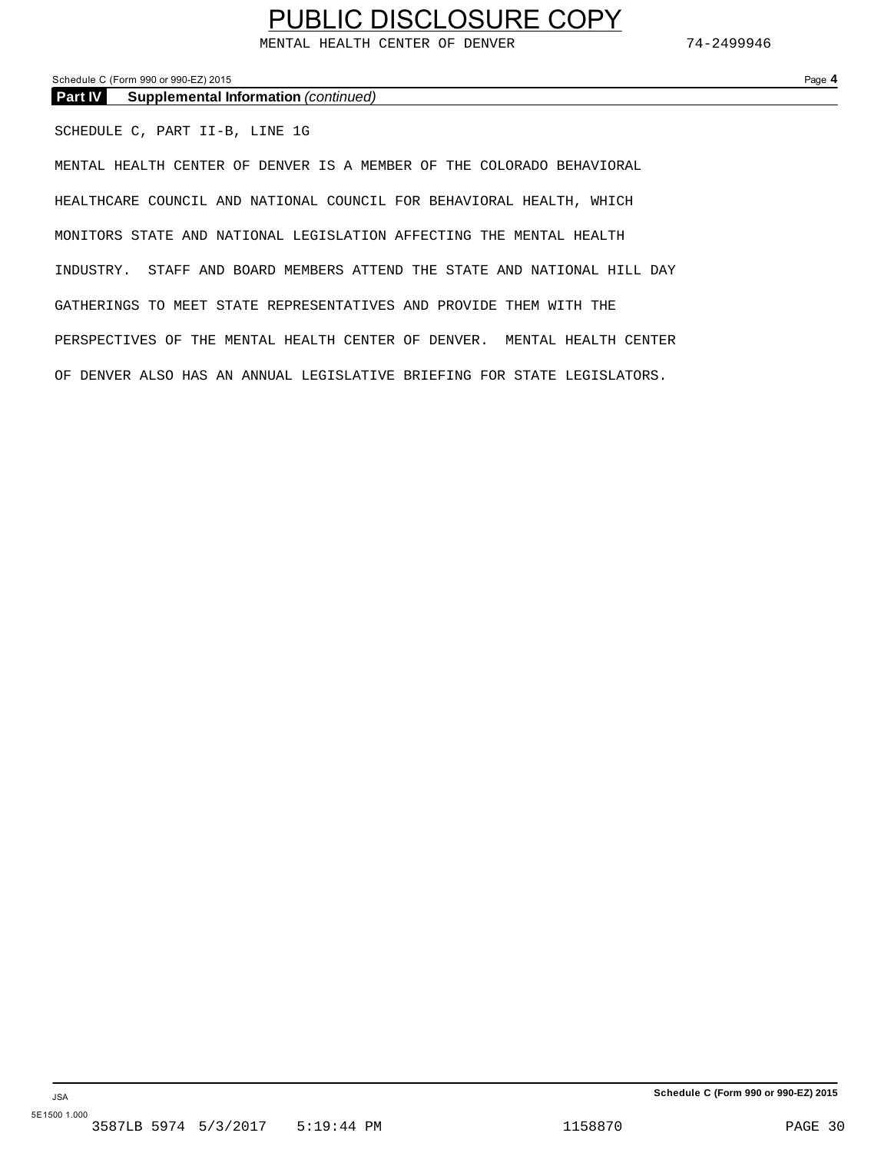MENTAL HEALTH CENTER OF DENVER 74-2499946

Schedule C (Form 990 or 990-EZ) 2015 Page **4**

**Part IV Supplemental Information** *(continued)*

SCHEDULE C, PART II-B, LINE 1G

MENTAL HEALTH CENTER OF DENVER IS A MEMBER OF THE COLORADO BEHAVIORAL HEALTHCARE COUNCIL AND NATIONAL COUNCIL FOR BEHAVIORAL HEALTH, WHICH MONITORS STATE AND NATIONAL LEGISLATION AFFECTING THE MENTAL HEALTH INDUSTRY. STAFF AND BOARD MEMBERS ATTEND THE STATE AND NATIONAL HILL DAY GATHERINGS TO MEET STATE REPRESENTATIVES AND PROVIDE THEM WITH THE PERSPECTIVES OF THE MENTAL HEALTH CENTER OF DENVER. MENTAL HEALTH CENTER OF DENVER ALSO HAS AN ANNUAL LEGISLATIVE BRIEFING FOR STATE LEGISLATORS.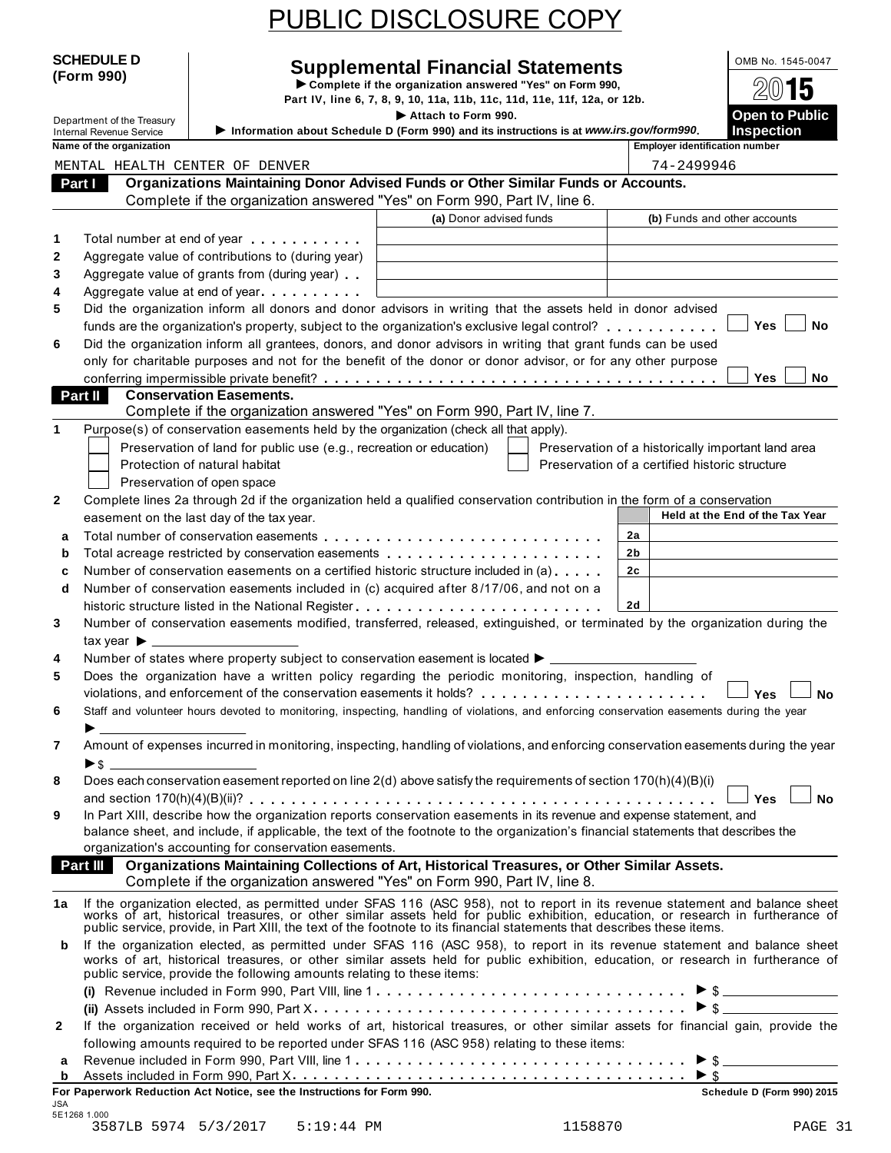**SCHEDULE D Supplemental Financial Statements I OMB No. 1545-0047 I Form 990**<br> **Complete if the organization answered "Yes" on Form 990,** Part IV, line 6, 7, 8, 9, 10, 11a, 11b, 11c, 11d, 11e, 11f, 12a, or 12b. Department of the Treasury<br>Department of the Treasury<br>Department of the Treasury **Department of the Treasury of Attach to Form 900, and its instructions is at www.irs acy form 000, and its instructions is at www.irs acy fo** Internal Revenue Service I**Information about Schedule D (Form 990) and its instructions is at** *www.irs.gov/form990***. Inspection Name of the organization Organizations Maintaining Donor Advised Funds or Other Similar Funds or Accounts.** Complete if the organization answered "Yes" on Form 990, Part IV, line 6.  **Part I (a)** Donor advised funds **(b)** Funds and other accounts **1 2 3 4 5 6** Total number at end of year Aggregate value of contributions to (during year) Aggregate value of grants from (during year) Aggregate value at end of year DENVER<br>DENVER<br>anization answere<br>anization answere Adere<br>ere<br>ar) Did the organization inform all donors and donor advisors in writing that the assets held in donor advised funds are the organization's property, subject to the organization's exclusive legal control? Fotal number at end of year.<br>Aggregate value of contributions to (during year)<br>Aggregate value of grants from (during year)<br>Did the organization inform all donors and donor advisors in writing that the assets held in donor Did the organization inform all grantees, donors, and donor advisors in writing that grant funds can be used only for charitable purposes and not for the benefit of the donor or donor advisor, or for any other purpose Aggregate value of grants from (during year)<br>
Did the organization inform all donors and donor advisors in writing that the assets held in donor advised<br>
funds are the organization's property, subject to the organization's **Conservation Easements.** Complete if the organization answered "Yes" on Form 990, Part IV, line 7.  **Part II 1** Purpose(s) of conservation easements held by the organization (check all that apply). Preservation of land for public use (e.g., recreation or education) Protection of natural habitat Preservation of open space Preservation of a historically important land area Preservation of a certified historic structure **2** Complete lines 2a through 2d if the organization held a qualified conservation contribution in the form of a conservation easement on the last day of the tax year. **Held at the End of the Tax Year Held at the End of the Tax Year 2a 2b 2c 2d a** Total number of conservation easements **b** Total acreage restricted by conservation easements **c** Number of conservation easements on a certified historic structure included in (a) **d** Number of conservation easements included in (c) acquired after 8/17/06, and not on a (e.g., recreation or education)<br>  $\begin{array}{|c|c|c|c|c|}\n\hline\n\end{array}$  Preservatio<br>
ization held a qualified conservation contribution<br>
assements<br>
and the distribution included in (a) m m m m m m m m m m m m m m m m m m m m m m m m m m Number of conservation easements included in (c) acquired after 8 /17/06, and not on a Following the structure list day of the tax year.<br> **a** Total number of conservation easements<br> **b** Total acreage restricted by conservation easements<br> **c** Number of conservation easements on a certified historic structure **4 5 6 7 8 9** Number of conservation easements modified, transferred, released, extinguished, or terminated by the organization during the tax vear  $\blacktriangleright$ Number of states where property subject to conservation easement is located  $\blacktriangleright$ . Does the organization have a written policy regarding the periodic monitoring, inspection, handling of Number of conservation easements included in (c) acquired after 6/17/06, and not off a<br>historic structure listed in the National Register<br>Number of conservation easements modified, transferred, released, extinguished, or t Staff and volunteer hours devoted to monitoring, inspecting, handling of violations, and enforcing conservation easements during the year<br>
<br> **A** Amount of expenses incurred in monitoring, inspecting, handling of violations, and enforcing conservation easements during the year I \$ Does each conservation easement reported on line 2(d) above satisfy the requirements of section 170(h)(4)(B)(i) and section 170(h)(4)(B)(ii)?<br>
and section 170(h)(4)(B)(ii)?<br>
and section 170(h)(4)(B)(iii)?<br>
and section 170(h)(4)(B)(iii)?<br>
and section 170(h)(4)(B)(iii)?<br>
and section 170(h)(4)(B)(iii)?<br>
and section 170(h)(4)(B)(iii)?<br> In Part XIII, describe how the organization reports conservation easements in its revenue and expense statement, and balance sheet, and include, if applicable, the text of the footnote to the organization's financial statements that describes the organization's accounting for conservation easements. **Organizations Maintaining Collections of Art, Historical Treasures, or Other Similar Assets.** Complete if the organization answered "Yes" on Form 990, Part IV, line 8.  **Part III**  1a If the organization elected, as permitted under SFAS 116 (ASC 958), not to report in its revenue statement and balance sheet<br>works of art, historical treasures, or other similar assets held for public exhibition, educat public service, provide, in Part XIII, the text of the footnote to its financial statements that describes these items. **b** If the organization elected, as permitted under SFAS 116 (ASC 958), to report in its revenue statement and balance sheet works of art, historical treasures, or other similar assets held for public exhibition, education, or research in furtherance of public service, provide the following amounts relating to these items: **(i)** I Revenue included in Form 990, Part VIII, line 1 **(ii)** Assets included in Form 990, Part X m m m m m m m m m m m m m m m m m m m m m m m m m m m m m m \$ m under SFAS 116 (ASC 958), not to report in its revenue statement and<br>ther similar assets held for public exhibition, education, or research in<br>ext of the footnote to its financial statements that describes these items.<br> **2** If the organization received or held works of art, historical treasures, or other similar assets for financial gain, provide the following amounts required to be reported under SFAS 116 (ASC 958) relating to these items: **<sup>a</sup>** Revenue included in Form 990, Part VIII, line 1 I Assets included in Form 990, Part X milar assets held for public exhibition, education, or research is<br>
e 1<br>  $\frac{1}{5}$ <br>
f art, historical treasures, or other similar assets for financial g<br>
f art, historical treasures, or other similar assets for financial g **<sup>b</sup>** m m m m m m m m m m m m m m m m m m m m m m m m m m m m m m m m m m m m m m <sup>I</sup> \$ **For Paperwork Reduction Act Notice, see the Instructions for Form 990. Schedule D (Form 990) 2015** JSA MENTAL HEALTH CENTER OF DENVER 74-2499946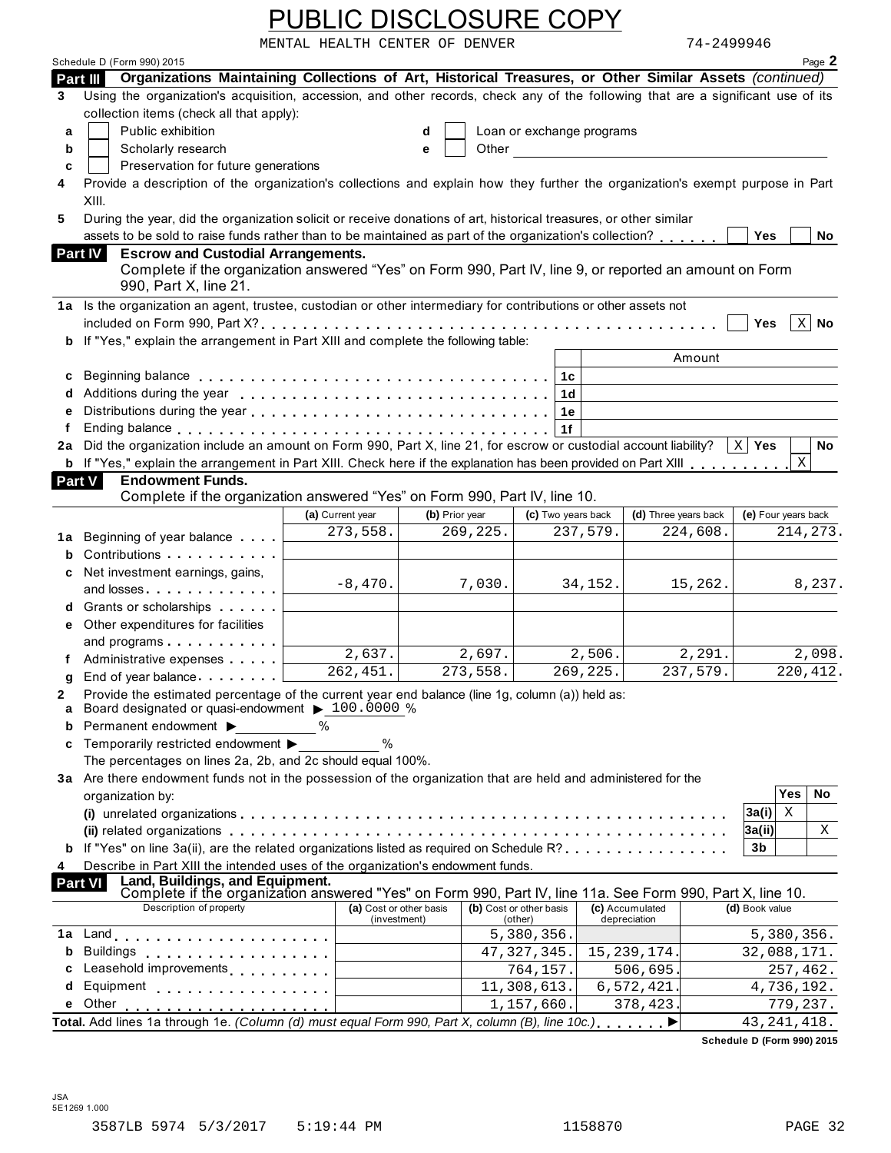|                   |                                                                                                                                                                                                                                                                                                         | <b>PUBLIC DISCLOSURE COPY</b>                                                                                                                                                                                                                         |                                         |          |                                    |                                                                                                                                                                                                                               |                                 |            |                            |                         |              |
|-------------------|---------------------------------------------------------------------------------------------------------------------------------------------------------------------------------------------------------------------------------------------------------------------------------------------------------|-------------------------------------------------------------------------------------------------------------------------------------------------------------------------------------------------------------------------------------------------------|-----------------------------------------|----------|------------------------------------|-------------------------------------------------------------------------------------------------------------------------------------------------------------------------------------------------------------------------------|---------------------------------|------------|----------------------------|-------------------------|--------------|
|                   |                                                                                                                                                                                                                                                                                                         | MENTAL HEALTH CENTER OF DENVER                                                                                                                                                                                                                        |                                         |          |                                    |                                                                                                                                                                                                                               |                                 | 74-2499946 |                            |                         |              |
|                   | Schedule D (Form 990) 2015                                                                                                                                                                                                                                                                              |                                                                                                                                                                                                                                                       |                                         |          |                                    |                                                                                                                                                                                                                               |                                 |            |                            |                         | Page 2       |
|                   | Organizations Maintaining Collections of Art, Historical Treasures, or Other Similar Assets (continued)<br>Part III                                                                                                                                                                                     |                                                                                                                                                                                                                                                       |                                         |          |                                    |                                                                                                                                                                                                                               |                                 |            |                            |                         |              |
| 3                 | Using the organization's acquisition, accession, and other records, check any of the following that are a significant use of its                                                                                                                                                                        |                                                                                                                                                                                                                                                       |                                         |          |                                    |                                                                                                                                                                                                                               |                                 |            |                            |                         |              |
|                   | collection items (check all that apply):                                                                                                                                                                                                                                                                |                                                                                                                                                                                                                                                       |                                         |          |                                    |                                                                                                                                                                                                                               |                                 |            |                            |                         |              |
| a                 | Public exhibition                                                                                                                                                                                                                                                                                       |                                                                                                                                                                                                                                                       | d                                       |          |                                    | Loan or exchange programs                                                                                                                                                                                                     |                                 |            |                            |                         |              |
| b                 | Scholarly research                                                                                                                                                                                                                                                                                      |                                                                                                                                                                                                                                                       | е                                       |          |                                    | Other and the contract of the contract of the contract of the contract of the contract of the contract of the contract of the contract of the contract of the contract of the contract of the contract of the contract of the |                                 |            |                            |                         |              |
| C                 | Preservation for future generations<br>Provide a description of the organization's collections and explain how they further the organization's exempt purpose in Part                                                                                                                                   |                                                                                                                                                                                                                                                       |                                         |          |                                    |                                                                                                                                                                                                                               |                                 |            |                            |                         |              |
| 4                 | XIII.                                                                                                                                                                                                                                                                                                   |                                                                                                                                                                                                                                                       |                                         |          |                                    |                                                                                                                                                                                                                               |                                 |            |                            |                         |              |
| 5                 | During the year, did the organization solicit or receive donations of art, historical treasures, or other similar                                                                                                                                                                                       |                                                                                                                                                                                                                                                       |                                         |          |                                    |                                                                                                                                                                                                                               |                                 |            |                            |                         |              |
|                   | assets to be sold to raise funds rather than to be maintained as part of the organization's collection?                                                                                                                                                                                                 |                                                                                                                                                                                                                                                       |                                         |          |                                    |                                                                                                                                                                                                                               |                                 |            | Yes                        |                         | No           |
|                   | Part IV<br><b>Escrow and Custodial Arrangements.</b>                                                                                                                                                                                                                                                    |                                                                                                                                                                                                                                                       |                                         |          |                                    |                                                                                                                                                                                                                               |                                 |            |                            |                         |              |
|                   | Complete if the organization answered "Yes" on Form 990, Part IV, line 9, or reported an amount on Form                                                                                                                                                                                                 |                                                                                                                                                                                                                                                       |                                         |          |                                    |                                                                                                                                                                                                                               |                                 |            |                            |                         |              |
|                   | 990, Part X, line 21.                                                                                                                                                                                                                                                                                   |                                                                                                                                                                                                                                                       |                                         |          |                                    |                                                                                                                                                                                                                               |                                 |            |                            |                         |              |
|                   | 1a Is the organization an agent, trustee, custodian or other intermediary for contributions or other assets not                                                                                                                                                                                         |                                                                                                                                                                                                                                                       |                                         |          |                                    |                                                                                                                                                                                                                               |                                 |            |                            |                         |              |
|                   |                                                                                                                                                                                                                                                                                                         |                                                                                                                                                                                                                                                       |                                         |          |                                    |                                                                                                                                                                                                                               |                                 |            | Yes                        |                         | $X \mid N$ o |
| b                 | If "Yes," explain the arrangement in Part XIII and complete the following table:                                                                                                                                                                                                                        |                                                                                                                                                                                                                                                       |                                         |          |                                    |                                                                                                                                                                                                                               |                                 |            |                            |                         |              |
|                   |                                                                                                                                                                                                                                                                                                         |                                                                                                                                                                                                                                                       |                                         |          |                                    |                                                                                                                                                                                                                               |                                 | Amount     |                            |                         |              |
| c                 |                                                                                                                                                                                                                                                                                                         |                                                                                                                                                                                                                                                       |                                         |          |                                    | 1c                                                                                                                                                                                                                            |                                 |            |                            |                         |              |
| d                 |                                                                                                                                                                                                                                                                                                         |                                                                                                                                                                                                                                                       |                                         |          |                                    | 1 <sub>d</sub>                                                                                                                                                                                                                |                                 |            |                            |                         |              |
| e<br>f            |                                                                                                                                                                                                                                                                                                         |                                                                                                                                                                                                                                                       |                                         |          | 1f                                 | 1е                                                                                                                                                                                                                            |                                 |            |                            |                         |              |
| 2a                | Did the organization include an amount on Form 990, Part X, line 21, for escrow or custodial account liability?                                                                                                                                                                                         |                                                                                                                                                                                                                                                       |                                         |          |                                    |                                                                                                                                                                                                                               |                                 |            | X∣Yes                      |                         | No           |
|                   | <b>b</b> If "Yes," explain the arrangement in Part XIII. Check here if the explanation has been provided on Part XIII                                                                                                                                                                                   |                                                                                                                                                                                                                                                       |                                         |          |                                    |                                                                                                                                                                                                                               |                                 |            |                            | $\overline{\mathbf{X}}$ |              |
| <b>Part V</b>     | <b>Endowment Funds.</b>                                                                                                                                                                                                                                                                                 |                                                                                                                                                                                                                                                       |                                         |          |                                    |                                                                                                                                                                                                                               |                                 |            |                            |                         |              |
|                   | Complete if the organization answered "Yes" on Form 990, Part IV, line 10.                                                                                                                                                                                                                              |                                                                                                                                                                                                                                                       |                                         |          |                                    |                                                                                                                                                                                                                               |                                 |            |                            |                         |              |
|                   |                                                                                                                                                                                                                                                                                                         | (a) Current year                                                                                                                                                                                                                                      | (b) Prior year                          |          |                                    | (c) Two years back                                                                                                                                                                                                            | (d) Three years back            |            | (e) Four years back        |                         |              |
| 1a                | Beginning of year balance                                                                                                                                                                                                                                                                               | 273,558.                                                                                                                                                                                                                                              |                                         | 269,225. |                                    | 237,579.                                                                                                                                                                                                                      |                                 | 224,608.   |                            |                         | 214, 273.    |
|                   | Contributions <b>Contributions</b>                                                                                                                                                                                                                                                                      |                                                                                                                                                                                                                                                       |                                         |          |                                    |                                                                                                                                                                                                                               |                                 |            |                            |                         |              |
|                   | Net investment earnings, gains,                                                                                                                                                                                                                                                                         |                                                                                                                                                                                                                                                       |                                         |          |                                    |                                                                                                                                                                                                                               |                                 |            |                            |                         |              |
|                   |                                                                                                                                                                                                                                                                                                         | $-8,470.$                                                                                                                                                                                                                                             |                                         | 7,030.   |                                    | 34,152.                                                                                                                                                                                                                       |                                 | 15,262.    |                            |                         | 8,237.       |
|                   | Grants or scholarships <b>State of State State</b>                                                                                                                                                                                                                                                      |                                                                                                                                                                                                                                                       |                                         |          |                                    |                                                                                                                                                                                                                               |                                 |            |                            |                         |              |
|                   | Other expenditures for facilities                                                                                                                                                                                                                                                                       |                                                                                                                                                                                                                                                       |                                         |          |                                    |                                                                                                                                                                                                                               |                                 |            |                            |                         |              |
|                   | and programs                                                                                                                                                                                                                                                                                            | 2,637.                                                                                                                                                                                                                                                |                                         | 2,697    |                                    | 2,506.                                                                                                                                                                                                                        |                                 | 2,291      |                            |                         | 2,098        |
|                   | Administrative expenses                                                                                                                                                                                                                                                                                 | $\overline{262, 451}$ .                                                                                                                                                                                                                               |                                         | 273,558. |                                    | 269, 225.                                                                                                                                                                                                                     |                                 | 237,579.   |                            |                         | 220, 412.    |
| g                 | End of year balance <b>contained contained contained contained contained contained contained contained contained contained contained contained contained contained contained contained contained</b><br>Provide the estimated percentage of the current year end balance (line 1g, column (a)) held as: |                                                                                                                                                                                                                                                       |                                         |          |                                    |                                                                                                                                                                                                                               |                                 |            |                            |                         |              |
| $\mathbf{2}$<br>a | Board designated or quasi-endowment > 100.0000 %                                                                                                                                                                                                                                                        |                                                                                                                                                                                                                                                       |                                         |          |                                    |                                                                                                                                                                                                                               |                                 |            |                            |                         |              |
| b                 | Permanent endowment between the manufacturer of the manufacturer of the manufacturer of the manufacturer of the manufacturer of the manufacturer of the manufacturer of the manufacturer of the manufacturer of the manufactur                                                                          |                                                                                                                                                                                                                                                       |                                         |          |                                    |                                                                                                                                                                                                                               |                                 |            |                            |                         |              |
| c                 | Temporarily restricted endowment ▶                                                                                                                                                                                                                                                                      | %                                                                                                                                                                                                                                                     |                                         |          |                                    |                                                                                                                                                                                                                               |                                 |            |                            |                         |              |
|                   | The percentages on lines 2a, 2b, and 2c should equal 100%.                                                                                                                                                                                                                                              |                                                                                                                                                                                                                                                       |                                         |          |                                    |                                                                                                                                                                                                                               |                                 |            |                            |                         |              |
|                   | 3a Are there endowment funds not in the possession of the organization that are held and administered for the                                                                                                                                                                                           |                                                                                                                                                                                                                                                       |                                         |          |                                    |                                                                                                                                                                                                                               |                                 |            |                            |                         |              |
|                   | organization by:                                                                                                                                                                                                                                                                                        |                                                                                                                                                                                                                                                       |                                         |          |                                    |                                                                                                                                                                                                                               |                                 |            |                            | <b>Yes</b>              | No           |
|                   |                                                                                                                                                                                                                                                                                                         |                                                                                                                                                                                                                                                       |                                         |          |                                    |                                                                                                                                                                                                                               |                                 |            | 3a(i)                      | Χ                       |              |
|                   | If "Yes" on line 3a(ii), are the related organizations listed as required on Schedule R?                                                                                                                                                                                                                |                                                                                                                                                                                                                                                       |                                         |          |                                    |                                                                                                                                                                                                                               |                                 |            | 3a(ii)<br>3 <sub>b</sub>   |                         | Χ            |
| 4                 | Describe in Part XIII the intended uses of the organization's endowment funds.                                                                                                                                                                                                                          |                                                                                                                                                                                                                                                       |                                         |          |                                    |                                                                                                                                                                                                                               |                                 |            |                            |                         |              |
|                   | Land, Buildings, and Equipment.<br>Part VI                                                                                                                                                                                                                                                              |                                                                                                                                                                                                                                                       |                                         |          |                                    |                                                                                                                                                                                                                               |                                 |            |                            |                         |              |
|                   | Complete if the organization answered "Yes" on Form 990, Part IV, line 11a. See Form 990, Part X, line 10.                                                                                                                                                                                              |                                                                                                                                                                                                                                                       |                                         |          |                                    |                                                                                                                                                                                                                               |                                 |            |                            |                         |              |
|                   | Description of property                                                                                                                                                                                                                                                                                 |                                                                                                                                                                                                                                                       | (a) Cost or other basis<br>(investment) |          | (b) Cost or other basis<br>(other) |                                                                                                                                                                                                                               | (c) Accumulated<br>depreciation |            | (d) Book value             |                         |              |
|                   |                                                                                                                                                                                                                                                                                                         |                                                                                                                                                                                                                                                       |                                         |          | 5,380,356.                         |                                                                                                                                                                                                                               |                                 |            |                            | 5,380,356.              |              |
| b                 | Buildings                                                                                                                                                                                                                                                                                               |                                                                                                                                                                                                                                                       |                                         |          | 47, 327, 345.                      |                                                                                                                                                                                                                               | 15, 239, 174.                   |            | 32,088,171.                |                         |              |
| c                 | Leasehold improvements <b>contained Leasehold</b> improvements                                                                                                                                                                                                                                          | $\mathcal{L}^{\mathcal{L}}$ and $\mathcal{L}^{\mathcal{L}}$ are the set of the set of the set of the set of the set of the set of the set of the set of the set of the set of the set of the set of the set of the set of the set of the set of the s |                                         |          | 764,157.                           |                                                                                                                                                                                                                               | 506,695.                        |            |                            | 257,462.                |              |
| d                 | Equipment entertainment and the set of the set of the set of the set of the set of the set of the set of the s                                                                                                                                                                                          |                                                                                                                                                                                                                                                       |                                         |          | 11,308,613.                        |                                                                                                                                                                                                                               | 6,572,421.                      |            |                            | 4,736,192.              |              |
| е                 |                                                                                                                                                                                                                                                                                                         |                                                                                                                                                                                                                                                       |                                         |          | 1,157,660.                         |                                                                                                                                                                                                                               | 378,423.                        |            |                            | 779,237.                |              |
|                   | Total. Add lines 1a through 1e. (Column (d) must equal Form 990, Part X, column (B), line 10c.),                                                                                                                                                                                                        |                                                                                                                                                                                                                                                       |                                         |          |                                    |                                                                                                                                                                                                                               |                                 |            | 43, 241, 418.              |                         |              |
|                   |                                                                                                                                                                                                                                                                                                         |                                                                                                                                                                                                                                                       |                                         |          |                                    |                                                                                                                                                                                                                               |                                 |            | Schedule D (Form 990) 2015 |                         |              |

JSA 5E1269 1.000 3587LB 5974 5/3/2017 5:19:44 PM 1158870 PAGE 32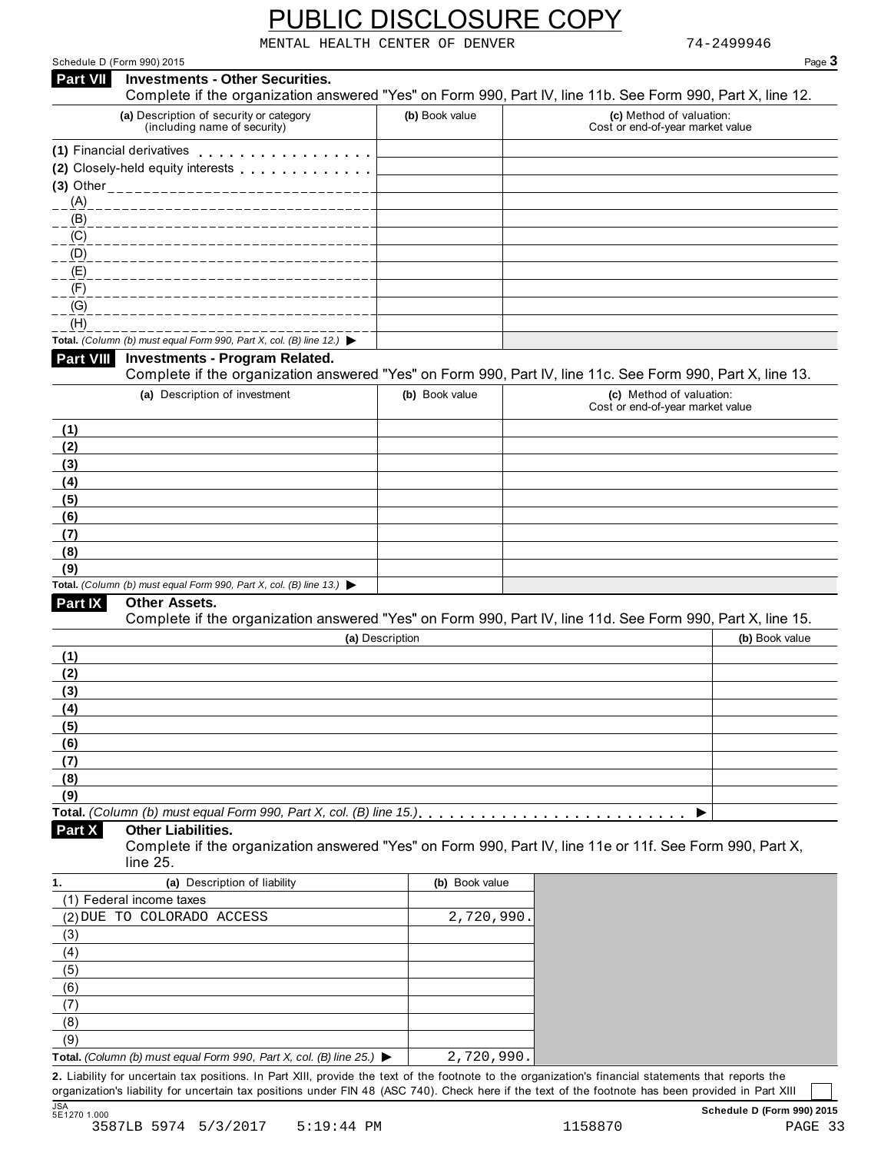|--|

|                                                               |                                                                                                                                                      |                 | MENTAL HEALTH CENTER OF DENVER |                                                              | 74-2499946     |        |
|---------------------------------------------------------------|------------------------------------------------------------------------------------------------------------------------------------------------------|-----------------|--------------------------------|--------------------------------------------------------------|----------------|--------|
|                                                               | Schedule D (Form 990) 2015                                                                                                                           |                 |                                |                                                              |                | Page 3 |
| Part VII                                                      | <b>Investments - Other Securities.</b><br>Complete if the organization answered "Yes" on Form 990, Part IV, line 11b. See Form 990, Part X, line 12. |                 |                                |                                                              |                |        |
|                                                               | (a) Description of security or category<br>(including name of security)                                                                              |                 | (b) Book value                 | (c) Method of valuation:<br>Cost or end-of-year market value |                |        |
|                                                               | (1) Financial derivatives                                                                                                                            |                 |                                |                                                              |                |        |
|                                                               | (2) Closely-held equity interests                                                                                                                    |                 |                                |                                                              |                |        |
|                                                               | (3) Other ____________________________                                                                                                               |                 |                                |                                                              |                |        |
| (A)                                                           |                                                                                                                                                      |                 |                                |                                                              |                |        |
| (B)                                                           |                                                                                                                                                      |                 |                                |                                                              |                |        |
| (C)                                                           |                                                                                                                                                      |                 |                                |                                                              |                |        |
| (D)                                                           |                                                                                                                                                      |                 |                                |                                                              |                |        |
| (E)                                                           |                                                                                                                                                      |                 |                                |                                                              |                |        |
| (F)                                                           |                                                                                                                                                      |                 |                                |                                                              |                |        |
| (G)                                                           |                                                                                                                                                      |                 |                                |                                                              |                |        |
| (H)                                                           |                                                                                                                                                      |                 |                                |                                                              |                |        |
|                                                               | Total. (Column (b) must equal Form 990, Part X, col. (B) line 12.) $\blacktriangleright$                                                             |                 |                                |                                                              |                |        |
| <b>Part VIII</b>                                              | <b>Investments - Program Related.</b><br>Complete if the organization answered "Yes" on Form 990, Part IV, line 11c. See Form 990, Part X, line 13.  |                 |                                |                                                              |                |        |
|                                                               | (a) Description of investment                                                                                                                        |                 | (b) Book value                 | (c) Method of valuation:<br>Cost or end-of-year market value |                |        |
| (1)                                                           |                                                                                                                                                      |                 |                                |                                                              |                |        |
| (2)                                                           |                                                                                                                                                      |                 |                                |                                                              |                |        |
| (3)                                                           |                                                                                                                                                      |                 |                                |                                                              |                |        |
| (4)                                                           |                                                                                                                                                      |                 |                                |                                                              |                |        |
| (5)                                                           |                                                                                                                                                      |                 |                                |                                                              |                |        |
| (6)                                                           |                                                                                                                                                      |                 |                                |                                                              |                |        |
| (7)                                                           |                                                                                                                                                      |                 |                                |                                                              |                |        |
| (8)                                                           |                                                                                                                                                      |                 |                                |                                                              |                |        |
| (9)                                                           |                                                                                                                                                      |                 |                                |                                                              |                |        |
|                                                               | Total. (Column (b) must equal Form 990, Part X, col. (B) line 13.) $\blacktriangleright$                                                             |                 |                                |                                                              |                |        |
| Part IX                                                       | Other Assets.<br>Complete if the organization answered "Yes" on Form 990, Part IV, line 11d. See Form 990, Part X, line 15.                          |                 |                                |                                                              |                |        |
|                                                               |                                                                                                                                                      | (a) Description |                                |                                                              | (b) Book value |        |
|                                                               |                                                                                                                                                      |                 |                                |                                                              |                |        |
|                                                               |                                                                                                                                                      |                 |                                |                                                              |                |        |
|                                                               |                                                                                                                                                      |                 |                                |                                                              |                |        |
|                                                               |                                                                                                                                                      |                 |                                |                                                              |                |        |
|                                                               |                                                                                                                                                      |                 |                                |                                                              |                |        |
|                                                               |                                                                                                                                                      |                 |                                |                                                              |                |        |
|                                                               |                                                                                                                                                      |                 |                                |                                                              |                |        |
|                                                               |                                                                                                                                                      |                 |                                |                                                              |                |        |
|                                                               |                                                                                                                                                      |                 |                                |                                                              |                |        |
|                                                               |                                                                                                                                                      |                 |                                |                                                              |                |        |
| (1)<br>(2)<br>(3)<br>(4)<br>(5)<br>(6)<br>(7)<br>(8)<br>(9)   |                                                                                                                                                      |                 |                                |                                                              |                |        |
|                                                               | <b>Other Liabilities.</b><br>Complete if the organization answered "Yes" on Form 990, Part IV, line 11e or 11f. See Form 990, Part X,<br>line 25.    |                 |                                |                                                              |                |        |
|                                                               | (a) Description of liability                                                                                                                         |                 | (b) Book value                 |                                                              |                |        |
|                                                               | (1) Federal income taxes                                                                                                                             |                 |                                |                                                              |                |        |
|                                                               | (2) DUE TO COLORADO ACCESS                                                                                                                           |                 | 2,720,990                      |                                                              |                |        |
|                                                               |                                                                                                                                                      |                 |                                |                                                              |                |        |
|                                                               |                                                                                                                                                      |                 |                                |                                                              |                |        |
|                                                               |                                                                                                                                                      |                 |                                |                                                              |                |        |
|                                                               |                                                                                                                                                      |                 |                                |                                                              |                |        |
|                                                               |                                                                                                                                                      |                 |                                |                                                              |                |        |
|                                                               |                                                                                                                                                      |                 |                                |                                                              |                |        |
| Part X<br>1.<br>(3)<br>(4)<br>(5)<br>(6)<br>(7)<br>(8)<br>(9) |                                                                                                                                                      |                 | 2,720,990.                     |                                                              |                |        |

organization's liability for uncertain tax positions under FIN 48 (ASC 740). Check here if the text of the footnote has been provided in Part XIII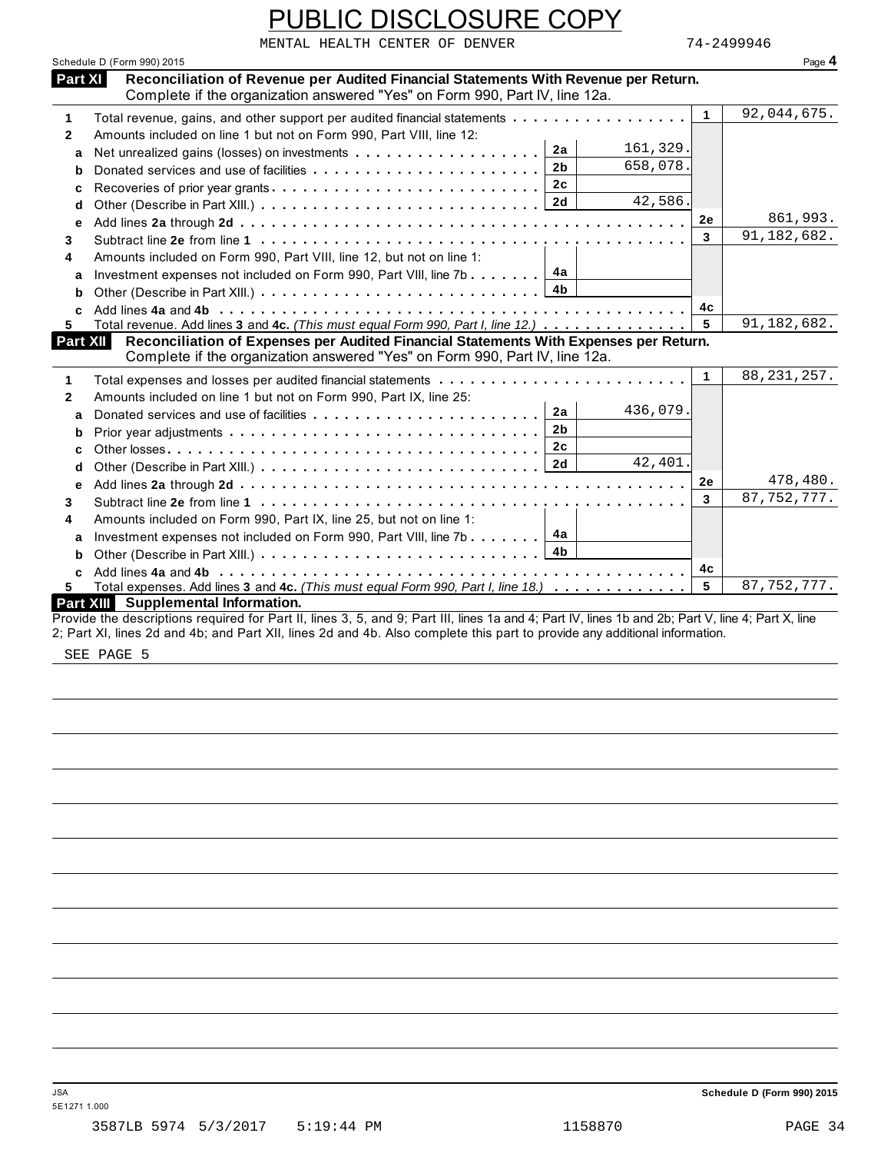|                  | PUBLIC DISCLOSURE COPY                                                                                                                                                                                                                                                           |              |               |
|------------------|----------------------------------------------------------------------------------------------------------------------------------------------------------------------------------------------------------------------------------------------------------------------------------|--------------|---------------|
|                  | MENTAL HEALTH CENTER OF DENVER                                                                                                                                                                                                                                                   |              | 74-2499946    |
|                  | Schedule D (Form 990) 2015                                                                                                                                                                                                                                                       |              | Page 4        |
| Part XI          | Reconciliation of Revenue per Audited Financial Statements With Revenue per Return.                                                                                                                                                                                              |              |               |
|                  | Complete if the organization answered "Yes" on Form 990, Part IV, line 12a.                                                                                                                                                                                                      |              |               |
| 1                | Total revenue, gains, and other support per audited financial statements                                                                                                                                                                                                         | $\mathbf{1}$ | 92,044,675.   |
| $\mathbf{2}$     | Amounts included on line 1 but not on Form 990, Part VIII, line 12:                                                                                                                                                                                                              |              |               |
| a                | 161,329.<br>2a                                                                                                                                                                                                                                                                   |              |               |
| b                | 658,078.<br>2 <sub>b</sub>                                                                                                                                                                                                                                                       |              |               |
| c                | 2c                                                                                                                                                                                                                                                                               |              |               |
| d                | 42,586.<br>2d                                                                                                                                                                                                                                                                    |              |               |
| е                |                                                                                                                                                                                                                                                                                  | 2e           | 861,993.      |
| 3                |                                                                                                                                                                                                                                                                                  | 3            | 91,182,682.   |
| 4                | Amounts included on Form 990, Part VIII, line 12, but not on line 1:                                                                                                                                                                                                             |              |               |
| a                | 4a<br>Investment expenses not included on Form 990, Part VIII, line 7b                                                                                                                                                                                                           |              |               |
| b                | 4 <sub>b</sub>                                                                                                                                                                                                                                                                   |              |               |
| $\mathbf{c}$     |                                                                                                                                                                                                                                                                                  | 4с           |               |
| 5.               | Total revenue. Add lines 3 and 4c. (This must equal Form 990, Part I, line 12.)                                                                                                                                                                                                  | 5            | 91,182,682.   |
| Part XII         | Reconciliation of Expenses per Audited Financial Statements With Expenses per Return.<br>Complete if the organization answered "Yes" on Form 990, Part IV, line 12a.                                                                                                             |              |               |
| 1                |                                                                                                                                                                                                                                                                                  | $\mathbf 1$  | 88, 231, 257. |
| $\mathbf{2}$     | Amounts included on line 1 but not on Form 990, Part IX, line 25:                                                                                                                                                                                                                |              |               |
| a                | 436,079.<br>2a                                                                                                                                                                                                                                                                   |              |               |
| b                | 2 <sub>b</sub>                                                                                                                                                                                                                                                                   |              |               |
| C                | 2 <sub>c</sub>                                                                                                                                                                                                                                                                   |              |               |
| d                | 42,401.<br>2d                                                                                                                                                                                                                                                                    |              |               |
| e                |                                                                                                                                                                                                                                                                                  | 2e           | 478,480.      |
| 3                |                                                                                                                                                                                                                                                                                  | 3            | 87, 752, 777. |
| 4                | Amounts included on Form 990, Part IX, line 25, but not on line 1:                                                                                                                                                                                                               |              |               |
| a                | 4а<br>Investment expenses not included on Form 990, Part VIII, line 7b                                                                                                                                                                                                           |              |               |
| b                | 4b                                                                                                                                                                                                                                                                               |              |               |
| c                |                                                                                                                                                                                                                                                                                  | 4с           |               |
| 5                | Total expenses. Add lines 3 and 4c. (This must equal Form 990, Part I, line 18.)                                                                                                                                                                                                 | 5            | 87, 752, 777. |
| <b>Part XIII</b> | <b>Supplemental Information.</b>                                                                                                                                                                                                                                                 |              |               |
|                  | Provide the descriptions required for Part II, lines 3, 5, and 9; Part III, lines 1a and 4; Part IV, lines 1b and 2b; Part V, line 4; Part X, line<br>2; Part XI, lines 2d and 4b; and Part XII, lines 2d and 4b. Also complete this part to provide any additional information. |              |               |

SEE PAGE 5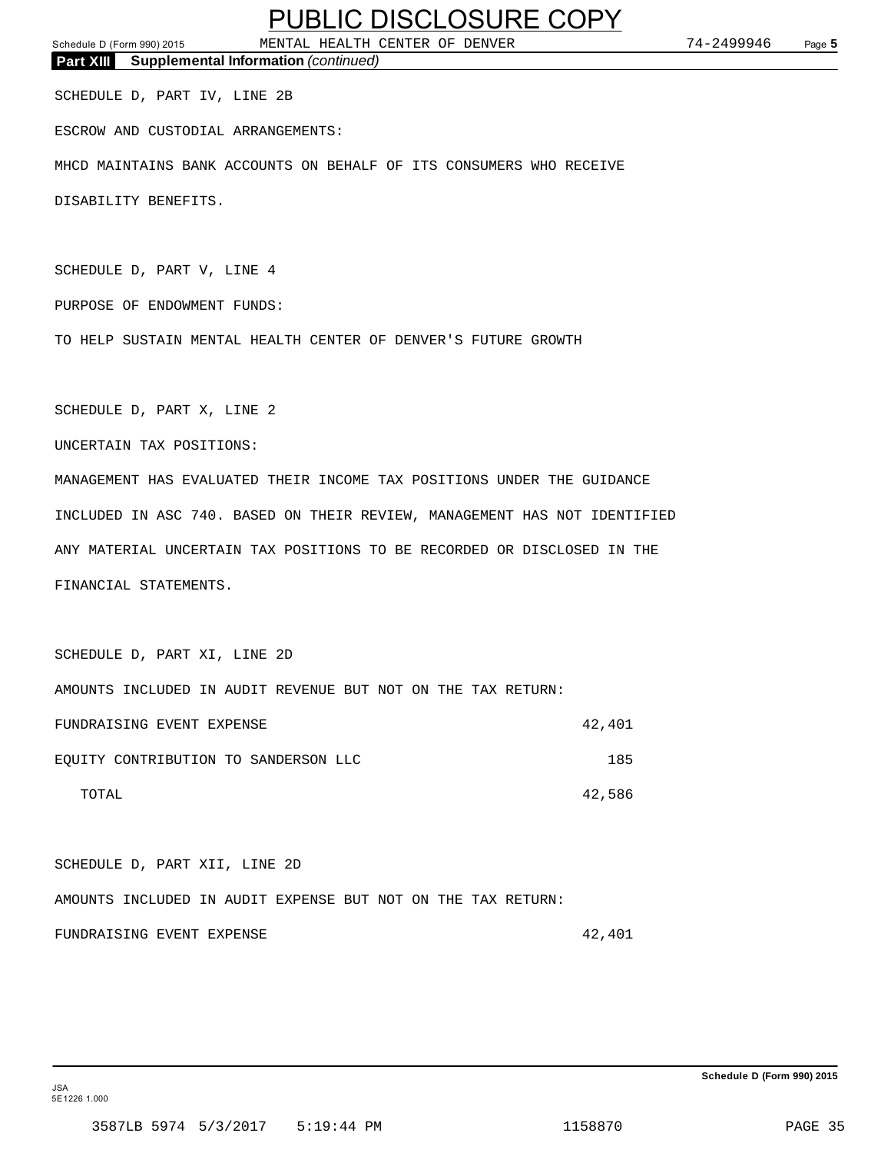Schedule D (Form 990) 2015 MENTAL HEALTH CENTER OF DENVER 74-2499946 Page **5 Part XIII Supplemental Information** *(continued)*

SCHEDULE D, PART IV, LINE 2B

ESCROW AND CUSTODIAL ARRANGEMENTS:

MHCD MAINTAINS BANK ACCOUNTS ON BEHALF OF ITS CONSUMERS WHO RECEIVE

DISABILITY BENEFITS.

SCHEDULE D, PART V, LINE 4

PURPOSE OF ENDOWMENT FUNDS:

TO HELP SUSTAIN MENTAL HEALTH CENTER OF DENVER'S FUTURE GROWTH

SCHEDULE D, PART X, LINE 2

UNCERTAIN TAX POSITIONS:

MANAGEMENT HAS EVALUATED THEIR INCOME TAX POSITIONS UNDER THE GUIDANCE INCLUDED IN ASC 740. BASED ON THEIR REVIEW, MANAGEMENT HAS NOT IDENTIFIED ANY MATERIAL UNCERTAIN TAX POSITIONS TO BE RECORDED OR DISCLOSED IN THE FINANCIAL STATEMENTS.

SCHEDULE D, PART XI, LINE 2D AMOUNTS INCLUDED IN AUDIT REVENUE BUT NOT ON THE TAX RETURN: FUNDRAISING EVENT EXPENSE **12,401** EQUITY CONTRIBUTION TO SANDERSON LLC 185 TOTAL 42,586

SCHEDULE D, PART XII, LINE 2D AMOUNTS INCLUDED IN AUDIT EXPENSE BUT NOT ON THE TAX RETURN: FUNDRAISING EVENT EXPENSE **12,401** 

**Schedule D (Form 990) 2015**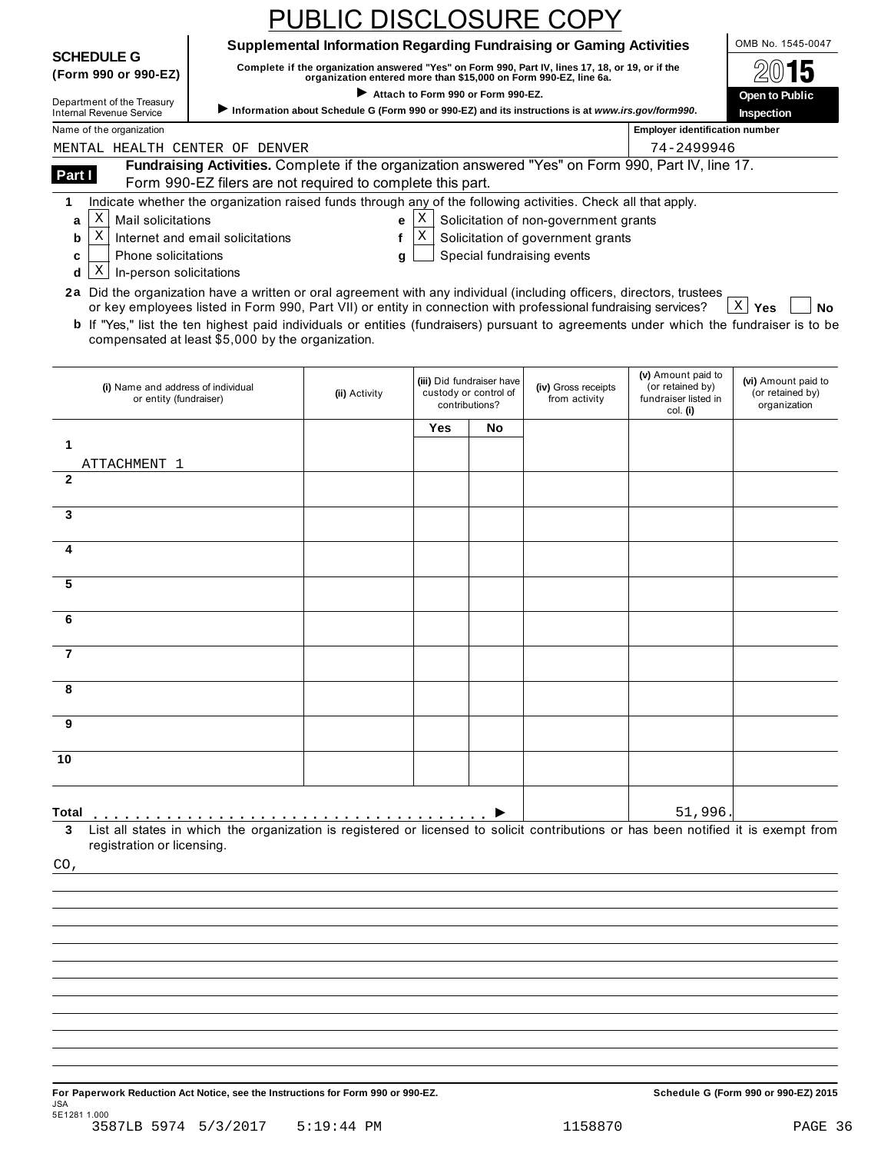|                                                                                                                                               |                                                                                                                                                                             | <b>PUBLIC DISCLOSURE COPY</b>                                                                                                                                        |                                    |                           |                                       |                                                      |                                      |
|-----------------------------------------------------------------------------------------------------------------------------------------------|-----------------------------------------------------------------------------------------------------------------------------------------------------------------------------|----------------------------------------------------------------------------------------------------------------------------------------------------------------------|------------------------------------|---------------------------|---------------------------------------|------------------------------------------------------|--------------------------------------|
|                                                                                                                                               |                                                                                                                                                                             | Supplemental Information Regarding Fundraising or Gaming Activities                                                                                                  |                                    |                           |                                       |                                                      | OMB No. 1545-0047                    |
| <b>SCHEDULE G</b><br>(Form 990 or 990-EZ)                                                                                                     |                                                                                                                                                                             | Complete if the organization answered "Yes" on Form 990, Part IV, lines 17, 18, or 19, or if the<br>organization entered more than \$15,000 on Form 990-EZ, line 6a. |                                    |                           |                                       |                                                      |                                      |
| Department of the Treasury                                                                                                                    |                                                                                                                                                                             |                                                                                                                                                                      | Attach to Form 990 or Form 990-EZ. |                           |                                       |                                                      | <b>Open to Public</b>                |
| <b>Internal Revenue Service</b><br>Name of the organization                                                                                   |                                                                                                                                                                             | Information about Schedule G (Form 990 or 990-EZ) and its instructions is at www.irs.gov/form990.                                                                    |                                    |                           |                                       | <b>Employer identification number</b>                | Inspection                           |
| MENTAL HEALTH CENTER OF DENVER                                                                                                                |                                                                                                                                                                             |                                                                                                                                                                      |                                    |                           |                                       | 74-2499946                                           |                                      |
| Part I                                                                                                                                        | Fundraising Activities. Complete if the organization answered "Yes" on Form 990, Part IV, line 17.                                                                          |                                                                                                                                                                      |                                    |                           |                                       |                                                      |                                      |
| 1                                                                                                                                             | Form 990-EZ filers are not required to complete this part.<br>Indicate whether the organization raised funds through any of the following activities. Check all that apply. |                                                                                                                                                                      |                                    |                           |                                       |                                                      |                                      |
| Χ<br>Mail solicitations<br>a                                                                                                                  |                                                                                                                                                                             | е                                                                                                                                                                    | Χ                                  |                           | Solicitation of non-government grants |                                                      |                                      |
| X<br>b                                                                                                                                        | Internet and email solicitations                                                                                                                                            | f                                                                                                                                                                    | X                                  |                           | Solicitation of government grants     |                                                      |                                      |
| Phone solicitations<br>c                                                                                                                      |                                                                                                                                                                             | g                                                                                                                                                                    |                                    |                           | Special fundraising events            |                                                      |                                      |
| X<br>In-person solicitations<br>d                                                                                                             |                                                                                                                                                                             |                                                                                                                                                                      |                                    |                           |                                       |                                                      |                                      |
| 2a Did the organization have a written or oral agreement with any individual (including officers, directors, trustees                         | or key employees listed in Form 990, Part VII) or entity in connection with professional fundraising services?                                                              |                                                                                                                                                                      |                                    |                           |                                       |                                                      | $X \mid Y$ es<br>No                  |
| <b>b</b> If "Yes," list the ten highest paid individuals or entities (fundraisers) pursuant to agreements under which the fundraiser is to be | compensated at least \$5,000 by the organization.                                                                                                                           |                                                                                                                                                                      |                                    |                           |                                       |                                                      |                                      |
|                                                                                                                                               |                                                                                                                                                                             |                                                                                                                                                                      |                                    | (iii) Did fundraiser have |                                       | (v) Amount paid to                                   | (vi) Amount paid to                  |
| (i) Name and address of individual<br>or entity (fundraiser)                                                                                  |                                                                                                                                                                             | (ii) Activity                                                                                                                                                        | contributions?                     | custody or control of     | (iv) Gross receipts<br>from activity  | (or retained by)<br>fundraiser listed in<br>col. (i) | (or retained by)<br>organization     |
| 1                                                                                                                                             |                                                                                                                                                                             |                                                                                                                                                                      | Yes                                | No                        |                                       |                                                      |                                      |
| ATTACHMENT 1                                                                                                                                  |                                                                                                                                                                             |                                                                                                                                                                      |                                    |                           |                                       |                                                      |                                      |
| $\mathbf{2}$                                                                                                                                  |                                                                                                                                                                             |                                                                                                                                                                      |                                    |                           |                                       |                                                      |                                      |
| 3                                                                                                                                             |                                                                                                                                                                             |                                                                                                                                                                      |                                    |                           |                                       |                                                      |                                      |
| 4                                                                                                                                             |                                                                                                                                                                             |                                                                                                                                                                      |                                    |                           |                                       |                                                      |                                      |
| 5                                                                                                                                             |                                                                                                                                                                             |                                                                                                                                                                      |                                    |                           |                                       |                                                      |                                      |
| 6                                                                                                                                             |                                                                                                                                                                             |                                                                                                                                                                      |                                    |                           |                                       |                                                      |                                      |
| 7                                                                                                                                             |                                                                                                                                                                             |                                                                                                                                                                      |                                    |                           |                                       |                                                      |                                      |
| 8                                                                                                                                             |                                                                                                                                                                             |                                                                                                                                                                      |                                    |                           |                                       |                                                      |                                      |
|                                                                                                                                               |                                                                                                                                                                             |                                                                                                                                                                      |                                    |                           |                                       |                                                      |                                      |
| 9                                                                                                                                             |                                                                                                                                                                             |                                                                                                                                                                      |                                    |                           |                                       |                                                      |                                      |
| 10                                                                                                                                            |                                                                                                                                                                             |                                                                                                                                                                      |                                    |                           |                                       |                                                      |                                      |
| Total                                                                                                                                         |                                                                                                                                                                             |                                                                                                                                                                      |                                    |                           |                                       | 51,996                                               |                                      |
| 3<br>registration or licensing.                                                                                                               | List all states in which the organization is registered or licensed to solicit contributions or has been notified it is exempt from                                         |                                                                                                                                                                      |                                    |                           |                                       |                                                      |                                      |
| CO,                                                                                                                                           |                                                                                                                                                                             |                                                                                                                                                                      |                                    |                           |                                       |                                                      |                                      |
|                                                                                                                                               |                                                                                                                                                                             |                                                                                                                                                                      |                                    |                           |                                       |                                                      |                                      |
|                                                                                                                                               |                                                                                                                                                                             |                                                                                                                                                                      |                                    |                           |                                       |                                                      |                                      |
|                                                                                                                                               |                                                                                                                                                                             |                                                                                                                                                                      |                                    |                           |                                       |                                                      |                                      |
|                                                                                                                                               |                                                                                                                                                                             |                                                                                                                                                                      |                                    |                           |                                       |                                                      |                                      |
|                                                                                                                                               |                                                                                                                                                                             |                                                                                                                                                                      |                                    |                           |                                       |                                                      |                                      |
|                                                                                                                                               |                                                                                                                                                                             |                                                                                                                                                                      |                                    |                           |                                       |                                                      |                                      |
|                                                                                                                                               |                                                                                                                                                                             |                                                                                                                                                                      |                                    |                           |                                       |                                                      |                                      |
|                                                                                                                                               |                                                                                                                                                                             |                                                                                                                                                                      |                                    |                           |                                       |                                                      |                                      |
|                                                                                                                                               |                                                                                                                                                                             |                                                                                                                                                                      |                                    |                           |                                       |                                                      |                                      |
| For Paperwork Reduction Act Notice, see the Instructions for Form 990 or 990-EZ.<br>JSA                                                       |                                                                                                                                                                             |                                                                                                                                                                      |                                    |                           |                                       |                                                      | Schedule G (Form 990 or 990-EZ) 2015 |
| 5E1281 1.000<br>3587LB 5974 5/3/2017                                                                                                          |                                                                                                                                                                             | $5:19:44$ PM                                                                                                                                                         |                                    |                           | 1158870                               |                                                      | PAGE 36                              |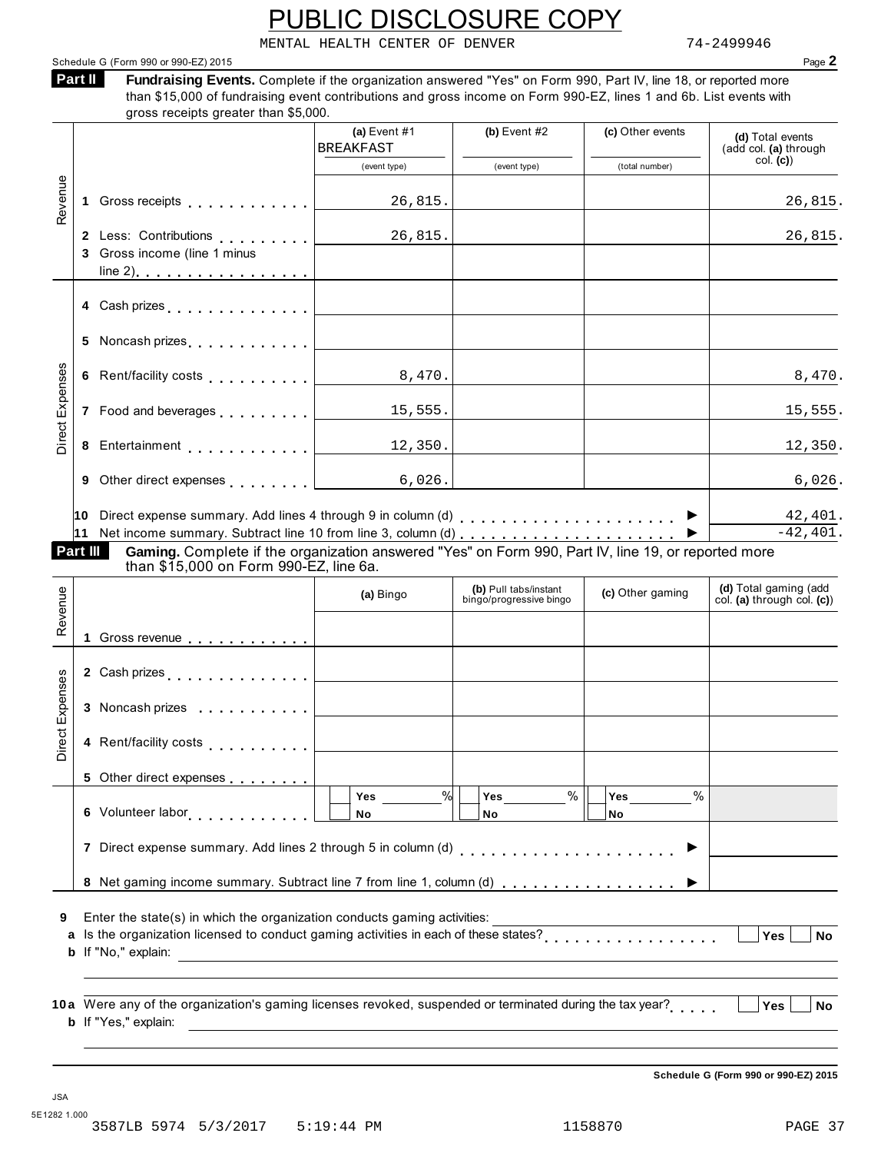MENTAL HEALTH CENTER OF DENVER 74-2499946

| Schedule G (Form 990 or 990-EZ) 2015 | Page |
|--------------------------------------|------|
|--------------------------------------|------|

**Fundraising Events.** Complete if the organization answered "Yes" on Form 990, Part IV, line 18, or reported more than \$15,000 of fundraising event contributions and gross income on Form 990-EZ, lines 1 and 6b. List events with **Part II** 

|                        |   |                                                                                                                 | (a) Event $#1$<br><b>BREAKFAST</b>      | (b) Event $#2$                                   | (c) Other events         | (d) Total events<br>(add col. (a) through           |
|------------------------|---|-----------------------------------------------------------------------------------------------------------------|-----------------------------------------|--------------------------------------------------|--------------------------|-----------------------------------------------------|
|                        |   |                                                                                                                 | (event type)                            | (event type)                                     | (total number)           | col. (c)                                            |
| Revenue                |   |                                                                                                                 | 26,815.                                 |                                                  |                          | 26,815.                                             |
|                        |   | 3 Gross income (line 1 minus                                                                                    | 26,815.                                 |                                                  |                          | 26,815.                                             |
|                        |   |                                                                                                                 | <u> 1980 - Johann Barbara, martxa a</u> |                                                  |                          |                                                     |
|                        |   |                                                                                                                 |                                         |                                                  |                          |                                                     |
|                        |   |                                                                                                                 | 8,470.                                  |                                                  |                          | 8,470.                                              |
| <b>Direct Expenses</b> |   |                                                                                                                 | 15, 555.                                |                                                  |                          | 15,555.                                             |
|                        | 8 | Entertainment <u>  _ _ _ _ _</u>                                                                                | 12,350.                                 |                                                  |                          | 12,350.                                             |
|                        |   | 9 Other direct expenses                                                                                         | 6,026.                                  |                                                  |                          | 6,026.                                              |
|                        |   | Part III<br>Gaming. Complete if the organization answered "Yes" on Form 990, Part IV, line 19, or reported more |                                         |                                                  |                          | 42,401.<br>$-42, 401.$                              |
|                        |   | than \$15,000 on Form 990-EZ, line 6a.                                                                          | (a) Bingo                               | (b) Pull tabs/instant<br>bingo/progressive bingo | (c) Other gaming         | (d) Total gaming (add<br>col. (a) through col. (c)) |
| Revenue                |   | 1 Gross revenue                                                                                                 |                                         |                                                  |                          |                                                     |
|                        |   |                                                                                                                 |                                         |                                                  |                          |                                                     |
|                        |   |                                                                                                                 |                                         |                                                  |                          |                                                     |
| rect Expenses          |   | 3 Noncash prizes <u>  _ _ _ _ _ _ _ _ _ _ _</u>                                                                 |                                         |                                                  |                          |                                                     |
| ۵                      |   | 4 Rent/facility costs                                                                                           |                                         |                                                  |                          |                                                     |
|                        |   | 5 Other direct expenses                                                                                         |                                         |                                                  |                          |                                                     |
|                        |   | 6 Volunteer labor                                                                                               | %<br>Yes<br>No                          | $\%$<br>Yes<br>No                                | $\%$<br>Yes<br><b>No</b> |                                                     |
|                        |   |                                                                                                                 |                                         |                                                  |                          |                                                     |
|                        |   | 8 Net gaming income summary. Subtract line 7 from line 1, column (d)                                            |                                         |                                                  |                          |                                                     |
| 9<br>a<br>b            |   | Enter the state(s) in which the organization conducts gaming activities:<br>If "No," explain:                   |                                         |                                                  |                          | Yes<br>No                                           |
|                        |   |                                                                                                                 |                                         |                                                  |                          |                                                     |

**Schedule G (Form 990 or 990-EZ) 2015**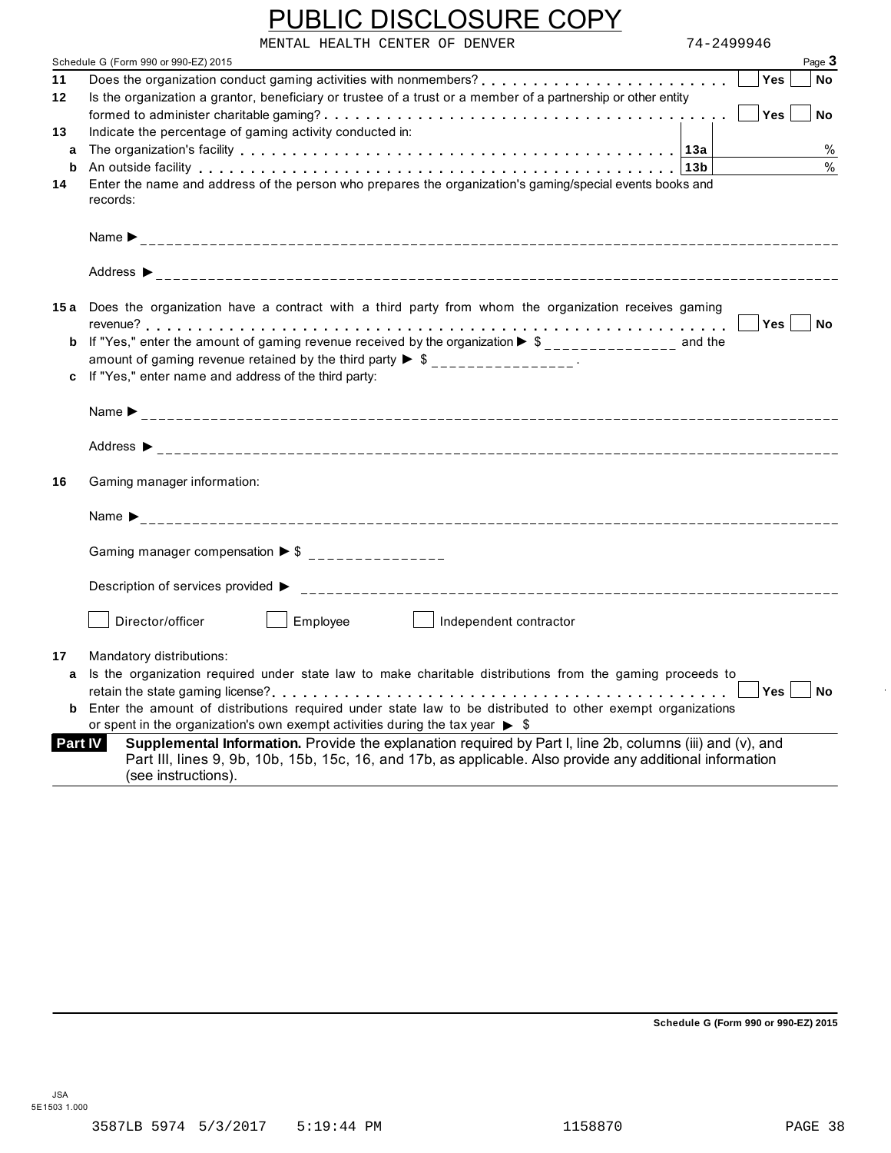|                | PUBLIC DISCLOSURE COPY                                                                                                                                                                                                                                                                                                                                 |            |                                      |
|----------------|--------------------------------------------------------------------------------------------------------------------------------------------------------------------------------------------------------------------------------------------------------------------------------------------------------------------------------------------------------|------------|--------------------------------------|
|                | MENTAL HEALTH CENTER OF DENVER                                                                                                                                                                                                                                                                                                                         | 74-2499946 |                                      |
|                | Schedule G (Form 990 or 990-EZ) 2015                                                                                                                                                                                                                                                                                                                   |            | Page 3                               |
| 11<br>12       | Is the organization a grantor, beneficiary or trustee of a trust or a member of a partnership or other entity                                                                                                                                                                                                                                          |            | <b>Yes</b><br>No<br>Yes<br><b>No</b> |
| 13             | Indicate the percentage of gaming activity conducted in:                                                                                                                                                                                                                                                                                               |            |                                      |
| a              |                                                                                                                                                                                                                                                                                                                                                        |            | $\%$<br>$\frac{0}{0}$                |
| b<br>14        | An outside facility enterpretence in the series of the series of the series of the series of the series of the series of the series of the series of the series of the series of the series of the series of the series of the<br>Enter the name and address of the person who prepares the organization's gaming/special events books and<br>records: |            |                                      |
|                |                                                                                                                                                                                                                                                                                                                                                        |            |                                      |
|                |                                                                                                                                                                                                                                                                                                                                                        |            |                                      |
|                | 15a Does the organization have a contract with a third party from whom the organization receives gaming                                                                                                                                                                                                                                                |            | No                                   |
|                | <b>b</b> If "Yes," enter the amount of gaming revenue received by the organization $\triangleright$ \$_______________ and the                                                                                                                                                                                                                          |            |                                      |
|                | amount of gaming revenue retained by the third party $\triangleright$ \$ ________________.<br>c If "Yes," enter name and address of the third party:                                                                                                                                                                                                   |            |                                      |
|                |                                                                                                                                                                                                                                                                                                                                                        |            |                                      |
|                |                                                                                                                                                                                                                                                                                                                                                        |            |                                      |
| 16             | Gaming manager information:                                                                                                                                                                                                                                                                                                                            |            |                                      |
|                |                                                                                                                                                                                                                                                                                                                                                        |            |                                      |
|                | Gaming manager compensation $\triangleright$ \$ ________________                                                                                                                                                                                                                                                                                       |            |                                      |
|                |                                                                                                                                                                                                                                                                                                                                                        |            |                                      |
|                | Director/officer<br>Employee<br>Independent contractor                                                                                                                                                                                                                                                                                                 |            |                                      |
| 17             | Mandatory distributions:                                                                                                                                                                                                                                                                                                                               |            |                                      |
|                | a Is the organization required under state law to make charitable distributions from the gaming proceeds to                                                                                                                                                                                                                                            |            |                                      |
|                |                                                                                                                                                                                                                                                                                                                                                        |            | <b>Yes</b><br>No                     |
|                | <b>b</b> Enter the amount of distributions required under state law to be distributed to other exempt organizations<br>or spent in the organization's own exempt activities during the tax year $\triangleright$ \$                                                                                                                                    |            |                                      |
| <b>Part IV</b> | Supplemental Information. Provide the explanation required by Part I, line 2b, columns (iii) and (v), and<br>Part III, lines 9, 9b, 10b, 15b, 15c, 16, and 17b, as applicable. Also provide any additional information<br>(see instructions).                                                                                                          |            |                                      |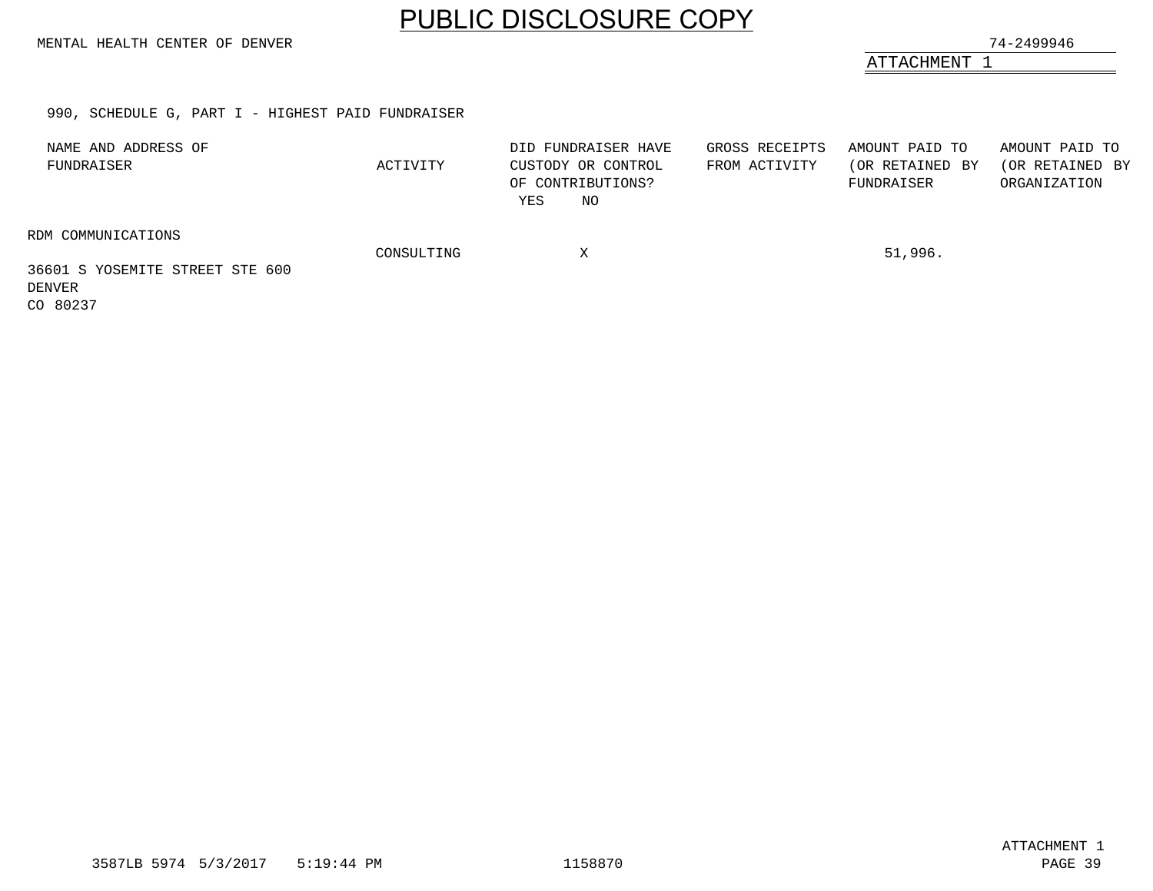MENTAL HEALTH CENTER OF DENVER 74-2499946

ATTACHMENT 1

#### 990, SCHEDULE G, PART I - HIGHEST PAID FUNDRAISER

| NAME AND ADDRESS OF<br>FUNDRAISER                               | ACTIVITY   | DID FUNDRAISER HAVE<br>CUSTODY OR CONTROL<br>OF CONTRIBUTIONS?<br>NO<br>YES | GROSS RECEIPTS<br>FROM ACTIVITY | AMOUNT PAID TO<br>(OR RETAINED BY<br>FUNDRAISER | AMOUNT PAID TO<br>(OR RETAINED BY<br>ORGANIZATION |
|-----------------------------------------------------------------|------------|-----------------------------------------------------------------------------|---------------------------------|-------------------------------------------------|---------------------------------------------------|
| RDM COMMUNICATIONS<br>36601 S YOSEMITE STREET STE 600<br>DENVER | CONSULTING | Χ                                                                           |                                 | 51,996.                                         |                                                   |

<span id="page-37-0"></span>CO 80237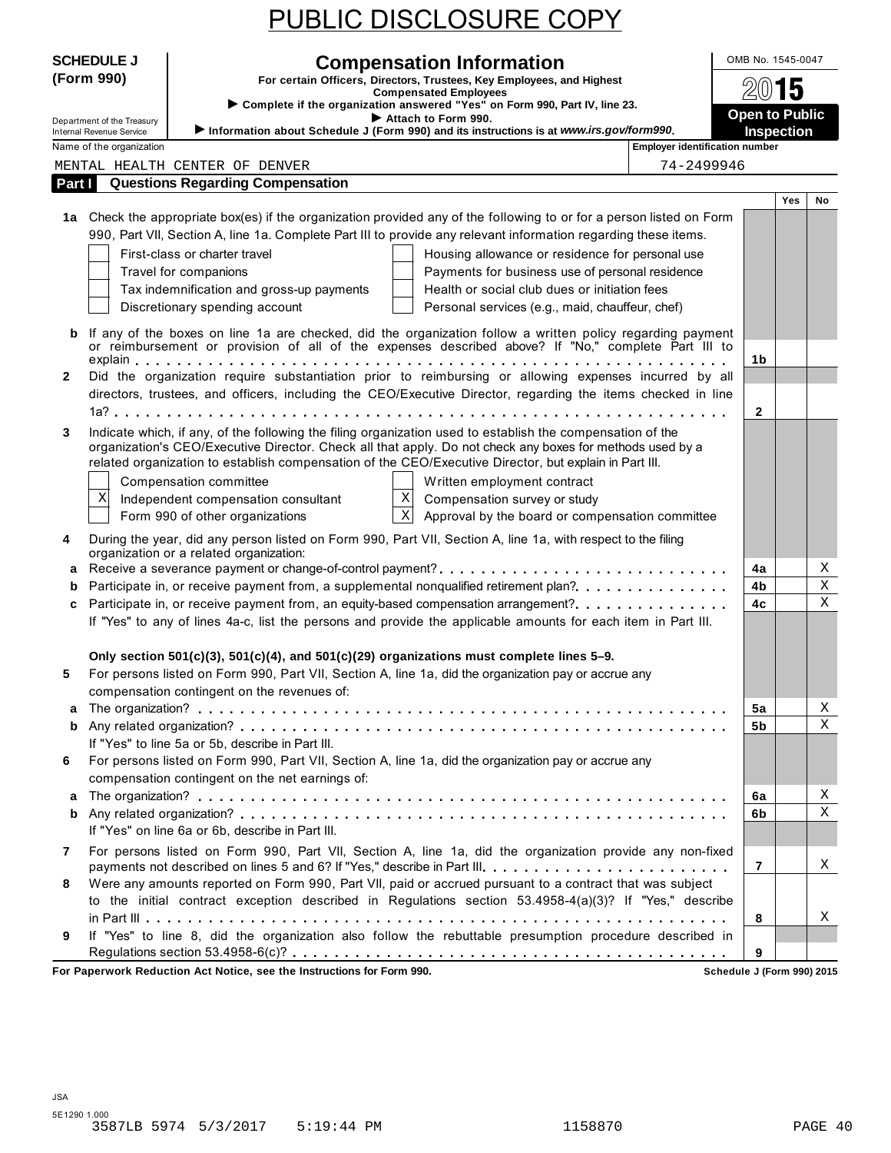|--|

|              | <b>SCHEDULE J</b>                                           | <b>Compensation Information</b>                                                                                                                                                                                         | OMB No. 1545-0047                               |                   |             |
|--------------|-------------------------------------------------------------|-------------------------------------------------------------------------------------------------------------------------------------------------------------------------------------------------------------------------|-------------------------------------------------|-------------------|-------------|
|              | (Form 990)                                                  | For certain Officers, Directors, Trustees, Key Employees, and Highest                                                                                                                                                   |                                                 | 5                 |             |
|              |                                                             | <b>Compensated Employees</b><br>Complete if the organization answered "Yes" on Form 990, Part IV, line 23.                                                                                                              |                                                 |                   |             |
|              | Department of the Treasury                                  | Attach to Form 990.<br>Information about Schedule J (Form 990) and its instructions is at www.irs.gov/form990.                                                                                                          | <b>Open to Public</b>                           | <b>Inspection</b> |             |
|              | <b>Internal Revenue Service</b><br>Name of the organization |                                                                                                                                                                                                                         | <b>Employer identification number</b>           |                   |             |
|              |                                                             | MENTAL HEALTH CENTER OF DENVER                                                                                                                                                                                          | 74-2499946                                      |                   |             |
| Part I       |                                                             | <b>Questions Regarding Compensation</b>                                                                                                                                                                                 |                                                 |                   |             |
|              |                                                             |                                                                                                                                                                                                                         |                                                 | <b>Yes</b>        | No          |
|              |                                                             | 1a Check the appropriate box(es) if the organization provided any of the following to or for a person listed on Form                                                                                                    |                                                 |                   |             |
|              |                                                             | 990, Part VII, Section A, line 1a. Complete Part III to provide any relevant information regarding these items.                                                                                                         |                                                 |                   |             |
|              |                                                             | First-class or charter travel                                                                                                                                                                                           | Housing allowance or residence for personal use |                   |             |
|              |                                                             | Travel for companions                                                                                                                                                                                                   | Payments for business use of personal residence |                   |             |
|              |                                                             | Tax indemnification and gross-up payments                                                                                                                                                                               | Health or social club dues or initiation fees   |                   |             |
|              |                                                             | Discretionary spending account                                                                                                                                                                                          | Personal services (e.g., maid, chauffeur, chef) |                   |             |
| b            |                                                             | If any of the boxes on line 1a are checked, did the organization follow a written policy regarding payment<br>or reimbursement or provision of all of the expenses described above? If "No," complete Part III to       |                                                 |                   |             |
|              |                                                             |                                                                                                                                                                                                                         | 1b                                              |                   |             |
| $\mathbf{2}$ |                                                             | Did the organization require substantiation prior to reimbursing or allowing expenses incurred by all                                                                                                                   |                                                 |                   |             |
|              |                                                             | directors, trustees, and officers, including the CEO/Executive Director, regarding the items checked in line                                                                                                            |                                                 |                   |             |
|              |                                                             |                                                                                                                                                                                                                         | $\mathbf{2}$                                    |                   |             |
| 3            |                                                             | Indicate which, if any, of the following the filing organization used to establish the compensation of the<br>organization's CEO/Executive Director. Check all that apply. Do not check any boxes for methods used by a |                                                 |                   |             |
|              |                                                             | related organization to establish compensation of the CEO/Executive Director, but explain in Part III.                                                                                                                  |                                                 |                   |             |
|              |                                                             | Compensation committee<br>Written employment contract                                                                                                                                                                   |                                                 |                   |             |
|              | X                                                           | $\mathbf X$<br>Independent compensation consultant<br>Compensation survey or study                                                                                                                                      |                                                 |                   |             |
|              |                                                             | $\mathbf{x}$<br>Form 990 of other organizations                                                                                                                                                                         | Approval by the board or compensation committee |                   |             |
| 4            |                                                             | During the year, did any person listed on Form 990, Part VII, Section A, line 1a, with respect to the filing                                                                                                            |                                                 |                   |             |
|              |                                                             | organization or a related organization:                                                                                                                                                                                 |                                                 |                   |             |
| a            |                                                             | Receive a severance payment or change-of-control payment?                                                                                                                                                               | 4a                                              |                   | Χ           |
| b            |                                                             | Participate in, or receive payment from, a supplemental nonqualified retirement plan?.                                                                                                                                  | 4b                                              |                   | X           |
| c            |                                                             | Participate in, or receive payment from, an equity-based compensation arrangement?.                                                                                                                                     | 4c                                              |                   | $\mathbf X$ |
|              |                                                             | If "Yes" to any of lines 4a-c, list the persons and provide the applicable amounts for each item in Part III.                                                                                                           |                                                 |                   |             |
|              |                                                             | Only section $501(c)(3)$ , $501(c)(4)$ , and $501(c)(29)$ organizations must complete lines 5-9.                                                                                                                        |                                                 |                   |             |
| 5            |                                                             | For persons listed on Form 990, Part VII, Section A, line 1a, did the organization pay or accrue any                                                                                                                    |                                                 |                   |             |
|              |                                                             | compensation contingent on the revenues of:                                                                                                                                                                             |                                                 |                   |             |
| a            |                                                             |                                                                                                                                                                                                                         | 5a                                              |                   | Χ           |
| b            |                                                             |                                                                                                                                                                                                                         | 5b                                              |                   | Χ           |
|              |                                                             | If "Yes" to line 5a or 5b, describe in Part III.                                                                                                                                                                        |                                                 |                   |             |
| 6            |                                                             | For persons listed on Form 990, Part VII, Section A, line 1a, did the organization pay or accrue any<br>compensation contingent on the net earnings of:                                                                 |                                                 |                   |             |
| a            |                                                             |                                                                                                                                                                                                                         | 6a                                              |                   | X           |
| b            |                                                             |                                                                                                                                                                                                                         | 6b                                              |                   | Χ           |
|              |                                                             | If "Yes" on line 6a or 6b, describe in Part III.                                                                                                                                                                        |                                                 |                   |             |
| 7            |                                                             | For persons listed on Form 990, Part VII, Section A, line 1a, did the organization provide any non-fixed                                                                                                                |                                                 |                   |             |
|              |                                                             | payments not described on lines 5 and 6? If "Yes," describe in Part III.                                                                                                                                                | 7                                               |                   | Χ           |
| 8            |                                                             | Were any amounts reported on Form 990, Part VII, paid or accrued pursuant to a contract that was subject                                                                                                                |                                                 |                   |             |
|              |                                                             | to the initial contract exception described in Regulations section 53.4958-4(a)(3)? If "Yes," describe                                                                                                                  |                                                 |                   |             |
|              |                                                             |                                                                                                                                                                                                                         | 8                                               |                   | X           |
| 9            |                                                             | If "Yes" to line 8, did the organization also follow the rebuttable presumption procedure described in                                                                                                                  |                                                 |                   |             |
|              |                                                             |                                                                                                                                                                                                                         | 9                                               |                   |             |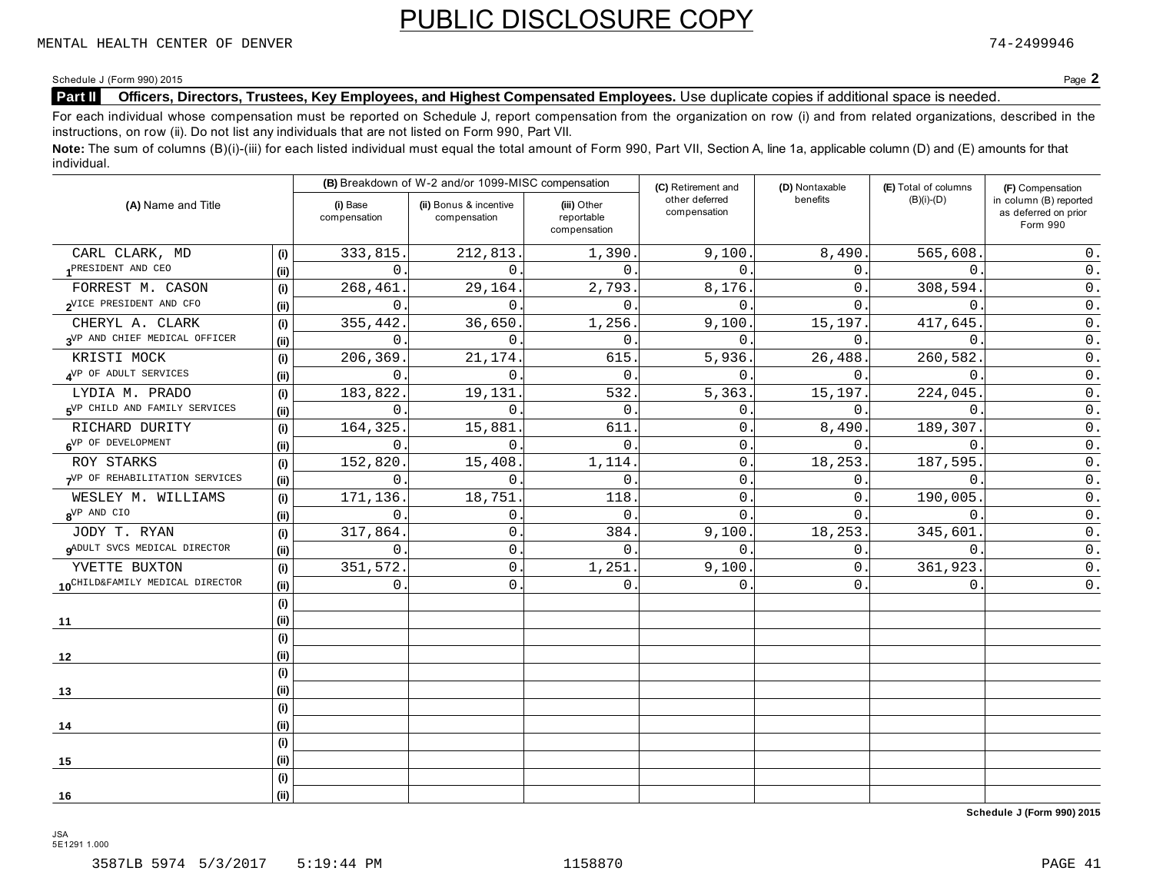#### Schedule J (Form 990) 2015 Page **2**

#### **Part II** Officers, Directors, Trustees, Key Employees, and Highest Compensated Employees. Use duplicate copies if additional space is needed.

For each individual whose compensation must be reported on Schedule J, report compensation from the organization on row (i) and from related organizations, described in the instructions, on row (ii). Do not list any individuals that are not listed on Form 990, Part VII.

Note: The sum of columns (B)(i)-(iii) for each listed individual must equal the total amount of Form 990, Part VII, Section A, line 1a, applicable column (D) and (E) amounts for that individual.

|                                                 |      |                          | (B) Breakdown of W-2 and/or 1099-MISC compensation |                                           | (C) Retirement and             | (D) Nontaxable | (E) Total of columns | (F) Compensation                                           |
|-------------------------------------------------|------|--------------------------|----------------------------------------------------|-------------------------------------------|--------------------------------|----------------|----------------------|------------------------------------------------------------|
| (A) Name and Title                              |      | (i) Base<br>compensation | (ii) Bonus & incentive<br>compensation             | (iii) Other<br>reportable<br>compensation | other deferred<br>compensation | benefits       | $(B)(i)-(D)$         | in column (B) reported<br>as deferred on prior<br>Form 990 |
| CARL CLARK, MD                                  | (i)  | 333,815.                 | 212,813.                                           | 1,390                                     | 9,100.                         | 8,490.         | 565,608              | $0$ .                                                      |
| 1PRESIDENT AND CEO                              | (ii) | $\Omega$                 | $\Omega$ .                                         | $\Omega$ .                                | $\Omega$                       | 0.             | 0                    | $0$ .                                                      |
| FORREST M. CASON                                | (i)  | 268,461                  | 29,164.                                            | 2,793.                                    | 8,176.                         | 0.             | 308,594.             | $\mathsf 0$ .                                              |
| OVICE PRESIDENT AND CFO                         | (ii) | $\Omega$                 | $\Omega$ .                                         | $\Omega$ .                                | $\Omega$                       | 0.             | $\Omega$             | 0.                                                         |
| CHERYL A. CLARK                                 | (i)  | 355,442                  | 36,650.                                            | 1,256                                     | 9,100                          | 15,197.        | 417,645              | $0$ .                                                      |
| 3VP AND CHIEF MEDICAL OFFICER                   | (ii) | $\Omega$                 | $\Omega$ .                                         | 0.                                        | $\Omega$ .                     | 0.             | $\mathbf{0}$         | $\mathsf 0$ .                                              |
| KRISTI MOCK                                     | (i)  | 206,369                  | 21, 174.                                           | 615.                                      | 5,936.                         | 26,488.        | 260,582              | $\mathsf 0$ .                                              |
| NVP OF ADULT SERVICES                           | (ii) | $\Omega$                 | $\Omega$                                           | $\Omega$ .                                | $\Omega$                       | 0.             | $\Omega$             | $0$ .                                                      |
| LYDIA M. PRADO                                  | (i)  | 183,822                  | 19,131                                             | 532                                       | 5,363                          | 15,197.        | 224,045              | $\mathsf 0$ .                                              |
| <b>SVP CHILD AND FAMILY SERVICES</b>            | (ii) | $\mathbf 0$              | $\mathbf{0}$                                       | 0                                         | 0                              | 0.             | $\mathbf{0}$         | $\mathsf 0$ .                                              |
| RICHARD DURITY                                  | (i)  | 164,325.                 | 15,881                                             | 611                                       | 0                              | 8,490.         | 189,307.             | $0$ .                                                      |
| 6 <sup>VP</sup> OF DEVELOPMENT                  | (ii) | $\Omega$                 | $\Omega$ .                                         | $\Omega$ .                                | 0                              | 0.             | $\mathbf{0}$         | $0$ .                                                      |
| ROY STARKS                                      | (i)  | 152,820.                 | 15,408.                                            | 1,114.                                    | 0                              | 18,253.        | 187,595.             | $0$ .                                                      |
| 7VP OF REHABILITATION SERVICES                  | (ii) | $\Omega$                 | $\Omega$ .                                         | $\mathbf 0$ .                             | $\mathbf 0$                    | 0.             | $\Omega$             | $0$ .                                                      |
| WESLEY M. WILLIAMS                              | (i)  | 171,136.                 | 18,751                                             | 118                                       | $\mathbf{0}$ .                 | 0.             | 190,005              | $0$ .                                                      |
| 8 <sup>VP</sup> AND CIO                         | (ii) | $\Omega$                 | $\mathbf{0}$ .                                     | $\Omega$ .                                | $\Omega$                       | $\Omega$ .     | $\Omega$             | $\mathsf 0$ .                                              |
| JODY T. RYAN                                    | (i)  | 317,864.                 | 0.                                                 | 384.                                      | 9,100                          | 18,253.        | 345,601              | 0.                                                         |
| <b>9</b> ADULT SVCS MEDICAL DIRECTOR            | (ii) | $\Omega$                 | $\mathsf{0}$ .                                     | $\Omega$ .                                | $\Omega$                       | 0.             | 0                    | $\mathsf{0}$ .                                             |
| YVETTE BUXTON                                   | (i)  | 351,572                  | $\mathbf 0$ .                                      | 1,251                                     | 9,100                          | 0.             | 361,923              | $0$ .                                                      |
| 10 <sup>CHILD&amp;FAMILY</sup> MEDICAL DIRECTOR | (ii) | $\mathbf{0}$             | $\mathbf{0}$ .                                     | $\Omega$ .                                | $\Omega$                       | 0.             | $\Omega$             | $0$ .                                                      |
|                                                 | (i)  |                          |                                                    |                                           |                                |                |                      |                                                            |
| 11                                              | (ii) |                          |                                                    |                                           |                                |                |                      |                                                            |
|                                                 | (i)  |                          |                                                    |                                           |                                |                |                      |                                                            |
| 12                                              | (ii) |                          |                                                    |                                           |                                |                |                      |                                                            |
|                                                 | (i)  |                          |                                                    |                                           |                                |                |                      |                                                            |
| 13                                              | (ii) |                          |                                                    |                                           |                                |                |                      |                                                            |
|                                                 | (i)  |                          |                                                    |                                           |                                |                |                      |                                                            |
| 14                                              | (ii) |                          |                                                    |                                           |                                |                |                      |                                                            |
|                                                 | (i)  |                          |                                                    |                                           |                                |                |                      |                                                            |
| 15                                              | (ii) |                          |                                                    |                                           |                                |                |                      |                                                            |
|                                                 | (i)  |                          |                                                    |                                           |                                |                |                      |                                                            |
| 16                                              | (ii) |                          |                                                    |                                           |                                |                |                      |                                                            |

**Schedule J (Form 990) 2015**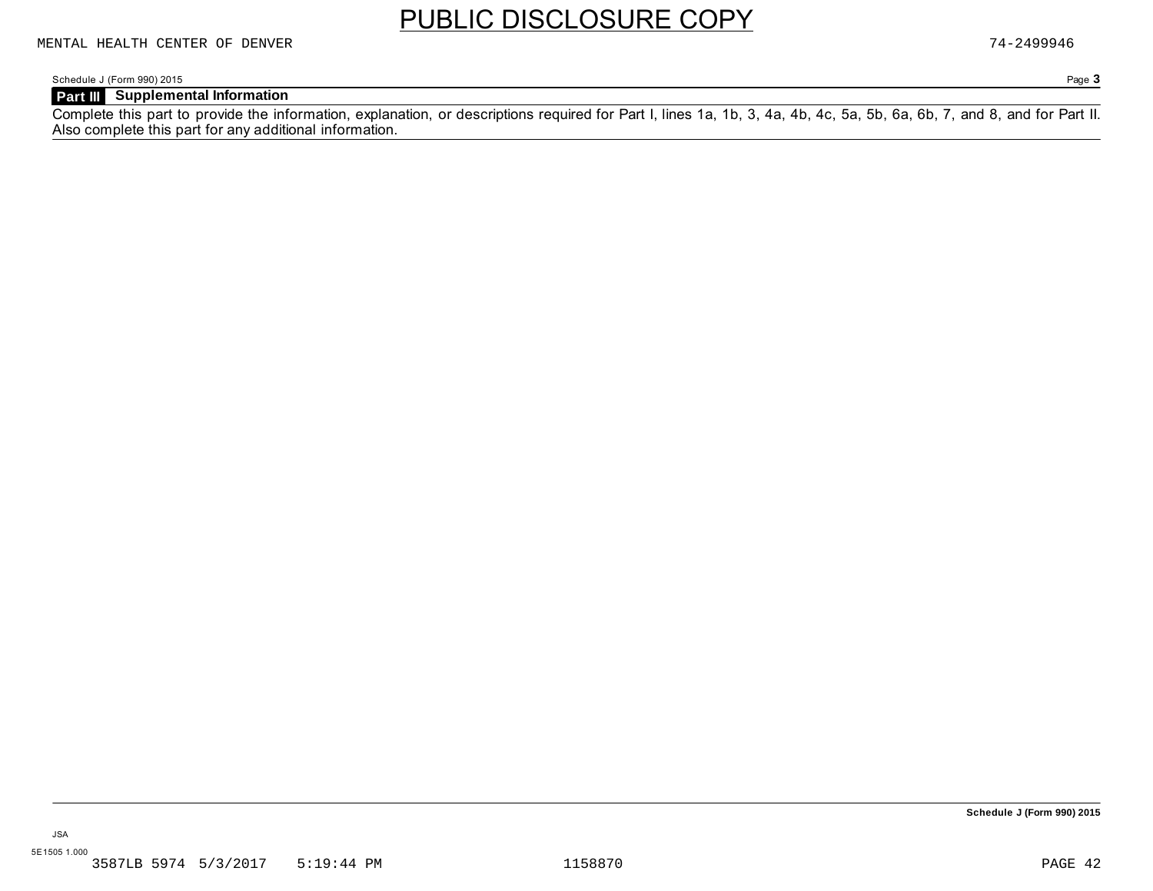Schedule J (Form 990) 2015 Page **3**

#### **Part III Supplemental Information**

Complete this part to provide the information, explanation, or descriptions required for Part I, lines 1a, 1b, 3, 4a, 4b, 4c, 5a, 5b, 6a, 6b, 7, and 8, and for Part II. Also complete this part for any additional information.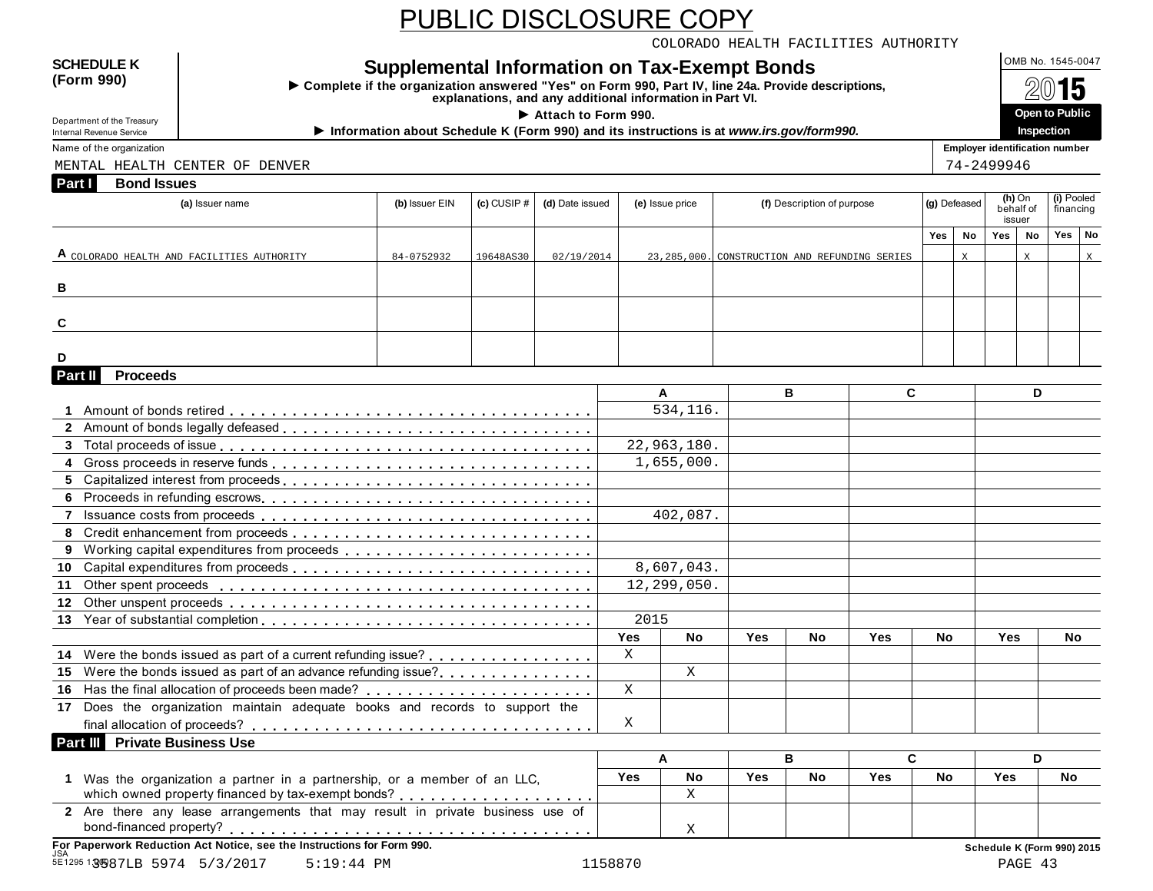COLORADO HEALTH FACILITIES AUTHORITY

#### **SCHEDULE K**<br> **Complete if the organization answered "Yes" on Form 990, Part IV, line 24a, Provide descriptions**<br>
Texton 990)

**Examplete if the organization answered "Yes" on Form 990, Part IV, line 24a. Provide descriptions,**<br>
explanations, and any additional information in Part VI.<br>
explanations, and any additional information in Part VI.



Department of the Treasury<br>Internal Revenue Service

**Information about Schedule K (Form 990) and its instructions is at** *www.irs.gov/form990.***<br>Information about Schedule K (Form 990) and its instructions is at** *www.irs.gov/form990.***<br>Name of the organization** 

**Part I Bond Issues** MENTAL HEALTH CENTER OF DENVER THE SERVER THAT IS A SERVER THAT AND THE SERVER THAT IS A SERVER THAT IS A SERVER

| (a) Issuer name                            | (b) Issuer EIN | $(c)$ CUSIP $#$ | (d) Date issued | (e) Issue price | (f) Description of purpose                      |    | (g) Defeased |             | issuer | (h) On<br>behalf of | (i) Pooled<br>financing |   |
|--------------------------------------------|----------------|-----------------|-----------------|-----------------|-------------------------------------------------|----|--------------|-------------|--------|---------------------|-------------------------|---|
|                                            |                |                 |                 |                 |                                                 |    | Yes          | <b>No</b>   | Yes    | No                  | Yes No                  |   |
| A COLORADO HEALTH AND FACILITIES AUTHORITY | 84-0752932     | 19648AS30       | 02/19/2014      |                 | 23, 285, 000. CONSTRUCTION AND REFUNDING SERIES |    |              | $\mathbf X$ |        | X                   |                         | X |
| В                                          |                |                 |                 |                 |                                                 |    |              |             |        |                     |                         |   |
| C                                          |                |                 |                 |                 |                                                 |    |              |             |        |                     |                         |   |
| D                                          |                |                 |                 |                 |                                                 |    |              |             |        |                     |                         |   |
| Part II<br><b>Proceeds</b>                 |                |                 |                 |                 |                                                 |    |              |             |        |                     |                         |   |
|                                            |                |                 |                 | А               | в                                               | C. |              |             |        | D                   |                         |   |
|                                            |                |                 |                 | 534,116.        |                                                 |    |              |             |        |                     |                         |   |
|                                            |                |                 |                 |                 |                                                 |    |              |             |        |                     |                         |   |
| <b>C</b> Tatal proceeds of leave           |                |                 |                 | 22.222          |                                                 |    |              |             |        |                     |                         |   |

| D       |                                                                                                          |  |              |             |            |           |     |           |            |     |  |
|---------|----------------------------------------------------------------------------------------------------------|--|--------------|-------------|------------|-----------|-----|-----------|------------|-----|--|
| Part II | <b>Proceeds</b>                                                                                          |  |              |             |            |           |     |           |            |     |  |
|         |                                                                                                          |  |              | A           |            | B         |     | C.        |            | D   |  |
|         |                                                                                                          |  |              | 534,116.    |            |           |     |           |            |     |  |
|         |                                                                                                          |  |              |             |            |           |     |           |            |     |  |
|         |                                                                                                          |  |              | 22,963,180. |            |           |     |           |            |     |  |
|         |                                                                                                          |  |              | 1,655,000.  |            |           |     |           |            |     |  |
|         |                                                                                                          |  |              |             |            |           |     |           |            |     |  |
|         |                                                                                                          |  |              |             |            |           |     |           |            |     |  |
|         |                                                                                                          |  |              | 402,087.    |            |           |     |           |            |     |  |
|         |                                                                                                          |  |              |             |            |           |     |           |            |     |  |
|         |                                                                                                          |  |              |             |            |           |     |           |            |     |  |
|         |                                                                                                          |  |              | 8,607,043.  |            |           |     |           |            |     |  |
|         |                                                                                                          |  |              | 12,299,050. |            |           |     |           |            |     |  |
|         |                                                                                                          |  |              |             |            |           |     |           |            |     |  |
|         |                                                                                                          |  | 2015         |             |            |           |     |           |            |     |  |
|         |                                                                                                          |  | <b>Yes</b>   | <b>No</b>   | <b>Yes</b> | <b>No</b> | Yes | <b>No</b> | <b>Yes</b> | No  |  |
|         | 14 Were the bonds issued as part of a current refunding issue?                                           |  | X            |             |            |           |     |           |            |     |  |
|         | 15 Were the bonds issued as part of an advance refunding issue?                                          |  |              | X           |            |           |     |           |            |     |  |
|         |                                                                                                          |  | $\mathbf{X}$ |             |            |           |     |           |            |     |  |
|         | 17 Does the organization maintain adequate books and records to support the                              |  |              |             |            |           |     |           |            |     |  |
|         |                                                                                                          |  | X            |             |            |           |     |           |            |     |  |
|         | Part III Private Business Use                                                                            |  |              |             |            |           |     |           |            |     |  |
|         |                                                                                                          |  |              | Α           |            | B         |     | C.        |            | D   |  |
|         | 1 Was the organization a partner in a partnership, or a member of an LLC,                                |  | Yes          | <b>No</b>   | <b>Yes</b> | <b>No</b> | Yes | No.       | Yes        | No. |  |
|         |                                                                                                          |  |              | X           |            |           |     |           |            |     |  |
|         | 2 Are there any lease arrangements that may result in private business use of<br>hond_financed_property? |  |              | $\tau$      |            |           |     |           |            |     |  |

X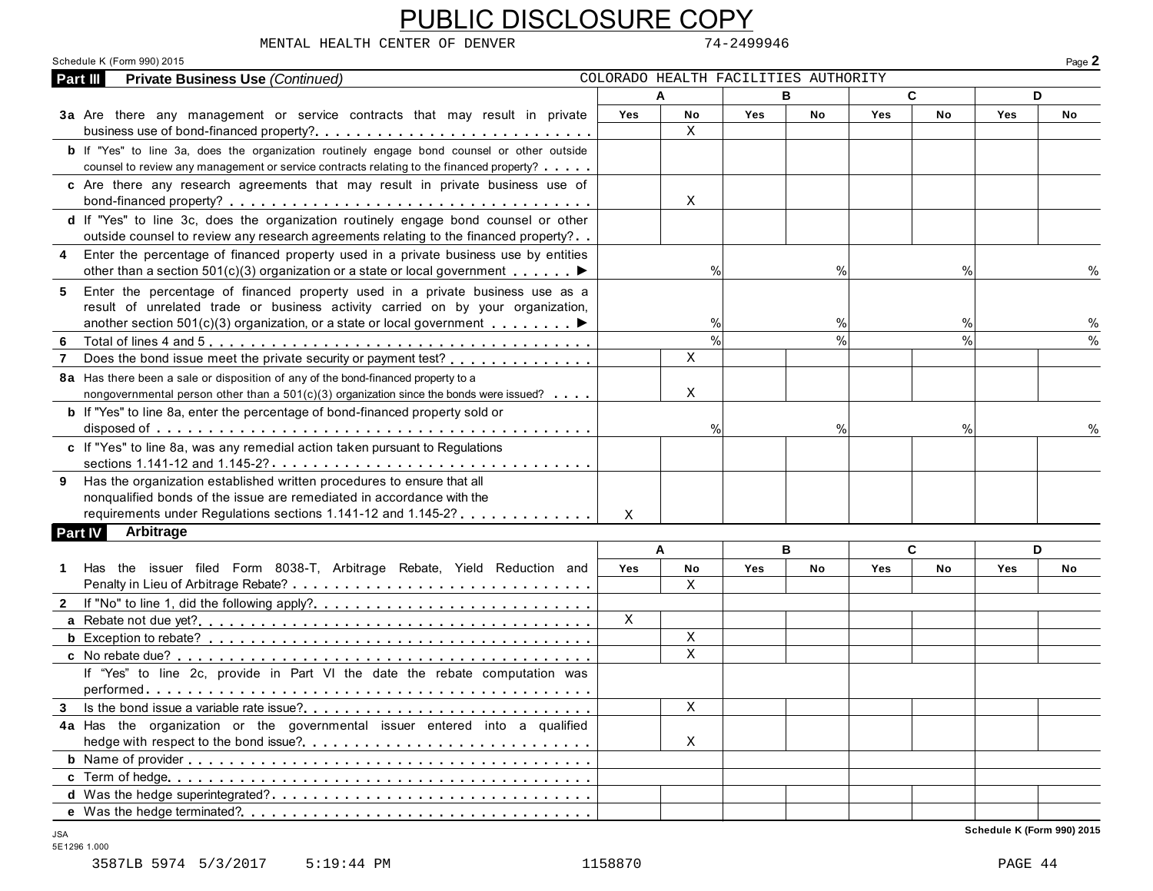| <b>Private Business Use (Continued)</b><br>Part III                                                                                                                                                                                                          |              |               |            | COLORADO HEALTH FACILITIES AUTHORITY |            |               |            | Page 2 |
|--------------------------------------------------------------------------------------------------------------------------------------------------------------------------------------------------------------------------------------------------------------|--------------|---------------|------------|--------------------------------------|------------|---------------|------------|--------|
|                                                                                                                                                                                                                                                              | A            |               |            | B                                    |            | C             | D          |        |
| 3a Are there any management or service contracts that may result in private<br>business use of bond-financed property?                                                                                                                                       | Yes          | No<br>X       | <b>Yes</b> | No                                   | <b>Yes</b> | No            | <b>Yes</b> | No     |
| <b>b</b> If "Yes" to line 3a, does the organization routinely engage bond counsel or other outside<br>counsel to review any management or service contracts relating to the financed property?                                                               |              |               |            |                                      |            |               |            |        |
| c Are there any research agreements that may result in private business use of                                                                                                                                                                               |              | X             |            |                                      |            |               |            |        |
| d If "Yes" to line 3c, does the organization routinely engage bond counsel or other<br>outside counsel to review any research agreements relating to the financed property?                                                                                  |              |               |            |                                      |            |               |            |        |
| 4 Enter the percentage of financed property used in a private business use by entities<br>other than a section 501(c)(3) organization or a state or local government $\dots \dots$                                                                           |              | $\%$          |            | $\%$                                 |            | %             |            |        |
| 5 Enter the percentage of financed property used in a private business use as a<br>result of unrelated trade or business activity carried on by your organization,<br>another section 501(c)(3) organization, or a state or local government $\ldots \ldots$ |              | %             |            | %                                    |            | %             |            | %      |
| -6                                                                                                                                                                                                                                                           |              | $\frac{0}{0}$ |            | $\frac{0}{0}$                        |            | $\frac{0}{0}$ |            |        |
| Does the bond issue meet the private security or payment test?<br>$\overline{7}$                                                                                                                                                                             |              | $\mathbf X$   |            |                                      |            |               |            |        |
| 8a Has there been a sale or disposition of any of the bond-financed property to a<br>nongovernmental person other than a $501(c)(3)$ organization since the bonds were issued?                                                                               |              | Χ             |            |                                      |            |               |            |        |
| <b>b</b> If "Yes" to line 8a, enter the percentage of bond-financed property sold or                                                                                                                                                                         |              | $\%$          |            | $\%$                                 |            | $\%$          |            |        |
| c If "Yes" to line 8a, was any remedial action taken pursuant to Regulations                                                                                                                                                                                 |              |               |            |                                      |            |               |            |        |
| 9 Has the organization established written procedures to ensure that all<br>nonqualified bonds of the issue are remediated in accordance with the                                                                                                            |              |               |            |                                      |            |               |            |        |
| requirements under Regulations sections 1.141-12 and 1.145-2?                                                                                                                                                                                                | X            |               |            |                                      |            |               |            |        |
| Arbitrage<br>Part IV                                                                                                                                                                                                                                         |              |               |            |                                      |            |               |            |        |
|                                                                                                                                                                                                                                                              | A            |               |            | в                                    |            | C             | D          |        |
| 1 Has the issuer filed Form 8038-T, Arbitrage Rebate, Yield Reduction and                                                                                                                                                                                    | Yes          | No            | Yes        | No                                   | <b>Yes</b> | No            | Yes        | No     |
|                                                                                                                                                                                                                                                              |              | X             |            |                                      |            |               |            |        |
|                                                                                                                                                                                                                                                              |              |               |            |                                      |            |               |            |        |
|                                                                                                                                                                                                                                                              |              |               |            |                                      |            |               |            |        |
|                                                                                                                                                                                                                                                              | $\mathbf{x}$ |               |            |                                      |            |               |            |        |
|                                                                                                                                                                                                                                                              |              | Χ             |            |                                      |            |               |            |        |
|                                                                                                                                                                                                                                                              |              | X             |            |                                      |            |               |            |        |
| If "Yes" to line 2c, provide in Part VI the date the rebate computation was                                                                                                                                                                                  |              |               |            |                                      |            |               |            |        |
|                                                                                                                                                                                                                                                              |              | X             |            |                                      |            |               |            |        |
|                                                                                                                                                                                                                                                              |              |               |            |                                      |            |               |            |        |
| 4a Has the organization or the governmental issuer entered into a qualified                                                                                                                                                                                  |              | X             |            |                                      |            |               |            |        |
|                                                                                                                                                                                                                                                              |              |               |            |                                      |            |               |            |        |
|                                                                                                                                                                                                                                                              |              |               |            |                                      |            |               |            |        |
|                                                                                                                                                                                                                                                              |              |               |            |                                      |            |               |            |        |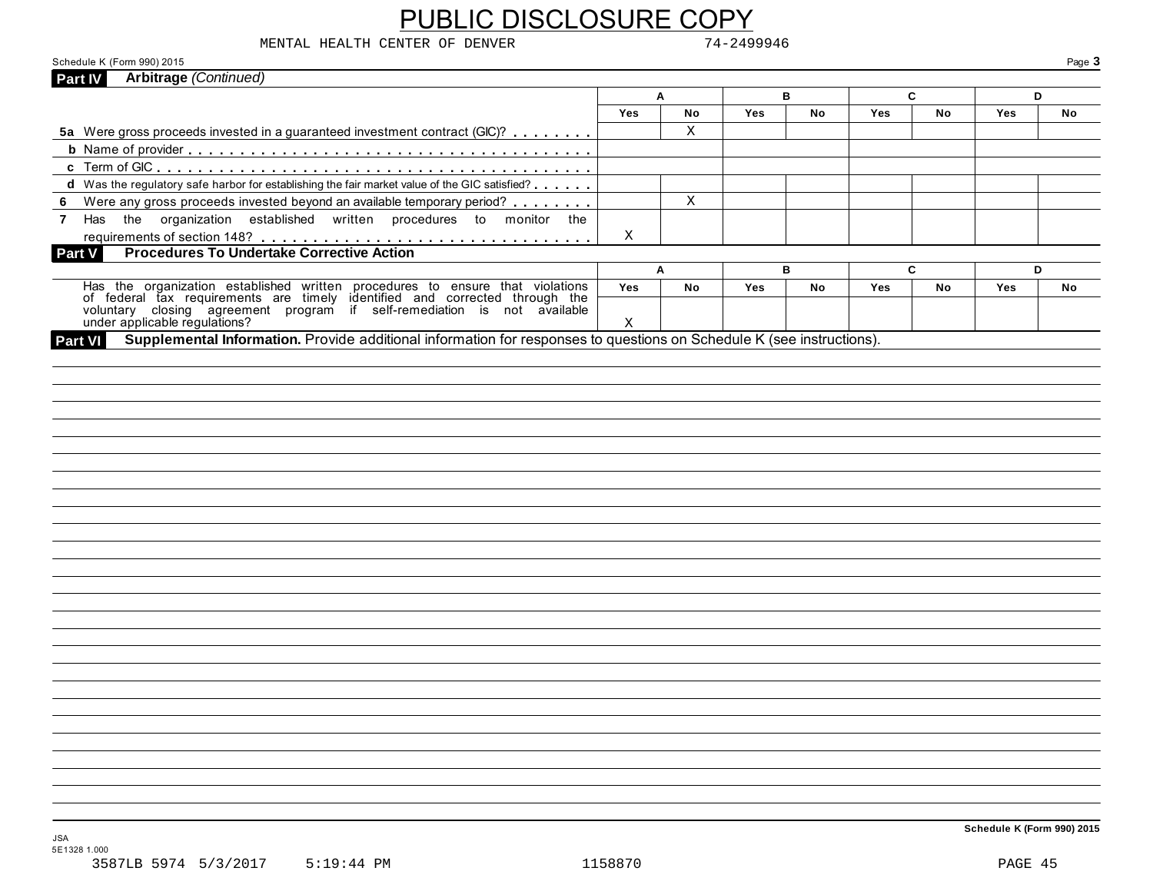| MENTAL HEALTH CENTER OF DENVER                                                                                                                                                                                                       |            |             | 74-2499946 |    |            |           |            |        |
|--------------------------------------------------------------------------------------------------------------------------------------------------------------------------------------------------------------------------------------|------------|-------------|------------|----|------------|-----------|------------|--------|
| Schedule K (Form 990) 2015<br>Arbitrage (Continued)                                                                                                                                                                                  |            |             |            |    |            |           |            | Page 3 |
| Part IV                                                                                                                                                                                                                              |            | A           |            | в  |            | C         |            | D      |
|                                                                                                                                                                                                                                      | <b>Yes</b> | No          | Yes        | No | <b>Yes</b> | <b>No</b> | <b>Yes</b> | No     |
| 5a Were gross proceeds invested in a guaranteed investment contract (GIC)?                                                                                                                                                           |            | $\mathbf X$ |            |    |            |           |            |        |
|                                                                                                                                                                                                                                      |            |             |            |    |            |           |            |        |
|                                                                                                                                                                                                                                      |            |             |            |    |            |           |            |        |
| d Was the regulatory safe harbor for establishing the fair market value of the GIC satisfied?                                                                                                                                        |            |             |            |    |            |           |            |        |
| Were any gross proceeds invested beyond an available temporary period?                                                                                                                                                               |            | $\mathbf x$ |            |    |            |           |            |        |
| 7 Has the organization established written procedures to monitor the                                                                                                                                                                 |            |             |            |    |            |           |            |        |
|                                                                                                                                                                                                                                      | Х          |             |            |    |            |           |            |        |
| Part V                                                                                                                                                                                                                               |            |             |            |    |            |           |            |        |
|                                                                                                                                                                                                                                      |            | A           |            | в  |            | C         |            | D      |
|                                                                                                                                                                                                                                      | Yes        | No          | Yes        | No | Yes        | No        | Yes        | No     |
| Has the organization established written procedures to ensure that violations<br>of federal tax requirements are timely identified and corrected through the<br>voluntary closing agreement program if self-remediation is not avail | X          |             |            |    |            |           |            |        |
|                                                                                                                                                                                                                                      |            |             |            |    |            |           |            |        |
|                                                                                                                                                                                                                                      |            |             |            |    |            |           |            |        |
|                                                                                                                                                                                                                                      |            |             |            |    |            |           |            |        |
|                                                                                                                                                                                                                                      |            |             |            |    |            |           |            |        |
|                                                                                                                                                                                                                                      |            |             |            |    |            |           |            |        |
|                                                                                                                                                                                                                                      |            |             |            |    |            |           |            |        |
|                                                                                                                                                                                                                                      |            |             |            |    |            |           |            |        |
|                                                                                                                                                                                                                                      |            |             |            |    |            |           |            |        |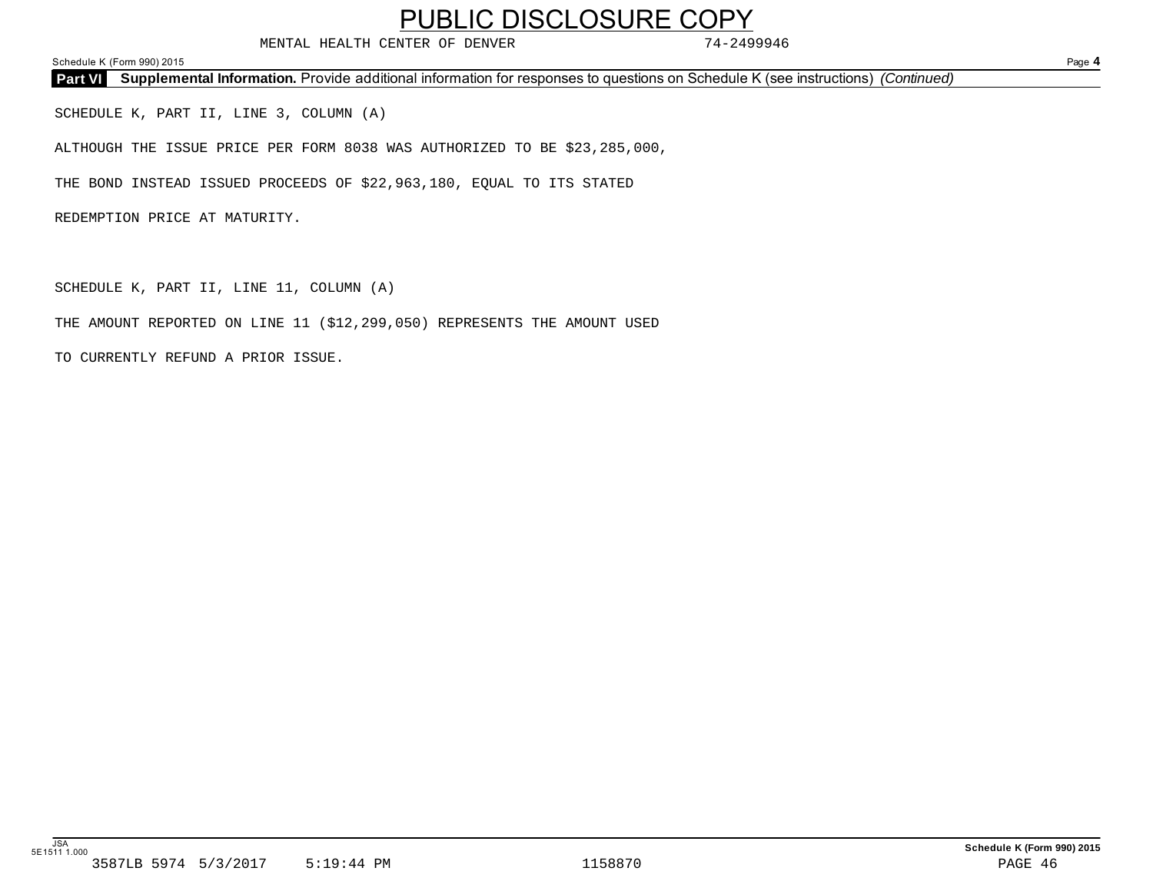MENTAL HEALTH CENTER OF DENVER 74-2499946

Schedule K (Form 990) 2015 Page **4**

**Part VI Supplemental Information.** Provide additional information for responses to questions on Schedule K (see instructions) *(Continued)*

SCHEDULE K, PART II, LINE 3, COLUMN (A)

ALTHOUGH THE ISSUE PRICE PER FORM 8038 WAS AUTHORIZED TO BE \$23,285,000,

THE BOND INSTEAD ISSUED PROCEEDS OF \$22,963,180, EQUAL TO ITS STATED

REDEMPTION PRICE AT MATURITY.

SCHEDULE K, PART II, LINE 11, COLUMN (A)

THE AMOUNT REPORTED ON LINE 11 (\$12,299,050) REPRESENTS THE AMOUNT USED

TO CURRENTLY REFUND A PRIOR ISSUE.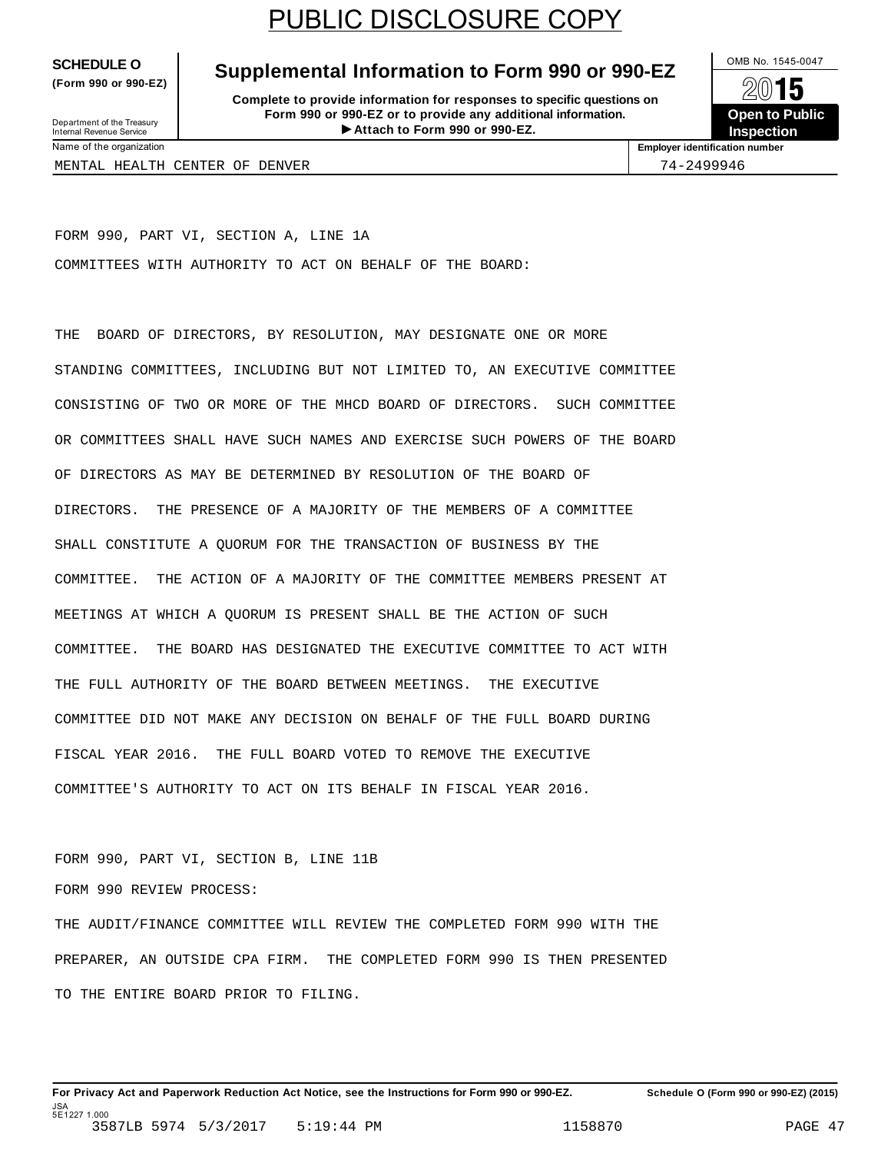**(Form 990 or 990-EZ)**

#### **SCHEDULE O** Supplemental Information to Form 990 or 990-EZ  $\frac{1}{\sqrt{2}}$

**Complete to provide information for responses to specific questions on Form 990 or 990-EZ or to provide any additional information.** Department of the Treasury<br> **Attach to Form 990 or 990-EZ. Inspection Inspection** 



Department of the Treasury<br>Internal Revenue Service<br>Name of the organization

**Employer identification number** 

MENTAL HEALTH CENTER OF DENVER 74-2499946

FORM 990, PART VI, SECTION A, LINE 1A COMMITTEES WITH AUTHORITY TO ACT ON BEHALF OF THE BOARD:

THE BOARD OF DIRECTORS, BY RESOLUTION, MAY DESIGNATE ONE OR MORE STANDING COMMITTEES, INCLUDING BUT NOT LIMITED TO, AN EXECUTIVE COMMITTEE CONSISTING OF TWO OR MORE OF THE MHCD BOARD OF DIRECTORS. SUCH COMMITTEE OR COMMITTEES SHALL HAVE SUCH NAMES AND EXERCISE SUCH POWERS OF THE BOARD OF DIRECTORS AS MAY BE DETERMINED BY RESOLUTION OF THE BOARD OF DIRECTORS. THE PRESENCE OF A MAJORITY OF THE MEMBERS OF A COMMITTEE SHALL CONSTITUTE A QUORUM FOR THE TRANSACTION OF BUSINESS BY THE COMMITTEE. THE ACTION OF A MAJORITY OF THE COMMITTEE MEMBERS PRESENT AT MEETINGS AT WHICH A QUORUM IS PRESENT SHALL BE THE ACTION OF SUCH COMMITTEE. THE BOARD HAS DESIGNATED THE EXECUTIVE COMMITTEE TO ACT WITH THE FULL AUTHORITY OF THE BOARD BETWEEN MEETINGS. THE EXECUTIVE COMMITTEE DID NOT MAKE ANY DECISION ON BEHALF OF THE FULL BOARD DURING FISCAL YEAR 2016. THE FULL BOARD VOTED TO REMOVE THE EXECUTIVE COMMITTEE'S AUTHORITY TO ACT ON ITS BEHALF IN FISCAL YEAR 2016.

FORM 990, PART VI, SECTION B, LINE 11B FORM 990 REVIEW PROCESS: THE AUDIT/FINANCE COMMITTEE WILL REVIEW THE COMPLETED FORM 990 WITH THE PREPARER, AN OUTSIDE CPA FIRM. THE COMPLETED FORM 990 IS THEN PRESENTED TO THE ENTIRE BOARD PRIOR TO FILING.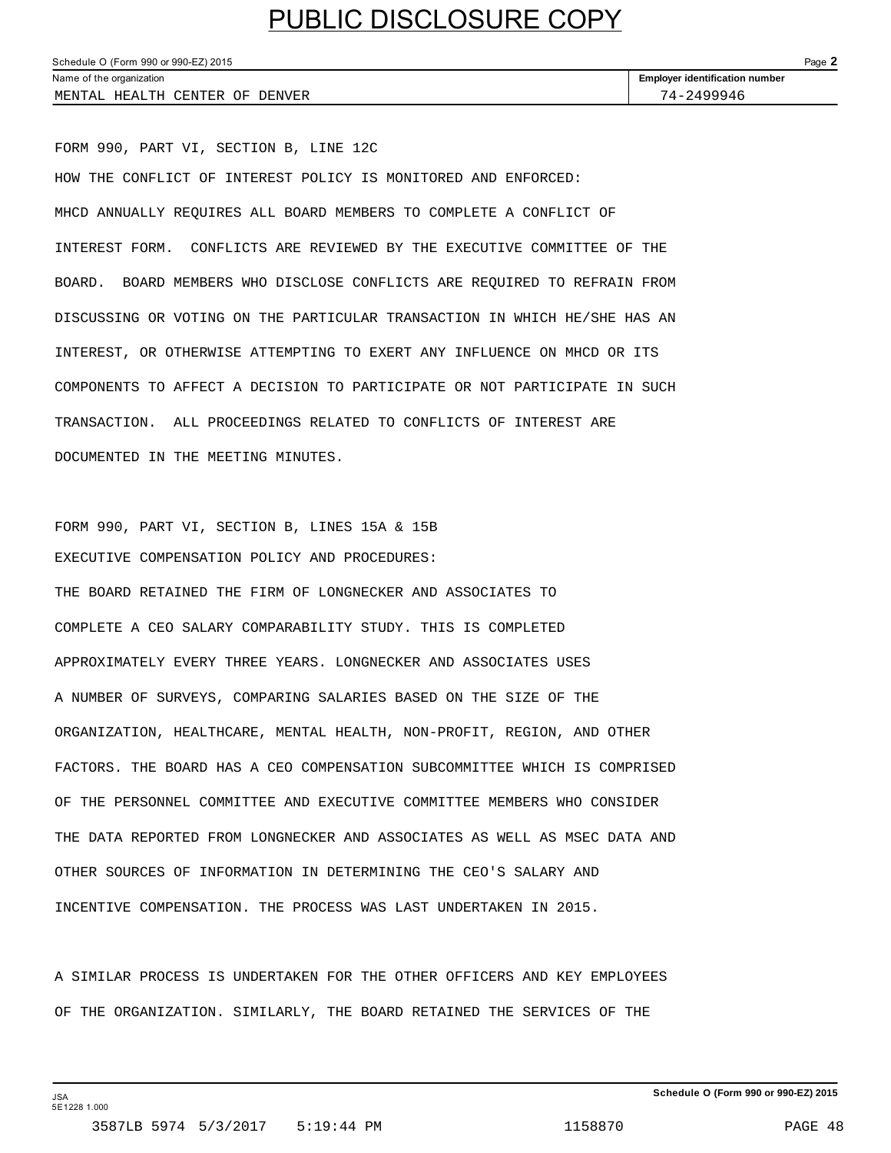| Schedule O (Form 990 or 990-EZ) 2015 |                                       |  |  |
|--------------------------------------|---------------------------------------|--|--|
| Name of the organization             | <b>Employer identification number</b> |  |  |
| MENTAL HEALTH CENTER OF DENVER       | 74-2499946                            |  |  |

FORM 990, PART VI, SECTION B, LINE 12C HOW THE CONFLICT OF INTEREST POLICY IS MONITORED AND ENFORCED: MHCD ANNUALLY REQUIRES ALL BOARD MEMBERS TO COMPLETE A CONFLICT OF INTEREST FORM. CONFLICTS ARE REVIEWED BY THE EXECUTIVE COMMITTEE OF THE BOARD. BOARD MEMBERS WHO DISCLOSE CONFLICTS ARE REQUIRED TO REFRAIN FROM DISCUSSING OR VOTING ON THE PARTICULAR TRANSACTION IN WHICH HE/SHE HAS AN INTEREST, OR OTHERWISE ATTEMPTING TO EXERT ANY INFLUENCE ON MHCD OR ITS COMPONENTS TO AFFECT A DECISION TO PARTICIPATE OR NOT PARTICIPATE IN SUCH TRANSACTION. ALL PROCEEDINGS RELATED TO CONFLICTS OF INTEREST ARE DOCUMENTED IN THE MEETING MINUTES.

FORM 990, PART VI, SECTION B, LINES 15A & 15B EXECUTIVE COMPENSATION POLICY AND PROCEDURES: THE BOARD RETAINED THE FIRM OF LONGNECKER AND ASSOCIATES TO COMPLETE A CEO SALARY COMPARABILITY STUDY. THIS IS COMPLETED APPROXIMATELY EVERY THREE YEARS. LONGNECKER AND ASSOCIATES USES A NUMBER OF SURVEYS, COMPARING SALARIES BASED ON THE SIZE OF THE ORGANIZATION, HEALTHCARE, MENTAL HEALTH, NON-PROFIT, REGION, AND OTHER FACTORS. THE BOARD HAS A CEO COMPENSATION SUBCOMMITTEE WHICH IS COMPRISED OF THE PERSONNEL COMMITTEE AND EXECUTIVE COMMITTEE MEMBERS WHO CONSIDER THE DATA REPORTED FROM LONGNECKER AND ASSOCIATES AS WELL AS MSEC DATA AND OTHER SOURCES OF INFORMATION IN DETERMINING THE CEO'S SALARY AND INCENTIVE COMPENSATION. THE PROCESS WAS LAST UNDERTAKEN IN 2015.

A SIMILAR PROCESS IS UNDERTAKEN FOR THE OTHER OFFICERS AND KEY EMPLOYEES OF THE ORGANIZATION. SIMILARLY, THE BOARD RETAINED THE SERVICES OF THE

5E1228 1.000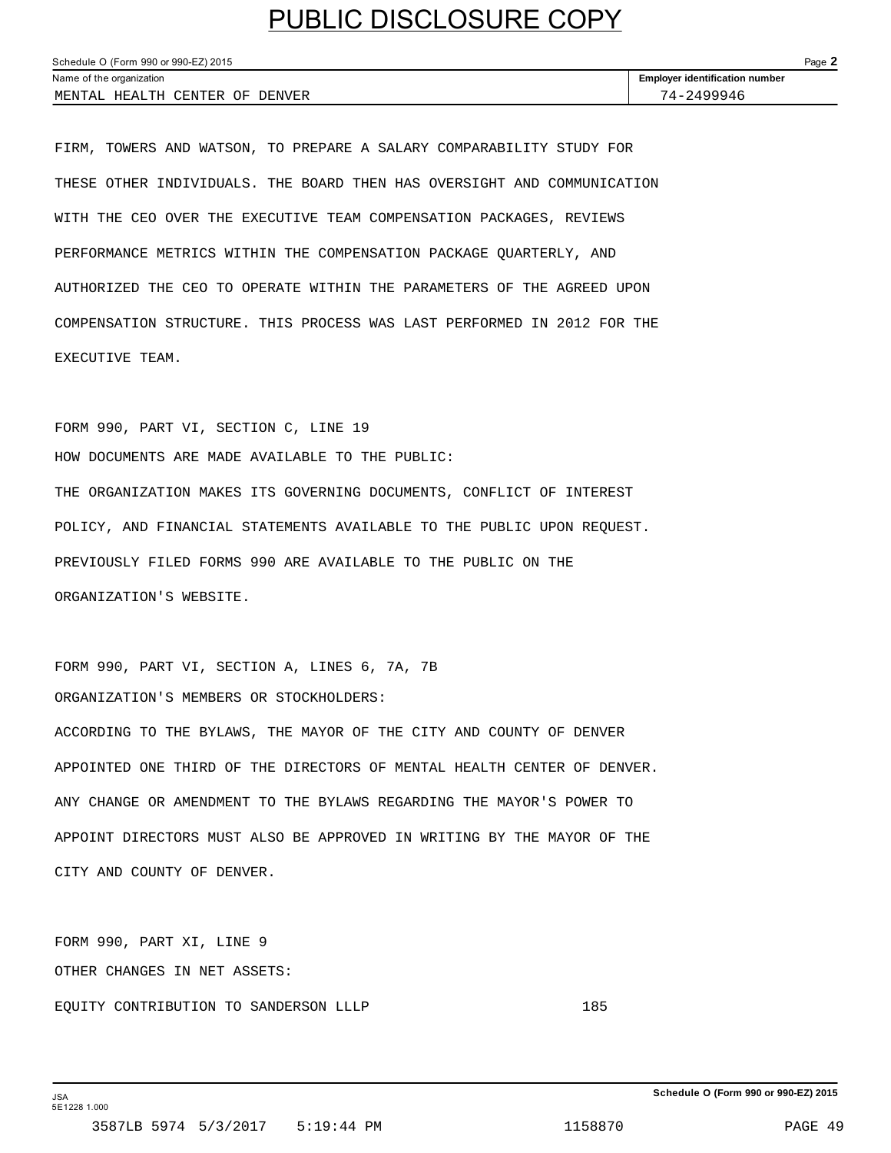| Schedule O (Form 990 or 990-EZ) 2015 |                                       |  |  |
|--------------------------------------|---------------------------------------|--|--|
| Name of the organization             | <b>Employer identification number</b> |  |  |
| MENTAL HEALTH CENTER OF DENVER       | 74-2499946                            |  |  |

FIRM, TOWERS AND WATSON, TO PREPARE A SALARY COMPARABILITY STUDY FOR THESE OTHER INDIVIDUALS. THE BOARD THEN HAS OVERSIGHT AND COMMUNICATION WITH THE CEO OVER THE EXECUTIVE TEAM COMPENSATION PACKAGES, REVIEWS PERFORMANCE METRICS WITHIN THE COMPENSATION PACKAGE QUARTERLY, AND AUTHORIZED THE CEO TO OPERATE WITHIN THE PARAMETERS OF THE AGREED UPON COMPENSATION STRUCTURE. THIS PROCESS WAS LAST PERFORMED IN 2012 FOR THE EXECUTIVE TEAM.

FORM 990, PART VI, SECTION C, LINE 19 HOW DOCUMENTS ARE MADE AVAILABLE TO THE PUBLIC: THE ORGANIZATION MAKES ITS GOVERNING DOCUMENTS, CONFLICT OF INTEREST POLICY, AND FINANCIAL STATEMENTS AVAILABLE TO THE PUBLIC UPON REQUEST. PREVIOUSLY FILED FORMS 990 ARE AVAILABLE TO THE PUBLIC ON THE ORGANIZATION'S WEBSITE.

FORM 990, PART VI, SECTION A, LINES 6, 7A, 7B ORGANIZATION'S MEMBERS OR STOCKHOLDERS: ACCORDING TO THE BYLAWS, THE MAYOR OF THE CITY AND COUNTY OF DENVER APPOINTED ONE THIRD OF THE DIRECTORS OF MENTAL HEALTH CENTER OF DENVER. ANY CHANGE OR AMENDMENT TO THE BYLAWS REGARDING THE MAYOR'S POWER TO APPOINT DIRECTORS MUST ALSO BE APPROVED IN WRITING BY THE MAYOR OF THE CITY AND COUNTY OF DENVER.

FORM 990, PART XI, LINE 9 OTHER CHANGES IN NET ASSETS: EQUITY CONTRIBUTION TO SANDERSON LLLP 185

**Schedule O (Form 990 or 990-EZ) 2015**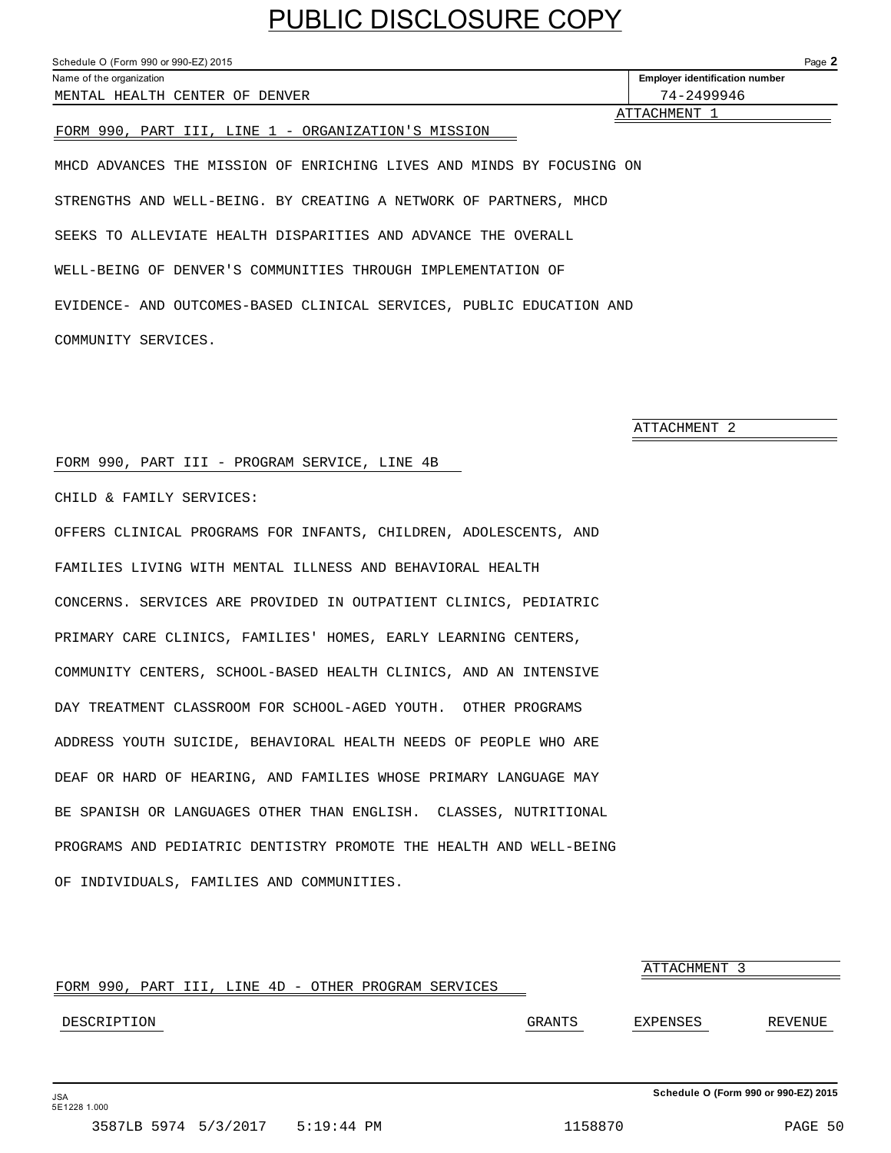<span id="page-48-0"></span>Schedule O (Form 990 or 990-EZ) 2015 Page **2** Name of the organization **Employer identification number Employer identification number** MENTAL HEALTH CENTER OF DENVER 74-2499946 **ATTACHMENT** FORM 990, PART III, LINE 1 - ORGANIZATION'S MISSION MHCD ADVANCES THE MISSION OF ENRICHING LIVES AND MINDS BY FOCUSING ON STRENGTHS AND WELL-BEING. BY CREATING A NETWORK OF PARTNERS, MHCD

SEEKS TO ALLEVIATE HEALTH DISPARITIES AND ADVANCE THE OVERALL WELL-BEING OF DENVER'S COMMUNITIES THROUGH IMPLEMENTATION OF EVIDENCE- AND OUTCOMES-BASED CLINICAL SERVICES, PUBLIC EDUCATION AND COMMUNITY SERVICES.

ATTACHMENT 2

#### FORM 990, PART III - PROGRAM SERVICE, LINE 4B

CHILD & FAMILY SERVICES:

OFFERS CLINICAL PROGRAMS FOR INFANTS, CHILDREN, ADOLESCENTS, AND FAMILIES LIVING WITH MENTAL ILLNESS AND BEHAVIORAL HEALTH CONCERNS. SERVICES ARE PROVIDED IN OUTPATIENT CLINICS, PEDIATRIC PRIMARY CARE CLINICS, FAMILIES' HOMES, EARLY LEARNING CENTERS, COMMUNITY CENTERS, SCHOOL-BASED HEALTH CLINICS, AND AN INTENSIVE DAY TREATMENT CLASSROOM FOR SCHOOL-AGED YOUTH. OTHER PROGRAMS ADDRESS YOUTH SUICIDE, BEHAVIORAL HEALTH NEEDS OF PEOPLE WHO ARE DEAF OR HARD OF HEARING, AND FAMILIES WHOSE PRIMARY LANGUAGE MAY BE SPANISH OR LANGUAGES OTHER THAN ENGLISH. CLASSES, NUTRITIONAL PROGRAMS AND PEDIATRIC DENTISTRY PROMOTE THE HEALTH AND WELL-BEING OF INDIVIDUALS, FAMILIES AND COMMUNITIES.

ATTACHMENT 3 FORM 990, PART III, LINE 4D - OTHER PROGRAM SERVICES DESCRIPTION GRANTS EXPENSES REVENUE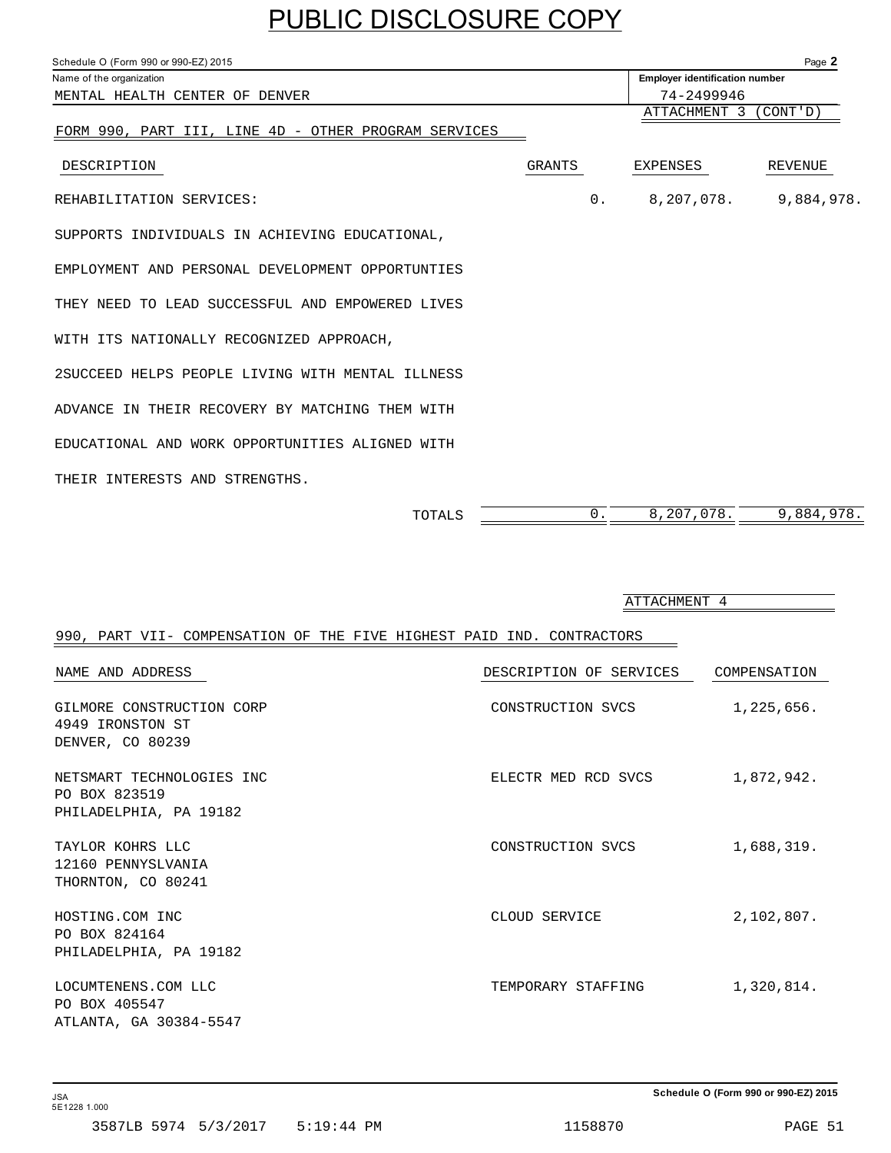<span id="page-49-0"></span>

| Schedule O (Form 990 or 990-EZ) 2015                 |        |    |                                       | Page 2     |  |  |  |
|------------------------------------------------------|--------|----|---------------------------------------|------------|--|--|--|
| Name of the organization                             |        |    | <b>Employer identification number</b> |            |  |  |  |
| MENTAL HEALTH CENTER OF DENVER                       |        |    |                                       |            |  |  |  |
|                                                      |        |    | ATTACHMENT 3                          | (CONT' D)  |  |  |  |
| FORM 990, PART III, LINE 4D - OTHER PROGRAM SERVICES |        |    |                                       |            |  |  |  |
| DESCRIPTION                                          | GRANTS |    | EXPENSES                              | REVENUE    |  |  |  |
| REHABILITATION SERVICES:                             |        | 0. | 8,207,078.                            | 9,884,978. |  |  |  |
| SUPPORTS INDIVIDUALS IN ACHIEVING EDUCATIONAL,       |        |    |                                       |            |  |  |  |
| EMPLOYMENT AND PERSONAL DEVELOPMENT OPPORTUNTIES     |        |    |                                       |            |  |  |  |
| THEY NEED TO LEAD SUCCESSFUL AND EMPOWERED LIVES     |        |    |                                       |            |  |  |  |
| WITH ITS NATIONALLY RECOGNIZED APPROACH,             |        |    |                                       |            |  |  |  |
| 2SUCCEED HELPS PEOPLE LIVING WITH MENTAL ILLNESS     |        |    |                                       |            |  |  |  |
| ADVANCE IN THEIR RECOVERY BY MATCHING THEM WITH      |        |    |                                       |            |  |  |  |
| EDUCATIONAL AND WORK OPPORTUNITIES ALIGNED WITH      |        |    |                                       |            |  |  |  |
| THEIR INTERESTS AND STRENGTHS.                       |        |    |                                       |            |  |  |  |
|                                                      |        |    |                                       |            |  |  |  |

TOTALS  $\overline{\hspace{1.5in}0.834,978.}$ 

ATTACHMENT 4

| 990, PART VII- COMPENSATION OF THE FIVE HIGHEST PAID IND. CONTRACTORS |                         |              |
|-----------------------------------------------------------------------|-------------------------|--------------|
| NAME AND ADDRESS                                                      | DESCRIPTION OF SERVICES | COMPENSATION |
| GILMORE CONSTRUCTION CORP<br>4949 IRONSTON ST<br>DENVER, CO 80239     | CONSTRUCTION SVCS       | 1,225,656.   |
| NETSMART TECHNOLOGIES INC<br>PO BOX 823519<br>PHILADELPHIA, PA 19182  | ELECTR MED RCD SVCS     | 1,872,942.   |
| TAYLOR KOHRS LLC<br>12160 PENNYSLVANIA<br>THORNTON, CO 80241          | CONSTRUCTION SVCS       | 1,688,319.   |
| HOSTING.COM INC<br>PO BOX 824164<br>PHILADELPHIA, PA 19182            | CLOUD SERVICE           | 2,102,807.   |
| LOCUMTENENS.COM LLC<br>PO BOX 405547<br>ATLANTA, GA 30384-5547        | TEMPORARY STAFFING      | 1,320,814.   |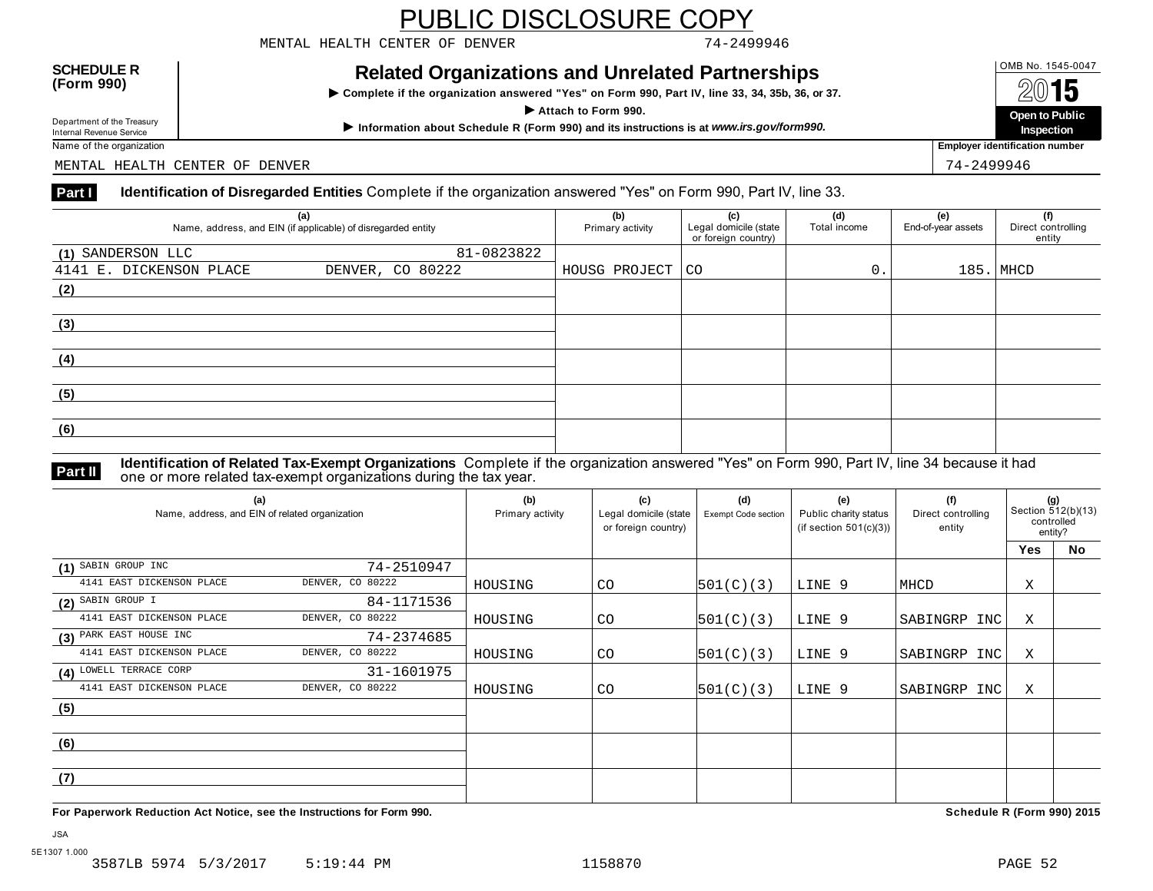MENTAL HEALTH CENTER OF DENVER 74-2499946

#### **OMB No. 1545-0047**<br>
(Form 990) Related Organizations and Unrelated Partnerships<br>
Dental Martin Land Martin Case of the Case of the Case of the Case of the Case of the Case of the Case of the C

**INCRACT OF STREAM STREAM IN COMPART OF A STREAM INCREAMER**<br>
Complete if the organization answered "Yes" on Form 990, Part IV, line 33, 34, 35b, 36, or 37.

Name of the organization **Employer identification number Employer identification number** 

MENTAL HEALTH CENTER OF DENVER THE SERVER THAT IS A SERVER THAT AND THE SERVER THAT IS A SERVER THAT A SERVER THAT IS A SERVER THAT IS A SERVER THAT IS A SERVER THAT IS A SERVER THAT IS A SERVER THAT IS A SERVER THAT IS A

#### **Part I** Identification of Disregarded Entities Complete if the organization answered "Yes" on Form 990, Part IV, line 33.

| (a)<br>Name, address, and EIN (if applicable) of disregarded entity |                  | (b)<br>Primary activity | (c)<br>Legal domicile (state<br>or foreign country) | (d)<br>Total income | (e)<br>End-of-year assets | (f)<br>Direct controlling<br>entity |
|---------------------------------------------------------------------|------------------|-------------------------|-----------------------------------------------------|---------------------|---------------------------|-------------------------------------|
| (1) SANDERSON LLC                                                   | 81-0823822       |                         |                                                     |                     |                           |                                     |
| 4141 E. DICKENSON PLACE                                             | DENVER, CO 80222 | HOUSG PROJECT           | CO                                                  | 0.                  |                           | $185.$ MHCD                         |
| (2)                                                                 |                  |                         |                                                     |                     |                           |                                     |
|                                                                     |                  |                         |                                                     |                     |                           |                                     |
| (3)                                                                 |                  |                         |                                                     |                     |                           |                                     |
|                                                                     |                  |                         |                                                     |                     |                           |                                     |
| (4)                                                                 |                  |                         |                                                     |                     |                           |                                     |
|                                                                     |                  |                         |                                                     |                     |                           |                                     |
| (5)                                                                 |                  |                         |                                                     |                     |                           |                                     |
|                                                                     |                  |                         |                                                     |                     |                           |                                     |
| (6)                                                                 |                  |                         |                                                     |                     |                           |                                     |
|                                                                     |                  |                         |                                                     |                     |                           |                                     |

**Identification of Related Tax-Exempt Organizations** Complete if the organization answered "Yes" on Form 990, Part IV, line 34 because it had **Part II** one or more related tax-exempt organizations during the tax year.

| (a)<br>Name, address, and EIN of related organization | (b)<br>Primary activity | (c)<br>Legal domicile (state<br>or foreign country) | (d)<br>Exempt Code section | (e)<br>Public charity status<br>(if section $501(c)(3)$ ) | (f)<br>Direct controlling<br>entity | (g)<br>Section 512(b)(13)<br>controlled<br>entity? |     |           |
|-------------------------------------------------------|-------------------------|-----------------------------------------------------|----------------------------|-----------------------------------------------------------|-------------------------------------|----------------------------------------------------|-----|-----------|
|                                                       |                         |                                                     |                            |                                                           |                                     |                                                    | Yes | <b>No</b> |
| (1) SABIN GROUP INC                                   | 74-2510947              |                                                     |                            |                                                           |                                     |                                                    |     |           |
| 4141 EAST DICKENSON PLACE                             | DENVER, CO 80222        | HOUSING                                             | CO                         | 501(C)(3)                                                 | LINE 9                              | MHCD                                               | Χ   |           |
| $(2)$ SABIN GROUP I                                   | 84-1171536              |                                                     |                            |                                                           |                                     |                                                    |     |           |
| 4141 EAST DICKENSON PLACE                             | DENVER, CO 80222        | HOUSING                                             | CO                         | 501(C)(3)                                                 | LINE 9                              | SABINGRP INC                                       | X   |           |
| (3) PARK EAST HOUSE INC                               | 74-2374685              |                                                     |                            |                                                           |                                     |                                                    |     |           |
| 4141 EAST DICKENSON PLACE                             | DENVER, CO 80222        | HOUSING                                             | CO                         | 501(C)(3)                                                 | LINE 9                              | SABINGRP INC                                       | Χ   |           |
| (4) LOWELL TERRACE CORP                               | 31-1601975              |                                                     |                            |                                                           |                                     |                                                    |     |           |
| 4141 EAST DICKENSON PLACE                             | DENVER, CO 80222        | HOUSING                                             | CO                         | 501(C)(3)                                                 | LINE 9                              | SABINGRP INC                                       | Χ   |           |
| (5)                                                   |                         |                                                     |                            |                                                           |                                     |                                                    |     |           |
|                                                       |                         |                                                     |                            |                                                           |                                     |                                                    |     |           |
| (6)                                                   |                         |                                                     |                            |                                                           |                                     |                                                    |     |           |
|                                                       |                         |                                                     |                            |                                                           |                                     |                                                    |     |           |
| (7)                                                   |                         |                                                     |                            |                                                           |                                     |                                                    |     |           |
|                                                       |                         |                                                     |                            |                                                           |                                     |                                                    |     |           |

**For Paperwork Reduction Act Notice, see the Instructions for Form 990. Schedule R (Form 990) 2015**

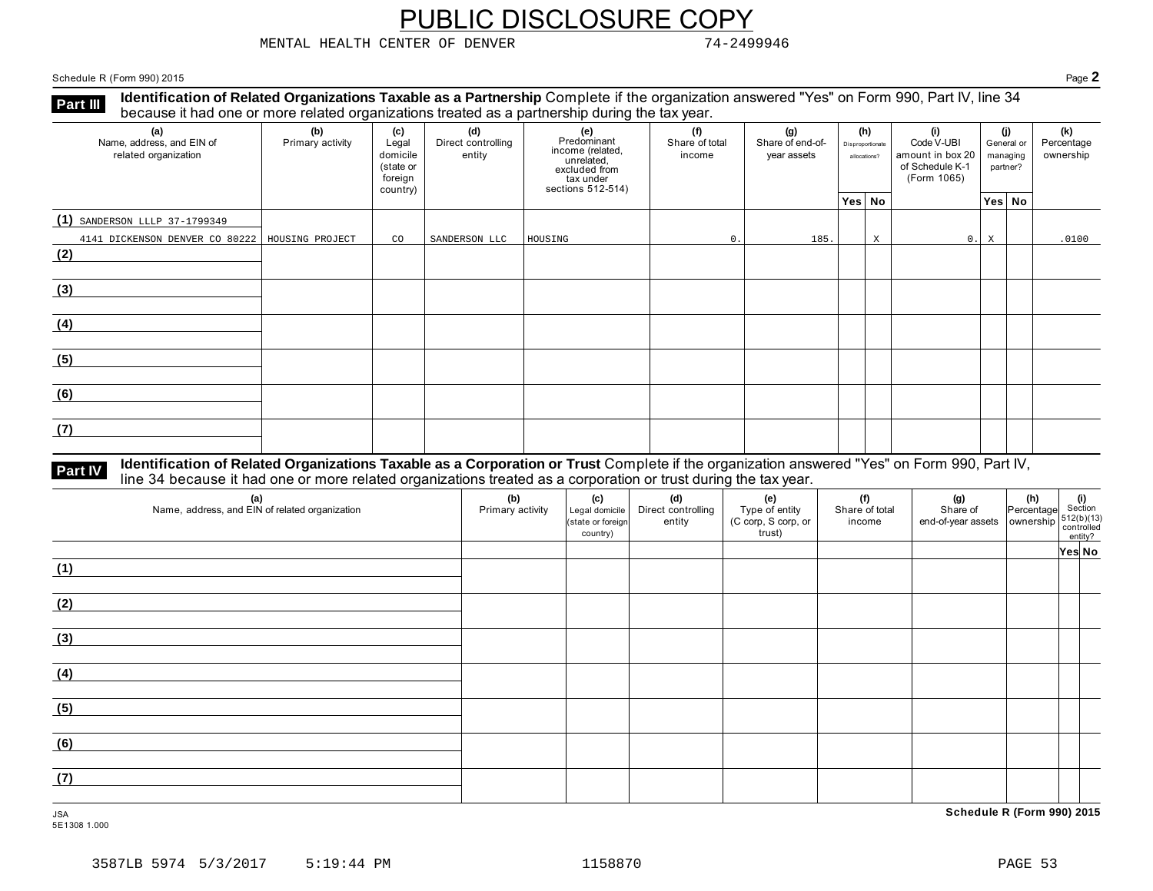MENTAL HEALTH CENTER OF DENVER 74-2499946

Schedule R (Form 990) 2015 Page **2**

**Identification of Related Organizations Taxable as a Partnership** Complete if the organization answered "Yes" on Form 990, Part IV, line 34 **because it had one or more related organizations Taxable as a Partnership** Complete it the organizations treated as a partnership during the tax year.

| (a)<br>Name, address, and EIN of<br>related organization | (b)<br>Primary activity | (c)<br>Legal<br>domicile<br>(state or<br>foreign<br>country) | (d)<br>Direct controlling<br>entity | (e)<br>Predominant<br>income (related,<br>unrelated,<br>excluded from<br>tax under<br>sections 512-514) | (f)<br>Share of total<br>income | (g)<br>Share of end-of-<br>year assets | (h)<br>Disproportionate<br>allocations? |   | (i)<br>Code V-UBI<br>amount in box 20<br>of Schedule K-1<br>(Form 1065) |   | (i)<br>General or<br>managing<br>partner? | (k)<br>Percentage<br>ownership |
|----------------------------------------------------------|-------------------------|--------------------------------------------------------------|-------------------------------------|---------------------------------------------------------------------------------------------------------|---------------------------------|----------------------------------------|-----------------------------------------|---|-------------------------------------------------------------------------|---|-------------------------------------------|--------------------------------|
|                                                          |                         |                                                              |                                     |                                                                                                         |                                 |                                        | Yes No                                  |   |                                                                         |   | Yes No                                    |                                |
| (1) SANDERSON LLLP 37-1799349                            |                         |                                                              |                                     |                                                                                                         |                                 |                                        |                                         |   |                                                                         |   |                                           |                                |
| 4141 DICKENSON DENVER CO 80222   HOUSING PROJECT         |                         | CO                                                           | SANDERSON LLC                       | HOUSING                                                                                                 | 0.                              | 185.                                   |                                         | X | 0.1                                                                     | X |                                           | .0100                          |
| (2)                                                      |                         |                                                              |                                     |                                                                                                         |                                 |                                        |                                         |   |                                                                         |   |                                           |                                |
| (3)                                                      |                         |                                                              |                                     |                                                                                                         |                                 |                                        |                                         |   |                                                                         |   |                                           |                                |
| (4)                                                      |                         |                                                              |                                     |                                                                                                         |                                 |                                        |                                         |   |                                                                         |   |                                           |                                |
| (5)                                                      |                         |                                                              |                                     |                                                                                                         |                                 |                                        |                                         |   |                                                                         |   |                                           |                                |
| (6)                                                      |                         |                                                              |                                     |                                                                                                         |                                 |                                        |                                         |   |                                                                         |   |                                           |                                |
| (7)                                                      |                         |                                                              |                                     |                                                                                                         |                                 |                                        |                                         |   |                                                                         |   |                                           |                                |

### **Part IV** Identification of Related Organizations Taxable as a Corporation or Trust Complete if the organization answered "Yes" on Form 990, Part IV,<br>line 34 because it had one or more related organizations treated as a co

| (a)<br>Name, address, and EIN of related organization | (b)<br>Primary activity | (c)<br>Legal domicile<br>(state or foreign<br>country) | (d)<br>Direct controlling<br>entity | (e)<br>Type of entity<br>(C corp, S corp, or<br>trust) | (f)<br>Share of total<br>income | (g)<br>Share of<br>end-of-year assets   ownership | $\begin{bmatrix} \mathbf{n} \\ \mathbf{Percentage} \\ \mathbf{8} \\ \mathbf{3} \\ \mathbf{5} \\ \mathbf{5} \\ \mathbf{6} \\ \mathbf{6} \\ \mathbf{7} \end{bmatrix}$ |        |
|-------------------------------------------------------|-------------------------|--------------------------------------------------------|-------------------------------------|--------------------------------------------------------|---------------------------------|---------------------------------------------------|---------------------------------------------------------------------------------------------------------------------------------------------------------------------|--------|
|                                                       |                         |                                                        |                                     |                                                        |                                 |                                                   |                                                                                                                                                                     | Yes No |
| (1)                                                   |                         |                                                        |                                     |                                                        |                                 |                                                   |                                                                                                                                                                     |        |
| (2)                                                   |                         |                                                        |                                     |                                                        |                                 |                                                   |                                                                                                                                                                     |        |
| (3)                                                   |                         |                                                        |                                     |                                                        |                                 |                                                   |                                                                                                                                                                     |        |
| (4)                                                   |                         |                                                        |                                     |                                                        |                                 |                                                   |                                                                                                                                                                     |        |
| (5)                                                   |                         |                                                        |                                     |                                                        |                                 |                                                   |                                                                                                                                                                     |        |
| (6)                                                   |                         |                                                        |                                     |                                                        |                                 |                                                   |                                                                                                                                                                     |        |
| (7)                                                   |                         |                                                        |                                     |                                                        |                                 |                                                   |                                                                                                                                                                     |        |
| <b>JSA</b>                                            |                         |                                                        |                                     |                                                        |                                 | Schedule R (Form 990) 2015                        |                                                                                                                                                                     |        |

5E1308 1.000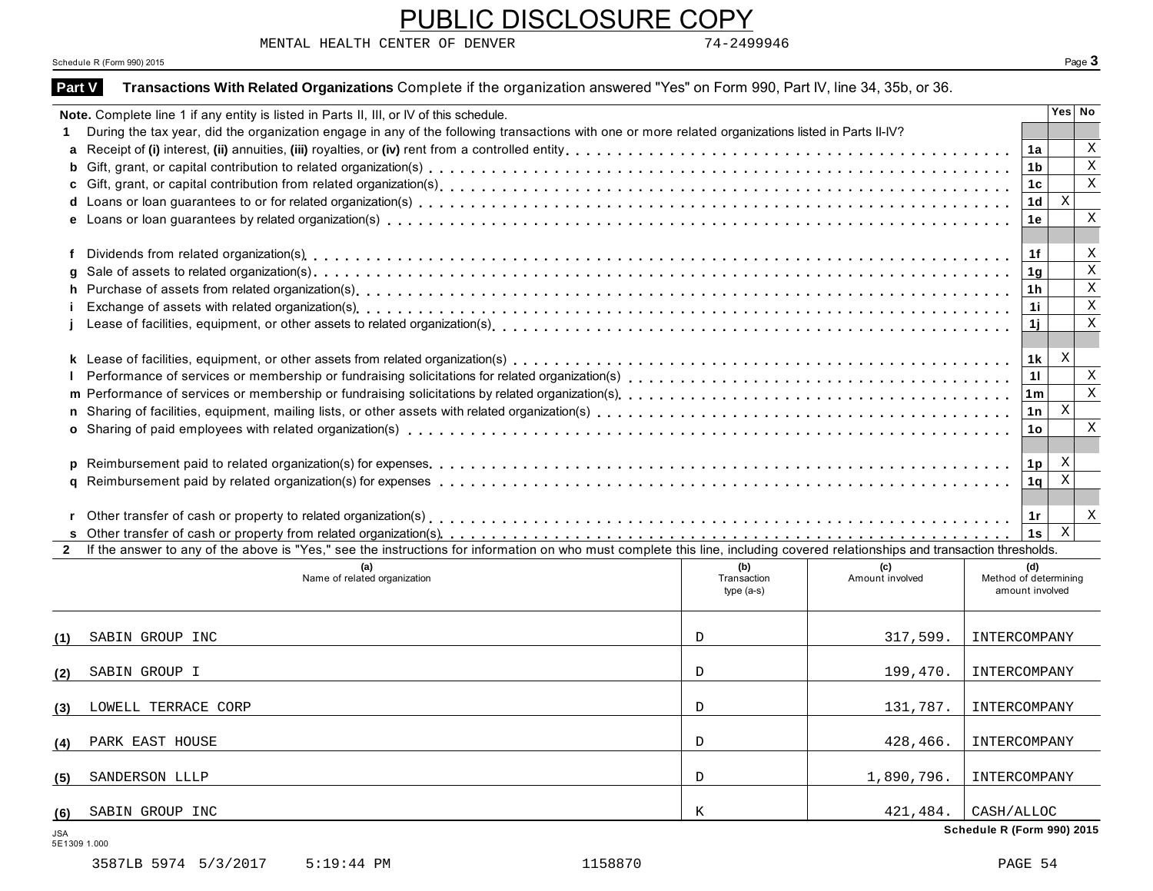MENTAL HEALTH CENTER OF DENVER 74-2499946

#### Schedule R (Form 990) 2015 Page **3**

|                | Schedule R (Form 990) 2015                                                                                                                                                                                                     |                            |                 |                            | Page 3                                   |             |
|----------------|--------------------------------------------------------------------------------------------------------------------------------------------------------------------------------------------------------------------------------|----------------------------|-----------------|----------------------------|------------------------------------------|-------------|
| <b>Part V</b>  | Transactions With Related Organizations Complete if the organization answered "Yes" on Form 990, Part IV, line 34, 35b, or 36.                                                                                                 |                            |                 |                            |                                          |             |
|                | Note. Complete line 1 if any entity is listed in Parts II, III, or IV of this schedule.                                                                                                                                        |                            |                 |                            | Yes No                                   |             |
|                | During the tax year, did the organization engage in any of the following transactions with one or more related organizations listed in Parts II-IV?                                                                            |                            |                 |                            |                                          |             |
| a              |                                                                                                                                                                                                                                |                            |                 |                            | 1a                                       | Χ           |
| b              |                                                                                                                                                                                                                                |                            |                 |                            | 1 <sub>b</sub>                           | $\mathbf X$ |
|                |                                                                                                                                                                                                                                |                            |                 |                            | 1 <sub>c</sub>                           | $\mathbf X$ |
|                |                                                                                                                                                                                                                                |                            |                 |                            | X<br>1 <sub>d</sub>                      |             |
|                |                                                                                                                                                                                                                                |                            |                 |                            | 1е                                       | X           |
| f              |                                                                                                                                                                                                                                |                            |                 |                            | 1f                                       | X           |
|                |                                                                                                                                                                                                                                |                            |                 |                            | 1g                                       | $\mathbf X$ |
| h              |                                                                                                                                                                                                                                |                            |                 |                            | 1h                                       | Χ           |
|                | Exchange of assets with related organization(s) enterpreent responses in the content of the content of the content of the content of the content of the content of the content of the content of the content of the content of |                            |                 |                            | 1i                                       | $\mathbf X$ |
|                |                                                                                                                                                                                                                                |                            |                 |                            | 1j                                       | $\mathbf X$ |
|                |                                                                                                                                                                                                                                |                            |                 |                            |                                          |             |
|                |                                                                                                                                                                                                                                |                            |                 |                            | X<br>1 k                                 |             |
|                |                                                                                                                                                                                                                                |                            |                 |                            | 11                                       | Χ           |
|                |                                                                                                                                                                                                                                |                            |                 |                            | 1 <sub>m</sub>                           | $\mathbf x$ |
| n              |                                                                                                                                                                                                                                |                            |                 |                            | $\,$ X<br>1n                             |             |
|                |                                                                                                                                                                                                                                |                            |                 |                            | 1o                                       | X           |
|                |                                                                                                                                                                                                                                |                            |                 |                            |                                          |             |
|                |                                                                                                                                                                                                                                |                            |                 |                            | X<br>1 <sub>p</sub><br>$\mathbf{X}$      |             |
| a              |                                                                                                                                                                                                                                |                            |                 |                            | 1q                                       |             |
|                |                                                                                                                                                                                                                                |                            |                 |                            |                                          | Χ           |
|                |                                                                                                                                                                                                                                |                            |                 |                            | 1r<br>$\boldsymbol{\mathrm{X}}$<br>1s    |             |
| $\overline{2}$ | If the answer to any of the above is "Yes," see the instructions for information on who must complete this line, including covered relationships and transaction thresholds.                                                   |                            |                 |                            |                                          |             |
|                | (a)                                                                                                                                                                                                                            | (b)                        | (c)             |                            | (d)                                      |             |
|                | Name of related organization                                                                                                                                                                                                   | Transaction<br>$type(a-s)$ | Amount involved |                            | Method of determining<br>amount involved |             |
| (1)            | SABIN GROUP INC                                                                                                                                                                                                                | D                          | 317,599.        | INTERCOMPANY               |                                          |             |
| (2)            | SABIN GROUP I                                                                                                                                                                                                                  | D                          | 199,470.        | INTERCOMPANY               |                                          |             |
| (3)            | LOWELL TERRACE CORP                                                                                                                                                                                                            | D                          | 131,787.        | INTERCOMPANY               |                                          |             |
|                |                                                                                                                                                                                                                                |                            |                 |                            |                                          |             |
| (4)            | PARK EAST HOUSE                                                                                                                                                                                                                | D                          | 428,466.        | INTERCOMPANY               |                                          |             |
| (5)            | SANDERSON LLLP                                                                                                                                                                                                                 | D                          | 1,890,796.      | INTERCOMPANY               |                                          |             |
| (6)            | SABIN GROUP INC                                                                                                                                                                                                                | Κ                          | 421,484.        | CASH/ALLOC                 |                                          |             |
| JSA            |                                                                                                                                                                                                                                |                            |                 | Schedule R (Form 990) 2015 |                                          |             |

PUBLIC DISCLOSURE COPY

5E1309 1.000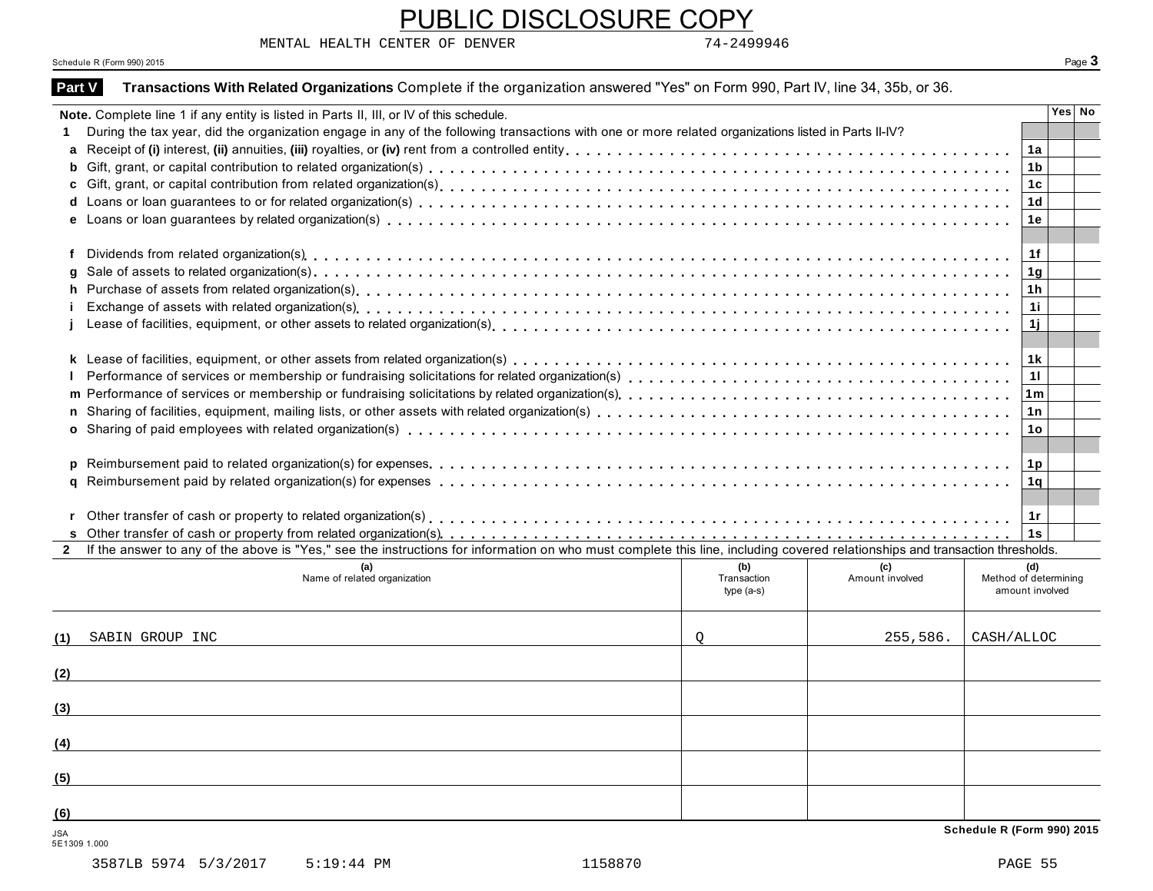MENTAL HEALTH CENTER OF DENVER 74-2499946

#### Schedule R (Form 990) 2015 Page **3**

|               | Schedule R (Form 990) 2015                                                                                                                                                   |                    |                        |                              | Page 3 |
|---------------|------------------------------------------------------------------------------------------------------------------------------------------------------------------------------|--------------------|------------------------|------------------------------|--------|
|               | Transactions With Related Organizations Complete if the organization answered "Yes" on Form 990, Part IV, line 34, 35b, or 36.                                               |                    |                        |                              |        |
| <b>Part V</b> |                                                                                                                                                                              |                    |                        |                              |        |
|               | Note. Complete line 1 if any entity is listed in Parts II, III, or IV of this schedule.                                                                                      |                    |                        |                              | Yes No |
|               | During the tax year, did the organization engage in any of the following transactions with one or more related organizations listed in Parts II-IV?                          |                    |                        |                              |        |
| a             |                                                                                                                                                                              |                    |                        | 1a                           |        |
| b             |                                                                                                                                                                              |                    |                        | 1 <sub>b</sub>               |        |
|               |                                                                                                                                                                              |                    |                        | 1c                           |        |
|               |                                                                                                                                                                              |                    |                        | 1 <sub>d</sub>               |        |
|               |                                                                                                                                                                              |                    |                        | 1e                           |        |
| f             |                                                                                                                                                                              |                    |                        | 1f                           |        |
|               |                                                                                                                                                                              |                    |                        | 1g                           |        |
| h.            |                                                                                                                                                                              |                    |                        | 1h                           |        |
|               |                                                                                                                                                                              |                    |                        | 1i                           |        |
|               |                                                                                                                                                                              |                    |                        | 1j                           |        |
|               |                                                                                                                                                                              |                    |                        | 1 k                          |        |
|               |                                                                                                                                                                              |                    |                        | 11                           |        |
|               |                                                                                                                                                                              |                    |                        | 1 <sub>m</sub>               |        |
| n.            |                                                                                                                                                                              |                    |                        | 1n                           |        |
|               |                                                                                                                                                                              |                    |                        | 1o                           |        |
|               |                                                                                                                                                                              |                    |                        |                              |        |
|               |                                                                                                                                                                              |                    |                        | 1p                           |        |
|               |                                                                                                                                                                              |                    |                        | 1 <sub>q</sub>               |        |
|               |                                                                                                                                                                              |                    |                        |                              |        |
|               |                                                                                                                                                                              |                    |                        | 1r                           |        |
|               |                                                                                                                                                                              |                    |                        | 1s                           |        |
| $\mathbf{2}$  | If the answer to any of the above is "Yes," see the instructions for information on who must complete this line, including covered relationships and transaction thresholds. |                    |                        |                              |        |
|               | (a)<br>Name of related organization                                                                                                                                          | (b)<br>Transaction | (c)<br>Amount involved | (d)<br>Method of determining |        |
|               |                                                                                                                                                                              | $type(a-s)$        |                        | amount involved              |        |
| (1)           | SABIN GROUP INC                                                                                                                                                              | Q                  | 255,586.               | CASH/ALLOC                   |        |
|               |                                                                                                                                                                              |                    |                        |                              |        |
|               |                                                                                                                                                                              |                    |                        |                              |        |
| (3)           |                                                                                                                                                                              |                    |                        |                              |        |
|               |                                                                                                                                                                              |                    |                        |                              |        |
| (4)           |                                                                                                                                                                              |                    |                        |                              |        |
| (5)           |                                                                                                                                                                              |                    |                        |                              |        |
| (6)           |                                                                                                                                                                              |                    |                        |                              |        |
| <b>JSA</b>    |                                                                                                                                                                              |                    |                        | Schedule R (Form 990) 2015   |        |

PUBLIC DISCLOSURE COPY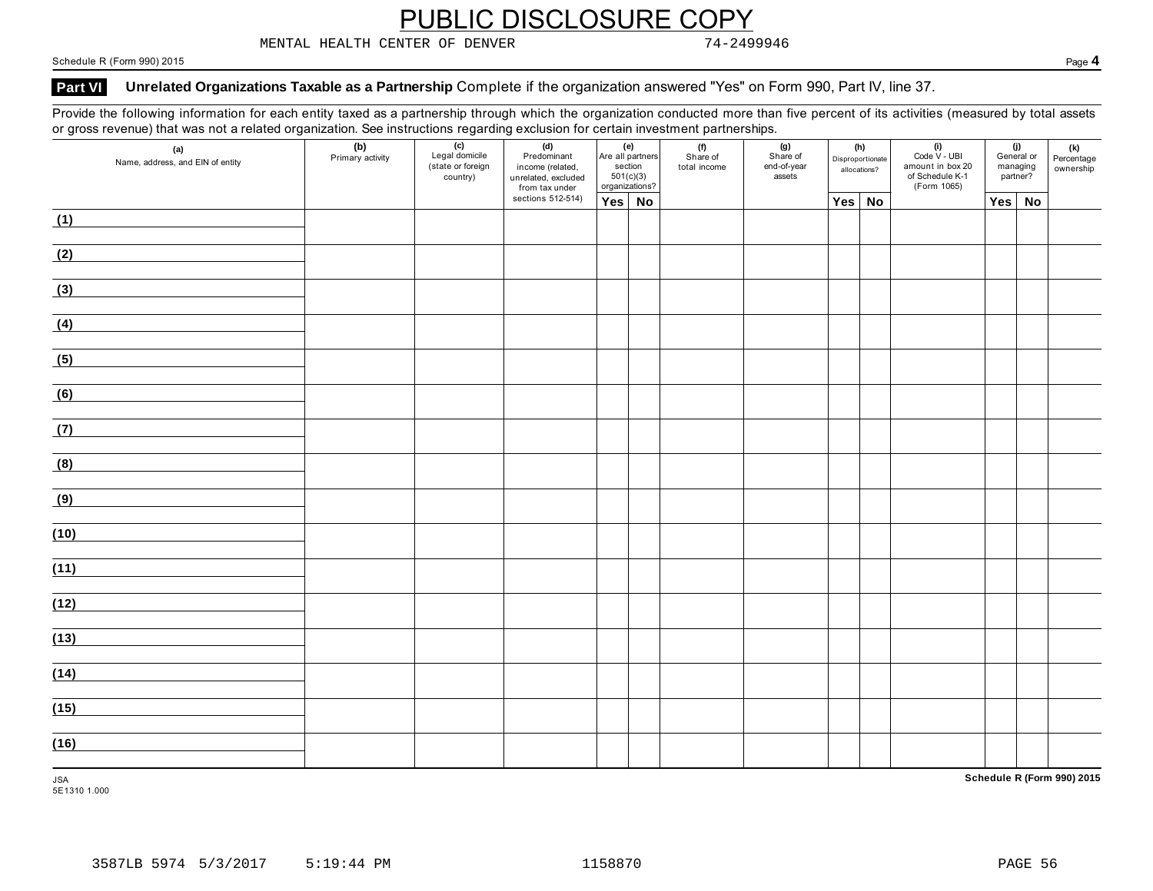MENTAL HEALTH CENTER OF DENVER 74-2499946

Schedule R (Form 990) 2015 Page **4**

#### Part VI Unrelated Organizations Taxable as a Partnership Complete if the organization answered "Yes" on Form 990, Part IV, line 37.

Provide the following information for each entity taxed as a partnership through which the organization conducted more than five percent of its activities (measured by total assets or gross revenue) that was not a related organization. See instructions regarding exclusion for certain investment partnerships.

| (a)<br>Name, address, and EIN of entity | (b)<br>Primary activity | $\overline{(c)}$<br>Legal domicile<br>(state or foreign<br>country) | (d)<br>Predominant<br>income (related,<br>unrelated, excluded<br>from tax under |               | (e)<br>Are all partners<br>section<br>501(c)(3)<br>organizations? | (f)<br>Share of<br>total income | (g)<br>Share of<br>end-of-year<br>assets |        | (h)<br>Disproportionate<br>allocations? | $(i)$<br>Code V - UBI<br>amount in box 20<br>of Schedule K-1<br>(Form 1065) |     | (j)<br>General or<br>managing<br>partner? | (k)<br>Percentage<br>ownership |
|-----------------------------------------|-------------------------|---------------------------------------------------------------------|---------------------------------------------------------------------------------|---------------|-------------------------------------------------------------------|---------------------------------|------------------------------------------|--------|-----------------------------------------|-----------------------------------------------------------------------------|-----|-------------------------------------------|--------------------------------|
|                                         |                         |                                                                     | sections 512-514)                                                               | $Yes \mid No$ |                                                                   |                                 |                                          | Yes No |                                         |                                                                             | Yes | <b>No</b>                                 |                                |
| (1)                                     |                         |                                                                     |                                                                                 |               |                                                                   |                                 |                                          |        |                                         |                                                                             |     |                                           |                                |
| (2)                                     |                         |                                                                     |                                                                                 |               |                                                                   |                                 |                                          |        |                                         |                                                                             |     |                                           |                                |
| (3)                                     |                         |                                                                     |                                                                                 |               |                                                                   |                                 |                                          |        |                                         |                                                                             |     |                                           |                                |
| (4)                                     |                         |                                                                     |                                                                                 |               |                                                                   |                                 |                                          |        |                                         |                                                                             |     |                                           |                                |
| (5)                                     |                         |                                                                     |                                                                                 |               |                                                                   |                                 |                                          |        |                                         |                                                                             |     |                                           |                                |
| (6)                                     |                         |                                                                     |                                                                                 |               |                                                                   |                                 |                                          |        |                                         |                                                                             |     |                                           |                                |
| (7)                                     |                         |                                                                     |                                                                                 |               |                                                                   |                                 |                                          |        |                                         |                                                                             |     |                                           |                                |
| (8)                                     |                         |                                                                     |                                                                                 |               |                                                                   |                                 |                                          |        |                                         |                                                                             |     |                                           |                                |
| (9)                                     |                         |                                                                     |                                                                                 |               |                                                                   |                                 |                                          |        |                                         |                                                                             |     |                                           |                                |
| (10)                                    |                         |                                                                     |                                                                                 |               |                                                                   |                                 |                                          |        |                                         |                                                                             |     |                                           |                                |
| (11)                                    |                         |                                                                     |                                                                                 |               |                                                                   |                                 |                                          |        |                                         |                                                                             |     |                                           |                                |
| (12)                                    |                         |                                                                     |                                                                                 |               |                                                                   |                                 |                                          |        |                                         |                                                                             |     |                                           |                                |
| (13)                                    |                         |                                                                     |                                                                                 |               |                                                                   |                                 |                                          |        |                                         |                                                                             |     |                                           |                                |
| (14)                                    |                         |                                                                     |                                                                                 |               |                                                                   |                                 |                                          |        |                                         |                                                                             |     |                                           |                                |
| (15)                                    |                         |                                                                     |                                                                                 |               |                                                                   |                                 |                                          |        |                                         |                                                                             |     |                                           |                                |
| (16)                                    |                         |                                                                     |                                                                                 |               |                                                                   |                                 |                                          |        |                                         |                                                                             |     |                                           |                                |
| <b>JSA</b>                              |                         |                                                                     |                                                                                 |               |                                                                   |                                 |                                          |        |                                         |                                                                             |     |                                           | Schedule R (Form 990) 2015     |

5E1310 1.000